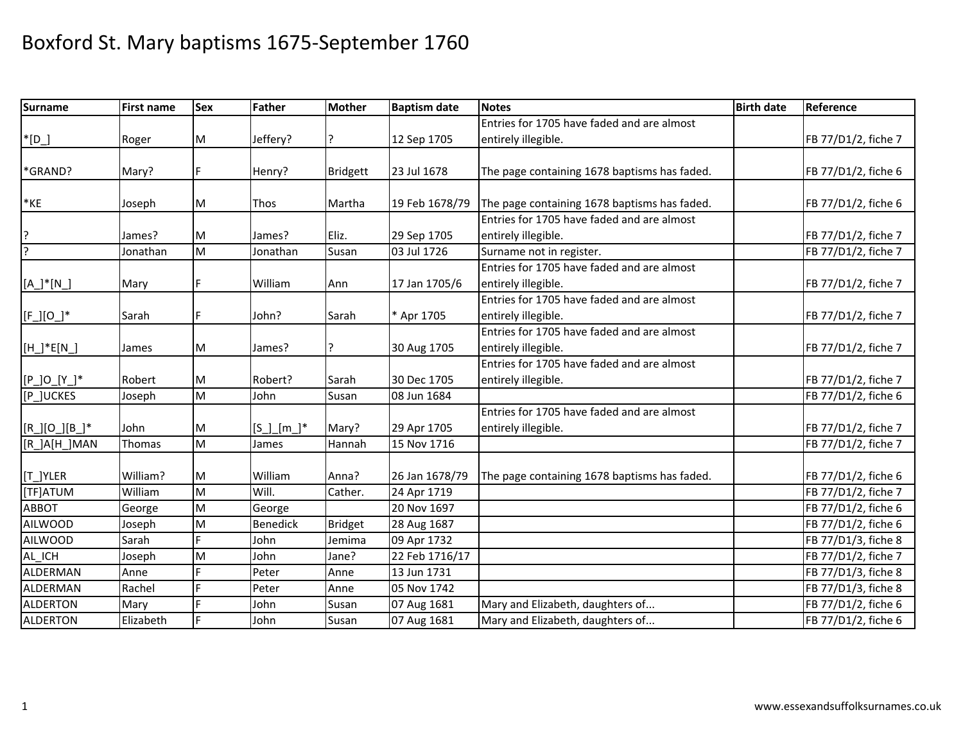| <b>Surname</b>  | <b>First name</b> | Sex | Father          | <b>Mother</b>   | <b>Baptism date</b> | <b>Notes</b>                                 | <b>Birth date</b> | Reference           |
|-----------------|-------------------|-----|-----------------|-----------------|---------------------|----------------------------------------------|-------------------|---------------------|
|                 |                   |     |                 |                 |                     | Entries for 1705 have faded and are almost   |                   |                     |
| $*$ [D_]        | Roger             | M   | Jeffery?        |                 | 12 Sep 1705         | entirely illegible.                          |                   | FB 77/D1/2, fiche 7 |
|                 |                   |     |                 |                 |                     |                                              |                   |                     |
| *GRAND?         | Mary?             | F.  | Henry?          | <b>Bridgett</b> | 23 Jul 1678         | The page containing 1678 baptisms has faded. |                   | FB 77/D1/2, fiche 6 |
|                 |                   |     |                 |                 |                     |                                              |                   |                     |
| $*$ KE          | Joseph            | M   | Thos            | Martha          | 19 Feb 1678/79      | The page containing 1678 baptisms has faded. |                   | FB 77/D1/2, fiche 6 |
|                 |                   |     |                 |                 |                     | Entries for 1705 have faded and are almost   |                   |                     |
|                 | James?            | M   | James?          | Eliz.           | 29 Sep 1705         | entirely illegible.                          |                   | FB 77/D1/2, fiche 7 |
| $\overline{?}$  | Jonathan          | M   | Jonathan        | Susan           | 03 Jul 1726         | Surname not in register.                     |                   | FB 77/D1/2, fiche 7 |
|                 |                   |     |                 |                 |                     | Entries for 1705 have faded and are almost   |                   |                     |
| $[A_]'*[N_']$   | Mary              |     | William         | Ann             | 17 Jan 1705/6       | entirely illegible.                          |                   | FB 77/D1/2, fiche 7 |
|                 |                   |     |                 |                 |                     | Entries for 1705 have faded and are almost   |                   |                     |
| $[F_l]$ [O_]*   | Sarah             | F   | John?           | Sarah           | * Apr 1705          | entirely illegible.                          |                   | FB 77/D1/2, fiche 7 |
|                 |                   |     |                 |                 |                     | Entries for 1705 have faded and are almost   |                   |                     |
| $[H_]'*E[N_']$  | James             | M   | James?          |                 | 30 Aug 1705         | entirely illegible.                          |                   | FB 77/D1/2, fiche 7 |
|                 |                   |     |                 |                 |                     | Entries for 1705 have faded and are almost   |                   |                     |
| $[P_]O_{Y_*}^*$ | Robert            | M   | Robert?         | Sarah           | 30 Dec 1705         | entirely illegible.                          |                   | FB 77/D1/2, fiche 7 |
| [P_]UCKES       | Joseph            | M   | John            | Susan           | 08 Jun 1684         |                                              |                   | FB 77/D1/2, fiche 6 |
|                 |                   |     |                 |                 |                     | Entries for 1705 have faded and are almost   |                   |                     |
| $[R][O][B]]^*$  | John              | M   | $[S_$ m_*]*     | Mary?           | 29 Apr 1705         | entirely illegible.                          |                   | FB 77/D1/2, fiche 7 |
| [R_]A[H_]MAN    | Thomas            | M   | James           | Hannah          | 15 Nov 1716         |                                              |                   | FB 77/D1/2, fiche 7 |
|                 |                   |     |                 |                 |                     |                                              |                   |                     |
| [T_]YLER        | William?          | M   | William         | Anna?           | 26 Jan 1678/79      | The page containing 1678 baptisms has faded. |                   | FB 77/D1/2, fiche 6 |
| [TF]ATUM        | William           | M   | Will.           | Cather.         | 24 Apr 1719         |                                              |                   | FB 77/D1/2, fiche 7 |
| <b>ABBOT</b>    | George            | M   | George          |                 | 20 Nov 1697         |                                              |                   | FB 77/D1/2, fiche 6 |
| <b>AILWOOD</b>  | Joseph            | M   | <b>Benedick</b> | <b>Bridget</b>  | 28 Aug 1687         |                                              |                   | FB 77/D1/2, fiche 6 |
| <b>AILWOOD</b>  | Sarah             | F.  | John            | Jemima          | 09 Apr 1732         |                                              |                   | FB 77/D1/3, fiche 8 |
| AL_ICH          | Joseph            | M   | John            | Jane?           | 22 Feb 1716/17      |                                              |                   | FB 77/D1/2, fiche 7 |
| ALDERMAN        | Anne              | E   | Peter           | Anne            | 13 Jun 1731         |                                              |                   | FB 77/D1/3, fiche 8 |
| <b>ALDERMAN</b> | Rachel            | d   | Peter           | Anne            | 05 Nov 1742         |                                              |                   | FB 77/D1/3, fiche 8 |
| <b>ALDERTON</b> | Mary              |     | John            | Susan           | 07 Aug 1681         | Mary and Elizabeth, daughters of             |                   | FB 77/D1/2, fiche 6 |
| <b>ALDERTON</b> | Elizabeth         |     | John            | Susan           | 07 Aug 1681         | Mary and Elizabeth, daughters of             |                   | FB 77/D1/2, fiche 6 |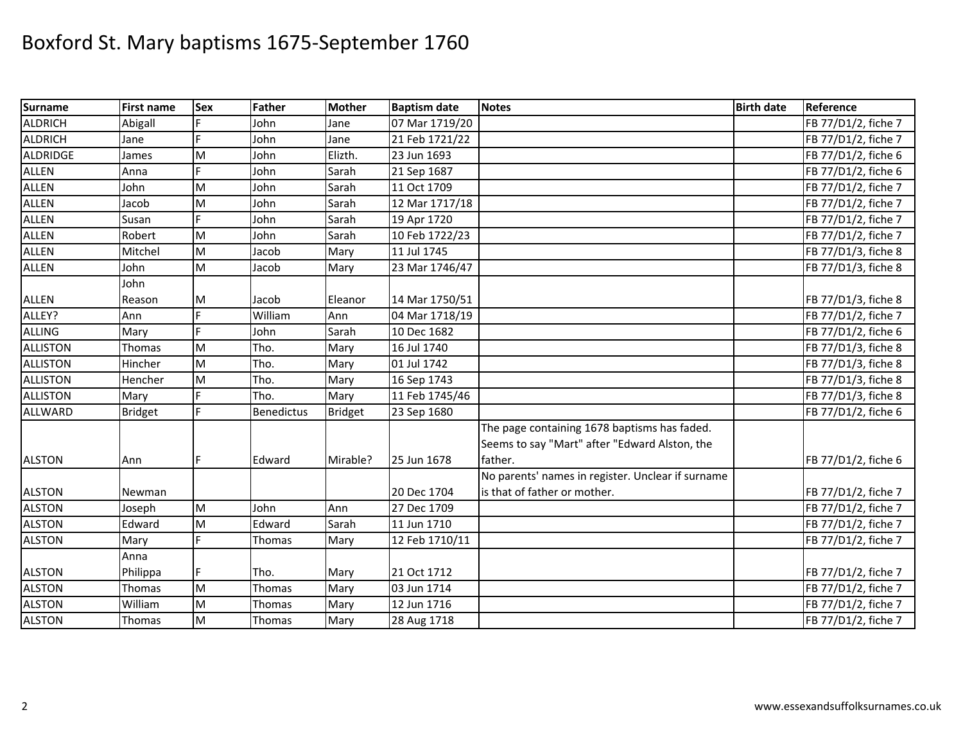| <b>Surname</b>  | <b>First name</b> | <b>Sex</b> | Father            | <b>Mother</b>  | <b>Baptism date</b> | <b>Notes</b>                                      | <b>Birth date</b> | Reference           |
|-----------------|-------------------|------------|-------------------|----------------|---------------------|---------------------------------------------------|-------------------|---------------------|
| <b>ALDRICH</b>  | Abigall           |            | John              | Jane           | 07 Mar 1719/20      |                                                   |                   | FB 77/D1/2, fiche 7 |
| <b>ALDRICH</b>  | Jane              | F.         | John              | Jane           | 21 Feb 1721/22      |                                                   |                   | FB 77/D1/2, fiche 7 |
| <b>ALDRIDGE</b> | James             | M          | John              | Elizth.        | 23 Jun 1693         |                                                   |                   | FB 77/D1/2, fiche 6 |
| <b>ALLEN</b>    | Anna              | F.         | John              | Sarah          | 21 Sep 1687         |                                                   |                   | FB 77/D1/2, fiche 6 |
| <b>ALLEN</b>    | John              | M          | John              | Sarah          | 11 Oct 1709         |                                                   |                   | FB 77/D1/2, fiche 7 |
| <b>ALLEN</b>    | Jacob             | M          | John              | Sarah          | 12 Mar 1717/18      |                                                   |                   | FB 77/D1/2, fiche 7 |
| <b>ALLEN</b>    | Susan             | F.         | John              | Sarah          | 19 Apr 1720         |                                                   |                   | FB 77/D1/2, fiche 7 |
| <b>ALLEN</b>    | Robert            | M          | John              | Sarah          | 10 Feb 1722/23      |                                                   |                   | FB 77/D1/2, fiche 7 |
| <b>ALLEN</b>    | Mitchel           | M          | Jacob             | Mary           | 11 Jul 1745         |                                                   |                   | FB 77/D1/3, fiche 8 |
| <b>ALLEN</b>    | John              | ${\sf M}$  | Jacob             | Mary           | 23 Mar 1746/47      |                                                   |                   | FB 77/D1/3, fiche 8 |
|                 | John              |            |                   |                |                     |                                                   |                   |                     |
| <b>ALLEN</b>    | Reason            | M          | Jacob             | Eleanor        | 14 Mar 1750/51      |                                                   |                   | FB 77/D1/3, fiche 8 |
| ALLEY?          | Ann               | F.         | William           | Ann            | 04 Mar 1718/19      |                                                   |                   | FB 77/D1/2, fiche 7 |
| <b>ALLING</b>   | Mary              | Ė          | John              | Sarah          | 10 Dec 1682         |                                                   |                   | FB 77/D1/2, fiche 6 |
| <b>ALLISTON</b> | Thomas            | M          | Tho.              | Mary           | 16 Jul 1740         |                                                   |                   | FB 77/D1/3, fiche 8 |
| <b>ALLISTON</b> | Hincher           | M          | Tho.              | Mary           | 01 Jul 1742         |                                                   |                   | FB 77/D1/3, fiche 8 |
| <b>ALLISTON</b> | Hencher           | M          | Tho.              | Mary           | 16 Sep 1743         |                                                   |                   | FB 77/D1/3, fiche 8 |
| <b>ALLISTON</b> | Mary              |            | Tho.              | Mary           | 11 Feb 1745/46      |                                                   |                   | FB 77/D1/3, fiche 8 |
| <b>ALLWARD</b>  | <b>Bridget</b>    | F.         | <b>Benedictus</b> | <b>Bridget</b> | 23 Sep 1680         |                                                   |                   | FB 77/D1/2, fiche 6 |
|                 |                   |            |                   |                |                     | The page containing 1678 baptisms has faded.      |                   |                     |
|                 |                   |            |                   |                |                     | Seems to say "Mart" after "Edward Alston, the     |                   |                     |
| <b>ALSTON</b>   | Ann               | F          | Edward            | Mirable?       | 25 Jun 1678         | father.                                           |                   | FB 77/D1/2, fiche 6 |
|                 |                   |            |                   |                |                     | No parents' names in register. Unclear if surname |                   |                     |
| <b>ALSTON</b>   | Newman            |            |                   |                | 20 Dec 1704         | is that of father or mother.                      |                   | FB 77/D1/2, fiche 7 |
| <b>ALSTON</b>   | Joseph            | M          | John              | Ann            | 27 Dec 1709         |                                                   |                   | FB 77/D1/2, fiche 7 |
| <b>ALSTON</b>   | Edward            | M          | Edward            | Sarah          | 11 Jun 1710         |                                                   |                   | FB 77/D1/2, fiche 7 |
| <b>ALSTON</b>   | Mary              | Ė          | Thomas            | Mary           | 12 Feb 1710/11      |                                                   |                   | FB 77/D1/2, fiche 7 |
|                 | Anna              |            |                   |                |                     |                                                   |                   |                     |
| <b>ALSTON</b>   | Philippa          | F          | Tho.              | Mary           | 21 Oct 1712         |                                                   |                   | FB 77/D1/2, fiche 7 |
| <b>ALSTON</b>   | Thomas            | M          | Thomas            | Mary           | 03 Jun 1714         |                                                   |                   | FB 77/D1/2, fiche 7 |
| <b>ALSTON</b>   | William           | M          | Thomas            | Mary           | 12 Jun 1716         |                                                   |                   | FB 77/D1/2, fiche 7 |
| <b>ALSTON</b>   | Thomas            | M          | Thomas            | Mary           | 28 Aug 1718         |                                                   |                   | FB 77/D1/2, fiche 7 |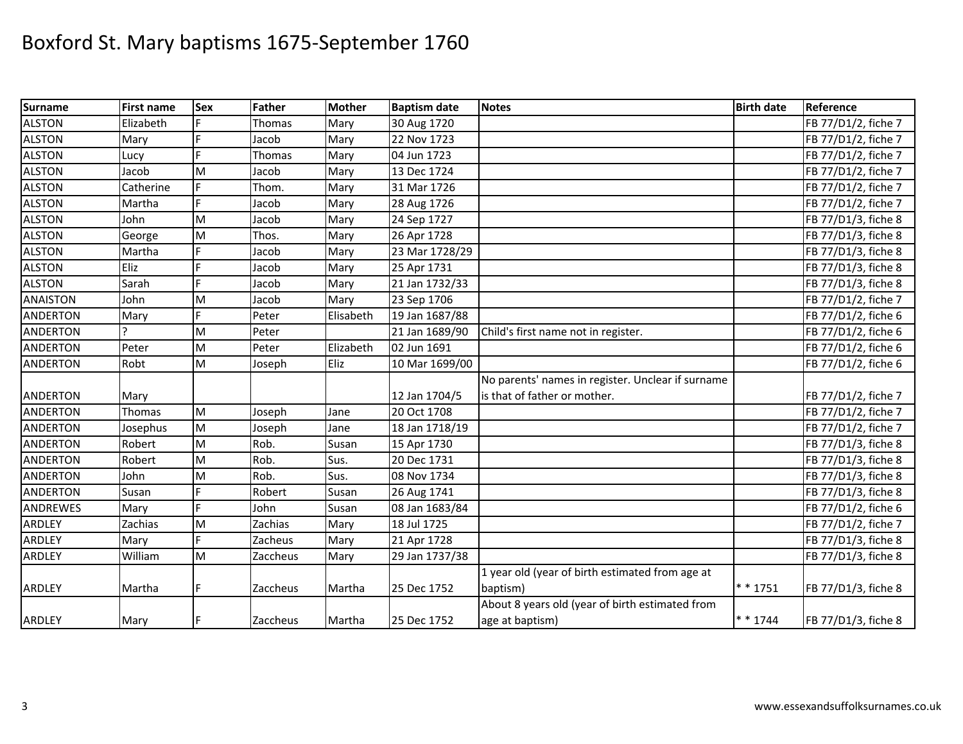| <b>Surname</b>  | <b>First name</b> | <b>Sex</b> | Father   | <b>Mother</b> | <b>Baptism date</b> | <b>Notes</b>                                      | <b>Birth date</b> | Reference           |
|-----------------|-------------------|------------|----------|---------------|---------------------|---------------------------------------------------|-------------------|---------------------|
| <b>ALSTON</b>   | Elizabeth         |            | Thomas   | Mary          | 30 Aug 1720         |                                                   |                   | FB 77/D1/2, fiche 7 |
| <b>ALSTON</b>   | Mary              |            | Jacob    | Mary          | 22 Nov 1723         |                                                   |                   | FB 77/D1/2, fiche 7 |
| <b>ALSTON</b>   | Lucy              |            | Thomas   | Mary          | 04 Jun 1723         |                                                   |                   | FB 77/D1/2, fiche 7 |
| <b>ALSTON</b>   | Jacob             | M          | Jacob    | Mary          | 13 Dec 1724         |                                                   |                   | FB 77/D1/2, fiche 7 |
| <b>ALSTON</b>   | Catherine         |            | Thom.    | Mary          | 31 Mar 1726         |                                                   |                   | FB 77/D1/2, fiche 7 |
| <b>ALSTON</b>   | Martha            | F          | Jacob    | Mary          | 28 Aug 1726         |                                                   |                   | FB 77/D1/2, fiche 7 |
| <b>ALSTON</b>   | John              | M          | Jacob    | Mary          | 24 Sep 1727         |                                                   |                   | FB 77/D1/3, fiche 8 |
| <b>ALSTON</b>   | George            | M          | Thos.    | Mary          | 26 Apr 1728         |                                                   |                   | FB 77/D1/3, fiche 8 |
| <b>ALSTON</b>   | Martha            |            | Jacob    | Mary          | 23 Mar 1728/29      |                                                   |                   | FB 77/D1/3, fiche 8 |
| <b>ALSTON</b>   | Eliz              |            | Jacob    | Mary          | 25 Apr 1731         |                                                   |                   | FB 77/D1/3, fiche 8 |
| <b>ALSTON</b>   | Sarah             |            | Jacob    | Mary          | 21 Jan 1732/33      |                                                   |                   | FB 77/D1/3, fiche 8 |
| <b>ANAISTON</b> | John              | M          | Jacob    | Mary          | 23 Sep 1706         |                                                   |                   | FB 77/D1/2, fiche 7 |
| <b>ANDERTON</b> | Mary              | E          | Peter    | Elisabeth     | 19 Jan 1687/88      |                                                   |                   | FB 77/D1/2, fiche 6 |
| <b>ANDERTON</b> |                   | M          | Peter    |               | 21 Jan 1689/90      | Child's first name not in register.               |                   | FB 77/D1/2, fiche 6 |
| <b>ANDERTON</b> | Peter             | ${\sf M}$  | Peter    | Elizabeth     | 02 Jun 1691         |                                                   |                   | FB 77/D1/2, fiche 6 |
| <b>ANDERTON</b> | Robt              | ${\sf M}$  | Joseph   | Eliz          | 10 Mar 1699/00      |                                                   |                   | FB 77/D1/2, fiche 6 |
|                 |                   |            |          |               |                     | No parents' names in register. Unclear if surname |                   |                     |
| <b>ANDERTON</b> | Mary              |            |          |               | 12 Jan 1704/5       | is that of father or mother.                      |                   | FB 77/D1/2, fiche 7 |
| <b>ANDERTON</b> | Thomas            | M          | Joseph   | Jane          | 20 Oct 1708         |                                                   |                   | FB 77/D1/2, fiche 7 |
| <b>ANDERTON</b> | Josephus          | M          | Joseph   | Jane          | 18 Jan 1718/19      |                                                   |                   | FB 77/D1/2, fiche 7 |
| <b>ANDERTON</b> | Robert            | M          | Rob.     | Susan         | 15 Apr 1730         |                                                   |                   | FB 77/D1/3, fiche 8 |
| <b>ANDERTON</b> | Robert            | M          | Rob.     | Sus.          | 20 Dec 1731         |                                                   |                   | FB 77/D1/3, fiche 8 |
| <b>ANDERTON</b> | John              | M          | Rob.     | Sus.          | 08 Nov 1734         |                                                   |                   | FB 77/D1/3, fiche 8 |
| <b>ANDERTON</b> | Susan             |            | Robert   | Susan         | 26 Aug 1741         |                                                   |                   | FB 77/D1/3, fiche 8 |
| <b>ANDREWES</b> | Mary              |            | John     | Susan         | 08 Jan 1683/84      |                                                   |                   | FB 77/D1/2, fiche 6 |
| <b>ARDLEY</b>   | Zachias           | M          | Zachias  | Mary          | 18 Jul 1725         |                                                   |                   | FB 77/D1/2, fiche 7 |
| ARDLEY          | Mary              |            | Zacheus  | Mary          | 21 Apr 1728         |                                                   |                   | FB 77/D1/3, fiche 8 |
| ARDLEY          | William           | M          | Zaccheus | Mary          | 29 Jan 1737/38      |                                                   |                   | FB 77/D1/3, fiche 8 |
|                 |                   |            |          |               |                     | 1 year old (year of birth estimated from age at   |                   |                     |
| <b>ARDLEY</b>   | Martha            |            | Zaccheus | Martha        | 25 Dec 1752         | baptism)                                          | ** 1751           | FB 77/D1/3, fiche 8 |
|                 |                   |            |          |               |                     | About 8 years old (year of birth estimated from   |                   |                     |
| ARDLEY          | Mary              | F          | Zaccheus | Martha        | 25 Dec 1752         | age at baptism)                                   | $* * 1744$        | FB 77/D1/3, fiche 8 |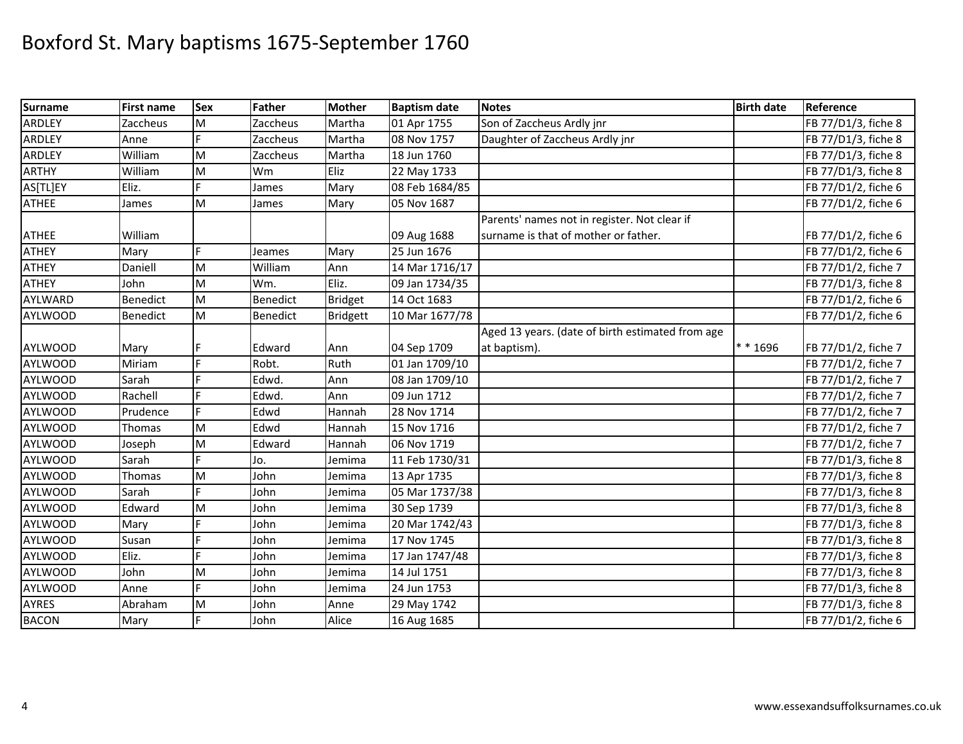| <b>Surname</b> | First name | <b>Sex</b> | Father   | <b>Mother</b>   | <b>Baptism date</b> | <b>Notes</b>                                     | <b>Birth date</b> | Reference           |
|----------------|------------|------------|----------|-----------------|---------------------|--------------------------------------------------|-------------------|---------------------|
| ARDLEY         | Zaccheus   | M          | Zaccheus | Martha          | 01 Apr 1755         | Son of Zaccheus Ardly jnr                        |                   | FB 77/D1/3, fiche 8 |
| <b>ARDLEY</b>  | Anne       |            | Zaccheus | Martha          | 08 Nov 1757         | Daughter of Zaccheus Ardly jnr                   |                   | FB 77/D1/3, fiche 8 |
| <b>ARDLEY</b>  | William    | M          | Zaccheus | Martha          | 18 Jun 1760         |                                                  |                   | FB 77/D1/3, fiche 8 |
| <b>ARTHY</b>   | William    | M          | Wm       | Eliz            | 22 May 1733         |                                                  |                   | FB 77/D1/3, fiche 8 |
| AS[TL]EY       | Eliz.      | E.         | James    | Mary            | 08 Feb 1684/85      |                                                  |                   | FB 77/D1/2, fiche 6 |
| <b>ATHEE</b>   | James      | M          | James    | Mary            | 05 Nov 1687         |                                                  |                   | FB 77/D1/2, fiche 6 |
|                |            |            |          |                 |                     | Parents' names not in register. Not clear if     |                   |                     |
| <b>ATHEE</b>   | William    |            |          |                 | 09 Aug 1688         | surname is that of mother or father.             |                   | FB 77/D1/2, fiche 6 |
| <b>ATHEY</b>   | Mary       | F.         | Jeames   | Mary            | 25 Jun 1676         |                                                  |                   | FB 77/D1/2, fiche 6 |
| <b>ATHEY</b>   | Daniell    | M          | William  | Ann             | 14 Mar 1716/17      |                                                  |                   | FB 77/D1/2, fiche 7 |
| <b>ATHEY</b>   | John       | M          | Wm.      | Eliz.           | 09 Jan 1734/35      |                                                  |                   | FB 77/D1/3, fiche 8 |
| AYLWARD        | Benedict   | M          | Benedict | <b>Bridget</b>  | 14 Oct 1683         |                                                  |                   | FB 77/D1/2, fiche 6 |
| <b>AYLWOOD</b> | Benedict   | M          | Benedict | <b>Bridgett</b> | 10 Mar 1677/78      |                                                  |                   | FB 77/D1/2, fiche 6 |
|                |            |            |          |                 |                     | Aged 13 years. (date of birth estimated from age |                   |                     |
| <b>AYLWOOD</b> | Mary       |            | Edward   | Ann             | 04 Sep 1709         | at baptism).                                     | $* * 1696$        | FB 77/D1/2, fiche 7 |
| <b>AYLWOOD</b> | Miriam     | F.         | Robt.    | Ruth            | 01 Jan 1709/10      |                                                  |                   | FB 77/D1/2, fiche 7 |
| <b>AYLWOOD</b> | Sarah      |            | Edwd.    | Ann             | 08 Jan 1709/10      |                                                  |                   | FB 77/D1/2, fiche 7 |
| <b>AYLWOOD</b> | Rachell    |            | Edwd.    | Ann             | 09 Jun 1712         |                                                  |                   | FB 77/D1/2, fiche 7 |
| <b>AYLWOOD</b> | Prudence   |            | Edwd     | Hannah          | 28 Nov 1714         |                                                  |                   | FB 77/D1/2, fiche 7 |
| <b>AYLWOOD</b> | Thomas     | M          | Edwd     | Hannah          | 15 Nov 1716         |                                                  |                   | FB 77/D1/2, fiche 7 |
| <b>AYLWOOD</b> | Joseph     | M          | Edward   | Hannah          | 06 Nov 1719         |                                                  |                   | FB 77/D1/2, fiche 7 |
| <b>AYLWOOD</b> | Sarah      |            | Jo.      | Jemima          | 11 Feb 1730/31      |                                                  |                   | FB 77/D1/3, fiche 8 |
| <b>AYLWOOD</b> | Thomas     | M          | John     | Jemima          | 13 Apr 1735         |                                                  |                   | FB 77/D1/3, fiche 8 |
| <b>AYLWOOD</b> | Sarah      |            | John     | Jemima          | 05 Mar 1737/38      |                                                  |                   | FB 77/D1/3, fiche 8 |
| <b>AYLWOOD</b> | Edward     | M          | John     | Jemima          | 30 Sep 1739         |                                                  |                   | FB 77/D1/3, fiche 8 |
| <b>AYLWOOD</b> | Mary       |            | John     | Jemima          | 20 Mar 1742/43      |                                                  |                   | FB 77/D1/3, fiche 8 |
| <b>AYLWOOD</b> | Susan      |            | John     | Jemima          | 17 Nov 1745         |                                                  |                   | FB 77/D1/3, fiche 8 |
| <b>AYLWOOD</b> | Eliz.      |            | John     | Jemima          | 17 Jan 1747/48      |                                                  |                   | FB 77/D1/3, fiche 8 |
| <b>AYLWOOD</b> | John       | M          | John     | Jemima          | 14 Jul 1751         |                                                  |                   | FB 77/D1/3, fiche 8 |
| <b>AYLWOOD</b> | Anne       |            | John     | Jemima          | 24 Jun 1753         |                                                  |                   | FB 77/D1/3, fiche 8 |
| <b>AYRES</b>   | Abraham    | M          | John     | Anne            | 29 May 1742         |                                                  |                   | FB 77/D1/3, fiche 8 |
| <b>BACON</b>   | Mary       | F.         | John     | Alice           | 16 Aug 1685         |                                                  |                   | FB 77/D1/2, fiche 6 |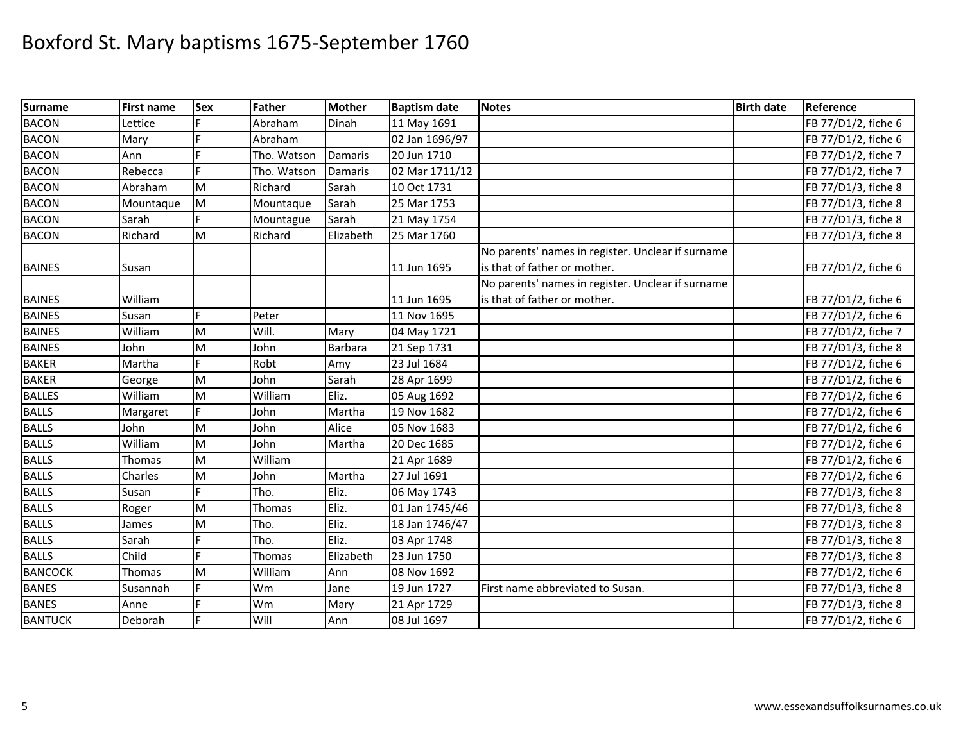| <b>Surname</b> | <b>First name</b> | <b>Sex</b> | Father      | <b>Mother</b> | <b>Baptism date</b> | <b>Notes</b>                                      | <b>Birth date</b> | Reference           |
|----------------|-------------------|------------|-------------|---------------|---------------------|---------------------------------------------------|-------------------|---------------------|
| <b>BACON</b>   | ettice            |            | Abraham     | Dinah         | 11 May 1691         |                                                   |                   | FB 77/D1/2, fiche 6 |
| <b>BACON</b>   | Mary              |            | Abraham     |               | 02 Jan 1696/97      |                                                   |                   | FB 77/D1/2, fiche 6 |
| <b>BACON</b>   | Ann               |            | Tho. Watson | Damaris       | 20 Jun 1710         |                                                   |                   | FB 77/D1/2, fiche 7 |
| <b>BACON</b>   | Rebecca           |            | Tho. Watson | Damaris       | 02 Mar 1711/12      |                                                   |                   | FB 77/D1/2, fiche 7 |
| <b>BACON</b>   | Abraham           | M          | Richard     | Sarah         | 10 Oct 1731         |                                                   |                   | FB 77/D1/3, fiche 8 |
| <b>BACON</b>   | Mountaque         | M          | Mountaque   | Sarah         | 25 Mar 1753         |                                                   |                   | FB 77/D1/3, fiche 8 |
| <b>BACON</b>   | Sarah             |            | Mountague   | Sarah         | 21 May 1754         |                                                   |                   | FB 77/D1/3, fiche 8 |
| <b>BACON</b>   | Richard           | M          | Richard     | Elizabeth     | 25 Mar 1760         |                                                   |                   | FB 77/D1/3, fiche 8 |
|                |                   |            |             |               |                     | No parents' names in register. Unclear if surname |                   |                     |
| <b>BAINES</b>  | Susan             |            |             |               | 11 Jun 1695         | is that of father or mother.                      |                   | FB 77/D1/2, fiche 6 |
|                |                   |            |             |               |                     | No parents' names in register. Unclear if surname |                   |                     |
| <b>BAINES</b>  | William           |            |             |               | 11 Jun 1695         | is that of father or mother.                      |                   | FB 77/D1/2, fiche 6 |
| <b>BAINES</b>  | Susan             | F          | Peter       |               | 11 Nov 1695         |                                                   |                   | FB 77/D1/2, fiche 6 |
| <b>BAINES</b>  | William           | M          | Will.       | Mary          | 04 May 1721         |                                                   |                   | FB 77/D1/2, fiche 7 |
| <b>BAINES</b>  | John              | M          | John        | Barbara       | 21 Sep 1731         |                                                   |                   | FB 77/D1/3, fiche 8 |
| <b>BAKER</b>   | Martha            |            | Robt        | Amy           | 23 Jul 1684         |                                                   |                   | FB 77/D1/2, fiche 6 |
| <b>BAKER</b>   | George            | M          | John        | Sarah         | 28 Apr 1699         |                                                   |                   | FB 77/D1/2, fiche 6 |
| <b>BALLES</b>  | William           | M          | William     | Eliz.         | 05 Aug 1692         |                                                   |                   | FB 77/D1/2, fiche 6 |
| <b>BALLS</b>   | Margaret          |            | John        | Martha        | 19 Nov 1682         |                                                   |                   | FB 77/D1/2, fiche 6 |
| <b>BALLS</b>   | John              | M          | John        | Alice         | 05 Nov 1683         |                                                   |                   | FB 77/D1/2, fiche 6 |
| <b>BALLS</b>   | William           | M          | John        | Martha        | 20 Dec 1685         |                                                   |                   | FB 77/D1/2, fiche 6 |
| <b>BALLS</b>   | Thomas            | M          | William     |               | 21 Apr 1689         |                                                   |                   | FB 77/D1/2, fiche 6 |
| <b>BALLS</b>   | Charles           | M          | John        | Martha        | 27 Jul 1691         |                                                   |                   | FB 77/D1/2, fiche 6 |
| <b>BALLS</b>   | Susan             |            | Tho.        | Eliz.         | 06 May 1743         |                                                   |                   | FB 77/D1/3, fiche 8 |
| <b>BALLS</b>   | Roger             | M          | Thomas      | Eliz.         | 01 Jan 1745/46      |                                                   |                   | FB 77/D1/3, fiche 8 |
| <b>BALLS</b>   | James             | M          | Tho.        | Eliz.         | 18 Jan 1746/47      |                                                   |                   | FB 77/D1/3, fiche 8 |
| <b>BALLS</b>   | Sarah             |            | Tho.        | Eliz.         | 03 Apr 1748         |                                                   |                   | FB 77/D1/3, fiche 8 |
| <b>BALLS</b>   | Child             |            | Thomas      | Elizabeth     | 23 Jun 1750         |                                                   |                   | FB 77/D1/3, fiche 8 |
| <b>BANCOCK</b> | Thomas            | M          | William     | Ann           | 08 Nov 1692         |                                                   |                   | FB 77/D1/2, fiche 6 |
| <b>BANES</b>   | Susannah          |            | Wm          | Jane          | 19 Jun 1727         | First name abbreviated to Susan.                  |                   | FB 77/D1/3, fiche 8 |
| <b>BANES</b>   | Anne              |            | Wm          | Mary          | 21 Apr 1729         |                                                   |                   | FB 77/D1/3, fiche 8 |
| <b>BANTUCK</b> | Deborah           |            | Will        | Ann           | 08 Jul 1697         |                                                   |                   | FB 77/D1/2, fiche 6 |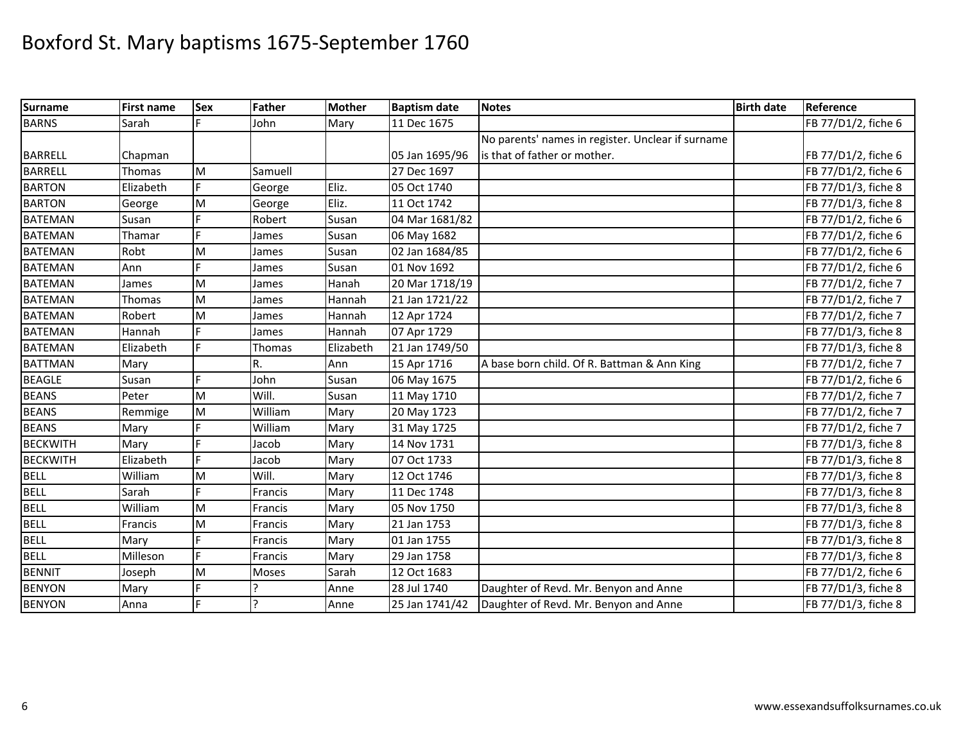| <b>Surname</b>  | <b>First name</b> | Sex | Father       | <b>Mother</b> | <b>Baptism date</b> | <b>Notes</b>                                      | <b>Birth date</b> | Reference           |
|-----------------|-------------------|-----|--------------|---------------|---------------------|---------------------------------------------------|-------------------|---------------------|
| <b>BARNS</b>    | Sarah             |     | John         | Mary          | 11 Dec 1675         |                                                   |                   | FB 77/D1/2, fiche 6 |
|                 |                   |     |              |               |                     | No parents' names in register. Unclear if surname |                   |                     |
| <b>BARRELL</b>  | Chapman           |     |              |               | 05 Jan 1695/96      | is that of father or mother.                      |                   | FB 77/D1/2, fiche 6 |
| <b>BARRELL</b>  | Thomas            | M   | Samuell      |               | 27 Dec 1697         |                                                   |                   | FB 77/D1/2, fiche 6 |
| <b>BARTON</b>   | Elizabeth         | E   | George       | Eliz.         | 05 Oct 1740         |                                                   |                   | FB 77/D1/3, fiche 8 |
| <b>BARTON</b>   | George            | M   | George       | Eliz.         | 11 Oct 1742         |                                                   |                   | FB 77/D1/3, fiche 8 |
| <b>BATEMAN</b>  | Susan             |     | Robert       | Susan         | 04 Mar 1681/82      |                                                   |                   | FB 77/D1/2, fiche 6 |
| <b>BATEMAN</b>  | Thamar            | F   | James        | Susan         | 06 May 1682         |                                                   |                   | FB 77/D1/2, fiche 6 |
| <b>BATEMAN</b>  | Robt              | M   | James        | Susan         | 02 Jan 1684/85      |                                                   |                   | FB 77/D1/2, fiche 6 |
| <b>BATEMAN</b>  | Ann               | E   | James        | Susan         | 01 Nov 1692         |                                                   |                   | FB 77/D1/2, fiche 6 |
| <b>BATEMAN</b>  | James             | M   | James        | Hanah         | 20 Mar 1718/19      |                                                   |                   | FB 77/D1/2, fiche 7 |
| <b>BATEMAN</b>  | Thomas            | M   | James        | Hannah        | 21 Jan 1721/22      |                                                   |                   | FB 77/D1/2, fiche 7 |
| <b>BATEMAN</b>  | Robert            | M   | James        | Hannah        | 12 Apr 1724         |                                                   |                   | FB 77/D1/2, fiche 7 |
| <b>BATEMAN</b>  | Hannah            |     | James        | Hannah        | 07 Apr 1729         |                                                   |                   | FB 77/D1/3, fiche 8 |
| <b>BATEMAN</b>  | Elizabeth         | E   | Thomas       | Elizabeth     | 21 Jan 1749/50      |                                                   |                   | FB 77/D1/3, fiche 8 |
| <b>BATTMAN</b>  | Mary              |     | R.           | Ann           | 15 Apr 1716         | A base born child. Of R. Battman & Ann King       |                   | FB 77/D1/2, fiche 7 |
| <b>BEAGLE</b>   | Susan             | Ė   | John         | Susan         | 06 May 1675         |                                                   |                   | FB 77/D1/2, fiche 6 |
| <b>BEANS</b>    | Peter             | M   | Will.        | Susan         | 11 May 1710         |                                                   |                   | FB 77/D1/2, fiche 7 |
| <b>BEANS</b>    | Remmige           | M   | William      | Mary          | 20 May 1723         |                                                   |                   | FB 77/D1/2, fiche 7 |
| <b>BEANS</b>    | Mary              |     | William      | Mary          | 31 May 1725         |                                                   |                   | FB 77/D1/2, fiche 7 |
| <b>BECKWITH</b> | Mary              |     | Jacob        | Mary          | 14 Nov 1731         |                                                   |                   | FB 77/D1/3, fiche 8 |
| <b>BECKWITH</b> | Elizabeth         |     | Jacob        | Mary          | 07 Oct 1733         |                                                   |                   | FB 77/D1/3, fiche 8 |
| <b>BELL</b>     | William           | M   | Will.        | Mary          | 12 Oct 1746         |                                                   |                   | FB 77/D1/3, fiche 8 |
| <b>BELL</b>     | Sarah             |     | Francis      | Mary          | 11 Dec 1748         |                                                   |                   | FB 77/D1/3, fiche 8 |
| <b>BELL</b>     | William           | M   | Francis      | Mary          | 05 Nov 1750         |                                                   |                   | FB 77/D1/3, fiche 8 |
| <b>BELL</b>     | Francis           | M   | Francis      | Mary          | 21 Jan 1753         |                                                   |                   | FB 77/D1/3, fiche 8 |
| <b>BELL</b>     | Mary              |     | Francis      | Mary          | 01 Jan 1755         |                                                   |                   | FB 77/D1/3, fiche 8 |
| <b>BELL</b>     | Milleson          |     | Francis      | Mary          | 29 Jan 1758         |                                                   |                   | FB 77/D1/3, fiche 8 |
| <b>BENNIT</b>   | Joseph            | M   | Moses        | Sarah         | 12 Oct 1683         |                                                   |                   | FB 77/D1/2, fiche 6 |
| <b>BENYON</b>   | Mary              | F   |              | Anne          | 28 Jul 1740         | Daughter of Revd. Mr. Benyon and Anne             |                   | FB 77/D1/3, fiche 8 |
| <b>BENYON</b>   | Anna              |     | $\mathbf{C}$ | Anne          | 25 Jan 1741/42      | Daughter of Revd. Mr. Benyon and Anne             |                   | FB 77/D1/3, fiche 8 |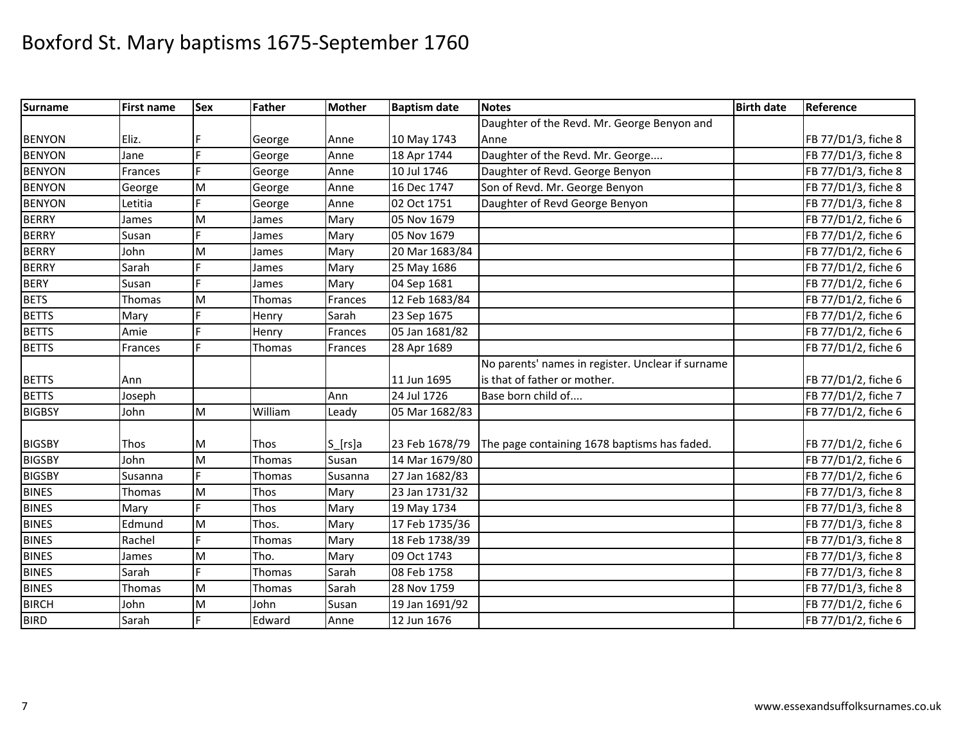| <b>Surname</b> | <b>First name</b> | <b>Sex</b> | Father  | <b>Mother</b>        | <b>Baptism date</b> | <b>Notes</b>                                      | <b>Birth date</b> | Reference           |
|----------------|-------------------|------------|---------|----------------------|---------------------|---------------------------------------------------|-------------------|---------------------|
|                |                   |            |         |                      |                     | Daughter of the Revd. Mr. George Benyon and       |                   |                     |
| <b>BENYON</b>  | Eliz.             |            | George  | Anne                 | 10 May 1743         | Anne                                              |                   | FB 77/D1/3, fiche 8 |
| <b>BENYON</b>  | Jane              | E          | George  | Anne                 | 18 Apr 1744         | Daughter of the Revd. Mr. George                  |                   | FB 77/D1/3, fiche 8 |
| <b>BENYON</b>  | Frances           | F.         | George  | Anne                 | 10 Jul 1746         | Daughter of Revd. George Benyon                   |                   | FB 77/D1/3, fiche 8 |
| <b>BENYON</b>  | George            | M          | George  | Anne                 | 16 Dec 1747         | Son of Revd. Mr. George Benyon                    |                   | FB 77/D1/3, fiche 8 |
| <b>BENYON</b>  | Letitia           | F          | George  | Anne                 | 02 Oct 1751         | Daughter of Revd George Benyon                    |                   | FB 77/D1/3, fiche 8 |
| <b>BERRY</b>   | James             | M          | James   | Mary                 | 05 Nov 1679         |                                                   |                   | FB 77/D1/2, fiche 6 |
| <b>BERRY</b>   | Susan             | F          | James   | Mary                 | 05 Nov 1679         |                                                   |                   | FB 77/D1/2, fiche 6 |
| <b>BERRY</b>   | John              | M          | James   | Mary                 | 20 Mar 1683/84      |                                                   |                   | FB 77/D1/2, fiche 6 |
| <b>BERRY</b>   | Sarah             |            | James   | Mary                 | 25 May 1686         |                                                   |                   | FB 77/D1/2, fiche 6 |
| <b>BERY</b>    | Susan             |            | James   | Mary                 | 04 Sep 1681         |                                                   |                   | FB 77/D1/2, fiche 6 |
| <b>BETS</b>    | Thomas            | M          | Thomas  | Frances              | 12 Feb 1683/84      |                                                   |                   | FB 77/D1/2, fiche 6 |
| <b>BETTS</b>   | Mary              | E          | Henry   | Sarah                | 23 Sep 1675         |                                                   |                   | FB 77/D1/2, fiche 6 |
| <b>BETTS</b>   | Amie              |            | Henry   | Frances              | 05 Jan 1681/82      |                                                   |                   | FB 77/D1/2, fiche 6 |
| <b>BETTS</b>   | Frances           |            | Thomas  | Frances              | 28 Apr 1689         |                                                   |                   | FB 77/D1/2, fiche 6 |
|                |                   |            |         |                      |                     | No parents' names in register. Unclear if surname |                   |                     |
| <b>BETTS</b>   | Ann               |            |         |                      | 11 Jun 1695         | is that of father or mother.                      |                   | FB 77/D1/2, fiche 6 |
| <b>BETTS</b>   | Joseph            |            |         | Ann                  | 24 Jul 1726         | Base born child of                                |                   | FB 77/D1/2, fiche 7 |
| <b>BIGBSY</b>  | John              | M          | William | Leady                | 05 Mar 1682/83      |                                                   |                   | FB 77/D1/2, fiche 6 |
| <b>BIGSBY</b>  | Thos              | M          | Thos    | $S_{\text{r}}$ [rs]a | 23 Feb 1678/79      | The page containing 1678 baptisms has faded.      |                   | FB 77/D1/2, fiche 6 |
| <b>BIGSBY</b>  | John              | M          | Thomas  | Susan                | 14 Mar 1679/80      |                                                   |                   | FB 77/D1/2, fiche 6 |
| <b>BIGSBY</b>  | Susanna           | F          | Thomas  | Susanna              | 27 Jan 1682/83      |                                                   |                   | FB 77/D1/2, fiche 6 |
| <b>BINES</b>   | Thomas            | M          | Thos    | Mary                 | 23 Jan 1731/32      |                                                   |                   | FB 77/D1/3, fiche 8 |
| <b>BINES</b>   | Mary              | E          | Thos    | Mary                 | 19 May 1734         |                                                   |                   | FB 77/D1/3, fiche 8 |
| <b>BINES</b>   | Edmund            | M          | Thos.   | Mary                 | 17 Feb 1735/36      |                                                   |                   | FB 77/D1/3, fiche 8 |
| <b>BINES</b>   | Rachel            | F.         | Thomas  | Mary                 | 18 Feb 1738/39      |                                                   |                   | FB 77/D1/3, fiche 8 |
| <b>BINES</b>   | James             | M          | Tho.    | Mary                 | 09 Oct 1743         |                                                   |                   | FB 77/D1/3, fiche 8 |
| <b>BINES</b>   | Sarah             | E          | Thomas  | Sarah                | 08 Feb 1758         |                                                   |                   | FB 77/D1/3, fiche 8 |
| <b>BINES</b>   | Thomas            | M          | Thomas  | Sarah                | 28 Nov 1759         |                                                   |                   | FB 77/D1/3, fiche 8 |
| <b>BIRCH</b>   | John              | M          | John    | Susan                | 19 Jan 1691/92      |                                                   |                   | FB 77/D1/2, fiche 6 |
| <b>BIRD</b>    | Sarah             |            | Edward  | Anne                 | 12 Jun 1676         |                                                   |                   | FB 77/D1/2, fiche 6 |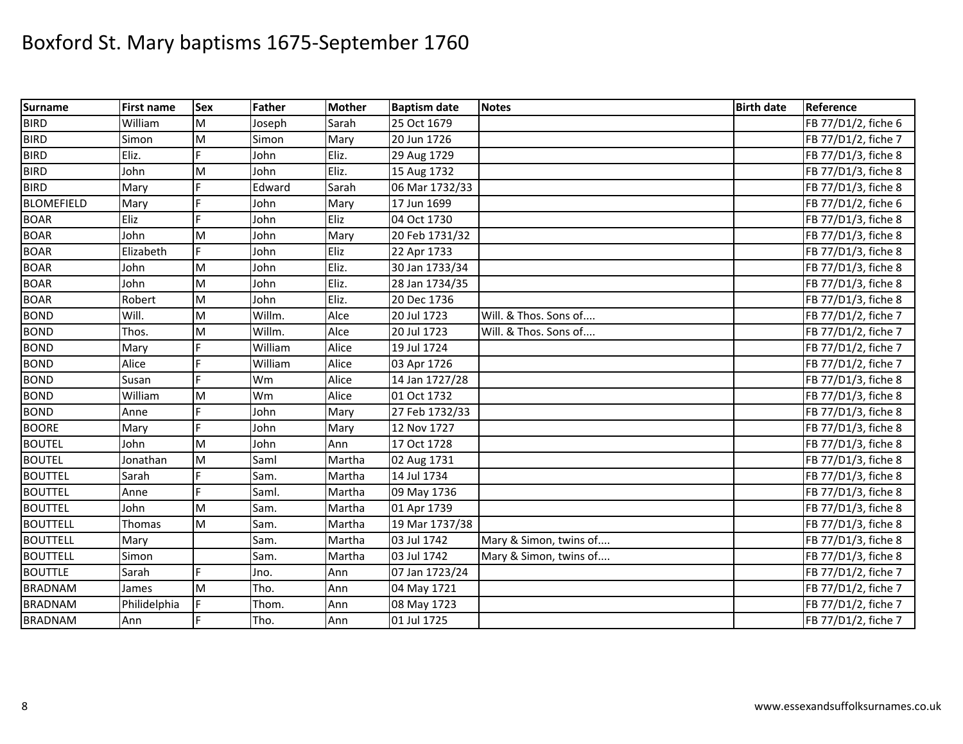| <b>Surname</b>    | <b>First name</b> | Sex | Father  | <b>Mother</b> | <b>Baptism date</b> | <b>Notes</b>           | <b>Birth date</b> | Reference           |
|-------------------|-------------------|-----|---------|---------------|---------------------|------------------------|-------------------|---------------------|
| <b>BIRD</b>       | William           | M   | Joseph  | Sarah         | 25 Oct 1679         |                        |                   | FB 77/D1/2, fiche 6 |
| <b>BIRD</b>       | Simon             | M   | Simon   | Mary          | 20 Jun 1726         |                        |                   | FB 77/D1/2, fiche 7 |
| <b>BIRD</b>       | Eliz.             |     | John    | Eliz.         | 29 Aug 1729         |                        |                   | FB 77/D1/3, fiche 8 |
| <b>BIRD</b>       | John              | M   | John    | Eliz.         | 15 Aug 1732         |                        |                   | FB 77/D1/3, fiche 8 |
| <b>BIRD</b>       | Mary              |     | Edward  | Sarah         | 06 Mar 1732/33      |                        |                   | FB 77/D1/3, fiche 8 |
| <b>BLOMEFIELD</b> | Mary              |     | John    | Mary          | 17 Jun 1699         |                        |                   | FB 77/D1/2, fiche 6 |
| <b>BOAR</b>       | Eliz              | F   | John    | Eliz          | 04 Oct 1730         |                        |                   | FB 77/D1/3, fiche 8 |
| <b>BOAR</b>       | John              | M   | John    | Mary          | 20 Feb 1731/32      |                        |                   | FB 77/D1/3, fiche 8 |
| <b>BOAR</b>       | Elizabeth         | F   | John    | Eliz          | 22 Apr 1733         |                        |                   | FB 77/D1/3, fiche 8 |
| <b>BOAR</b>       | John              | M   | John    | Eliz.         | 30 Jan 1733/34      |                        |                   | FB 77/D1/3, fiche 8 |
| <b>BOAR</b>       | John              | M   | John    | Eliz.         | 28 Jan 1734/35      |                        |                   | FB 77/D1/3, fiche 8 |
| <b>BOAR</b>       | Robert            | M   | John    | Eliz.         | 20 Dec 1736         |                        |                   | FB 77/D1/3, fiche 8 |
| <b>BOND</b>       | Will.             | M   | Willm.  | Alce          | 20 Jul 1723         | Will. & Thos. Sons of  |                   | FB 77/D1/2, fiche 7 |
| <b>BOND</b>       | Thos.             | M   | Willm.  | Alce          | 20 Jul 1723         | Will. & Thos. Sons of  |                   | FB 77/D1/2, fiche 7 |
| <b>BOND</b>       | Mary              |     | William | Alice         | 19 Jul 1724         |                        |                   | FB 77/D1/2, fiche 7 |
| <b>BOND</b>       | Alice             |     | William | Alice         | 03 Apr 1726         |                        |                   | FB 77/D1/2, fiche 7 |
| <b>BOND</b>       | Susan             |     | Wm      | Alice         | 14 Jan 1727/28      |                        |                   | FB 77/D1/3, fiche 8 |
| <b>BOND</b>       | William           | M   | Wm      | Alice         | 01 Oct 1732         |                        |                   | FB 77/D1/3, fiche 8 |
| <b>BOND</b>       | Anne              |     | John    | Mary          | 27 Feb 1732/33      |                        |                   | FB 77/D1/3, fiche 8 |
| <b>BOORE</b>      | Mary              |     | John    | Mary          | 12 Nov 1727         |                        |                   | FB 77/D1/3, fiche 8 |
| <b>BOUTEL</b>     | John              | M   | John    | Ann           | 17 Oct 1728         |                        |                   | FB 77/D1/3, fiche 8 |
| <b>BOUTEL</b>     | Jonathan          | M   | Saml    | Martha        | 02 Aug 1731         |                        |                   | FB 77/D1/3, fiche 8 |
| <b>BOUTTEL</b>    | Sarah             |     | Sam.    | Martha        | 14 Jul 1734         |                        |                   | FB 77/D1/3, fiche 8 |
| <b>BOUTTEL</b>    | Anne              | E   | Saml.   | Martha        | 09 May 1736         |                        |                   | FB 77/D1/3, fiche 8 |
| <b>BOUTTEL</b>    | John              | M   | Sam.    | Martha        | 01 Apr 1739         |                        |                   | FB 77/D1/3, fiche 8 |
| <b>BOUTTELL</b>   | Thomas            | M   | Sam.    | Martha        | 19 Mar 1737/38      |                        |                   | FB 77/D1/3, fiche 8 |
| <b>BOUTTELL</b>   | Mary              |     | Sam.    | Martha        | 03 Jul 1742         | Mary & Simon, twins of |                   | FB 77/D1/3, fiche 8 |
| <b>BOUTTELL</b>   | Simon             |     | Sam.    | Martha        | 03 Jul 1742         | Mary & Simon, twins of |                   | FB 77/D1/3, fiche 8 |
| <b>BOUTTLE</b>    | Sarah             |     | Jno.    | Ann           | 07 Jan 1723/24      |                        |                   | FB 77/D1/2, fiche 7 |
| <b>BRADNAM</b>    | James             | M   | Tho.    | Ann           | 04 May 1721         |                        |                   | FB 77/D1/2, fiche 7 |
| <b>BRADNAM</b>    | Philidelphia      |     | Thom.   | Ann           | 08 May 1723         |                        |                   | FB 77/D1/2, fiche 7 |
| <b>BRADNAM</b>    | Ann               |     | Tho.    | Ann           | 01 Jul 1725         |                        |                   | FB 77/D1/2, fiche 7 |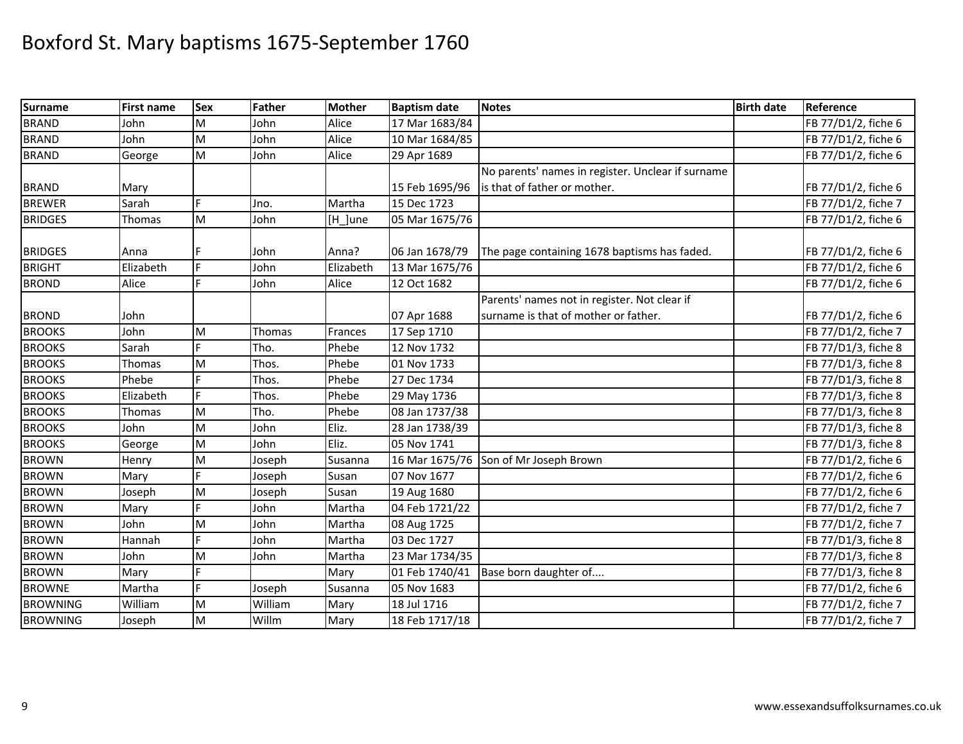| <b>Surname</b>  | <b>First name</b> | <b>Sex</b>                                                                                                 | Father  | <b>Mother</b> | <b>Baptism date</b> | <b>Notes</b>                                      | <b>Birth date</b> | Reference           |
|-----------------|-------------------|------------------------------------------------------------------------------------------------------------|---------|---------------|---------------------|---------------------------------------------------|-------------------|---------------------|
| <b>BRAND</b>    | John              | M                                                                                                          | John    | Alice         | 17 Mar 1683/84      |                                                   |                   | FB 77/D1/2, fiche 6 |
| <b>BRAND</b>    | John              | ${\sf M}$                                                                                                  | John    | Alice         | 10 Mar 1684/85      |                                                   |                   | FB 77/D1/2, fiche 6 |
| <b>BRAND</b>    | George            | ${\sf M}$                                                                                                  | John    | Alice         | 29 Apr 1689         |                                                   |                   | FB 77/D1/2, fiche 6 |
|                 |                   |                                                                                                            |         |               |                     | No parents' names in register. Unclear if surname |                   |                     |
| <b>BRAND</b>    | Mary              |                                                                                                            |         |               | 15 Feb 1695/96      | is that of father or mother.                      |                   | FB 77/D1/2, fiche 6 |
| <b>BREWER</b>   | Sarah             | Ė                                                                                                          | Jno.    | Martha        | 15 Dec 1723         |                                                   |                   | FB 77/D1/2, fiche 7 |
| <b>BRIDGES</b>  | Thomas            | M                                                                                                          | John    | [H_]une       | 05 Mar 1675/76      |                                                   |                   | FB 77/D1/2, fiche 6 |
|                 |                   |                                                                                                            |         |               |                     |                                                   |                   |                     |
| <b>BRIDGES</b>  | Anna              |                                                                                                            | John    | Anna?         | 06 Jan 1678/79      | The page containing 1678 baptisms has faded.      |                   | FB 77/D1/2, fiche 6 |
| <b>BRIGHT</b>   | Elizabeth         | E                                                                                                          | John    | Elizabeth     | 13 Mar 1675/76      |                                                   |                   | FB 77/D1/2, fiche 6 |
| <b>BROND</b>    | Alice             |                                                                                                            | John    | Alice         | 12 Oct 1682         |                                                   |                   | FB 77/D1/2, fiche 6 |
|                 |                   |                                                                                                            |         |               |                     | Parents' names not in register. Not clear if      |                   |                     |
| <b>BROND</b>    | John              |                                                                                                            |         |               | 07 Apr 1688         | surname is that of mother or father.              |                   | FB 77/D1/2, fiche 6 |
| <b>BROOKS</b>   | John              | M                                                                                                          | Thomas  | Frances       | 17 Sep 1710         |                                                   |                   | FB 77/D1/2, fiche 7 |
| <b>BROOKS</b>   | Sarah             | Ė                                                                                                          | Tho.    | Phebe         | 12 Nov 1732         |                                                   |                   | FB 77/D1/3, fiche 8 |
| <b>BROOKS</b>   | Thomas            | ${\sf M}$                                                                                                  | Thos.   | Phebe         | 01 Nov 1733         |                                                   |                   | FB 77/D1/3, fiche 8 |
| <b>BROOKS</b>   | Phebe             |                                                                                                            | Thos.   | Phebe         | 27 Dec 1734         |                                                   |                   | FB 77/D1/3, fiche 8 |
| <b>BROOKS</b>   | Elizabeth         |                                                                                                            | Thos.   | Phebe         | 29 May 1736         |                                                   |                   | FB 77/D1/3, fiche 8 |
| <b>BROOKS</b>   | Thomas            | M                                                                                                          | Tho.    | Phebe         | 08 Jan 1737/38      |                                                   |                   | FB 77/D1/3, fiche 8 |
| <b>BROOKS</b>   | John              | ${\sf M}$                                                                                                  | John    | Eliz.         | 28 Jan 1738/39      |                                                   |                   | FB 77/D1/3, fiche 8 |
| <b>BROOKS</b>   | George            | ${\sf M}$                                                                                                  | John    | Eliz.         | 05 Nov 1741         |                                                   |                   | FB 77/D1/3, fiche 8 |
| <b>BROWN</b>    | Henry             | $\mathsf{M}% _{T}=\mathsf{M}_{T}\!\left( a,b\right) ,\ \mathsf{M}_{T}=\mathsf{M}_{T}\!\left( a,b\right) ,$ | Joseph  | Susanna       | 16 Mar 1675/76      | Son of Mr Joseph Brown                            |                   | FB 77/D1/2, fiche 6 |
| <b>BROWN</b>    | Mary              |                                                                                                            | Joseph  | Susan         | 07 Nov 1677         |                                                   |                   | FB 77/D1/2, fiche 6 |
| <b>BROWN</b>    | Joseph            | M                                                                                                          | Joseph  | Susan         | 19 Aug 1680         |                                                   |                   | FB 77/D1/2, fiche 6 |
| <b>BROWN</b>    | Mary              |                                                                                                            | John    | Martha        | 04 Feb 1721/22      |                                                   |                   | FB 77/D1/2, fiche 7 |
| <b>BROWN</b>    | John              | M                                                                                                          | John    | Martha        | 08 Aug 1725         |                                                   |                   | FB 77/D1/2, fiche 7 |
| <b>BROWN</b>    | Hannah            |                                                                                                            | John    | Martha        | 03 Dec 1727         |                                                   |                   | FB 77/D1/3, fiche 8 |
| <b>BROWN</b>    | John              | M                                                                                                          | John    | Martha        | 23 Mar 1734/35      |                                                   |                   | FB 77/D1/3, fiche 8 |
| <b>BROWN</b>    | Mary              |                                                                                                            |         | Mary          | 01 Feb 1740/41      | Base born daughter of                             |                   | FB 77/D1/3, fiche 8 |
| <b>BROWNE</b>   | Martha            | F.                                                                                                         | Joseph  | Susanna       | 05 Nov 1683         |                                                   |                   | FB 77/D1/2, fiche 6 |
| <b>BROWNING</b> | William           | ${\sf M}$                                                                                                  | William | Mary          | 18 Jul 1716         |                                                   |                   | FB 77/D1/2, fiche 7 |
| <b>BROWNING</b> | Joseph            | M                                                                                                          | Willm   | Mary          | 18 Feb 1717/18      |                                                   |                   | FB 77/D1/2, fiche 7 |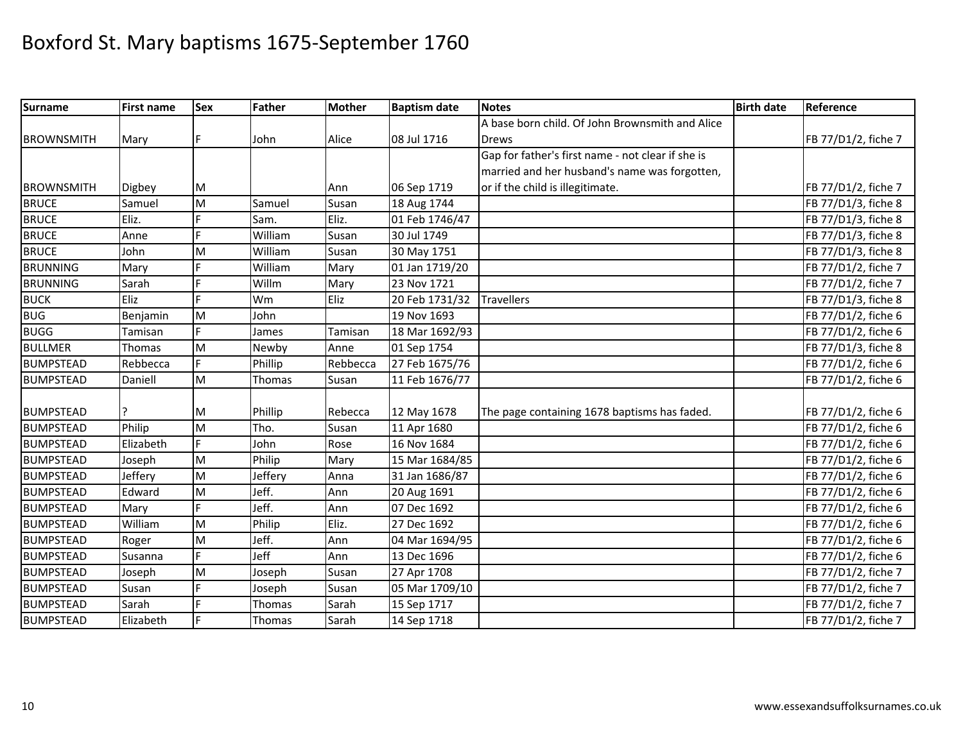| <b>Surname</b>    | <b>First name</b> | <b>Sex</b> | Father  | <b>Mother</b> | <b>Baptism date</b> | <b>Notes</b>                                      | <b>Birth date</b> | Reference           |
|-------------------|-------------------|------------|---------|---------------|---------------------|---------------------------------------------------|-------------------|---------------------|
|                   |                   |            |         |               |                     | A base born child. Of John Brownsmith and Alice   |                   |                     |
| <b>BROWNSMITH</b> | Mary              | F          | John    | Alice         | 08 Jul 1716         | <b>Drews</b>                                      |                   | FB 77/D1/2, fiche 7 |
|                   |                   |            |         |               |                     | Gap for father's first name - not clear if she is |                   |                     |
|                   |                   |            |         |               |                     | married and her husband's name was forgotten,     |                   |                     |
| <b>BROWNSMITH</b> | Digbey            | M          |         | Ann           | 06 Sep 1719         | or if the child is illegitimate.                  |                   | FB 77/D1/2, fiche 7 |
| <b>BRUCE</b>      | Samuel            | M          | Samuel  | Susan         | 18 Aug 1744         |                                                   |                   | FB 77/D1/3, fiche 8 |
| <b>BRUCE</b>      | Eliz.             |            | Sam.    | Eliz.         | 01 Feb 1746/47      |                                                   |                   | FB 77/D1/3, fiche 8 |
| <b>BRUCE</b>      | Anne              | F          | William | Susan         | 30 Jul 1749         |                                                   |                   | FB 77/D1/3, fiche 8 |
| <b>BRUCE</b>      | John              | M          | William | Susan         | 30 May 1751         |                                                   |                   | FB 77/D1/3, fiche 8 |
| <b>BRUNNING</b>   | Mary              |            | William | Mary          | 01 Jan 1719/20      |                                                   |                   | FB 77/D1/2, fiche 7 |
| <b>BRUNNING</b>   | Sarah             | Ė          | Willm   | Mary          | 23 Nov 1721         |                                                   |                   | FB 77/D1/2, fiche 7 |
| <b>BUCK</b>       | Eliz              | Ľ.         | Wm      | Eliz          | 20 Feb 1731/32      | <b>Travellers</b>                                 |                   | FB 77/D1/3, fiche 8 |
| <b>BUG</b>        | Benjamin          | M          | John    |               | 19 Nov 1693         |                                                   |                   | FB 77/D1/2, fiche 6 |
| <b>BUGG</b>       | Tamisan           | E.         | James   | Tamisan       | 18 Mar 1692/93      |                                                   |                   | FB 77/D1/2, fiche 6 |
| <b>BULLMER</b>    | Thomas            | M          | Newby   | Anne          | 01 Sep 1754         |                                                   |                   | FB 77/D1/3, fiche 8 |
| <b>BUMPSTEAD</b>  | Rebbecca          | E.         | Phillip | Rebbecca      | 27 Feb 1675/76      |                                                   |                   | FB 77/D1/2, fiche 6 |
| <b>BUMPSTEAD</b>  | Daniell           | M          | Thomas  | Susan         | 11 Feb 1676/77      |                                                   |                   | FB 77/D1/2, fiche 6 |
|                   |                   |            |         |               |                     |                                                   |                   |                     |
| <b>BUMPSTEAD</b>  |                   | M          | Phillip | Rebecca       | 12 May 1678         | The page containing 1678 baptisms has faded.      |                   | FB 77/D1/2, fiche 6 |
| <b>BUMPSTEAD</b>  | Philip            | M          | Tho.    | Susan         | 11 Apr 1680         |                                                   |                   | FB 77/D1/2, fiche 6 |
| <b>BUMPSTEAD</b>  | Elizabeth         | E          | John    | Rose          | 16 Nov 1684         |                                                   |                   | FB 77/D1/2, fiche 6 |
| <b>BUMPSTEAD</b>  | Joseph            | M          | Philip  | Mary          | 15 Mar 1684/85      |                                                   |                   | FB 77/D1/2, fiche 6 |
| <b>BUMPSTEAD</b>  | <b>Jeffery</b>    | M          | Jeffery | Anna          | 31 Jan 1686/87      |                                                   |                   | FB 77/D1/2, fiche 6 |
| <b>BUMPSTEAD</b>  | Edward            | M          | Jeff.   | Ann           | 20 Aug 1691         |                                                   |                   | FB 77/D1/2, fiche 6 |
| <b>BUMPSTEAD</b>  | Mary              |            | Jeff.   | Ann           | 07 Dec 1692         |                                                   |                   | FB 77/D1/2, fiche 6 |
| <b>BUMPSTEAD</b>  | William           | M          | Philip  | Eliz.         | 27 Dec 1692         |                                                   |                   | FB 77/D1/2, fiche 6 |
| <b>BUMPSTEAD</b>  | Roger             | M          | Jeff.   | Ann           | 04 Mar 1694/95      |                                                   |                   | FB 77/D1/2, fiche 6 |
| <b>BUMPSTEAD</b>  | Susanna           | Ė          | Jeff    | Ann           | 13 Dec 1696         |                                                   |                   | FB 77/D1/2, fiche 6 |
| <b>BUMPSTEAD</b>  | Joseph            | M          | Joseph  | Susan         | 27 Apr 1708         |                                                   |                   | FB 77/D1/2, fiche 7 |
| <b>BUMPSTEAD</b>  | Susan             | L.         | Joseph  | Susan         | 05 Mar 1709/10      |                                                   |                   | FB 77/D1/2, fiche 7 |
| <b>BUMPSTEAD</b>  | Sarah             |            | Thomas  | Sarah         | 15 Sep 1717         |                                                   |                   | FB 77/D1/2, fiche 7 |
| <b>BUMPSTEAD</b>  | Elizabeth         |            | Thomas  | Sarah         | 14 Sep 1718         |                                                   |                   | FB 77/D1/2, fiche 7 |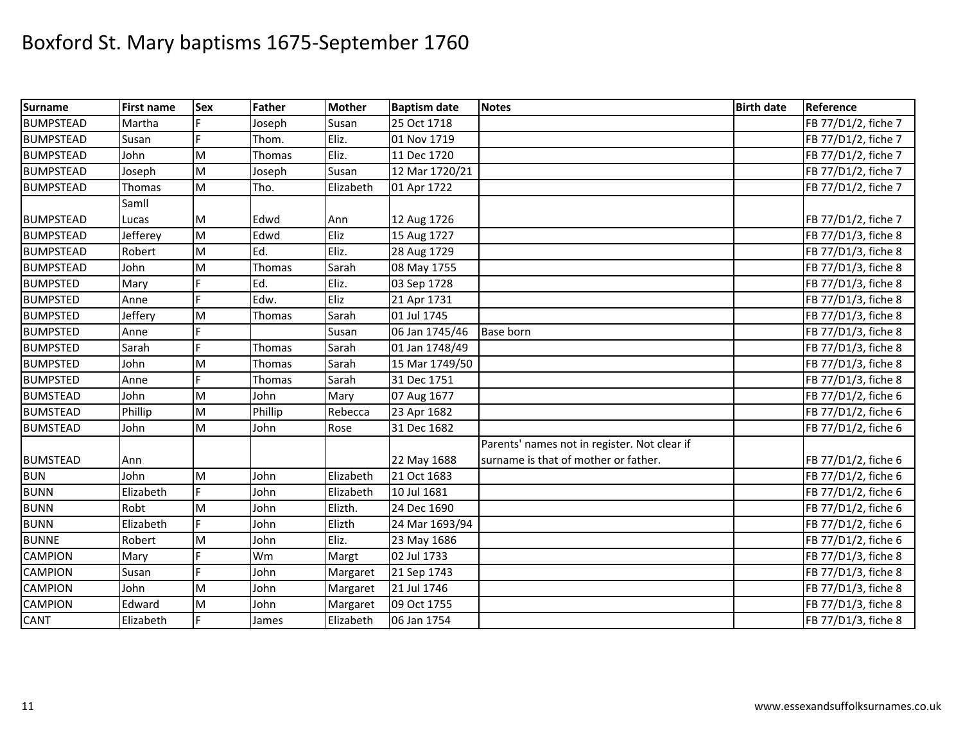| <b>Surname</b>   | <b>First name</b> | <b>Sex</b> | <b>Father</b> | <b>Mother</b> | <b>Baptism date</b> | <b>Notes</b>                                 | <b>Birth date</b> | Reference           |
|------------------|-------------------|------------|---------------|---------------|---------------------|----------------------------------------------|-------------------|---------------------|
| <b>BUMPSTEAD</b> | Martha            |            | Joseph        | Susan         | 25 Oct 1718         |                                              |                   | FB 77/D1/2, fiche 7 |
| <b>BUMPSTEAD</b> | Susan             | Ľ.         | Thom.         | Eliz.         | 01 Nov 1719         |                                              |                   | FB 77/D1/2, fiche 7 |
| <b>BUMPSTEAD</b> | John              | M          | Thomas        | Eliz.         | 11 Dec 1720         |                                              |                   | FB 77/D1/2, fiche 7 |
| <b>BUMPSTEAD</b> | Joseph            | M          | Joseph        | Susan         | 12 Mar 1720/21      |                                              |                   | FB 77/D1/2, fiche 7 |
| <b>BUMPSTEAD</b> | Thomas            | M          | Tho.          | Elizabeth     | 01 Apr 1722         |                                              |                   | FB 77/D1/2, fiche 7 |
|                  | Samll             |            |               |               |                     |                                              |                   |                     |
| <b>BUMPSTEAD</b> | Lucas             | M          | Edwd          | Ann           | 12 Aug 1726         |                                              |                   | FB 77/D1/2, fiche 7 |
| <b>BUMPSTEAD</b> | Jefferey          | M          | Edwd          | Eliz          | 15 Aug 1727         |                                              |                   | FB 77/D1/3, fiche 8 |
| <b>BUMPSTEAD</b> | Robert            | M          | Ed.           | Eliz.         | 28 Aug 1729         |                                              |                   | FB 77/D1/3, fiche 8 |
| <b>BUMPSTEAD</b> | John              | M          | Thomas        | Sarah         | 08 May 1755         |                                              |                   | FB 77/D1/3, fiche 8 |
| <b>BUMPSTED</b>  | Mary              |            | Ed.           | Eliz.         | 03 Sep 1728         |                                              |                   | FB 77/D1/3, fiche 8 |
| <b>BUMPSTED</b>  | Anne              |            | Edw.          | Eliz          | 21 Apr 1731         |                                              |                   | FB 77/D1/3, fiche 8 |
| <b>BUMPSTED</b>  | <b>Jeffery</b>    | M          | Thomas        | Sarah         | 01 Jul 1745         |                                              |                   | FB 77/D1/3, fiche 8 |
| <b>BUMPSTED</b>  | Anne              |            |               | Susan         | 06 Jan 1745/46      | <b>Base born</b>                             |                   | FB 77/D1/3, fiche 8 |
| <b>BUMPSTED</b>  | Sarah             | Ė          | Thomas        | Sarah         | 01 Jan 1748/49      |                                              |                   | FB 77/D1/3, fiche 8 |
| <b>BUMPSTED</b>  | John              | M          | Thomas        | Sarah         | 15 Mar 1749/50      |                                              |                   | FB 77/D1/3, fiche 8 |
| <b>BUMPSTED</b>  | Anne              |            | Thomas        | Sarah         | 31 Dec 1751         |                                              |                   | FB 77/D1/3, fiche 8 |
| <b>BUMSTEAD</b>  | John              | M          | John          | Mary          | 07 Aug 1677         |                                              |                   | FB 77/D1/2, fiche 6 |
| <b>BUMSTEAD</b>  | Phillip           | M          | Phillip       | Rebecca       | 23 Apr 1682         |                                              |                   | FB 77/D1/2, fiche 6 |
| <b>BUMSTEAD</b>  | John              | M          | John          | Rose          | 31 Dec 1682         |                                              |                   | FB 77/D1/2, fiche 6 |
|                  |                   |            |               |               |                     | Parents' names not in register. Not clear if |                   |                     |
| <b>BUMSTEAD</b>  | Ann               |            |               |               | 22 May 1688         | surname is that of mother or father.         |                   | FB 77/D1/2, fiche 6 |
| <b>BUN</b>       | John              | M          | John          | Elizabeth     | 21 Oct 1683         |                                              |                   | FB 77/D1/2, fiche 6 |
| <b>BUNN</b>      | Elizabeth         | E.         | John          | Elizabeth     | 10 Jul 1681         |                                              |                   | FB 77/D1/2, fiche 6 |
| <b>BUNN</b>      | Robt              | M          | John          | Elizth.       | 24 Dec 1690         |                                              |                   | FB 77/D1/2, fiche 6 |
| <b>BUNN</b>      | Elizabeth         | Ė          | John          | Elizth        | 24 Mar 1693/94      |                                              |                   | FB 77/D1/2, fiche 6 |
| <b>BUNNE</b>     | Robert            | M          | John          | Eliz.         | 23 May 1686         |                                              |                   | FB 77/D1/2, fiche 6 |
| <b>CAMPION</b>   | Mary              |            | Wm            | Margt         | 02 Jul 1733         |                                              |                   | FB 77/D1/3, fiche 8 |
| <b>CAMPION</b>   | Susan             | E          | John          | Margaret      | 21 Sep 1743         |                                              |                   | FB 77/D1/3, fiche 8 |
| <b>CAMPION</b>   | John              | M          | John          | Margaret      | 21 Jul 1746         |                                              |                   | FB 77/D1/3, fiche 8 |
| <b>CAMPION</b>   | Edward            | M          | John          | Margaret      | 09 Oct 1755         |                                              |                   | FB 77/D1/3, fiche 8 |
| <b>CANT</b>      | Elizabeth         | F.         | James         | Elizabeth     | 06 Jan 1754         |                                              |                   | FB 77/D1/3, fiche 8 |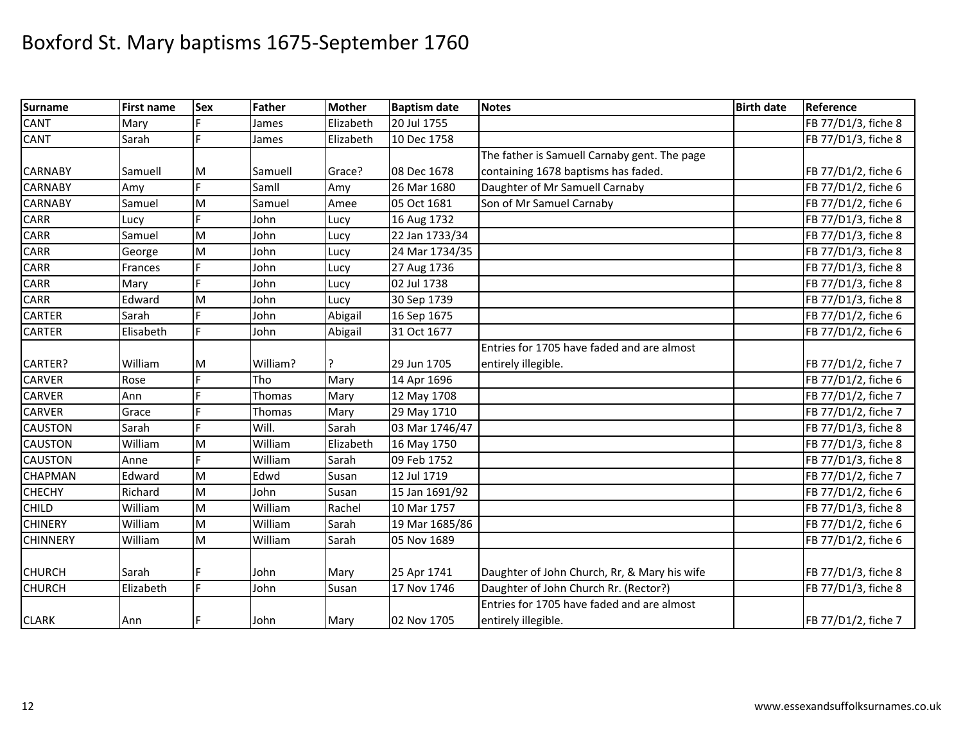| <b>Surname</b>  | <b>First name</b> | <b>Sex</b> | <b>Father</b> | <b>Mother</b> | <b>Baptism date</b> | <b>Notes</b>                                 | <b>Birth date</b> | Reference           |
|-----------------|-------------------|------------|---------------|---------------|---------------------|----------------------------------------------|-------------------|---------------------|
| <b>CANT</b>     | Mary              |            | James         | Elizabeth     | 20 Jul 1755         |                                              |                   | FB 77/D1/3, fiche 8 |
| <b>CANT</b>     | Sarah             | F.         | James         | Elizabeth     | 10 Dec 1758         |                                              |                   | FB 77/D1/3, fiche 8 |
|                 |                   |            |               |               |                     | The father is Samuell Carnaby gent. The page |                   |                     |
| <b>CARNABY</b>  | Samuell           | M          | Samuell       | Grace?        | 08 Dec 1678         | containing 1678 baptisms has faded.          |                   | FB 77/D1/2, fiche 6 |
| <b>CARNABY</b>  | Amy               | Ė          | Samll         | Amy           | 26 Mar 1680         | Daughter of Mr Samuell Carnaby               |                   | FB 77/D1/2, fiche 6 |
| <b>CARNABY</b>  | Samuel            | M          | Samuel        | Amee          | 05 Oct 1681         | Son of Mr Samuel Carnaby                     |                   | FB 77/D1/2, fiche 6 |
| CARR            | Lucy              |            | John          | Lucy          | 16 Aug 1732         |                                              |                   | FB 77/D1/3, fiche 8 |
| CARR            | Samuel            | M          | John          | Lucy          | 22 Jan 1733/34      |                                              |                   | FB 77/D1/3, fiche 8 |
| <b>CARR</b>     | George            | M          | John          | Lucy          | 24 Mar 1734/35      |                                              |                   | FB 77/D1/3, fiche 8 |
| <b>CARR</b>     | Frances           |            | John          | Lucy          | 27 Aug 1736         |                                              |                   | FB 77/D1/3, fiche 8 |
| CARR            | Mary              |            | John          | Lucy          | 02 Jul 1738         |                                              |                   | FB 77/D1/3, fiche 8 |
| <b>CARR</b>     | Edward            | ${\sf M}$  | John          | Lucy          | 30 Sep 1739         |                                              |                   | FB 77/D1/3, fiche 8 |
| <b>CARTER</b>   | Sarah             |            | John          | Abigail       | 16 Sep 1675         |                                              |                   | FB 77/D1/2, fiche 6 |
| <b>CARTER</b>   | Elisabeth         | Ë          | John          | Abigail       | 31 Oct 1677         |                                              |                   | FB 77/D1/2, fiche 6 |
|                 |                   |            |               |               |                     | Entries for 1705 have faded and are almost   |                   |                     |
| CARTER?         | William           | M          | William?      |               | 29 Jun 1705         | entirely illegible.                          |                   | FB 77/D1/2, fiche 7 |
| <b>CARVER</b>   | Rose              | E          | Tho           | Mary          | 14 Apr 1696         |                                              |                   | FB 77/D1/2, fiche 6 |
| <b>CARVER</b>   | Ann               | F          | Thomas        | Mary          | 12 May 1708         |                                              |                   | FB 77/D1/2, fiche 7 |
| <b>CARVER</b>   | Grace             |            | Thomas        | Mary          | 29 May 1710         |                                              |                   | FB 77/D1/2, fiche 7 |
| <b>CAUSTON</b>  | Sarah             |            | Will.         | Sarah         | 03 Mar 1746/47      |                                              |                   | FB 77/D1/3, fiche 8 |
| <b>CAUSTON</b>  | William           | M          | William       | Elizabeth     | 16 May 1750         |                                              |                   | FB 77/D1/3, fiche 8 |
| <b>CAUSTON</b>  | Anne              | E          | William       | Sarah         | 09 Feb 1752         |                                              |                   | FB 77/D1/3, fiche 8 |
| CHAPMAN         | Edward            | M          | Edwd          | Susan         | 12 Jul 1719         |                                              |                   | FB 77/D1/2, fiche 7 |
| <b>CHECHY</b>   | Richard           | M          | John          | Susan         | 15 Jan 1691/92      |                                              |                   | FB 77/D1/2, fiche 6 |
| <b>CHILD</b>    | William           | M          | William       | Rachel        | 10 Mar 1757         |                                              |                   | FB 77/D1/3, fiche 8 |
| <b>CHINERY</b>  | William           | ${\sf M}$  | William       | Sarah         | 19 Mar 1685/86      |                                              |                   | FB 77/D1/2, fiche 6 |
| <b>CHINNERY</b> | William           | M          | William       | Sarah         | 05 Nov 1689         |                                              |                   | FB 77/D1/2, fiche 6 |
|                 |                   |            |               |               |                     |                                              |                   |                     |
| <b>CHURCH</b>   | Sarah             |            | John          | Mary          | 25 Apr 1741         | Daughter of John Church, Rr, & Mary his wife |                   | FB 77/D1/3, fiche 8 |
| <b>CHURCH</b>   | Elizabeth         | F.         | John          | Susan         | 17 Nov 1746         | Daughter of John Church Rr. (Rector?)        |                   | FB 77/D1/3, fiche 8 |
|                 |                   |            |               |               |                     | Entries for 1705 have faded and are almost   |                   |                     |
| <b>CLARK</b>    | Ann               | F          | John          | Mary          | 02 Nov 1705         | entirely illegible.                          |                   | FB 77/D1/2, fiche 7 |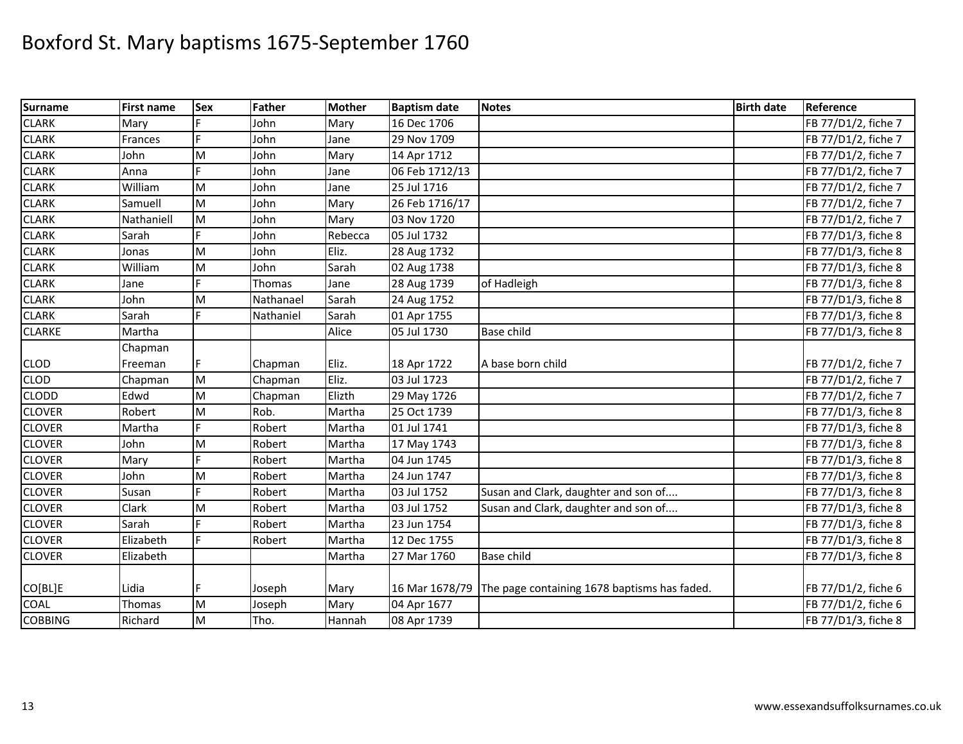| Surname        | <b>First name</b> | <b>Sex</b> | Father    | <b>Mother</b> | <b>Baptism date</b> | <b>Notes</b>                                                | <b>Birth date</b> | Reference           |
|----------------|-------------------|------------|-----------|---------------|---------------------|-------------------------------------------------------------|-------------------|---------------------|
| <b>CLARK</b>   | Mary              |            | John      | Mary          | 16 Dec 1706         |                                                             |                   | FB 77/D1/2, fiche 7 |
| <b>CLARK</b>   | Frances           |            | John      | Jane          | 29 Nov 1709         |                                                             |                   | FB 77/D1/2, fiche 7 |
| <b>CLARK</b>   | John              | M          | John      | Mary          | 14 Apr 1712         |                                                             |                   | FB 77/D1/2, fiche 7 |
| <b>CLARK</b>   | Anna              |            | John      | Jane          | 06 Feb 1712/13      |                                                             |                   | FB 77/D1/2, fiche 7 |
| <b>CLARK</b>   | William           | M          | John      | Jane          | 25 Jul 1716         |                                                             |                   | FB 77/D1/2, fiche 7 |
| <b>CLARK</b>   | Samuell           | M          | John      | Mary          | 26 Feb 1716/17      |                                                             |                   | FB 77/D1/2, fiche 7 |
| <b>CLARK</b>   | Nathaniell        | M          | John      | Mary          | 03 Nov 1720         |                                                             |                   | FB 77/D1/2, fiche 7 |
| <b>CLARK</b>   | Sarah             |            | John      | Rebecca       | 05 Jul 1732         |                                                             |                   | FB 77/D1/3, fiche 8 |
| <b>CLARK</b>   | Jonas             | M          | John      | Eliz.         | 28 Aug 1732         |                                                             |                   | FB 77/D1/3, fiche 8 |
| <b>CLARK</b>   | William           | M          | John      | Sarah         | 02 Aug 1738         |                                                             |                   | FB 77/D1/3, fiche 8 |
| <b>CLARK</b>   | Jane              | F          | Thomas    | Jane          | 28 Aug 1739         | of Hadleigh                                                 |                   | FB 77/D1/3, fiche 8 |
| <b>CLARK</b>   | John              | M          | Nathanael | Sarah         | 24 Aug 1752         |                                                             |                   | FB 77/D1/3, fiche 8 |
| <b>CLARK</b>   | Sarah             | E          | Nathaniel | Sarah         | 01 Apr 1755         |                                                             |                   | FB 77/D1/3, fiche 8 |
| <b>CLARKE</b>  | Martha            |            |           | Alice         | 05 Jul 1730         | Base child                                                  |                   | FB 77/D1/3, fiche 8 |
|                | Chapman           |            |           |               |                     |                                                             |                   |                     |
| <b>CLOD</b>    | Freeman           |            | Chapman   | Eliz.         | 18 Apr 1722         | A base born child                                           |                   | FB 77/D1/2, fiche 7 |
| <b>CLOD</b>    | Chapman           | M          | Chapman   | Eliz.         | 03 Jul 1723         |                                                             |                   | FB 77/D1/2, fiche 7 |
| <b>CLODD</b>   | Edwd              | M          | Chapman   | Elizth        | 29 May 1726         |                                                             |                   | FB 77/D1/2, fiche 7 |
| <b>CLOVER</b>  | Robert            | M          | Rob.      | Martha        | 25 Oct 1739         |                                                             |                   | FB 77/D1/3, fiche 8 |
| <b>CLOVER</b>  | Martha            | Ė          | Robert    | Martha        | 01 Jul 1741         |                                                             |                   | FB 77/D1/3, fiche 8 |
| <b>CLOVER</b>  | John              | M          | Robert    | Martha        | 17 May 1743         |                                                             |                   | FB 77/D1/3, fiche 8 |
| <b>CLOVER</b>  | Mary              | F          | Robert    | Martha        | 04 Jun 1745         |                                                             |                   | FB 77/D1/3, fiche 8 |
| <b>CLOVER</b>  | John              | M          | Robert    | Martha        | 24 Jun 1747         |                                                             |                   | FB 77/D1/3, fiche 8 |
| <b>CLOVER</b>  | Susan             |            | Robert    | Martha        | 03 Jul 1752         | Susan and Clark, daughter and son of                        |                   | FB 77/D1/3, fiche 8 |
| <b>CLOVER</b>  | Clark             | M          | Robert    | Martha        | 03 Jul 1752         | Susan and Clark, daughter and son of                        |                   | FB 77/D1/3, fiche 8 |
| <b>CLOVER</b>  | Sarah             |            | Robert    | Martha        | 23 Jun 1754         |                                                             |                   | FB 77/D1/3, fiche 8 |
| <b>CLOVER</b>  | Elizabeth         |            | Robert    | Martha        | 12 Dec 1755         |                                                             |                   | FB 77/D1/3, fiche 8 |
| <b>CLOVER</b>  | Elizabeth         |            |           | Martha        | 27 Mar 1760         | Base child                                                  |                   | FB 77/D1/3, fiche 8 |
|                |                   |            |           |               |                     |                                                             |                   |                     |
| CO[BL]E        | Lidia             | F          | Joseph    | Mary          |                     | 16 Mar 1678/79 The page containing 1678 baptisms has faded. |                   | FB 77/D1/2, fiche 6 |
| <b>COAL</b>    | Thomas            | M          | Joseph    | Mary          | 04 Apr 1677         |                                                             |                   | FB 77/D1/2, fiche 6 |
| <b>COBBING</b> | Richard           | M          | Tho.      | Hannah        | 08 Apr 1739         |                                                             |                   | FB 77/D1/3, fiche 8 |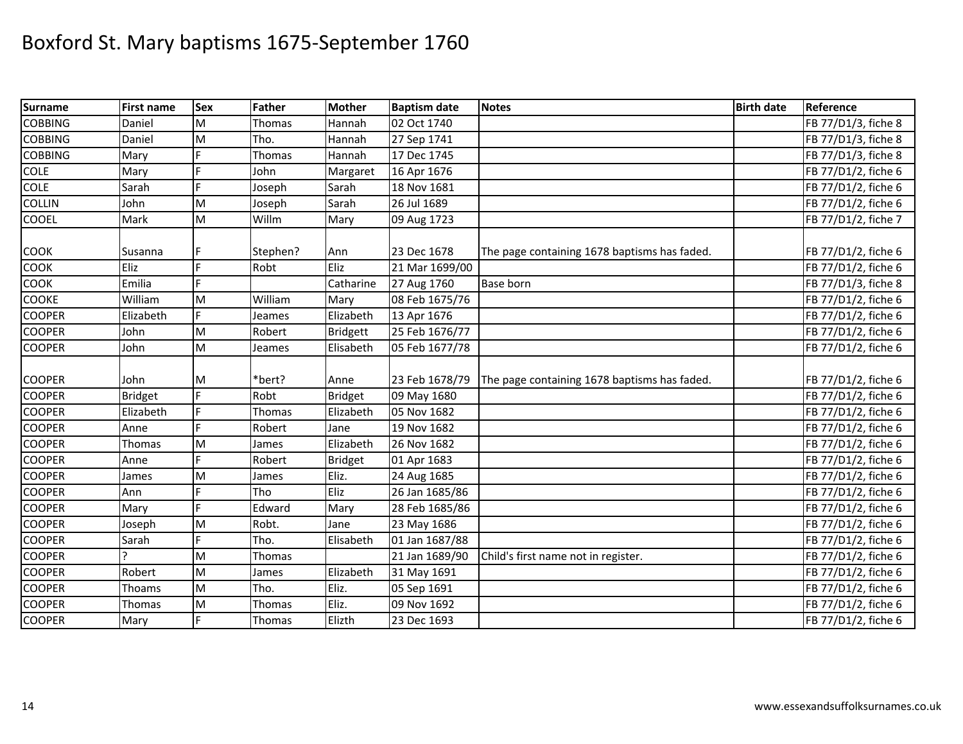| Surname        | <b>First name</b> | Sex | Father        | <b>Mother</b>   | <b>Baptism date</b> | <b>Notes</b>                                 | <b>Birth date</b> | Reference           |
|----------------|-------------------|-----|---------------|-----------------|---------------------|----------------------------------------------|-------------------|---------------------|
| <b>COBBING</b> | Daniel            | M   | Thomas        | Hannah          | 02 Oct 1740         |                                              |                   | FB 77/D1/3, fiche 8 |
| <b>COBBING</b> | Daniel            | M   | Tho.          | Hannah          | 27 Sep 1741         |                                              |                   | FB 77/D1/3, fiche 8 |
| <b>COBBING</b> | Mary              |     | Thomas        | Hannah          | 17 Dec 1745         |                                              |                   | FB 77/D1/3, fiche 8 |
| <b>COLE</b>    | Mary              | F   | John          | Margaret        | 16 Apr 1676         |                                              |                   | FB 77/D1/2, fiche 6 |
| <b>COLE</b>    | Sarah             | E   | Joseph        | Sarah           | 18 Nov 1681         |                                              |                   | FB 77/D1/2, fiche 6 |
| <b>COLLIN</b>  | John              | M   | Joseph        | Sarah           | 26 Jul 1689         |                                              |                   | FB 77/D1/2, fiche 6 |
| <b>COOEL</b>   | Mark              | M   | Willm         | Mary            | 09 Aug 1723         |                                              |                   | FB 77/D1/2, fiche 7 |
|                |                   |     |               |                 |                     |                                              |                   |                     |
| <b>COOK</b>    | Susanna           |     | Stephen?      | Ann             | 23 Dec 1678         | The page containing 1678 baptisms has faded. |                   | FB 77/D1/2, fiche 6 |
| COOK           | Eliz              | F.  | Robt          | Eliz            | 21 Mar 1699/00      |                                              |                   | FB 77/D1/2, fiche 6 |
| <b>COOK</b>    | Emilia            |     |               | Catharine       | 27 Aug 1760         | <b>Base born</b>                             |                   | FB 77/D1/3, fiche 8 |
| <b>COOKE</b>   | William           | M   | William       | Mary            | 08 Feb 1675/76      |                                              |                   | FB 77/D1/2, fiche 6 |
| <b>COOPER</b>  | Elizabeth         | F.  | Jeames        | Elizabeth       | 13 Apr 1676         |                                              |                   | FB 77/D1/2, fiche 6 |
| <b>COOPER</b>  | John              | M   | Robert        | <b>Bridgett</b> | 25 Feb 1676/77      |                                              |                   | FB 77/D1/2, fiche 6 |
| <b>COOPER</b>  | John              | M   | Jeames        | Elisabeth       | 05 Feb 1677/78      |                                              |                   | FB 77/D1/2, fiche 6 |
|                |                   |     |               |                 |                     |                                              |                   |                     |
| <b>COOPER</b>  | John              | M   | *bert?        | Anne            | 23 Feb 1678/79      | The page containing 1678 baptisms has faded. |                   | FB 77/D1/2, fiche 6 |
| <b>COOPER</b>  | <b>Bridget</b>    | F.  | Robt          | <b>Bridget</b>  | 09 May 1680         |                                              |                   | FB 77/D1/2, fiche 6 |
| <b>COOPER</b>  | Elizabeth         | F   | <b>Thomas</b> | Elizabeth       | 05 Nov 1682         |                                              |                   | FB 77/D1/2, fiche 6 |
| <b>COOPER</b>  | Anne              | F   | Robert        | Jane            | 19 Nov 1682         |                                              |                   | FB 77/D1/2, fiche 6 |
| <b>COOPER</b>  | Thomas            | M   | James         | Elizabeth       | 26 Nov 1682         |                                              |                   | FB 77/D1/2, fiche 6 |
| <b>COOPER</b>  | Anne              |     | Robert        | <b>Bridget</b>  | 01 Apr 1683         |                                              |                   | FB 77/D1/2, fiche 6 |
| <b>COOPER</b>  | James             | M   | James         | Eliz.           | 24 Aug 1685         |                                              |                   | FB 77/D1/2, fiche 6 |
| <b>COOPER</b>  | Ann               |     | Tho           | Eliz            | 26 Jan 1685/86      |                                              |                   | FB 77/D1/2, fiche 6 |
| <b>COOPER</b>  | Mary              | E   | Edward        | Mary            | 28 Feb 1685/86      |                                              |                   | FB 77/D1/2, fiche 6 |
| <b>COOPER</b>  | Joseph            | M   | Robt.         | Jane            | 23 May 1686         |                                              |                   | FB 77/D1/2, fiche 6 |
| <b>COOPER</b>  | Sarah             |     | Tho.          | Elisabeth       | 01 Jan 1687/88      |                                              |                   | FB 77/D1/2, fiche 6 |
| <b>COOPER</b>  |                   | M   | Thomas        |                 | 21 Jan 1689/90      | Child's first name not in register.          |                   | FB 77/D1/2, fiche 6 |
| <b>COOPER</b>  | Robert            | M   | James         | Elizabeth       | 31 May 1691         |                                              |                   | FB 77/D1/2, fiche 6 |
| <b>COOPER</b>  | Thoams            | M   | Tho.          | Eliz.           | 05 Sep 1691         |                                              |                   | FB 77/D1/2, fiche 6 |
| <b>COOPER</b>  | Thomas            | M   | Thomas        | Eliz.           | 09 Nov 1692         |                                              |                   | FB 77/D1/2, fiche 6 |
| <b>COOPER</b>  | Mary              |     | Thomas        | Elizth          | 23 Dec 1693         |                                              |                   | FB 77/D1/2, fiche 6 |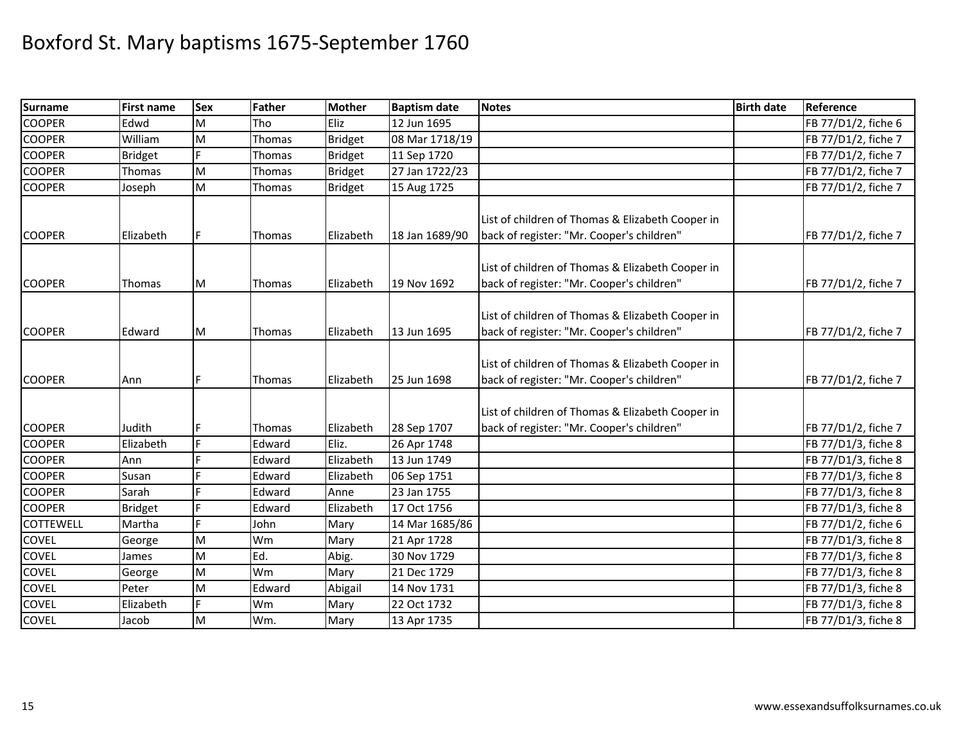| <b>Surname</b>   | <b>First name</b> | <b>Sex</b> | Father        | <b>Mother</b>  | <b>Baptism date</b> | <b>Notes</b>                                                                                  | <b>Birth date</b> | Reference           |
|------------------|-------------------|------------|---------------|----------------|---------------------|-----------------------------------------------------------------------------------------------|-------------------|---------------------|
| <b>COOPER</b>    | Edwd              | M          | Tho           | Eliz           | 12 Jun 1695         |                                                                                               |                   | FB 77/D1/2, fiche 6 |
| <b>COOPER</b>    | William           | M          | Thomas        | <b>Bridget</b> | 08 Mar 1718/19      |                                                                                               |                   | FB 77/D1/2, fiche 7 |
| <b>COOPER</b>    | <b>Bridget</b>    |            | Thomas        | <b>Bridget</b> | 11 Sep 1720         |                                                                                               |                   | FB 77/D1/2, fiche 7 |
| <b>COOPER</b>    | Thomas            | M          | Thomas        | <b>Bridget</b> | 27 Jan 1722/23      |                                                                                               |                   | FB 77/D1/2, fiche 7 |
| <b>COOPER</b>    | Joseph            | M          | Thomas        | <b>Bridget</b> | 15 Aug 1725         |                                                                                               |                   | FB 77/D1/2, fiche 7 |
| <b>COOPER</b>    | Elizabeth         | F.         | Thomas        | Elizabeth      | 18 Jan 1689/90      | List of children of Thomas & Elizabeth Cooper in<br>back of register: "Mr. Cooper's children" |                   | FB 77/D1/2, fiche 7 |
| <b>COOPER</b>    | Thomas            | M          | <b>Thomas</b> | Elizabeth      | 19 Nov 1692         | List of children of Thomas & Elizabeth Cooper in<br>back of register: "Mr. Cooper's children" |                   | FB 77/D1/2, fiche 7 |
| <b>COOPER</b>    | Edward            | M          | Thomas        | Elizabeth      | 13 Jun 1695         | List of children of Thomas & Elizabeth Cooper in<br>back of register: "Mr. Cooper's children" |                   | FB 77/D1/2, fiche 7 |
| <b>COOPER</b>    | Ann               | F          | Thomas        | Elizabeth      | 25 Jun 1698         | List of children of Thomas & Elizabeth Cooper in<br>back of register: "Mr. Cooper's children" |                   | FB 77/D1/2, fiche 7 |
| <b>COOPER</b>    | Judith            | F          | Thomas        | Elizabeth      | 28 Sep 1707         | List of children of Thomas & Elizabeth Cooper in<br>back of register: "Mr. Cooper's children" |                   | FB 77/D1/2, fiche 7 |
| <b>COOPER</b>    | Elizabeth         | E.         | Edward        | Eliz.          | 26 Apr 1748         |                                                                                               |                   | FB 77/D1/3, fiche 8 |
| <b>COOPER</b>    | Ann               | L.         | Edward        | Elizabeth      | 13 Jun 1749         |                                                                                               |                   | FB 77/D1/3, fiche 8 |
| <b>COOPER</b>    | Susan             | Ë          | Edward        | Elizabeth      | 06 Sep 1751         |                                                                                               |                   | FB 77/D1/3, fiche 8 |
| <b>COOPER</b>    | Sarah             | Ë          | Edward        | Anne           | 23 Jan 1755         |                                                                                               |                   | FB 77/D1/3, fiche 8 |
| <b>COOPER</b>    | <b>Bridget</b>    | Ė          | Edward        | Elizabeth      | 17 Oct 1756         |                                                                                               |                   | FB 77/D1/3, fiche 8 |
| <b>COTTEWELL</b> | Martha            | F.         | John          | Mary           | 14 Mar 1685/86      |                                                                                               |                   | FB 77/D1/2, fiche 6 |
| <b>COVEL</b>     | George            | M          | Wm            | Mary           | 21 Apr 1728         |                                                                                               |                   | FB 77/D1/3, fiche 8 |
| <b>COVEL</b>     | James             | M          | Ed.           | Abig.          | 30 Nov 1729         |                                                                                               |                   | FB 77/D1/3, fiche 8 |
| <b>COVEL</b>     | George            | M          | Wm            | Mary           | 21 Dec 1729         |                                                                                               |                   | FB 77/D1/3, fiche 8 |
| <b>COVEL</b>     | Peter             | M          | Edward        | Abigail        | 14 Nov 1731         |                                                                                               |                   | FB 77/D1/3, fiche 8 |
| <b>COVEL</b>     | Elizabeth         | E.         | Wm            | Mary           | 22 Oct 1732         |                                                                                               |                   | FB 77/D1/3, fiche 8 |
| <b>COVEL</b>     | Jacob             | M          | Wm.           | Mary           | 13 Apr 1735         |                                                                                               |                   | FB 77/D1/3, fiche 8 |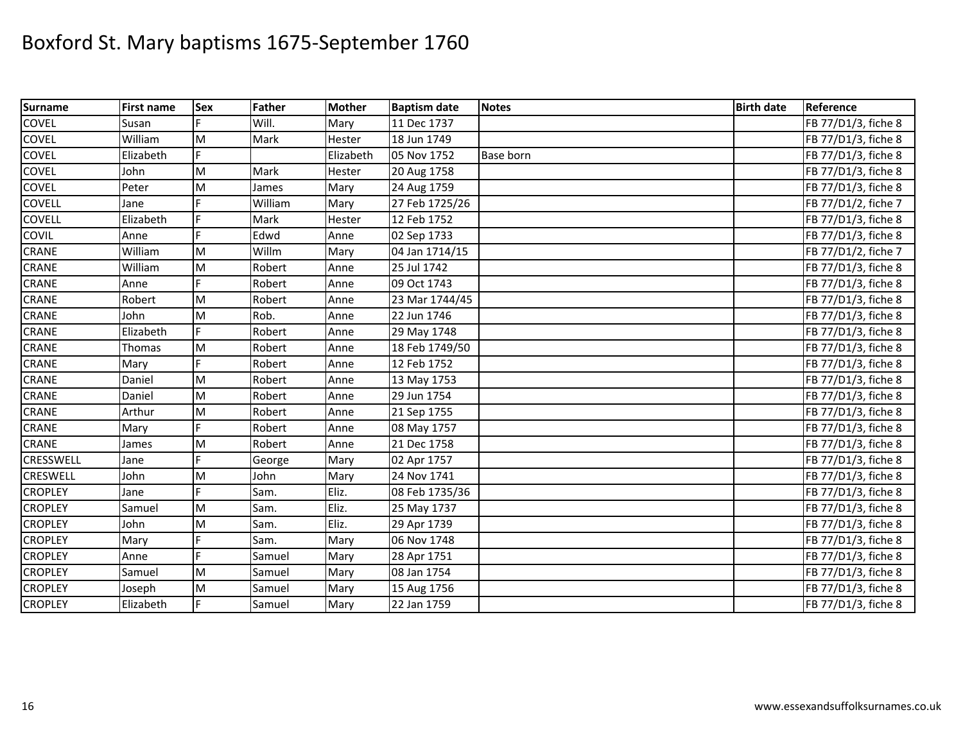| <b>Surname</b>  | <b>First name</b> | Sex | <b>Father</b> | <b>Mother</b> | <b>Baptism date</b> | <b>Notes</b>     | <b>Birth date</b> | Reference           |
|-----------------|-------------------|-----|---------------|---------------|---------------------|------------------|-------------------|---------------------|
| COVEL           | Susan             |     | Will.         | Mary          | 11 Dec 1737         |                  |                   | FB 77/D1/3, fiche 8 |
| COVEL           | William           | M   | Mark          | Hester        | 18 Jun 1749         |                  |                   | FB 77/D1/3, fiche 8 |
| COVEL           | Elizabeth         | F   |               | Elizabeth     | 05 Nov 1752         | <b>Base born</b> |                   | FB 77/D1/3, fiche 8 |
| COVEL           | John              | M   | Mark          | Hester        | 20 Aug 1758         |                  |                   | FB 77/D1/3, fiche 8 |
| <b>COVEL</b>    | Peter             | M   | James         | Mary          | 24 Aug 1759         |                  |                   | FB 77/D1/3, fiche 8 |
| COVELL          | Jane              |     | William       | Mary          | 27 Feb 1725/26      |                  |                   | FB 77/D1/2, fiche 7 |
| <b>COVELL</b>   | Elizabeth         |     | Mark          | Hester        | 12 Feb 1752         |                  |                   | FB 77/D1/3, fiche 8 |
| COVIL           | Anne              |     | Edwd          | Anne          | 02 Sep 1733         |                  |                   | FB 77/D1/3, fiche 8 |
| CRANE           | William           | M   | Willm         | Mary          | 04 Jan 1714/15      |                  |                   | FB 77/D1/2, fiche 7 |
| <b>CRANE</b>    | William           | M   | Robert        | Anne          | 25 Jul 1742         |                  |                   | FB 77/D1/3, fiche 8 |
| CRANE           | Anne              |     | Robert        | Anne          | 09 Oct 1743         |                  |                   | FB 77/D1/3, fiche 8 |
| CRANE           | Robert            | M   | Robert        | Anne          | 23 Mar 1744/45      |                  |                   | FB 77/D1/3, fiche 8 |
| <b>CRANE</b>    | John              | M   | Rob.          | Anne          | 22 Jun 1746         |                  |                   | FB 77/D1/3, fiche 8 |
| CRANE           | Elizabeth         | F   | Robert        | Anne          | 29 May 1748         |                  |                   | FB 77/D1/3, fiche 8 |
| CRANE           | Thomas            | M   | Robert        | Anne          | 18 Feb 1749/50      |                  |                   | FB 77/D1/3, fiche 8 |
| <b>CRANE</b>    | Mary              |     | Robert        | Anne          | 12 Feb 1752         |                  |                   | FB 77/D1/3, fiche 8 |
| <b>CRANE</b>    | Daniel            | M   | Robert        | Anne          | 13 May 1753         |                  |                   | FB 77/D1/3, fiche 8 |
| CRANE           | Daniel            | M   | Robert        | Anne          | 29 Jun 1754         |                  |                   | FB 77/D1/3, fiche 8 |
| CRANE           | Arthur            | M   | Robert        | Anne          | 21 Sep 1755         |                  |                   | FB 77/D1/3, fiche 8 |
| CRANE           | Mary              |     | Robert        | Anne          | 08 May 1757         |                  |                   | FB 77/D1/3, fiche 8 |
| CRANE           | James             | M   | Robert        | Anne          | 21 Dec 1758         |                  |                   | FB 77/D1/3, fiche 8 |
| CRESSWELL       | Jane              |     | George        | Mary          | 02 Apr 1757         |                  |                   | FB 77/D1/3, fiche 8 |
| <b>CRESWELL</b> | John              | M   | John          | Mary          | 24 Nov 1741         |                  |                   | FB 77/D1/3, fiche 8 |
| <b>CROPLEY</b>  | Jane              |     | Sam.          | Eliz.         | 08 Feb 1735/36      |                  |                   | FB 77/D1/3, fiche 8 |
| <b>CROPLEY</b>  | Samuel            | M   | Sam.          | Eliz.         | 25 May 1737         |                  |                   | FB 77/D1/3, fiche 8 |
| <b>CROPLEY</b>  | John              | M   | Sam.          | Eliz.         | 29 Apr 1739         |                  |                   | FB 77/D1/3, fiche 8 |
| <b>CROPLEY</b>  | Mary              |     | Sam.          | Mary          | 06 Nov 1748         |                  |                   | FB 77/D1/3, fiche 8 |
| <b>CROPLEY</b>  | Anne              | F   | Samuel        | Mary          | 28 Apr 1751         |                  |                   | FB 77/D1/3, fiche 8 |
| <b>CROPLEY</b>  | Samuel            | M   | Samuel        | Mary          | 08 Jan 1754         |                  |                   | FB 77/D1/3, fiche 8 |
| <b>CROPLEY</b>  | Joseph            | M   | Samuel        | Mary          | 15 Aug 1756         |                  |                   | FB 77/D1/3, fiche 8 |
| <b>CROPLEY</b>  | Elizabeth         | F   | Samuel        | Mary          | 22 Jan 1759         |                  |                   | FB 77/D1/3, fiche 8 |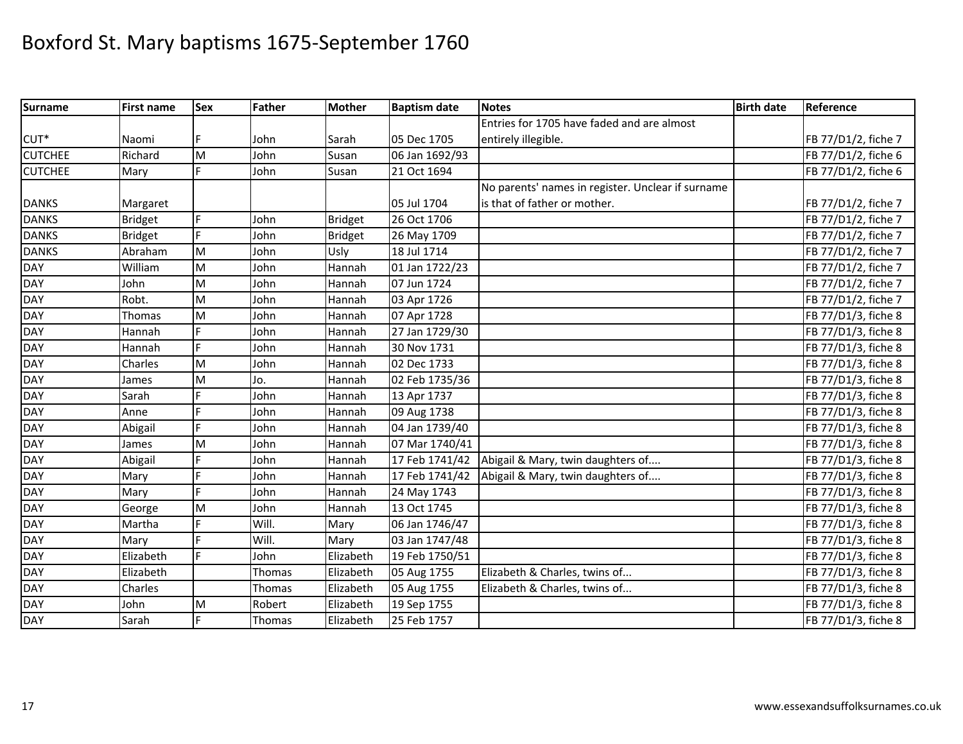| Surname          | <b>First name</b> | <b>Sex</b> | Father | Mother         | <b>Baptism date</b> | <b>Notes</b>                                      | <b>Birth date</b> | Reference           |
|------------------|-------------------|------------|--------|----------------|---------------------|---------------------------------------------------|-------------------|---------------------|
|                  |                   |            |        |                |                     | Entries for 1705 have faded and are almost        |                   |                     |
| CUT <sup>*</sup> | Naomi             |            | John   | Sarah          | 05 Dec 1705         | entirely illegible.                               |                   | FB 77/D1/2, fiche 7 |
| <b>CUTCHEE</b>   | Richard           | M          | John   | Susan          | 06 Jan 1692/93      |                                                   |                   | FB 77/D1/2, fiche 6 |
| <b>CUTCHEE</b>   | Mary              | F          | John   | Susan          | 21 Oct 1694         |                                                   |                   | FB 77/D1/2, fiche 6 |
|                  |                   |            |        |                |                     | No parents' names in register. Unclear if surname |                   |                     |
| <b>DANKS</b>     | Margaret          |            |        |                | 05 Jul 1704         | is that of father or mother.                      |                   | FB 77/D1/2, fiche 7 |
| <b>DANKS</b>     | <b>Bridget</b>    |            | John   | <b>Bridget</b> | 26 Oct 1706         |                                                   |                   | FB 77/D1/2, fiche 7 |
| <b>DANKS</b>     | <b>Bridget</b>    | F.         | John   | <b>Bridget</b> | 26 May 1709         |                                                   |                   | FB 77/D1/2, fiche 7 |
| <b>DANKS</b>     | Abraham           | M          | John   | Usly           | 18 Jul 1714         |                                                   |                   | FB 77/D1/2, fiche 7 |
| <b>DAY</b>       | William           | M          | John   | Hannah         | 01 Jan 1722/23      |                                                   |                   | FB 77/D1/2, fiche 7 |
| <b>DAY</b>       | John              | M          | John   | Hannah         | 07 Jun 1724         |                                                   |                   | FB 77/D1/2, fiche 7 |
| <b>DAY</b>       | Robt.             | M          | John   | Hannah         | 03 Apr 1726         |                                                   |                   | FB 77/D1/2, fiche 7 |
| <b>DAY</b>       | Thomas            | M          | John   | Hannah         | 07 Apr 1728         |                                                   |                   | FB 77/D1/3, fiche 8 |
| <b>DAY</b>       | Hannah            | Ē          | John   | Hannah         | 27 Jan 1729/30      |                                                   |                   | FB 77/D1/3, fiche 8 |
| <b>DAY</b>       | Hannah            | E          | John   | Hannah         | 30 Nov 1731         |                                                   |                   | FB 77/D1/3, fiche 8 |
| <b>DAY</b>       | Charles           | M          | John   | Hannah         | 02 Dec 1733         |                                                   |                   | FB 77/D1/3, fiche 8 |
| <b>DAY</b>       | James             | M          | Jo.    | Hannah         | 02 Feb 1735/36      |                                                   |                   | FB 77/D1/3, fiche 8 |
| <b>DAY</b>       | Sarah             | F          | John   | Hannah         | 13 Apr 1737         |                                                   |                   | FB 77/D1/3, fiche 8 |
| <b>DAY</b>       | Anne              |            | John   | Hannah         | 09 Aug 1738         |                                                   |                   | FB 77/D1/3, fiche 8 |
| <b>DAY</b>       | Abigail           | F          | John   | Hannah         | 04 Jan 1739/40      |                                                   |                   | FB 77/D1/3, fiche 8 |
| <b>DAY</b>       | James             | M          | John   | Hannah         | 07 Mar 1740/41      |                                                   |                   | FB 77/D1/3, fiche 8 |
| <b>DAY</b>       | Abigail           | F          | John   | Hannah         | 17 Feb 1741/42      | Abigail & Mary, twin daughters of                 |                   | FB 77/D1/3, fiche 8 |
| <b>DAY</b>       | Mary              | F          | John   | Hannah         | 17 Feb 1741/42      | Abigail & Mary, twin daughters of                 |                   | FB 77/D1/3, fiche 8 |
| <b>DAY</b>       | Mary              | F          | John   | Hannah         | 24 May 1743         |                                                   |                   | FB 77/D1/3, fiche 8 |
| <b>DAY</b>       | George            | M          | John   | Hannah         | 13 Oct 1745         |                                                   |                   | FB 77/D1/3, fiche 8 |
| <b>DAY</b>       | Martha            | F.         | Will.  | Mary           | 06 Jan 1746/47      |                                                   |                   | FB 77/D1/3, fiche 8 |
| <b>DAY</b>       | Mary              |            | Will.  | Mary           | 03 Jan 1747/48      |                                                   |                   | FB 77/D1/3, fiche 8 |
| <b>DAY</b>       | Elizabeth         | F          | John   | Elizabeth      | 19 Feb 1750/51      |                                                   |                   | FB 77/D1/3, fiche 8 |
| <b>DAY</b>       | Elizabeth         |            | Thomas | Elizabeth      | 05 Aug 1755         | Elizabeth & Charles, twins of                     |                   | FB 77/D1/3, fiche 8 |
| <b>DAY</b>       | Charles           |            | Thomas | Elizabeth      | 05 Aug 1755         | Elizabeth & Charles, twins of                     |                   | FB 77/D1/3, fiche 8 |
| <b>DAY</b>       | John              | M          | Robert | Elizabeth      | 19 Sep 1755         |                                                   |                   | FB 77/D1/3, fiche 8 |
| <b>DAY</b>       | Sarah             | F          | Thomas | Elizabeth      | 25 Feb 1757         |                                                   |                   | FB 77/D1/3, fiche 8 |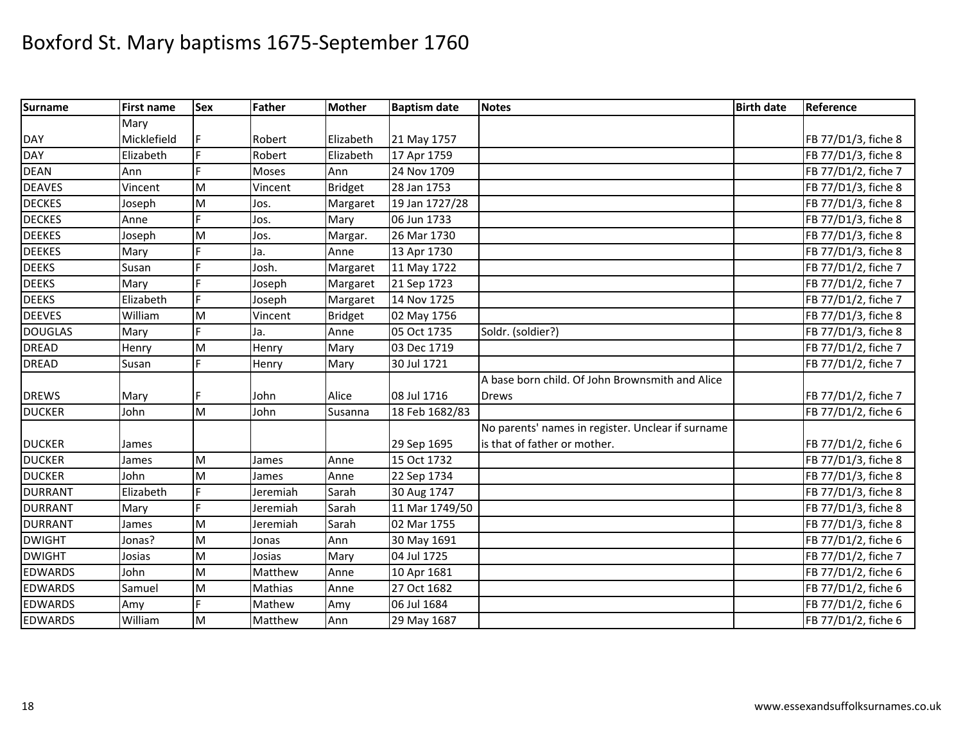| <b>Surname</b> | <b>First name</b> | <b>Sex</b> | <b>Father</b> | <b>Mother</b>  | <b>Baptism date</b> | <b>Notes</b>                                      | <b>Birth date</b> | Reference           |
|----------------|-------------------|------------|---------------|----------------|---------------------|---------------------------------------------------|-------------------|---------------------|
|                | Mary              |            |               |                |                     |                                                   |                   |                     |
| <b>DAY</b>     | Micklefield       |            | Robert        | Elizabeth      | 21 May 1757         |                                                   |                   | FB 77/D1/3, fiche 8 |
| <b>DAY</b>     | Elizabeth         | E          | Robert        | Elizabeth      | 17 Apr 1759         |                                                   |                   | FB 77/D1/3, fiche 8 |
| <b>DEAN</b>    | Ann               | F          | Moses         | Ann            | 24 Nov 1709         |                                                   |                   | FB 77/D1/2, fiche 7 |
| <b>DEAVES</b>  | Vincent           | M          | Vincent       | <b>Bridget</b> | 28 Jan 1753         |                                                   |                   | FB 77/D1/3, fiche 8 |
| <b>DECKES</b>  | Joseph            | M          | Jos.          | Margaret       | 19 Jan 1727/28      |                                                   |                   | FB 77/D1/3, fiche 8 |
| <b>DECKES</b>  | Anne              | F          | Jos.          | Mary           | 06 Jun 1733         |                                                   |                   | FB 77/D1/3, fiche 8 |
| <b>DEEKES</b>  | Joseph            | M          | Jos.          | Margar.        | 26 Mar 1730         |                                                   |                   | FB 77/D1/3, fiche 8 |
| <b>DEEKES</b>  | Mary              | Е          | Ja.           | Anne           | 13 Apr 1730         |                                                   |                   | FB 77/D1/3, fiche 8 |
| <b>DEEKS</b>   | Susan             | d          | Josh.         | Margaret       | 11 May 1722         |                                                   |                   | FB 77/D1/2, fiche 7 |
| <b>DEEKS</b>   | Mary              | E          | Joseph        | Margaret       | 21 Sep 1723         |                                                   |                   | FB 77/D1/2, fiche 7 |
| <b>DEEKS</b>   | Elizabeth         | F          | Joseph        | Margaret       | 14 Nov 1725         |                                                   |                   | FB 77/D1/2, fiche 7 |
| <b>DEEVES</b>  | William           | M          | Vincent       | <b>Bridget</b> | 02 May 1756         |                                                   |                   | FB 77/D1/3, fiche 8 |
| <b>DOUGLAS</b> | Mary              | F          | Ja.           | Anne           | 05 Oct 1735         | Soldr. (soldier?)                                 |                   | FB 77/D1/3, fiche 8 |
| <b>DREAD</b>   | Henry             | M          | Henry         | Mary           | 03 Dec 1719         |                                                   |                   | FB 77/D1/2, fiche 7 |
| <b>DREAD</b>   | Susan             |            | Henry         | Mary           | 30 Jul 1721         |                                                   |                   | FB 77/D1/2, fiche 7 |
|                |                   |            |               |                |                     | A base born child. Of John Brownsmith and Alice   |                   |                     |
| <b>DREWS</b>   | Mary              |            | John          | Alice          | 08 Jul 1716         | <b>Drews</b>                                      |                   | FB 77/D1/2, fiche 7 |
| <b>DUCKER</b>  | John              | M          | John          | Susanna        | 18 Feb 1682/83      |                                                   |                   | FB 77/D1/2, fiche 6 |
|                |                   |            |               |                |                     | No parents' names in register. Unclear if surname |                   |                     |
| <b>DUCKER</b>  | James             |            |               |                | 29 Sep 1695         | is that of father or mother.                      |                   | FB 77/D1/2, fiche 6 |
| <b>DUCKER</b>  | James             | M          | James         | Anne           | 15 Oct 1732         |                                                   |                   | FB 77/D1/3, fiche 8 |
| <b>DUCKER</b>  | John              | M          | James         | Anne           | 22 Sep 1734         |                                                   |                   | FB 77/D1/3, fiche 8 |
| <b>DURRANT</b> | Elizabeth         | F          | Jeremiah      | Sarah          | 30 Aug 1747         |                                                   |                   | FB 77/D1/3, fiche 8 |
| <b>DURRANT</b> | Mary              | F          | Jeremiah      | Sarah          | 11 Mar 1749/50      |                                                   |                   | FB 77/D1/3, fiche 8 |
| <b>DURRANT</b> | James             | M          | Jeremiah      | Sarah          | 02 Mar 1755         |                                                   |                   | FB 77/D1/3, fiche 8 |
| <b>DWIGHT</b>  | Jonas?            | M          | Jonas         | Ann            | 30 May 1691         |                                                   |                   | FB 77/D1/2, fiche 6 |
| <b>DWIGHT</b>  | Josias            | M          | Josias        | Mary           | 04 Jul 1725         |                                                   |                   | FB 77/D1/2, fiche 7 |
| <b>EDWARDS</b> | John              | M          | Matthew       | Anne           | 10 Apr 1681         |                                                   |                   | FB 77/D1/2, fiche 6 |
| <b>EDWARDS</b> | Samuel            | M          | Mathias       | Anne           | 27 Oct 1682         |                                                   |                   | FB 77/D1/2, fiche 6 |
| <b>EDWARDS</b> | Amy               | E          | Mathew        | Amy            | 06 Jul 1684         |                                                   |                   | FB 77/D1/2, fiche 6 |
| <b>EDWARDS</b> | William           | M          | Matthew       | Ann            | 29 May 1687         |                                                   |                   | FB 77/D1/2, fiche 6 |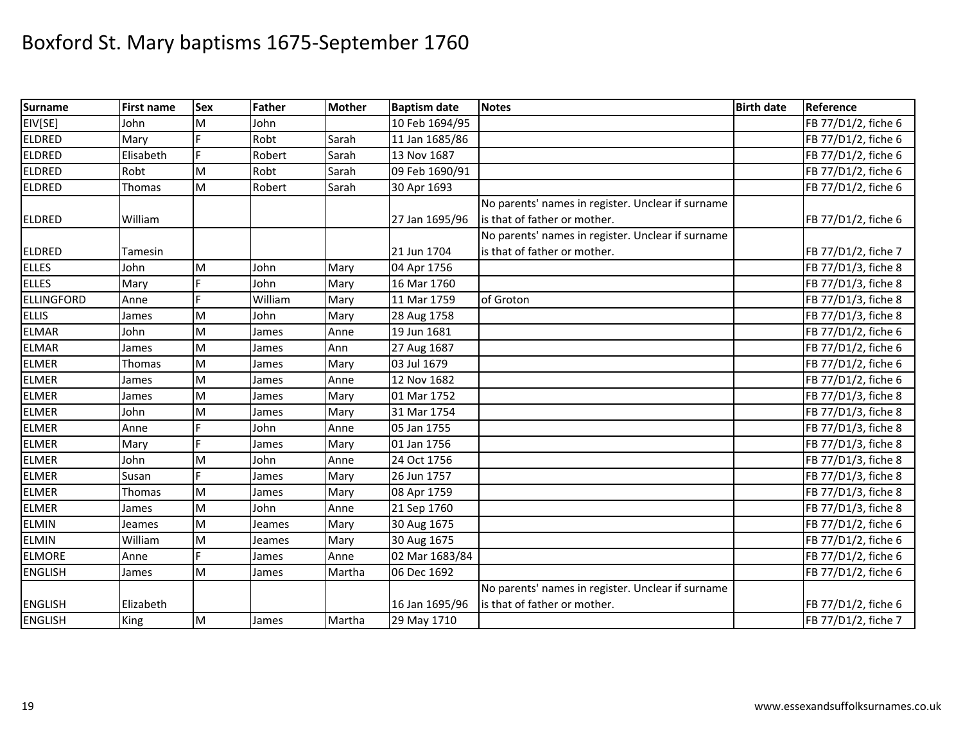| <b>Surname</b>    | <b>First name</b> | Sex | <b>Father</b> | <b>Mother</b> | <b>Baptism date</b> | <b>Notes</b>                                      | <b>Birth date</b> | Reference           |
|-------------------|-------------------|-----|---------------|---------------|---------------------|---------------------------------------------------|-------------------|---------------------|
| EIV[SE]           | John              | M   | John          |               | 10 Feb 1694/95      |                                                   |                   | FB 77/D1/2, fiche 6 |
| <b>ELDRED</b>     | Mary              |     | Robt          | Sarah         | 11 Jan 1685/86      |                                                   |                   | FB 77/D1/2, fiche 6 |
| <b>ELDRED</b>     | Elisabeth         | F   | Robert        | Sarah         | 13 Nov 1687         |                                                   |                   | FB 77/D1/2, fiche 6 |
| <b>ELDRED</b>     | Robt              | M   | Robt          | Sarah         | 09 Feb 1690/91      |                                                   |                   | FB 77/D1/2, fiche 6 |
| <b>ELDRED</b>     | Thomas            | M   | Robert        | Sarah         | 30 Apr 1693         |                                                   |                   | FB 77/D1/2, fiche 6 |
|                   |                   |     |               |               |                     | No parents' names in register. Unclear if surname |                   |                     |
| <b>ELDRED</b>     | William           |     |               |               | 27 Jan 1695/96      | is that of father or mother.                      |                   | FB 77/D1/2, fiche 6 |
|                   |                   |     |               |               |                     | No parents' names in register. Unclear if surname |                   |                     |
| <b>ELDRED</b>     | Tamesin           |     |               |               | 21 Jun 1704         | is that of father or mother.                      |                   | FB 77/D1/2, fiche 7 |
| <b>ELLES</b>      | John              | M   | John          | Mary          | 04 Apr 1756         |                                                   |                   | FB 77/D1/3, fiche 8 |
| <b>ELLES</b>      | Mary              |     | John          | Mary          | 16 Mar 1760         |                                                   |                   | FB 77/D1/3, fiche 8 |
| <b>ELLINGFORD</b> | Anne              |     | William       | Mary          | 11 Mar 1759         | of Groton                                         |                   | FB 77/D1/3, fiche 8 |
| <b>ELLIS</b>      | James             | M   | John          | Mary          | 28 Aug 1758         |                                                   |                   | FB 77/D1/3, fiche 8 |
| <b>ELMAR</b>      | John              | M   | James         | Anne          | 19 Jun 1681         |                                                   |                   | FB 77/D1/2, fiche 6 |
| <b>ELMAR</b>      | James             | M   | James         | Ann           | 27 Aug 1687         |                                                   |                   | FB 77/D1/2, fiche 6 |
| <b>ELMER</b>      | Thomas            | M   | James         | Mary          | 03 Jul 1679         |                                                   |                   | FB 77/D1/2, fiche 6 |
| <b>ELMER</b>      | James             | M   | James         | Anne          | 12 Nov 1682         |                                                   |                   | FB 77/D1/2, fiche 6 |
| <b>ELMER</b>      | James             | M   | James         | Mary          | 01 Mar 1752         |                                                   |                   | FB 77/D1/3, fiche 8 |
| <b>ELMER</b>      | John              | M   | James         | Mary          | 31 Mar 1754         |                                                   |                   | FB 77/D1/3, fiche 8 |
| <b>ELMER</b>      | Anne              |     | John          | Anne          | 05 Jan 1755         |                                                   |                   | FB 77/D1/3, fiche 8 |
| <b>ELMER</b>      | Mary              |     | James         | Mary          | 01 Jan 1756         |                                                   |                   | FB 77/D1/3, fiche 8 |
| <b>ELMER</b>      | John              | M   | John          | Anne          | 24 Oct 1756         |                                                   |                   | FB 77/D1/3, fiche 8 |
| <b>ELMER</b>      | Susan             |     | James         | Mary          | 26 Jun 1757         |                                                   |                   | FB 77/D1/3, fiche 8 |
| <b>ELMER</b>      | Thomas            | M   | James         | Mary          | 08 Apr 1759         |                                                   |                   | FB 77/D1/3, fiche 8 |
| <b>ELMER</b>      | James             | M   | John          | Anne          | 21 Sep 1760         |                                                   |                   | FB 77/D1/3, fiche 8 |
| <b>ELMIN</b>      | Jeames            | M   | Jeames        | Mary          | 30 Aug 1675         |                                                   |                   | FB 77/D1/2, fiche 6 |
| <b>ELMIN</b>      | William           | M   | Jeames        | Mary          | 30 Aug 1675         |                                                   |                   | FB 77/D1/2, fiche 6 |
| <b>ELMORE</b>     | Anne              | E   | James         | Anne          | 02 Mar 1683/84      |                                                   |                   | FB 77/D1/2, fiche 6 |
| <b>ENGLISH</b>    | James             | M   | James         | Martha        | 06 Dec 1692         |                                                   |                   | FB 77/D1/2, fiche 6 |
|                   |                   |     |               |               |                     | No parents' names in register. Unclear if surname |                   |                     |
| <b>ENGLISH</b>    | Elizabeth         |     |               |               | 16 Jan 1695/96      | is that of father or mother.                      |                   | FB 77/D1/2, fiche 6 |
| <b>ENGLISH</b>    | King              | Iм  | James         | Martha        | 29 May 1710         |                                                   |                   | FB 77/D1/2, fiche 7 |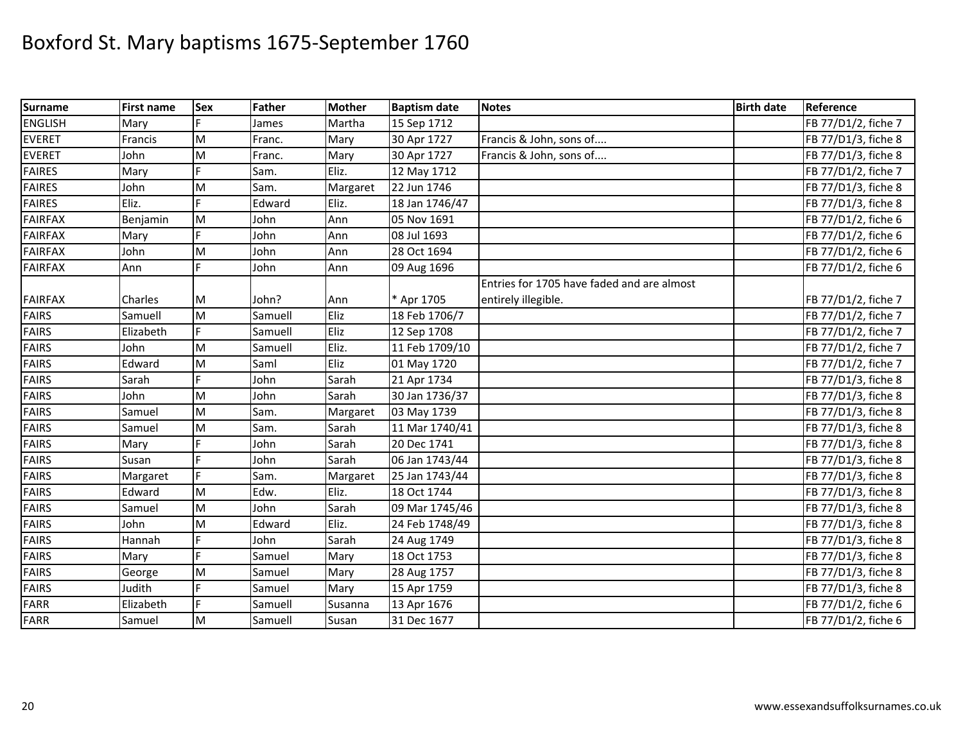| <b>Surname</b> | <b>First name</b> | Sex | Father  | <b>Mother</b> | <b>Baptism date</b> | <b>Notes</b>                               | <b>Birth date</b> | Reference           |
|----------------|-------------------|-----|---------|---------------|---------------------|--------------------------------------------|-------------------|---------------------|
| <b>ENGLISH</b> | Mary              |     | James   | Martha        | 15 Sep 1712         |                                            |                   | FB 77/D1/2, fiche 7 |
| <b>EVERET</b>  | Francis           | M   | Franc.  | Mary          | 30 Apr 1727         | Francis & John, sons of                    |                   | FB 77/D1/3, fiche 8 |
| <b>EVERET</b>  | John              | M   | Franc.  | Mary          | 30 Apr 1727         | Francis & John, sons of                    |                   | FB 77/D1/3, fiche 8 |
| <b>FAIRES</b>  | Mary              |     | Sam.    | Eliz.         | 12 May 1712         |                                            |                   | FB 77/D1/2, fiche 7 |
| <b>FAIRES</b>  | John              | M   | Sam.    | Margaret      | 22 Jun 1746         |                                            |                   | FB 77/D1/3, fiche 8 |
| <b>FAIRES</b>  | Eliz.             |     | Edward  | Eliz.         | 18 Jan 1746/47      |                                            |                   | FB 77/D1/3, fiche 8 |
| <b>FAIRFAX</b> | Benjamin          | M   | John    | Ann           | 05 Nov 1691         |                                            |                   | FB 77/D1/2, fiche 6 |
| <b>FAIRFAX</b> | Mary              |     | John    | Ann           | 08 Jul 1693         |                                            |                   | FB 77/D1/2, fiche 6 |
| <b>FAIRFAX</b> | John              | M   | John    | Ann           | 28 Oct 1694         |                                            |                   | FB 77/D1/2, fiche 6 |
| <b>FAIRFAX</b> | Ann               | É   | John    | Ann           | 09 Aug 1696         |                                            |                   | FB 77/D1/2, fiche 6 |
|                |                   |     |         |               |                     | Entries for 1705 have faded and are almost |                   |                     |
| <b>FAIRFAX</b> | Charles           | M   | John?   | Ann           | * Apr 1705          | entirely illegible.                        |                   | FB 77/D1/2, fiche 7 |
| <b>FAIRS</b>   | Samuell           | M   | Samuell | Eliz          | 18 Feb 1706/7       |                                            |                   | FB 77/D1/2, fiche 7 |
| <b>FAIRS</b>   | Elizabeth         | Ë   | Samuell | Eliz          | 12 Sep 1708         |                                            |                   | FB 77/D1/2, fiche 7 |
| <b>FAIRS</b>   | John              | M   | Samuell | Eliz.         | 11 Feb 1709/10      |                                            |                   | FB 77/D1/2, fiche 7 |
| <b>FAIRS</b>   | Edward            | M   | Saml    | Eliz          | 01 May 1720         |                                            |                   | FB 77/D1/2, fiche 7 |
| <b>FAIRS</b>   | Sarah             |     | John    | Sarah         | 21 Apr 1734         |                                            |                   | FB 77/D1/3, fiche 8 |
| <b>FAIRS</b>   | John              | M   | John    | Sarah         | 30 Jan 1736/37      |                                            |                   | FB 77/D1/3, fiche 8 |
| <b>FAIRS</b>   | Samuel            | M   | Sam.    | Margaret      | 03 May 1739         |                                            |                   | FB 77/D1/3, fiche 8 |
| <b>FAIRS</b>   | Samuel            | M   | Sam.    | Sarah         | 11 Mar 1740/41      |                                            |                   | FB 77/D1/3, fiche 8 |
| <b>FAIRS</b>   | Mary              |     | John    | Sarah         | 20 Dec 1741         |                                            |                   | FB 77/D1/3, fiche 8 |
| <b>FAIRS</b>   | Susan             | E   | John    | Sarah         | 06 Jan 1743/44      |                                            |                   | FB 77/D1/3, fiche 8 |
| <b>FAIRS</b>   | Margaret          | Ė   | Sam.    | Margaret      | 25 Jan 1743/44      |                                            |                   | FB 77/D1/3, fiche 8 |
| <b>FAIRS</b>   | Edward            | M   | Edw.    | Eliz.         | 18 Oct 1744         |                                            |                   | FB 77/D1/3, fiche 8 |
| <b>FAIRS</b>   | Samuel            | M   | John    | Sarah         | 09 Mar 1745/46      |                                            |                   | FB 77/D1/3, fiche 8 |
| <b>FAIRS</b>   | John              | M   | Edward  | Eliz.         | 24 Feb 1748/49      |                                            |                   | FB 77/D1/3, fiche 8 |
| <b>FAIRS</b>   | Hannah            |     | John    | Sarah         | 24 Aug 1749         |                                            |                   | FB 77/D1/3, fiche 8 |
| <b>FAIRS</b>   | Mary              | E   | Samuel  | Mary          | 18 Oct 1753         |                                            |                   | FB 77/D1/3, fiche 8 |
| <b>FAIRS</b>   | George            | M   | Samuel  | Mary          | 28 Aug 1757         |                                            |                   | FB 77/D1/3, fiche 8 |
| <b>FAIRS</b>   | Judith            | F   | Samuel  | Mary          | 15 Apr 1759         |                                            |                   | FB 77/D1/3, fiche 8 |
| <b>FARR</b>    | Elizabeth         | Е   | Samuell | Susanna       | 13 Apr 1676         |                                            |                   | FB 77/D1/2, fiche 6 |
| <b>FARR</b>    | Samuel            | M   | Samuell | Susan         | 31 Dec 1677         |                                            |                   | FB 77/D1/2, fiche 6 |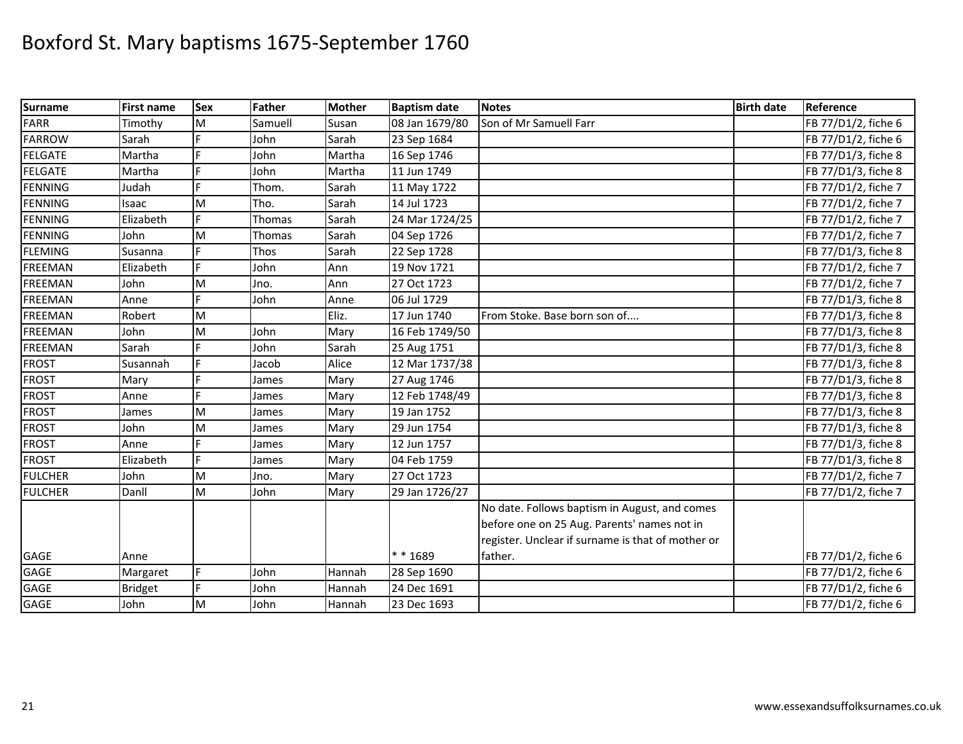| <b>Surname</b> | <b>First name</b> | <b>Sex</b> | Father  | <b>Mother</b> | <b>Baptism date</b> | <b>Notes</b>                                      | <b>Birth date</b> | Reference           |
|----------------|-------------------|------------|---------|---------------|---------------------|---------------------------------------------------|-------------------|---------------------|
| <b>FARR</b>    | Timothy           | M          | Samuell | Susan         | 08 Jan 1679/80      | Son of Mr Samuell Farr                            |                   | FB 77/D1/2, fiche 6 |
| <b>FARROW</b>  | Sarah             |            | John    | Sarah         | 23 Sep 1684         |                                                   |                   | FB 77/D1/2, fiche 6 |
| <b>FELGATE</b> | Martha            |            | John    | Martha        | 16 Sep 1746         |                                                   |                   | FB 77/D1/3, fiche 8 |
| <b>FELGATE</b> | Martha            | E          | John    | Martha        | 11 Jun 1749         |                                                   |                   | FB 77/D1/3, fiche 8 |
| <b>FENNING</b> | Judah             | E          | Thom.   | Sarah         | 11 May 1722         |                                                   |                   | FB 77/D1/2, fiche 7 |
| <b>FENNING</b> | Isaac             | M          | Tho.    | Sarah         | 14 Jul 1723         |                                                   |                   | FB 77/D1/2, fiche 7 |
| <b>FENNING</b> | Elizabeth         |            | Thomas  | Sarah         | 24 Mar 1724/25      |                                                   |                   | FB 77/D1/2, fiche 7 |
| <b>FENNING</b> | John              | M          | Thomas  | Sarah         | 04 Sep 1726         |                                                   |                   | FB 77/D1/2, fiche 7 |
| <b>FLEMING</b> | Susanna           |            | Thos    | Sarah         | 22 Sep 1728         |                                                   |                   | FB 77/D1/3, fiche 8 |
| <b>FREEMAN</b> | Elizabeth         | F.         | John    | Ann           | 19 Nov 1721         |                                                   |                   | FB 77/D1/2, fiche 7 |
| <b>FREEMAN</b> | John              | M          | Jno.    | Ann           | 27 Oct 1723         |                                                   |                   | FB 77/D1/2, fiche 7 |
| <b>FREEMAN</b> | Anne              |            | John    | Anne          | 06 Jul 1729         |                                                   |                   | FB 77/D1/3, fiche 8 |
| <b>FREEMAN</b> | Robert            | M          |         | Eliz.         | 17 Jun 1740         | From Stoke. Base born son of                      |                   | FB 77/D1/3, fiche 8 |
| <b>FREEMAN</b> | John              | M          | John    | Mary          | 16 Feb 1749/50      |                                                   |                   | FB 77/D1/3, fiche 8 |
| <b>FREEMAN</b> | Sarah             |            | John    | Sarah         | 25 Aug 1751         |                                                   |                   | FB 77/D1/3, fiche 8 |
| <b>FROST</b>   | Susannah          |            | Jacob   | Alice         | 12 Mar 1737/38      |                                                   |                   | FB 77/D1/3, fiche 8 |
| <b>FROST</b>   | Mary              |            | James   | Mary          | 27 Aug 1746         |                                                   |                   | FB 77/D1/3, fiche 8 |
| <b>FROST</b>   | Anne              | F          | James   | Mary          | 12 Feb 1748/49      |                                                   |                   | FB 77/D1/3, fiche 8 |
| <b>FROST</b>   | James             | M          | James   | Mary          | 19 Jan 1752         |                                                   |                   | FB 77/D1/3, fiche 8 |
| <b>FROST</b>   | John              | M          | James   | Mary          | 29 Jun 1754         |                                                   |                   | FB 77/D1/3, fiche 8 |
| <b>FROST</b>   | Anne              |            | James   | Mary          | 12 Jun 1757         |                                                   |                   | FB 77/D1/3, fiche 8 |
| <b>FROST</b>   | Elizabeth         |            | James   | Mary          | 04 Feb 1759         |                                                   |                   | FB 77/D1/3, fiche 8 |
| <b>FULCHER</b> | John              | M          | Jno.    | Mary          | 27 Oct 1723         |                                                   |                   | FB 77/D1/2, fiche 7 |
| <b>FULCHER</b> | Danll             | ${\sf M}$  | John    | Mary          | 29 Jan 1726/27      |                                                   |                   | FB 77/D1/2, fiche 7 |
|                |                   |            |         |               |                     | No date. Follows baptism in August, and comes     |                   |                     |
|                |                   |            |         |               |                     | before one on 25 Aug. Parents' names not in       |                   |                     |
|                |                   |            |         |               |                     | register. Unclear if surname is that of mother or |                   |                     |
| GAGE           | Anne              |            |         |               | ** 1689             | father.                                           |                   | FB 77/D1/2, fiche 6 |
| GAGE           | Margaret          |            | John    | Hannah        | 28 Sep 1690         |                                                   |                   | FB 77/D1/2, fiche 6 |
| GAGE           | <b>Bridget</b>    | F.         | John    | Hannah        | 24 Dec 1691         |                                                   |                   | FB 77/D1/2, fiche 6 |
| <b>GAGE</b>    | John              | M          | John    | Hannah        | 23 Dec 1693         |                                                   |                   | FB 77/D1/2, fiche 6 |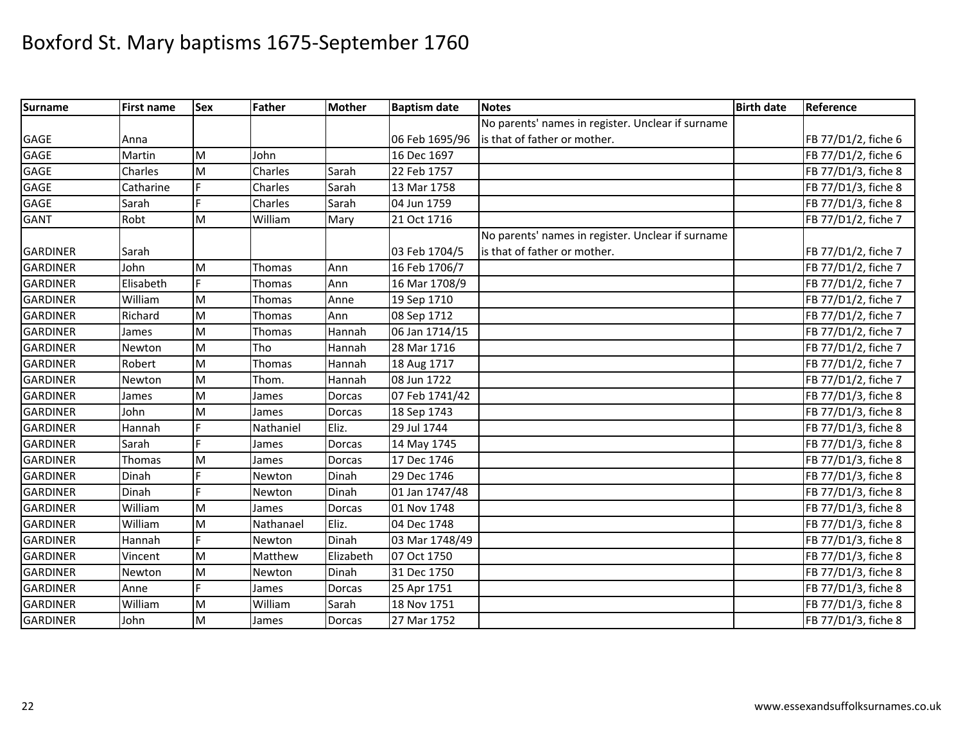| Surname         | <b>First name</b> | <b>Sex</b> | <b>Father</b> | <b>Mother</b> | <b>Baptism date</b> | <b>Notes</b>                                      | <b>Birth date</b> | Reference           |
|-----------------|-------------------|------------|---------------|---------------|---------------------|---------------------------------------------------|-------------------|---------------------|
|                 |                   |            |               |               |                     | No parents' names in register. Unclear if surname |                   |                     |
| <b>GAGE</b>     | Anna              |            |               |               | 06 Feb 1695/96      | is that of father or mother.                      |                   | FB 77/D1/2, fiche 6 |
| <b>GAGE</b>     | Martin            | M          | John          |               | 16 Dec 1697         |                                                   |                   | FB 77/D1/2, fiche 6 |
| <b>GAGE</b>     | Charles           | M          | Charles       | Sarah         | 22 Feb 1757         |                                                   |                   | FB 77/D1/3, fiche 8 |
| <b>GAGE</b>     | Catharine         | F.         | Charles       | Sarah         | 13 Mar 1758         |                                                   |                   | FB 77/D1/3, fiche 8 |
| <b>GAGE</b>     | Sarah             | Þ          | Charles       | Sarah         | 04 Jun 1759         |                                                   |                   | FB 77/D1/3, fiche 8 |
| <b>GANT</b>     | Robt              | M          | William       | Mary          | 21 Oct 1716         |                                                   |                   | FB 77/D1/2, fiche 7 |
|                 |                   |            |               |               |                     | No parents' names in register. Unclear if surname |                   |                     |
| <b>GARDINER</b> | Sarah             |            |               |               | 03 Feb 1704/5       | is that of father or mother.                      |                   | FB 77/D1/2, fiche 7 |
| <b>GARDINER</b> | John              | M          | Thomas        | Ann           | 16 Feb 1706/7       |                                                   |                   | FB 77/D1/2, fiche 7 |
| <b>GARDINER</b> | Elisabeth         | F.         | Thomas        | Ann           | 16 Mar 1708/9       |                                                   |                   | FB 77/D1/2, fiche 7 |
| <b>GARDINER</b> | William           | M          | <b>Thomas</b> | Anne          | 19 Sep 1710         |                                                   |                   | FB 77/D1/2, fiche 7 |
| <b>GARDINER</b> | Richard           | M          | Thomas        | Ann           | 08 Sep 1712         |                                                   |                   | FB 77/D1/2, fiche 7 |
| <b>GARDINER</b> | James             | M          | Thomas        | Hannah        | 06 Jan 1714/15      |                                                   |                   | FB 77/D1/2, fiche 7 |
| <b>GARDINER</b> | Newton            | M          | Tho           | Hannah        | 28 Mar 1716         |                                                   |                   | FB 77/D1/2, fiche 7 |
| <b>GARDINER</b> | Robert            | M          | Thomas        | Hannah        | 18 Aug 1717         |                                                   |                   | FB 77/D1/2, fiche 7 |
| <b>GARDINER</b> | Newton            | M          | Thom.         | Hannah        | 08 Jun 1722         |                                                   |                   | FB 77/D1/2, fiche 7 |
| <b>GARDINER</b> | James             | M          | James         | Dorcas        | 07 Feb 1741/42      |                                                   |                   | FB 77/D1/3, fiche 8 |
| <b>GARDINER</b> | John              | M          | James         | Dorcas        | 18 Sep 1743         |                                                   |                   | FB 77/D1/3, fiche 8 |
| <b>GARDINER</b> | Hannah            |            | Nathaniel     | Eliz.         | 29 Jul 1744         |                                                   |                   | FB 77/D1/3, fiche 8 |
| <b>GARDINER</b> | Sarah             |            | James         | Dorcas        | 14 May 1745         |                                                   |                   | FB 77/D1/3, fiche 8 |
| <b>GARDINER</b> | Thomas            | M          | James         | Dorcas        | 17 Dec 1746         |                                                   |                   | FB 77/D1/3, fiche 8 |
| <b>GARDINER</b> | Dinah             | E          | Newton        | Dinah         | 29 Dec 1746         |                                                   |                   | FB 77/D1/3, fiche 8 |
| <b>GARDINER</b> | Dinah             | F          | Newton        | Dinah         | 01 Jan 1747/48      |                                                   |                   | FB 77/D1/3, fiche 8 |
| <b>GARDINER</b> | William           | M          | James         | Dorcas        | 01 Nov 1748         |                                                   |                   | FB 77/D1/3, fiche 8 |
| <b>GARDINER</b> | William           | M          | Nathanael     | Eliz.         | 04 Dec 1748         |                                                   |                   | FB 77/D1/3, fiche 8 |
| <b>GARDINER</b> | Hannah            | F.         | Newton        | Dinah         | 03 Mar 1748/49      |                                                   |                   | FB 77/D1/3, fiche 8 |
| <b>GARDINER</b> | Vincent           | M          | Matthew       | Elizabeth     | 07 Oct 1750         |                                                   |                   | FB 77/D1/3, fiche 8 |
| <b>GARDINER</b> | Newton            | M          | Newton        | Dinah         | 31 Dec 1750         |                                                   |                   | FB 77/D1/3, fiche 8 |
| <b>GARDINER</b> | Anne              | F          | James         | Dorcas        | 25 Apr 1751         |                                                   |                   | FB 77/D1/3, fiche 8 |
| <b>GARDINER</b> | William           | M          | William       | Sarah         | 18 Nov 1751         |                                                   |                   | FB 77/D1/3, fiche 8 |
| <b>GARDINER</b> | John              | M          | James         | Dorcas        | 27 Mar 1752         |                                                   |                   | FB 77/D1/3, fiche 8 |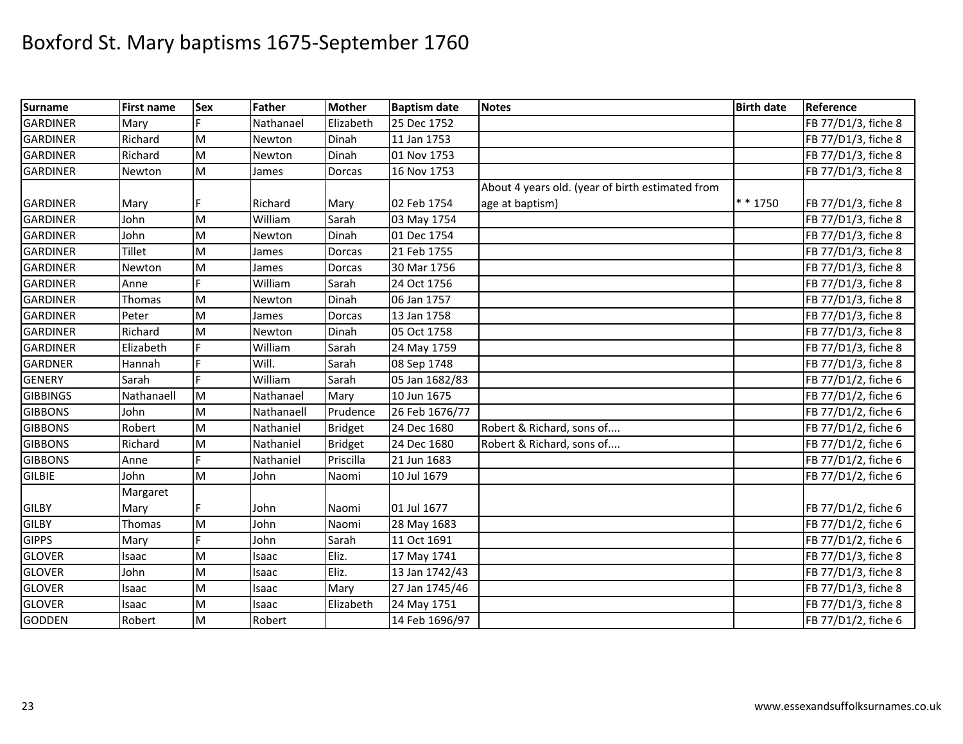| <b>Surname</b>  | <b>First name</b> | <b>Sex</b> | Father     | <b>Mother</b>  | <b>Baptism date</b> | <b>Notes</b>                                     | <b>Birth date</b> | Reference           |
|-----------------|-------------------|------------|------------|----------------|---------------------|--------------------------------------------------|-------------------|---------------------|
| <b>GARDINER</b> | Mary              |            | Nathanael  | Elizabeth      | 25 Dec 1752         |                                                  |                   | FB 77/D1/3, fiche 8 |
| <b>GARDINER</b> | Richard           | M          | Newton     | Dinah          | 11 Jan 1753         |                                                  |                   | FB 77/D1/3, fiche 8 |
| <b>GARDINER</b> | Richard           | M          | Newton     | Dinah          | 01 Nov 1753         |                                                  |                   | FB 77/D1/3, fiche 8 |
| <b>GARDINER</b> | Newton            | M          | James      | Dorcas         | 16 Nov 1753         |                                                  |                   | FB 77/D1/3, fiche 8 |
|                 |                   |            |            |                |                     | About 4 years old. (year of birth estimated from |                   |                     |
| <b>GARDINER</b> | Mary              | F          | Richard    | Mary           | 02 Feb 1754         | age at baptism)                                  | * * 1750          | FB 77/D1/3, fiche 8 |
| <b>GARDINER</b> | John              | M          | William    | Sarah          | 03 May 1754         |                                                  |                   | FB 77/D1/3, fiche 8 |
| <b>GARDINER</b> | John              | M          | Newton     | Dinah          | 01 Dec 1754         |                                                  |                   | FB 77/D1/3, fiche 8 |
| <b>GARDINER</b> | <b>Tillet</b>     | M          | James      | Dorcas         | 21 Feb 1755         |                                                  |                   | FB 77/D1/3, fiche 8 |
| <b>GARDINER</b> | Newton            | ${\sf M}$  | James      | Dorcas         | 30 Mar 1756         |                                                  |                   | FB 77/D1/3, fiche 8 |
| <b>GARDINER</b> | Anne              |            | William    | Sarah          | 24 Oct 1756         |                                                  |                   | FB 77/D1/3, fiche 8 |
| <b>GARDINER</b> | Thomas            | M          | Newton     | Dinah          | 06 Jan 1757         |                                                  |                   | FB 77/D1/3, fiche 8 |
| <b>GARDINER</b> | Peter             | M          | James      | Dorcas         | 13 Jan 1758         |                                                  |                   | FB 77/D1/3, fiche 8 |
| <b>GARDINER</b> | Richard           | M          | Newton     | Dinah          | 05 Oct 1758         |                                                  |                   | FB 77/D1/3, fiche 8 |
| <b>GARDINER</b> | Elizabeth         | Ė          | William    | Sarah          | 24 May 1759         |                                                  |                   | FB 77/D1/3, fiche 8 |
| <b>GARDNER</b>  | Hannah            |            | Will.      | Sarah          | 08 Sep 1748         |                                                  |                   | FB 77/D1/3, fiche 8 |
| <b>GENERY</b>   | Sarah             |            | William    | Sarah          | 05 Jan 1682/83      |                                                  |                   | FB 77/D1/2, fiche 6 |
| <b>GIBBINGS</b> | Nathanaell        | M          | Nathanael  | Mary           | 10 Jun 1675         |                                                  |                   | FB 77/D1/2, fiche 6 |
| <b>GIBBONS</b>  | John              | M          | Nathanaell | Prudence       | 26 Feb 1676/77      |                                                  |                   | FB 77/D1/2, fiche 6 |
| <b>GIBBONS</b>  | Robert            | M          | Nathaniel  | <b>Bridget</b> | 24 Dec 1680         | Robert & Richard, sons of                        |                   | FB 77/D1/2, fiche 6 |
| <b>GIBBONS</b>  | Richard           | ${\sf M}$  | Nathaniel  | <b>Bridget</b> | 24 Dec 1680         | Robert & Richard, sons of                        |                   | FB 77/D1/2, fiche 6 |
| <b>GIBBONS</b>  | Anne              | Ė          | Nathaniel  | Priscilla      | 21 Jun 1683         |                                                  |                   | FB 77/D1/2, fiche 6 |
| <b>GILBIE</b>   | John              | M          | John       | Naomi          | 10 Jul 1679         |                                                  |                   | FB 77/D1/2, fiche 6 |
|                 | Margaret          |            |            |                |                     |                                                  |                   |                     |
| <b>GILBY</b>    | Mary              |            | John       | Naomi          | 01 Jul 1677         |                                                  |                   | FB 77/D1/2, fiche 6 |
| <b>GILBY</b>    | Thomas            | M          | John       | Naomi          | 28 May 1683         |                                                  |                   | FB 77/D1/2, fiche 6 |
| <b>GIPPS</b>    | Mary              |            | John       | Sarah          | 11 Oct 1691         |                                                  |                   | FB 77/D1/2, fiche 6 |
| <b>GLOVER</b>   | Isaac             | M          | Isaac      | Eliz.          | 17 May 1741         |                                                  |                   | FB 77/D1/3, fiche 8 |
| <b>GLOVER</b>   | John              | M          | Isaac      | Eliz.          | 13 Jan 1742/43      |                                                  |                   | FB 77/D1/3, fiche 8 |
| <b>GLOVER</b>   | Isaac             | ${\sf M}$  | Isaac      | Mary           | 27 Jan 1745/46      |                                                  |                   | FB 77/D1/3, fiche 8 |
| <b>GLOVER</b>   | Isaac             | ${\sf M}$  | Isaac      | Elizabeth      | 24 May 1751         |                                                  |                   | FB 77/D1/3, fiche 8 |
| <b>GODDEN</b>   | Robert            | M          | Robert     |                | 14 Feb 1696/97      |                                                  |                   | FB 77/D1/2, fiche 6 |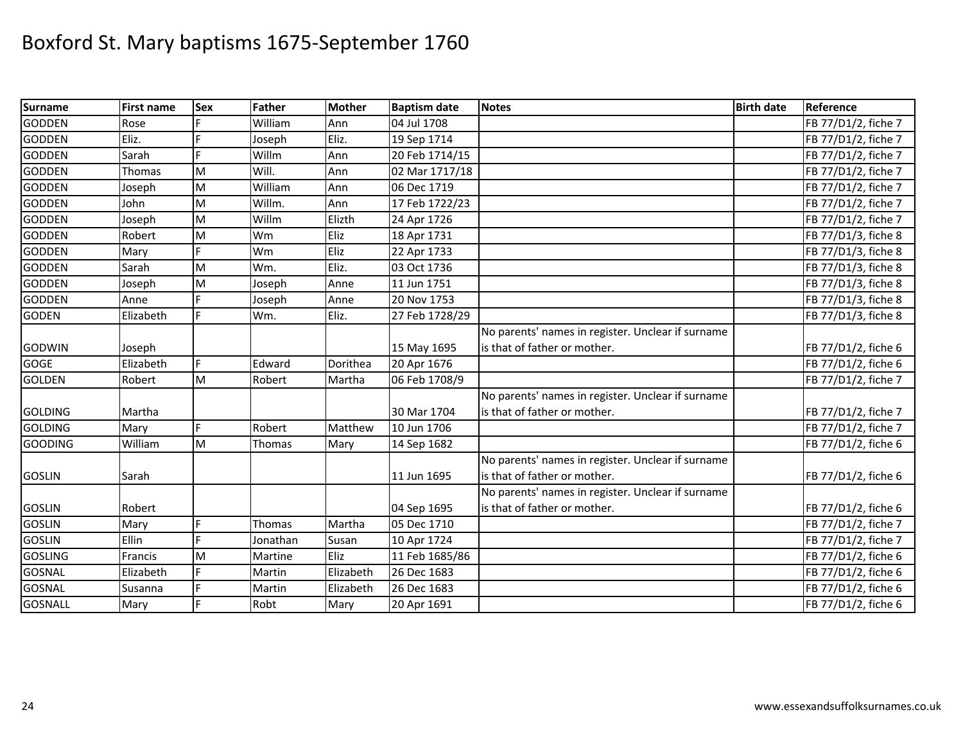| <b>Surname</b> | <b>First name</b> | Sex | <b>Father</b> | <b>Mother</b> | <b>Baptism date</b> | <b>Notes</b>                                      | <b>Birth date</b> | Reference           |
|----------------|-------------------|-----|---------------|---------------|---------------------|---------------------------------------------------|-------------------|---------------------|
| <b>GODDEN</b>  | Rose              |     | William       | Ann           | 04 Jul 1708         |                                                   |                   | FB 77/D1/2, fiche 7 |
| <b>GODDEN</b>  | Eliz.             |     | Joseph        | Eliz.         | 19 Sep 1714         |                                                   |                   | FB 77/D1/2, fiche 7 |
| <b>GODDEN</b>  | Sarah             |     | Willm         | Ann           | 20 Feb 1714/15      |                                                   |                   | FB 77/D1/2, fiche 7 |
| <b>GODDEN</b>  | Thomas            | M   | Will.         | Ann           | 02 Mar 1717/18      |                                                   |                   | FB 77/D1/2, fiche 7 |
| <b>GODDEN</b>  | Joseph            | M   | William       | Ann           | 06 Dec 1719         |                                                   |                   | FB 77/D1/2, fiche 7 |
| <b>GODDEN</b>  | John              | M   | Willm.        | Ann           | 17 Feb 1722/23      |                                                   |                   | FB 77/D1/2, fiche 7 |
| <b>GODDEN</b>  | Joseph            | M   | Willm         | Elizth        | 24 Apr 1726         |                                                   |                   | FB 77/D1/2, fiche 7 |
| <b>GODDEN</b>  | Robert            | M   | Wm            | Eliz          | 18 Apr 1731         |                                                   |                   | FB 77/D1/3, fiche 8 |
| <b>GODDEN</b>  | Mary              |     | Wm            | Eliz          | 22 Apr 1733         |                                                   |                   | FB 77/D1/3, fiche 8 |
| <b>GODDEN</b>  | Sarah             | M   | Wm.           | Eliz.         | 03 Oct 1736         |                                                   |                   | FB 77/D1/3, fiche 8 |
| <b>GODDEN</b>  | Joseph            | M   | Joseph        | Anne          | 11 Jun 1751         |                                                   |                   | FB 77/D1/3, fiche 8 |
| <b>GODDEN</b>  | Anne              |     | Joseph        | Anne          | 20 Nov 1753         |                                                   |                   | FB 77/D1/3, fiche 8 |
| <b>GODEN</b>   | Elizabeth         |     | Wm.           | Eliz.         | 27 Feb 1728/29      |                                                   |                   | FB 77/D1/3, fiche 8 |
|                |                   |     |               |               |                     | No parents' names in register. Unclear if surname |                   |                     |
| <b>GODWIN</b>  | Joseph            |     |               |               | 15 May 1695         | is that of father or mother.                      |                   | FB 77/D1/2, fiche 6 |
| <b>GOGE</b>    | Elizabeth         | E.  | Edward        | Dorithea      | 20 Apr 1676         |                                                   |                   | FB 77/D1/2, fiche 6 |
| <b>GOLDEN</b>  | Robert            | Iм  | Robert        | Martha        | 06 Feb 1708/9       |                                                   |                   | FB 77/D1/2, fiche 7 |
|                |                   |     |               |               |                     | No parents' names in register. Unclear if surname |                   |                     |
| <b>GOLDING</b> | Martha            |     |               |               | 30 Mar 1704         | is that of father or mother.                      |                   | FB 77/D1/2, fiche 7 |
| <b>GOLDING</b> | Mary              | E   | Robert        | Matthew       | 10 Jun 1706         |                                                   |                   | FB 77/D1/2, fiche 7 |
| <b>GOODING</b> | William           | M   | Thomas        | Mary          | 14 Sep 1682         |                                                   |                   | FB 77/D1/2, fiche 6 |
|                |                   |     |               |               |                     | No parents' names in register. Unclear if surname |                   |                     |
| <b>GOSLIN</b>  | Sarah             |     |               |               | 11 Jun 1695         | is that of father or mother.                      |                   | FB 77/D1/2, fiche 6 |
|                |                   |     |               |               |                     | No parents' names in register. Unclear if surname |                   |                     |
| <b>GOSLIN</b>  | Robert            |     |               |               | 04 Sep 1695         | is that of father or mother.                      |                   | FB 77/D1/2, fiche 6 |
| <b>GOSLIN</b>  | Mary              | Ė   | Thomas        | Martha        | 05 Dec 1710         |                                                   |                   | FB 77/D1/2, fiche 7 |
| <b>GOSLIN</b>  | Ellin             |     | Jonathan      | Susan         | 10 Apr 1724         |                                                   |                   | FB 77/D1/2, fiche 7 |
| <b>GOSLING</b> | Francis           | M   | Martine       | Eliz          | 11 Feb 1685/86      |                                                   |                   | FB 77/D1/2, fiche 6 |
| <b>GOSNAL</b>  | Elizabeth         |     | Martin        | Elizabeth     | 26 Dec 1683         |                                                   |                   | FB 77/D1/2, fiche 6 |
| <b>GOSNAL</b>  | Susanna           |     | Martin        | Elizabeth     | 26 Dec 1683         |                                                   |                   | FB 77/D1/2, fiche 6 |
| <b>GOSNALL</b> | Mary              | F   | Robt          | Mary          | 20 Apr 1691         |                                                   |                   | FB 77/D1/2, fiche 6 |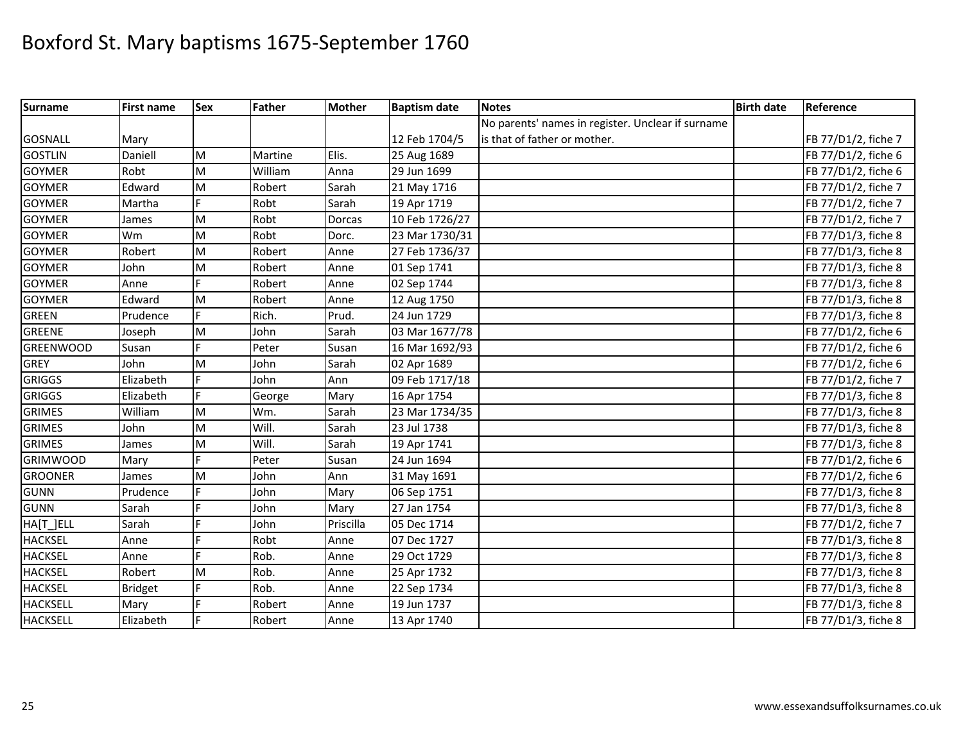| <b>Surname</b>   | <b>First name</b> | <b>Sex</b> | <b>Father</b> | <b>Mother</b> | <b>Baptism date</b> | <b>Notes</b>                                      | <b>Birth date</b> | Reference           |
|------------------|-------------------|------------|---------------|---------------|---------------------|---------------------------------------------------|-------------------|---------------------|
|                  |                   |            |               |               |                     | No parents' names in register. Unclear if surname |                   |                     |
| <b>GOSNALL</b>   | Mary              |            |               |               | 12 Feb 1704/5       | is that of father or mother.                      |                   | FB 77/D1/2, fiche 7 |
| <b>GOSTLIN</b>   | Daniell           | M          | Martine       | Elis.         | 25 Aug 1689         |                                                   |                   | FB 77/D1/2, fiche 6 |
| <b>GOYMER</b>    | Robt              | M          | William       | Anna          | 29 Jun 1699         |                                                   |                   | FB 77/D1/2, fiche 6 |
| <b>GOYMER</b>    | Edward            | M          | Robert        | Sarah         | 21 May 1716         |                                                   |                   | FB 77/D1/2, fiche 7 |
| <b>GOYMER</b>    | Martha            | F          | Robt          | Sarah         | 19 Apr 1719         |                                                   |                   | FB 77/D1/2, fiche 7 |
| <b>GOYMER</b>    | James             | M          | Robt          | Dorcas        | 10 Feb 1726/27      |                                                   |                   | FB 77/D1/2, fiche 7 |
| <b>GOYMER</b>    | Wm                | M          | Robt          | Dorc.         | 23 Mar 1730/31      |                                                   |                   | FB 77/D1/3, fiche 8 |
| <b>GOYMER</b>    | Robert            | M          | Robert        | Anne          | 27 Feb 1736/37      |                                                   |                   | FB 77/D1/3, fiche 8 |
| <b>GOYMER</b>    | John              | M          | Robert        | Anne          | 01 Sep 1741         |                                                   |                   | FB 77/D1/3, fiche 8 |
| <b>GOYMER</b>    | Anne              |            | Robert        | Anne          | 02 Sep 1744         |                                                   |                   | FB 77/D1/3, fiche 8 |
| <b>GOYMER</b>    | Edward            | M          | Robert        | Anne          | 12 Aug 1750         |                                                   |                   | FB 77/D1/3, fiche 8 |
| <b>GREEN</b>     | Prudence          | E.         | Rich.         | Prud.         | 24 Jun 1729         |                                                   |                   | FB 77/D1/3, fiche 8 |
| <b>GREENE</b>    | Joseph            | M          | John          | Sarah         | 03 Mar 1677/78      |                                                   |                   | FB 77/D1/2, fiche 6 |
| <b>GREENWOOD</b> | Susan             |            | Peter         | Susan         | 16 Mar 1692/93      |                                                   |                   | FB 77/D1/2, fiche 6 |
| <b>GREY</b>      | John              | M          | John          | Sarah         | 02 Apr 1689         |                                                   |                   | FB 77/D1/2, fiche 6 |
| <b>GRIGGS</b>    | Elizabeth         | Þ          | John          | Ann           | 09 Feb 1717/18      |                                                   |                   | FB 77/D1/2, fiche 7 |
| <b>GRIGGS</b>    | Elizabeth         | F          | George        | Mary          | 16 Apr 1754         |                                                   |                   | FB 77/D1/3, fiche 8 |
| <b>GRIMES</b>    | William           | M          | Wm.           | Sarah         | 23 Mar 1734/35      |                                                   |                   | FB 77/D1/3, fiche 8 |
| <b>GRIMES</b>    | John              | M          | Will.         | Sarah         | 23 Jul 1738         |                                                   |                   | FB 77/D1/3, fiche 8 |
| <b>GRIMES</b>    | James             | M          | Will.         | Sarah         | 19 Apr 1741         |                                                   |                   | FB 77/D1/3, fiche 8 |
| <b>GRIMWOOD</b>  | Mary              | F          | Peter         | Susan         | 24 Jun 1694         |                                                   |                   | FB 77/D1/2, fiche 6 |
| <b>GROONER</b>   | James             | M          | John          | Ann           | 31 May 1691         |                                                   |                   | FB 77/D1/2, fiche 6 |
| <b>GUNN</b>      | Prudence          | Е          | John          | Mary          | 06 Sep 1751         |                                                   |                   | FB 77/D1/3, fiche 8 |
| <b>GUNN</b>      | Sarah             |            | John          | Mary          | 27 Jan 1754         |                                                   |                   | FB 77/D1/3, fiche 8 |
| HA[T_]ELL        | Sarah             |            | John          | Priscilla     | 05 Dec 1714         |                                                   |                   | FB 77/D1/2, fiche 7 |
| <b>HACKSEL</b>   | Anne              | F          | Robt          | Anne          | 07 Dec 1727         |                                                   |                   | FB 77/D1/3, fiche 8 |
| <b>HACKSEL</b>   | Anne              | F          | Rob.          | Anne          | 29 Oct 1729         |                                                   |                   | FB 77/D1/3, fiche 8 |
| <b>HACKSEL</b>   | Robert            | M          | Rob.          | Anne          | 25 Apr 1732         |                                                   |                   | FB 77/D1/3, fiche 8 |
| <b>HACKSEL</b>   | <b>Bridget</b>    |            | Rob.          | Anne          | 22 Sep 1734         |                                                   |                   | FB 77/D1/3, fiche 8 |
| <b>HACKSELL</b>  | Mary              |            | Robert        | Anne          | 19 Jun 1737         |                                                   |                   | FB 77/D1/3, fiche 8 |
| <b>HACKSELL</b>  | Elizabeth         | F          | Robert        | Anne          | 13 Apr 1740         |                                                   |                   | FB 77/D1/3, fiche 8 |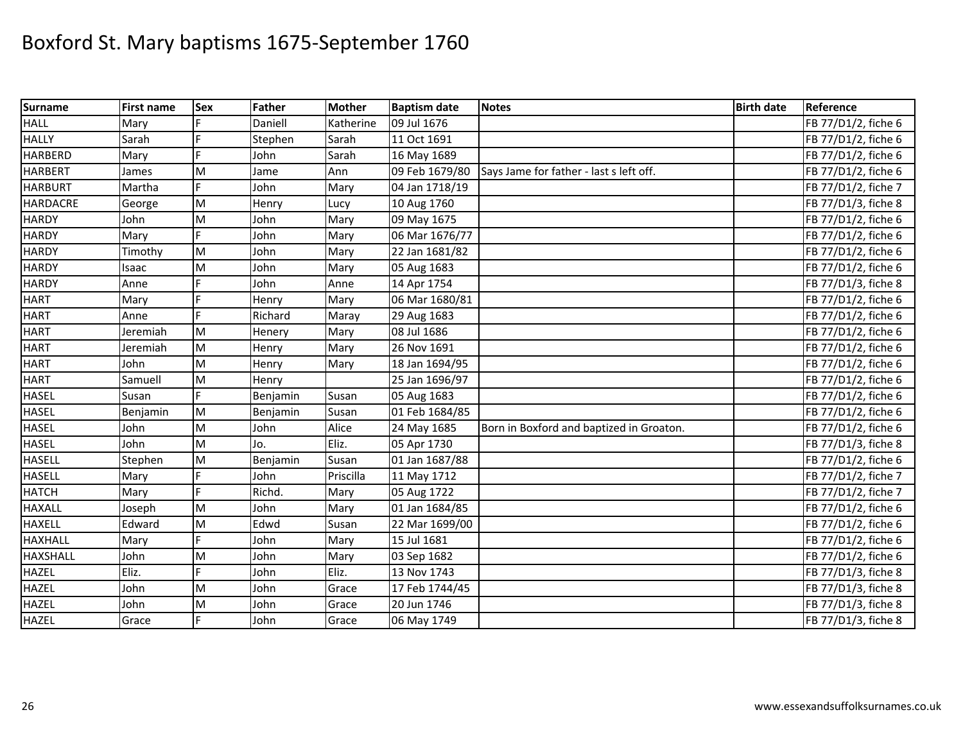| <b>Surname</b>  | <b>First name</b> | <b>Sex</b> | <b>Father</b> | <b>Mother</b> | <b>Baptism date</b> | <b>Notes</b>                             | <b>Birth date</b> | Reference           |
|-----------------|-------------------|------------|---------------|---------------|---------------------|------------------------------------------|-------------------|---------------------|
| <b>HALL</b>     | Mary              |            | Daniell       | Katherine     | 09 Jul 1676         |                                          |                   | FB 77/D1/2, fiche 6 |
| <b>HALLY</b>    | Sarah             |            | Stephen       | Sarah         | 11 Oct 1691         |                                          |                   | FB 77/D1/2, fiche 6 |
| <b>HARBERD</b>  | Mary              |            | John          | Sarah         | 16 May 1689         |                                          |                   | FB 77/D1/2, fiche 6 |
| <b>HARBERT</b>  | James             | M          | Jame          | Ann           | 09 Feb 1679/80      | Says Jame for father - last s left off.  |                   | FB 77/D1/2, fiche 6 |
| <b>HARBURT</b>  | Martha            | F          | John          | Mary          | 04 Jan 1718/19      |                                          |                   | FB 77/D1/2, fiche 7 |
| <b>HARDACRE</b> | George            | M          | Henry         | Lucy          | 10 Aug 1760         |                                          |                   | FB 77/D1/3, fiche 8 |
| <b>HARDY</b>    | John              | M          | John          | Mary          | 09 May 1675         |                                          |                   | FB 77/D1/2, fiche 6 |
| <b>HARDY</b>    | Mary              |            | John          | Mary          | 06 Mar 1676/77      |                                          |                   | FB 77/D1/2, fiche 6 |
| <b>HARDY</b>    | Timothy           | M          | John          | Mary          | 22 Jan 1681/82      |                                          |                   | FB 77/D1/2, fiche 6 |
| <b>HARDY</b>    | Isaac             | M          | John          | Mary          | 05 Aug 1683         |                                          |                   | FB 77/D1/2, fiche 6 |
| <b>HARDY</b>    | Anne              |            | John          | Anne          | 14 Apr 1754         |                                          |                   | FB 77/D1/3, fiche 8 |
| <b>HART</b>     | Mary              |            | Henry         | Mary          | 06 Mar 1680/81      |                                          |                   | FB 77/D1/2, fiche 6 |
| <b>HART</b>     | Anne              | Ė          | Richard       | Maray         | 29 Aug 1683         |                                          |                   | FB 77/D1/2, fiche 6 |
| <b>HART</b>     | Jeremiah          | M          | Henery        | Mary          | 08 Jul 1686         |                                          |                   | FB 77/D1/2, fiche 6 |
| <b>HART</b>     | Jeremiah          | M          | Henry         | Mary          | 26 Nov 1691         |                                          |                   | FB 77/D1/2, fiche 6 |
| <b>HART</b>     | John              | M          | Henry         | Mary          | 18 Jan 1694/95      |                                          |                   | FB 77/D1/2, fiche 6 |
| <b>HART</b>     | Samuell           | M          | Henry         |               | 25 Jan 1696/97      |                                          |                   | FB 77/D1/2, fiche 6 |
| <b>HASEL</b>    | Susan             |            | Benjamin      | Susan         | 05 Aug 1683         |                                          |                   | FB 77/D1/2, fiche 6 |
| <b>HASEL</b>    | Benjamin          | M          | Benjamin      | Susan         | 01 Feb 1684/85      |                                          |                   | FB 77/D1/2, fiche 6 |
| <b>HASEL</b>    | John              | M          | John          | Alice         | 24 May 1685         | Born in Boxford and baptized in Groaton. |                   | FB 77/D1/2, fiche 6 |
| <b>HASEL</b>    | John              | M          | Jo.           | Eliz.         | 05 Apr 1730         |                                          |                   | FB 77/D1/3, fiche 8 |
| <b>HASELL</b>   | Stephen           | M          | Benjamin      | Susan         | 01 Jan 1687/88      |                                          |                   | FB 77/D1/2, fiche 6 |
| <b>HASELL</b>   | Mary              |            | John          | Priscilla     | 11 May 1712         |                                          |                   | FB 77/D1/2, fiche 7 |
| <b>HATCH</b>    | Mary              | F          | Richd.        | Mary          | 05 Aug 1722         |                                          |                   | FB 77/D1/2, fiche 7 |
| <b>HAXALL</b>   | Joseph            | M          | John          | Mary          | 01 Jan 1684/85      |                                          |                   | FB 77/D1/2, fiche 6 |
| <b>HAXELL</b>   | Edward            | M          | Edwd          | Susan         | 22 Mar 1699/00      |                                          |                   | FB 77/D1/2, fiche 6 |
| <b>HAXHALL</b>  | Mary              | F          | John          | Mary          | 15 Jul 1681         |                                          |                   | FB 77/D1/2, fiche 6 |
| <b>HAXSHALL</b> | John              | M          | John          | Mary          | 03 Sep 1682         |                                          |                   | FB 77/D1/2, fiche 6 |
| <b>HAZEL</b>    | Eliz.             | E.         | John          | Eliz.         | 13 Nov 1743         |                                          |                   | FB 77/D1/3, fiche 8 |
| <b>HAZEL</b>    | John              | M          | John          | Grace         | 17 Feb 1744/45      |                                          |                   | FB 77/D1/3, fiche 8 |
| <b>HAZEL</b>    | John              | M          | John          | Grace         | 20 Jun 1746         |                                          |                   | FB 77/D1/3, fiche 8 |
| <b>HAZEL</b>    | Grace             | F          | John          | Grace         | 06 May 1749         |                                          |                   | FB 77/D1/3, fiche 8 |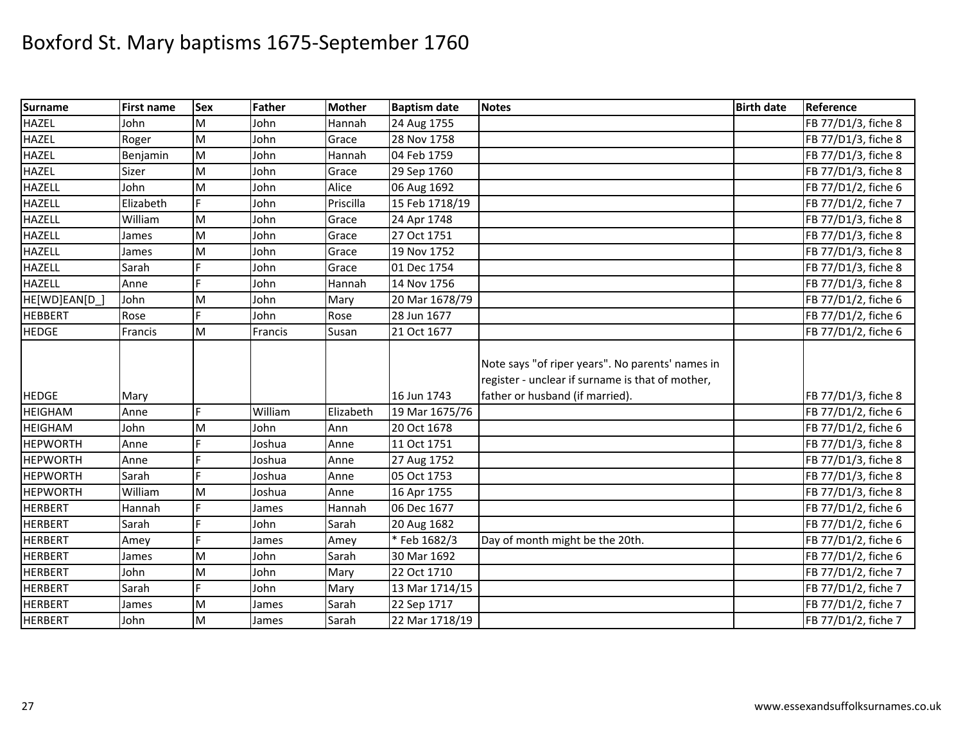| <b>Surname</b>  | <b>First name</b> | <b>Sex</b> | <b>Father</b> | <b>Mother</b> | <b>Baptism date</b> | <b>Notes</b>                                                                                                                            | <b>Birth date</b> | Reference           |
|-----------------|-------------------|------------|---------------|---------------|---------------------|-----------------------------------------------------------------------------------------------------------------------------------------|-------------------|---------------------|
| <b>HAZEL</b>    | John              | M          | John          | Hannah        | 24 Aug 1755         |                                                                                                                                         |                   | FB 77/D1/3, fiche 8 |
| <b>HAZEL</b>    | Roger             | M          | John          | Grace         | 28 Nov 1758         |                                                                                                                                         |                   | FB 77/D1/3, fiche 8 |
| <b>HAZEL</b>    | Benjamin          | M          | John          | Hannah        | 04 Feb 1759         |                                                                                                                                         |                   | FB 77/D1/3, fiche 8 |
| <b>HAZEL</b>    | Sizer             | M          | John          | Grace         | 29 Sep 1760         |                                                                                                                                         |                   | FB 77/D1/3, fiche 8 |
| <b>HAZELL</b>   | John              | M          | John          | Alice         | 06 Aug 1692         |                                                                                                                                         |                   | FB 77/D1/2, fiche 6 |
| <b>HAZELL</b>   | Elizabeth         | E          | John          | Priscilla     | 15 Feb 1718/19      |                                                                                                                                         |                   | FB 77/D1/2, fiche 7 |
| <b>HAZELL</b>   | William           | M          | John          | Grace         | 24 Apr 1748         |                                                                                                                                         |                   | FB 77/D1/3, fiche 8 |
| <b>HAZELL</b>   | James             | M          | John          | Grace         | 27 Oct 1751         |                                                                                                                                         |                   | FB 77/D1/3, fiche 8 |
| <b>HAZELL</b>   | James             | M          | John          | Grace         | 19 Nov 1752         |                                                                                                                                         |                   | FB 77/D1/3, fiche 8 |
| <b>HAZELL</b>   | Sarah             | E          | John          | Grace         | 01 Dec 1754         |                                                                                                                                         |                   | FB 77/D1/3, fiche 8 |
| <b>HAZELL</b>   | Anne              | F          | John          | Hannah        | 14 Nov 1756         |                                                                                                                                         |                   | FB 77/D1/3, fiche 8 |
| HE[WD]EAN[D     | John              | M          | John          | Mary          | 20 Mar 1678/79      |                                                                                                                                         |                   | FB 77/D1/2, fiche 6 |
| <b>HEBBERT</b>  | Rose              | F          | John          | Rose          | 28 Jun 1677         |                                                                                                                                         |                   | FB 77/D1/2, fiche 6 |
| <b>HEDGE</b>    | Francis           | M          | Francis       | Susan         | 21 Oct 1677         |                                                                                                                                         |                   | FB 77/D1/2, fiche 6 |
| <b>HEDGE</b>    | Mary              |            |               |               | 16 Jun 1743         | Note says "of riper years". No parents' names in<br>register - unclear if surname is that of mother,<br>father or husband (if married). |                   | FB 77/D1/3, fiche 8 |
| <b>HEIGHAM</b>  | Anne              | F.         | William       | Elizabeth     | 19 Mar 1675/76      |                                                                                                                                         |                   | FB 77/D1/2, fiche 6 |
| <b>HEIGHAM</b>  | John              | M          | John          | Ann           | 20 Oct 1678         |                                                                                                                                         |                   | FB 77/D1/2, fiche 6 |
| <b>HEPWORTH</b> | Anne              |            | Joshua        | Anne          | 11 Oct 1751         |                                                                                                                                         |                   | FB 77/D1/3, fiche 8 |
| <b>HEPWORTH</b> | Anne              | Þ          | Joshua        | Anne          | 27 Aug 1752         |                                                                                                                                         |                   | FB 77/D1/3, fiche 8 |
| <b>HEPWORTH</b> | Sarah             | E          | Joshua        | Anne          | 05 Oct 1753         |                                                                                                                                         |                   | FB 77/D1/3, fiche 8 |
| <b>HEPWORTH</b> | William           | M          | Joshua        | Anne          | 16 Apr 1755         |                                                                                                                                         |                   | FB 77/D1/3, fiche 8 |
| <b>HERBERT</b>  | Hannah            | F          | James         | Hannah        | 06 Dec 1677         |                                                                                                                                         |                   | FB 77/D1/2, fiche 6 |
| <b>HERBERT</b>  | Sarah             | F          | John          | Sarah         | 20 Aug 1682         |                                                                                                                                         |                   | FB 77/D1/2, fiche 6 |
| <b>HERBERT</b>  | Amey              | F          | James         | Amey          | *Feb 1682/3         | Day of month might be the 20th.                                                                                                         |                   | FB 77/D1/2, fiche 6 |
| <b>HERBERT</b>  | James             | M          | John          | Sarah         | 30 Mar 1692         |                                                                                                                                         |                   | FB 77/D1/2, fiche 6 |
| <b>HERBERT</b>  | John              | M          | John          | Mary          | 22 Oct 1710         |                                                                                                                                         |                   | FB 77/D1/2, fiche 7 |
| <b>HERBERT</b>  | Sarah             | F          | John          | Mary          | 13 Mar 1714/15      |                                                                                                                                         |                   | FB 77/D1/2, fiche 7 |
| <b>HERBERT</b>  | James             | M          | James         | Sarah         | 22 Sep 1717         |                                                                                                                                         |                   | FB 77/D1/2, fiche 7 |
| <b>HERBERT</b>  | John              | M          | James         | Sarah         | 22 Mar 1718/19      |                                                                                                                                         |                   | FB 77/D1/2, fiche 7 |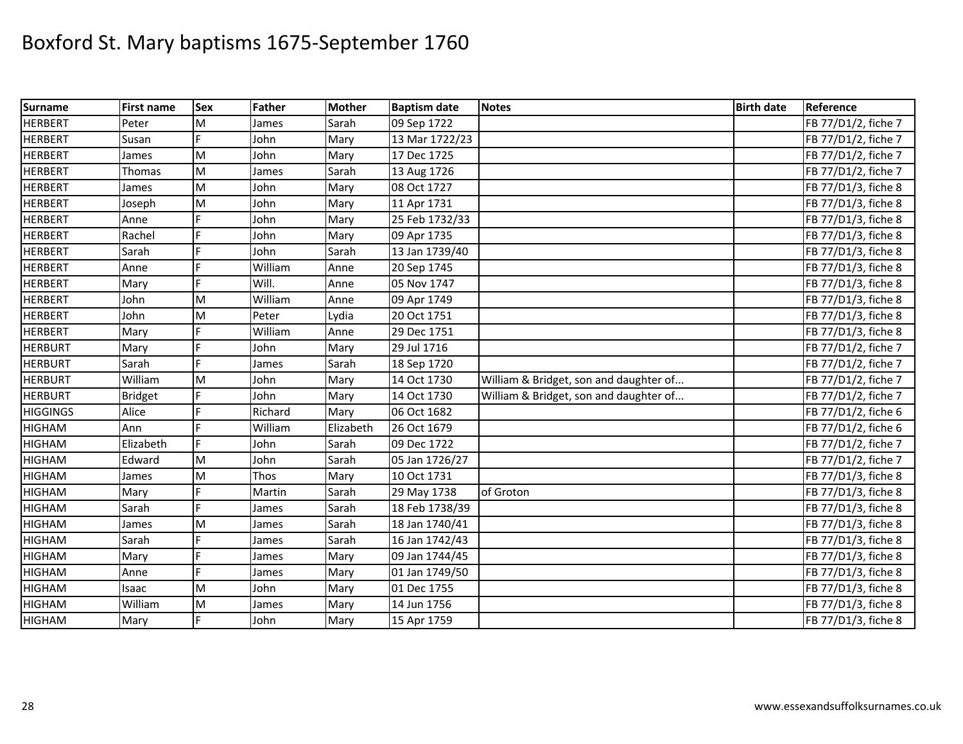| <b>Surname</b>  | <b>First name</b> | <b>Sex</b> | Father  | <b>Mother</b> | <b>Baptism date</b> | <b>Notes</b>                           | <b>Birth date</b> | Reference           |
|-----------------|-------------------|------------|---------|---------------|---------------------|----------------------------------------|-------------------|---------------------|
| <b>HERBERT</b>  | Peter             | M          | James   | Sarah         | 09 Sep 1722         |                                        |                   | FB 77/D1/2, fiche 7 |
| <b>HERBERT</b>  | Susan             |            | John    | Mary          | 13 Mar 1722/23      |                                        |                   | FB 77/D1/2, fiche 7 |
| <b>HERBERT</b>  | James             | M          | John    | Mary          | 17 Dec 1725         |                                        |                   | FB 77/D1/2, fiche 7 |
| <b>HERBERT</b>  | Thomas            | M          | James   | Sarah         | 13 Aug 1726         |                                        |                   | FB 77/D1/2, fiche 7 |
| <b>HERBERT</b>  | James             | M          | John    | Mary          | 08 Oct 1727         |                                        |                   | FB 77/D1/3, fiche 8 |
| <b>HERBERT</b>  | Joseph            | M          | John    | Mary          | 11 Apr 1731         |                                        |                   | FB 77/D1/3, fiche 8 |
| <b>HERBERT</b>  | Anne              |            | John    | Mary          | 25 Feb 1732/33      |                                        |                   | FB 77/D1/3, fiche 8 |
| <b>HERBERT</b>  | Rachel            | E          | John    | Mary          | 09 Apr 1735         |                                        |                   | FB 77/D1/3, fiche 8 |
| <b>HERBERT</b>  | Sarah             | F          | John    | Sarah         | 13 Jan 1739/40      |                                        |                   | FB 77/D1/3, fiche 8 |
| <b>HERBERT</b>  | Anne              | d          | William | Anne          | 20 Sep 1745         |                                        |                   | FB 77/D1/3, fiche 8 |
| <b>HERBERT</b>  | Mary              | F          | Will.   | Anne          | 05 Nov 1747         |                                        |                   | FB 77/D1/3, fiche 8 |
| <b>HERBERT</b>  | John              | M          | William | Anne          | 09 Apr 1749         |                                        |                   | FB 77/D1/3, fiche 8 |
| <b>HERBERT</b>  | John              | M          | Peter   | Lydia         | 20 Oct 1751         |                                        |                   | FB 77/D1/3, fiche 8 |
| <b>HERBERT</b>  | Mary              | É          | William | Anne          | 29 Dec 1751         |                                        |                   | FB 77/D1/3, fiche 8 |
| <b>HERBURT</b>  | Mary              | F.         | John    | Mary          | 29 Jul 1716         |                                        |                   | FB 77/D1/2, fiche 7 |
| <b>HERBURT</b>  | Sarah             |            | James   | Sarah         | 18 Sep 1720         |                                        |                   | FB 77/D1/2, fiche 7 |
| <b>HERBURT</b>  | William           | M          | John    | Mary          | 14 Oct 1730         | William & Bridget, son and daughter of |                   | FB 77/D1/2, fiche 7 |
| <b>HERBURT</b>  | <b>Bridget</b>    |            | John    | Mary          | 14 Oct 1730         | William & Bridget, son and daughter of |                   | FB 77/D1/2, fiche 7 |
| <b>HIGGINGS</b> | Alice             | F          | Richard | Mary          | 06 Oct 1682         |                                        |                   | FB 77/D1/2, fiche 6 |
| <b>HIGHAM</b>   | Ann               |            | William | Elizabeth     | 26 Oct 1679         |                                        |                   | FB 77/D1/2, fiche 6 |
| <b>HIGHAM</b>   | Elizabeth         |            | John    | Sarah         | 09 Dec 1722         |                                        |                   | FB 77/D1/2, fiche 7 |
| <b>HIGHAM</b>   | Edward            | M          | John    | Sarah         | 05 Jan 1726/27      |                                        |                   | FB 77/D1/2, fiche 7 |
| <b>HIGHAM</b>   | James             | M          | Thos    | Mary          | 10 Oct 1731         |                                        |                   | FB 77/D1/3, fiche 8 |
| <b>HIGHAM</b>   | Mary              |            | Martin  | Sarah         | 29 May 1738         | of Groton                              |                   | FB 77/D1/3, fiche 8 |
| <b>HIGHAM</b>   | Sarah             | F          | James   | Sarah         | 18 Feb 1738/39      |                                        |                   | FB 77/D1/3, fiche 8 |
| <b>HIGHAM</b>   | James             | M          | James   | Sarah         | 18 Jan 1740/41      |                                        |                   | FB 77/D1/3, fiche 8 |
| <b>HIGHAM</b>   | Sarah             | É          | James   | Sarah         | 16 Jan 1742/43      |                                        |                   | FB 77/D1/3, fiche 8 |
| <b>HIGHAM</b>   | Mary              | E          | James   | Mary          | 09 Jan 1744/45      |                                        |                   | FB 77/D1/3, fiche 8 |
| <b>HIGHAM</b>   | Anne              | F          | James   | Mary          | 01 Jan 1749/50      |                                        |                   | FB 77/D1/3, fiche 8 |
| <b>HIGHAM</b>   | Isaac             | M          | John    | Mary          | 01 Dec 1755         |                                        |                   | FB 77/D1/3, fiche 8 |
| <b>HIGHAM</b>   | William           | M          | James   | Mary          | 14 Jun 1756         |                                        |                   | FB 77/D1/3, fiche 8 |
| <b>HIGHAM</b>   | Mary              |            | John    | Mary          | 15 Apr 1759         |                                        |                   | FB 77/D1/3, fiche 8 |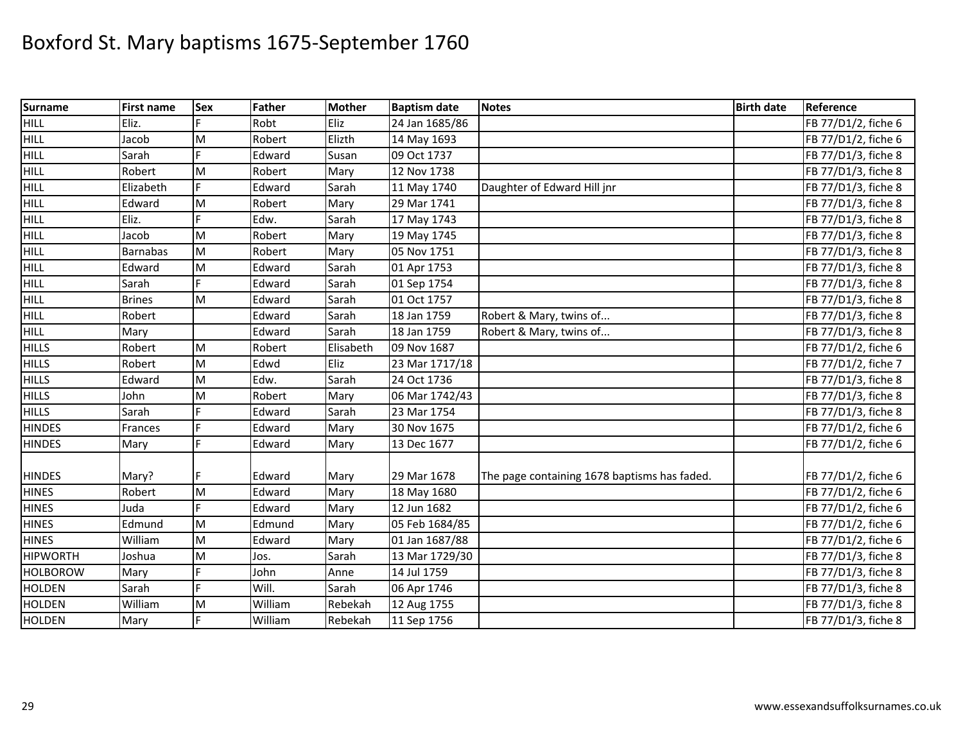| <b>Surname</b>  | <b>First name</b> | <b>Sex</b> | Father  | <b>Mother</b> | <b>Baptism date</b> | <b>Notes</b>                                 | <b>Birth date</b> | Reference           |
|-----------------|-------------------|------------|---------|---------------|---------------------|----------------------------------------------|-------------------|---------------------|
| HILL            | Eliz.             |            | Robt    | Eliz          | 24 Jan 1685/86      |                                              |                   | FB 77/D1/2, fiche 6 |
| <b>HILL</b>     | Jacob             | M          | Robert  | Elizth        | 14 May 1693         |                                              |                   | FB 77/D1/2, fiche 6 |
| <b>HILL</b>     | Sarah             |            | Edward  | Susan         | 09 Oct 1737         |                                              |                   | FB 77/D1/3, fiche 8 |
| <b>HILL</b>     | Robert            | M          | Robert  | Mary          | 12 Nov 1738         |                                              |                   | FB 77/D1/3, fiche 8 |
| <b>HILL</b>     | Elizabeth         | F          | Edward  | Sarah         | 11 May 1740         | Daughter of Edward Hill jnr                  |                   | FB 77/D1/3, fiche 8 |
| <b>HILL</b>     | Edward            | M          | Robert  | Mary          | 29 Mar 1741         |                                              |                   | FB 77/D1/3, fiche 8 |
| <b>HILL</b>     | Eliz.             |            | Edw.    | Sarah         | 17 May 1743         |                                              |                   | FB 77/D1/3, fiche 8 |
| <b>HILL</b>     | Jacob             | M          | Robert  | Mary          | 19 May 1745         |                                              |                   | FB 77/D1/3, fiche 8 |
| <b>HILL</b>     | <b>Barnabas</b>   | M          | Robert  | Mary          | 05 Nov 1751         |                                              |                   | FB 77/D1/3, fiche 8 |
| <b>HILL</b>     | Edward            | M          | Edward  | Sarah         | 01 Apr 1753         |                                              |                   | FB 77/D1/3, fiche 8 |
| <b>HILL</b>     | Sarah             | E          | Edward  | Sarah         | 01 Sep 1754         |                                              |                   | FB 77/D1/3, fiche 8 |
| <b>HILL</b>     | <b>Brines</b>     | M          | Edward  | Sarah         | 01 Oct 1757         |                                              |                   | FB 77/D1/3, fiche 8 |
| <b>HILL</b>     | Robert            |            | Edward  | Sarah         | 18 Jan 1759         | Robert & Mary, twins of                      |                   | FB 77/D1/3, fiche 8 |
| <b>HILL</b>     | Mary              |            | Edward  | Sarah         | 18 Jan 1759         | Robert & Mary, twins of                      |                   | FB 77/D1/3, fiche 8 |
| <b>HILLS</b>    | Robert            | M          | Robert  | Elisabeth     | 09 Nov 1687         |                                              |                   | FB 77/D1/2, fiche 6 |
| <b>HILLS</b>    | Robert            | M          | Edwd    | Eliz          | 23 Mar 1717/18      |                                              |                   | FB 77/D1/2, fiche 7 |
| <b>HILLS</b>    | Edward            | M          | Edw.    | Sarah         | 24 Oct 1736         |                                              |                   | FB 77/D1/3, fiche 8 |
| <b>HILLS</b>    | John              | M          | Robert  | Mary          | 06 Mar 1742/43      |                                              |                   | FB 77/D1/3, fiche 8 |
| <b>HILLS</b>    | Sarah             |            | Edward  | Sarah         | 23 Mar 1754         |                                              |                   | FB 77/D1/3, fiche 8 |
| <b>HINDES</b>   | Frances           |            | Edward  | Mary          | 30 Nov 1675         |                                              |                   | FB 77/D1/2, fiche 6 |
| <b>HINDES</b>   | Mary              | F          | Edward  | Mary          | 13 Dec 1677         |                                              |                   | FB 77/D1/2, fiche 6 |
| <b>HINDES</b>   | Mary?             |            | Edward  | Mary          | 29 Mar 1678         | The page containing 1678 baptisms has faded. |                   | FB 77/D1/2, fiche 6 |
| <b>HINES</b>    | Robert            | M          | Edward  | Mary          | 18 May 1680         |                                              |                   | FB 77/D1/2, fiche 6 |
| <b>HINES</b>    | Juda              |            | Edward  | Mary          | 12 Jun 1682         |                                              |                   | FB 77/D1/2, fiche 6 |
| <b>HINES</b>    | Edmund            | M          | Edmund  | Mary          | 05 Feb 1684/85      |                                              |                   | FB 77/D1/2, fiche 6 |
| <b>HINES</b>    | William           | M          | Edward  | Mary          | 01 Jan 1687/88      |                                              |                   | FB 77/D1/2, fiche 6 |
| <b>HIPWORTH</b> | Joshua            | M          | Jos.    | Sarah         | 13 Mar 1729/30      |                                              |                   | FB 77/D1/3, fiche 8 |
| <b>HOLBOROW</b> | Mary              |            | John    | Anne          | 14 Jul 1759         |                                              |                   | FB 77/D1/3, fiche 8 |
| <b>HOLDEN</b>   | Sarah             | F          | Will.   | Sarah         | 06 Apr 1746         |                                              |                   | FB 77/D1/3, fiche 8 |
| <b>HOLDEN</b>   | William           | M          | William | Rebekah       | 12 Aug 1755         |                                              |                   | FB 77/D1/3, fiche 8 |
| <b>HOLDEN</b>   | Mary              | F          | William | Rebekah       | 11 Sep 1756         |                                              |                   | FB 77/D1/3, fiche 8 |
|                 |                   |            |         |               |                     |                                              |                   |                     |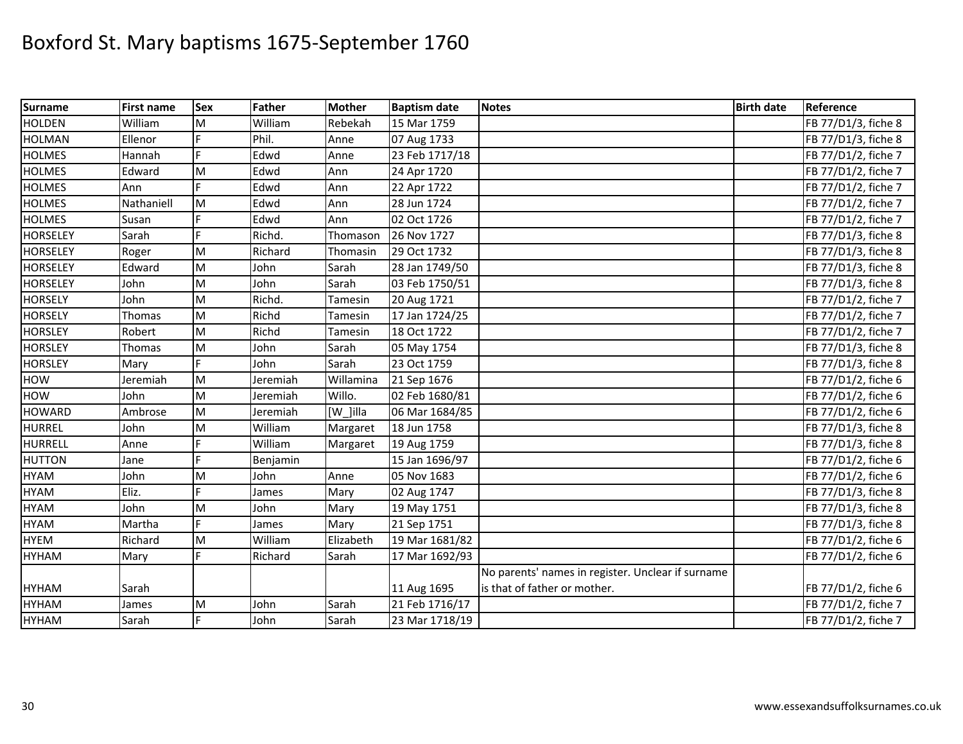| <b>Surname</b>  | First name | <b>Sex</b> | Father   | <b>Mother</b> | <b>Baptism date</b> | <b>Notes</b>                                      | <b>Birth date</b> | Reference           |
|-----------------|------------|------------|----------|---------------|---------------------|---------------------------------------------------|-------------------|---------------------|
| <b>HOLDEN</b>   | William    | M          | William  | Rebekah       | 15 Mar 1759         |                                                   |                   | FB 77/D1/3, fiche 8 |
| <b>HOLMAN</b>   | Ellenor    |            | Phil.    | Anne          | 07 Aug 1733         |                                                   |                   | FB 77/D1/3, fiche 8 |
| <b>HOLMES</b>   | Hannah     |            | Edwd     | Anne          | 23 Feb 1717/18      |                                                   |                   | FB 77/D1/2, fiche 7 |
| <b>HOLMES</b>   | Edward     | M          | Edwd     | Ann           | 24 Apr 1720         |                                                   |                   | FB 77/D1/2, fiche 7 |
| <b>HOLMES</b>   | Ann        | E.         | Edwd     | Ann           | 22 Apr 1722         |                                                   |                   | FB 77/D1/2, fiche 7 |
| <b>HOLMES</b>   | Nathaniell | M          | Edwd     | Ann           | 28 Jun 1724         |                                                   |                   | FB 77/D1/2, fiche 7 |
| <b>HOLMES</b>   | Susan      |            | Edwd     | Ann           | 02 Oct 1726         |                                                   |                   | FB 77/D1/2, fiche 7 |
| <b>HORSELEY</b> | Sarah      |            | Richd.   | Thomason      | 26 Nov 1727         |                                                   |                   | FB 77/D1/3, fiche 8 |
| <b>HORSELEY</b> | Roger      | M          | Richard  | Thomasin      | 29 Oct 1732         |                                                   |                   | FB 77/D1/3, fiche 8 |
| <b>HORSELEY</b> | Edward     | M          | John     | Sarah         | 28 Jan 1749/50      |                                                   |                   | FB 77/D1/3, fiche 8 |
| <b>HORSELEY</b> | John       | M          | John     | Sarah         | 03 Feb 1750/51      |                                                   |                   | FB 77/D1/3, fiche 8 |
| <b>HORSELY</b>  | John       | M          | Richd.   | Tamesin       | 20 Aug 1721         |                                                   |                   | FB 77/D1/2, fiche 7 |
| <b>HORSELY</b>  | Thomas     | M          | Richd    | Tamesin       | 17 Jan 1724/25      |                                                   |                   | FB 77/D1/2, fiche 7 |
| <b>HORSLEY</b>  | Robert     | M          | Richd    | Tamesin       | 18 Oct 1722         |                                                   |                   | FB 77/D1/2, fiche 7 |
| <b>HORSLEY</b>  | Thomas     | M          | John     | Sarah         | 05 May 1754         |                                                   |                   | FB 77/D1/3, fiche 8 |
| <b>HORSLEY</b>  | Mary       |            | John     | Sarah         | 23 Oct 1759         |                                                   |                   | FB 77/D1/3, fiche 8 |
| HOW             | Jeremiah   | M          | Jeremiah | Willamina     | 21 Sep 1676         |                                                   |                   | FB 77/D1/2, fiche 6 |
| HOW             | John       | M          | Jeremiah | Willo.        | 02 Feb 1680/81      |                                                   |                   | FB 77/D1/2, fiche 6 |
| <b>HOWARD</b>   | Ambrose    | M          | Jeremiah | [W ]illa      | 06 Mar 1684/85      |                                                   |                   | FB 77/D1/2, fiche 6 |
| <b>HURREL</b>   | John       | M          | William  | Margaret      | 18 Jun 1758         |                                                   |                   | FB 77/D1/3, fiche 8 |
| <b>HURRELL</b>  | Anne       |            | William  | Margaret      | 19 Aug 1759         |                                                   |                   | FB 77/D1/3, fiche 8 |
| <b>HUTTON</b>   | Jane       | F          | Benjamin |               | 15 Jan 1696/97      |                                                   |                   | FB 77/D1/2, fiche 6 |
| <b>HYAM</b>     | John       | M          | John     | Anne          | 05 Nov 1683         |                                                   |                   | FB 77/D1/2, fiche 6 |
| <b>HYAM</b>     | Eliz.      |            | James    | Mary          | 02 Aug 1747         |                                                   |                   | FB 77/D1/3, fiche 8 |
| <b>HYAM</b>     | John       | M          | John     | Mary          | 19 May 1751         |                                                   |                   | FB 77/D1/3, fiche 8 |
| <b>HYAM</b>     | Martha     | E          | James    | Mary          | 21 Sep 1751         |                                                   |                   | FB 77/D1/3, fiche 8 |
| <b>HYEM</b>     | Richard    | M          | William  | Elizabeth     | 19 Mar 1681/82      |                                                   |                   | FB 77/D1/2, fiche 6 |
| <b>HYHAM</b>    | Mary       | F          | Richard  | Sarah         | 17 Mar 1692/93      |                                                   |                   | FB 77/D1/2, fiche 6 |
|                 |            |            |          |               |                     | No parents' names in register. Unclear if surname |                   |                     |
| <b>HYHAM</b>    | Sarah      |            |          |               | 11 Aug 1695         | is that of father or mother.                      |                   | FB 77/D1/2, fiche 6 |
| <b>HYHAM</b>    | James      | M          | John     | Sarah         | 21 Feb 1716/17      |                                                   |                   | FB 77/D1/2, fiche 7 |
| <b>HYHAM</b>    | Sarah      | E          | John     | Sarah         | 23 Mar 1718/19      |                                                   |                   | FB 77/D1/2, fiche 7 |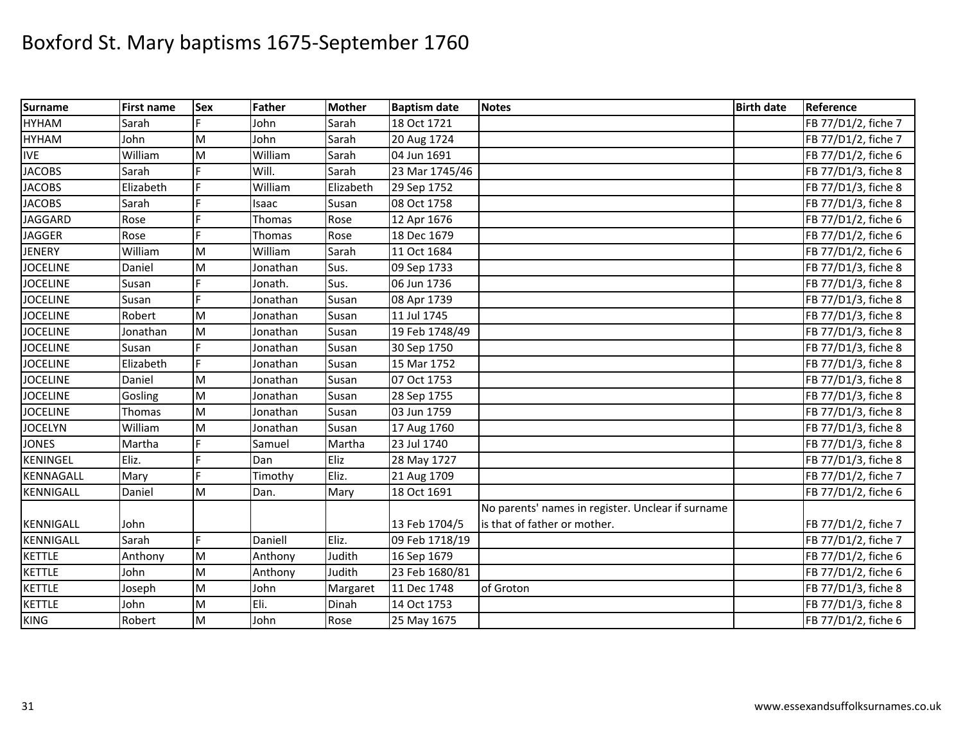| <b>Surname</b>   | <b>First name</b> | Sex       | Father        | <b>Mother</b> | <b>Baptism date</b> | <b>Notes</b>                                      | <b>Birth date</b> | Reference           |
|------------------|-------------------|-----------|---------------|---------------|---------------------|---------------------------------------------------|-------------------|---------------------|
| <b>HYHAM</b>     | Sarah             |           | John          | Sarah         | 18 Oct 1721         |                                                   |                   | FB 77/D1/2, fiche 7 |
| <b>HYHAM</b>     | John              | M         | John          | Sarah         | 20 Aug 1724         |                                                   |                   | FB 77/D1/2, fiche 7 |
| <b>IVE</b>       | William           | M         | William       | Sarah         | 04 Jun 1691         |                                                   |                   | FB 77/D1/2, fiche 6 |
| <b>JACOBS</b>    | Sarah             |           | Will.         | Sarah         | 23 Mar 1745/46      |                                                   |                   | FB 77/D1/3, fiche 8 |
| <b>JACOBS</b>    | Elizabeth         |           | William       | Elizabeth     | 29 Sep 1752         |                                                   |                   | FB 77/D1/3, fiche 8 |
| <b>JACOBS</b>    | Sarah             | Ė         | Isaac         | Susan         | 08 Oct 1758         |                                                   |                   | FB 77/D1/3, fiche 8 |
| <b>JAGGARD</b>   | Rose              |           | Thomas        | Rose          | 12 Apr 1676         |                                                   |                   | FB 77/D1/2, fiche 6 |
| <b>JAGGER</b>    | Rose              |           | <b>Thomas</b> | Rose          | 18 Dec 1679         |                                                   |                   | FB 77/D1/2, fiche 6 |
| <b>JENERY</b>    | William           | M         | William       | Sarah         | 11 Oct 1684         |                                                   |                   | FB 77/D1/2, fiche 6 |
| <b>JOCELINE</b>  | Daniel            | M         | Jonathan      | Sus.          | 09 Sep 1733         |                                                   |                   | FB 77/D1/3, fiche 8 |
| <b>JOCELINE</b>  | Susan             |           | Jonath.       | Sus.          | 06 Jun 1736         |                                                   |                   | FB 77/D1/3, fiche 8 |
| <b>JOCELINE</b>  | Susan             |           | Jonathan      | Susan         | 08 Apr 1739         |                                                   |                   | FB 77/D1/3, fiche 8 |
| <b>JOCELINE</b>  | Robert            | M         | Jonathan      | Susan         | 11 Jul 1745         |                                                   |                   | FB 77/D1/3, fiche 8 |
| <b>JOCELINE</b>  | Jonathan          | M         | Jonathan      | Susan         | 19 Feb 1748/49      |                                                   |                   | FB 77/D1/3, fiche 8 |
| <b>JOCELINE</b>  | Susan             |           | Jonathan      | Susan         | 30 Sep 1750         |                                                   |                   | FB 77/D1/3, fiche 8 |
| <b>JOCELINE</b>  | Elizabeth         |           | Jonathan      | Susan         | 15 Mar 1752         |                                                   |                   | FB 77/D1/3, fiche 8 |
| <b>JOCELINE</b>  | Daniel            | M         | Jonathan      | Susan         | 07 Oct 1753         |                                                   |                   | FB 77/D1/3, fiche 8 |
| <b>JOCELINE</b>  | Gosling           | M         | Jonathan      | Susan         | 28 Sep 1755         |                                                   |                   | FB 77/D1/3, fiche 8 |
| <b>JOCELINE</b>  | Thomas            | M         | Jonathan      | Susan         | 03 Jun 1759         |                                                   |                   | FB 77/D1/3, fiche 8 |
| <b>JOCELYN</b>   | William           | M         | Jonathan      | Susan         | 17 Aug 1760         |                                                   |                   | FB 77/D1/3, fiche 8 |
| <b>JONES</b>     | Martha            |           | Samuel        | Martha        | 23 Jul 1740         |                                                   |                   | FB 77/D1/3, fiche 8 |
| <b>KENINGEL</b>  | Eliz.             | Ė         | Dan           | Eliz          | 28 May 1727         |                                                   |                   | FB 77/D1/3, fiche 8 |
| <b>KENNAGALL</b> | Mary              | E         | Timothy       | Eliz.         | 21 Aug 1709         |                                                   |                   | FB 77/D1/2, fiche 7 |
| <b>KENNIGALL</b> | Daniel            | M         | Dan.          | Mary          | 18 Oct 1691         |                                                   |                   | FB 77/D1/2, fiche 6 |
|                  |                   |           |               |               |                     | No parents' names in register. Unclear if surname |                   |                     |
| KENNIGALL        | John              |           |               |               | 13 Feb 1704/5       | is that of father or mother.                      |                   | FB 77/D1/2, fiche 7 |
| <b>KENNIGALL</b> | Sarah             | F         | Daniell       | Eliz.         | 09 Feb 1718/19      |                                                   |                   | FB 77/D1/2, fiche 7 |
| <b>KETTLE</b>    | Anthony           | M         | Anthony       | Judith        | 16 Sep 1679         |                                                   |                   | FB 77/D1/2, fiche 6 |
| <b>KETTLE</b>    | John              | ${\sf M}$ | Anthony       | Judith        | 23 Feb 1680/81      |                                                   |                   | FB 77/D1/2, fiche 6 |
| <b>KETTLE</b>    | Joseph            | M         | John          | Margaret      | 11 Dec 1748         | of Groton                                         |                   | FB 77/D1/3, fiche 8 |
| <b>KETTLE</b>    | John              | ${\sf M}$ | Eli.          | Dinah         | 14 Oct 1753         |                                                   |                   | FB 77/D1/3, fiche 8 |
| <b>KING</b>      | Robert            | M         | John          | Rose          | 25 May 1675         |                                                   |                   | FB 77/D1/2, fiche 6 |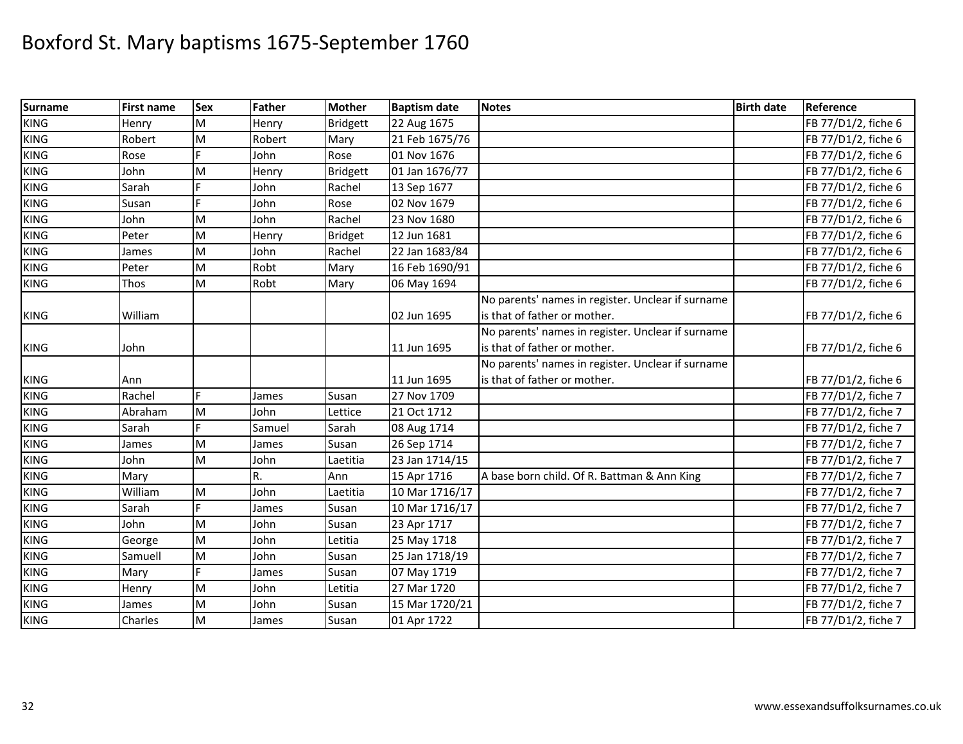| <b>Surname</b> | <b>First name</b> | <b>Sex</b> | Father | <b>Mother</b>   | <b>Baptism date</b> | <b>Notes</b>                                      | <b>Birth date</b> | Reference           |
|----------------|-------------------|------------|--------|-----------------|---------------------|---------------------------------------------------|-------------------|---------------------|
| <b>KING</b>    | Henry             | M          | Henry  | <b>Bridgett</b> | 22 Aug 1675         |                                                   |                   | FB 77/D1/2, fiche 6 |
| <b>KING</b>    | Robert            | M          | Robert | Mary            | 21 Feb 1675/76      |                                                   |                   | FB 77/D1/2, fiche 6 |
| <b>KING</b>    | Rose              |            | John   | Rose            | 01 Nov 1676         |                                                   |                   | FB 77/D1/2, fiche 6 |
| <b>KING</b>    | John              | M          | Henry  | <b>Bridgett</b> | 01 Jan 1676/77      |                                                   |                   | FB 77/D1/2, fiche 6 |
| <b>KING</b>    | Sarah             | E.         | John   | Rachel          | 13 Sep 1677         |                                                   |                   | FB 77/D1/2, fiche 6 |
| <b>KING</b>    | Susan             | E          | John   | Rose            | 02 Nov 1679         |                                                   |                   | FB 77/D1/2, fiche 6 |
| <b>KING</b>    | John              | M          | John   | Rachel          | 23 Nov 1680         |                                                   |                   | FB 77/D1/2, fiche 6 |
| <b>KING</b>    | Peter             | M          | Henry  | <b>Bridget</b>  | 12 Jun 1681         |                                                   |                   | FB 77/D1/2, fiche 6 |
| <b>KING</b>    | James             | M          | John   | Rachel          | 22 Jan 1683/84      |                                                   |                   | FB 77/D1/2, fiche 6 |
| <b>KING</b>    | Peter             | M          | Robt   | Mary            | 16 Feb 1690/91      |                                                   |                   | FB 77/D1/2, fiche 6 |
| <b>KING</b>    | Thos              | M          | Robt   | Mary            | 06 May 1694         |                                                   |                   | FB 77/D1/2, fiche 6 |
|                |                   |            |        |                 |                     | No parents' names in register. Unclear if surname |                   |                     |
| <b>KING</b>    | William           |            |        |                 | 02 Jun 1695         | is that of father or mother.                      |                   | FB 77/D1/2, fiche 6 |
|                |                   |            |        |                 |                     | No parents' names in register. Unclear if surname |                   |                     |
| <b>KING</b>    | John              |            |        |                 | 11 Jun 1695         | is that of father or mother.                      |                   | FB 77/D1/2, fiche 6 |
|                |                   |            |        |                 |                     | No parents' names in register. Unclear if surname |                   |                     |
| <b>KING</b>    | Ann               |            |        |                 | 11 Jun 1695         | is that of father or mother.                      |                   | FB 77/D1/2, fiche 6 |
| <b>KING</b>    | Rachel            | F.         | James  | Susan           | 27 Nov 1709         |                                                   |                   | FB 77/D1/2, fiche 7 |
| <b>KING</b>    | Abraham           | M          | John   | Lettice         | 21 Oct 1712         |                                                   |                   | FB 77/D1/2, fiche 7 |
| <b>KING</b>    | Sarah             |            | Samuel | Sarah           | 08 Aug 1714         |                                                   |                   | FB 77/D1/2, fiche 7 |
| <b>KING</b>    | James             | M          | James  | Susan           | 26 Sep 1714         |                                                   |                   | FB 77/D1/2, fiche 7 |
| <b>KING</b>    | John              | M          | John   | Laetitia        | 23 Jan 1714/15      |                                                   |                   | FB 77/D1/2, fiche 7 |
| <b>KING</b>    | Mary              |            | R.     | Ann             | 15 Apr 1716         | A base born child. Of R. Battman & Ann King       |                   | FB 77/D1/2, fiche 7 |
| <b>KING</b>    | William           | M          | John   | Laetitia        | 10 Mar 1716/17      |                                                   |                   | FB 77/D1/2, fiche 7 |
| <b>KING</b>    | Sarah             | F          | James  | Susan           | 10 Mar 1716/17      |                                                   |                   | FB 77/D1/2, fiche 7 |
| <b>KING</b>    | John              | M          | John   | Susan           | 23 Apr 1717         |                                                   |                   | FB 77/D1/2, fiche 7 |
| <b>KING</b>    | George            | M          | John   | Letitia         | 25 May 1718         |                                                   |                   | FB 77/D1/2, fiche 7 |
| <b>KING</b>    | Samuell           | M          | John   | Susan           | 25 Jan 1718/19      |                                                   |                   | FB 77/D1/2, fiche 7 |
| <b>KING</b>    | Mary              | F.         | James  | Susan           | 07 May 1719         |                                                   |                   | FB 77/D1/2, fiche 7 |
| <b>KING</b>    | Henry             | M          | John   | Letitia         | 27 Mar 1720         |                                                   |                   | FB 77/D1/2, fiche 7 |
| <b>KING</b>    | James             | M          | John   | Susan           | 15 Mar 1720/21      |                                                   |                   | FB 77/D1/2, fiche 7 |
| <b>KING</b>    | Charles           | M          | James  | Susan           | 01 Apr 1722         |                                                   |                   | FB 77/D1/2, fiche 7 |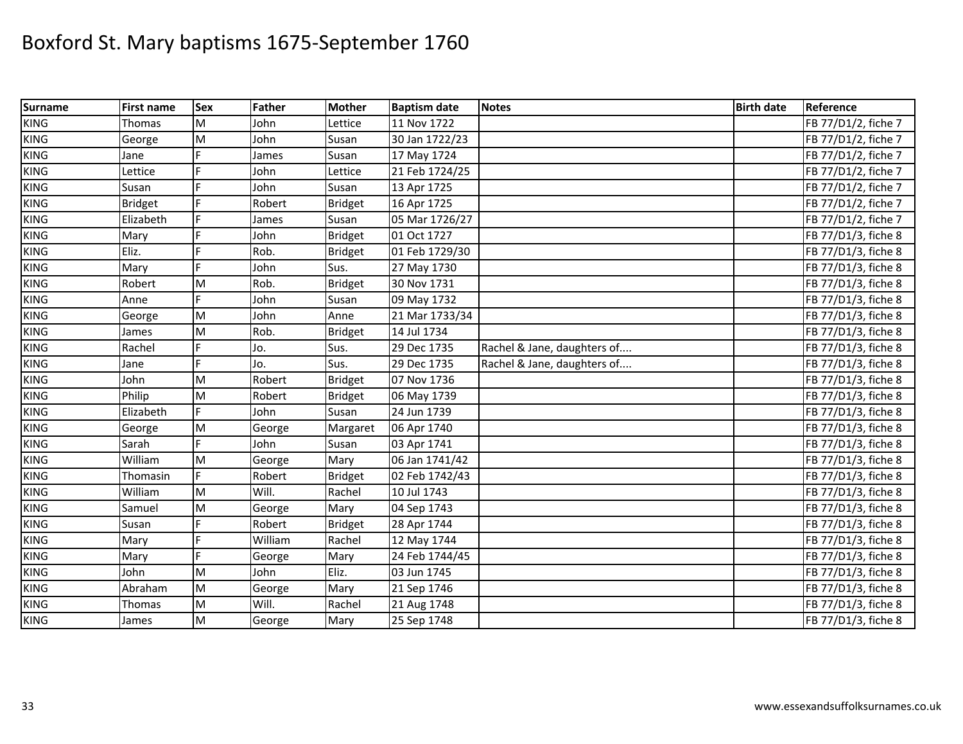| <b>Surname</b> | First name     | <b>Sex</b> | Father  | <b>Mother</b>  | <b>Baptism date</b> | <b>Notes</b>                | <b>Birth date</b> | Reference           |
|----------------|----------------|------------|---------|----------------|---------------------|-----------------------------|-------------------|---------------------|
| <b>KING</b>    | Thomas         | M          | John    | Lettice        | 11 Nov 1722         |                             |                   | FB 77/D1/2, fiche 7 |
| <b>KING</b>    | George         | M          | John    | Susan          | 30 Jan 1722/23      |                             |                   | FB 77/D1/2, fiche 7 |
| <b>KING</b>    | Jane           |            | James   | Susan          | 17 May 1724         |                             |                   | FB 77/D1/2, fiche 7 |
| <b>KING</b>    | Lettice        |            | John    | Lettice        | 21 Feb 1724/25      |                             |                   | FB 77/D1/2, fiche 7 |
| <b>KING</b>    | Susan          | E          | John    | Susan          | 13 Apr 1725         |                             |                   | FB 77/D1/2, fiche 7 |
| <b>KING</b>    | <b>Bridget</b> |            | Robert  | <b>Bridget</b> | 16 Apr 1725         |                             |                   | FB 77/D1/2, fiche 7 |
| <b>KING</b>    | Elizabeth      | F          | James   | Susan          | 05 Mar 1726/27      |                             |                   | FB 77/D1/2, fiche 7 |
| <b>KING</b>    | Mary           |            | John    | <b>Bridget</b> | 01 Oct 1727         |                             |                   | FB 77/D1/3, fiche 8 |
| <b>KING</b>    | Eliz.          | E          | Rob.    | <b>Bridget</b> | 01 Feb 1729/30      |                             |                   | FB 77/D1/3, fiche 8 |
| <b>KING</b>    | Mary           | d          | John    | Sus.           | 27 May 1730         |                             |                   | FB 77/D1/3, fiche 8 |
| <b>KING</b>    | Robert         | M          | Rob.    | <b>Bridget</b> | 30 Nov 1731         |                             |                   | FB 77/D1/3, fiche 8 |
| <b>KING</b>    | Anne           | F.         | John    | Susan          | 09 May 1732         |                             |                   | FB 77/D1/3, fiche 8 |
| <b>KING</b>    | George         | M          | John    | Anne           | 21 Mar 1733/34      |                             |                   | FB 77/D1/3, fiche 8 |
| <b>KING</b>    | James          | M          | Rob.    | <b>Bridget</b> | 14 Jul 1734         |                             |                   | FB 77/D1/3, fiche 8 |
| <b>KING</b>    | Rachel         | F          | Jo.     | Sus.           | 29 Dec 1735         | Rachel & Jane, daughters of |                   | FB 77/D1/3, fiche 8 |
| <b>KING</b>    | Jane           |            | Jo.     | Sus.           | 29 Dec 1735         | Rachel & Jane, daughters of |                   | FB 77/D1/3, fiche 8 |
| <b>KING</b>    | John           | M          | Robert  | Bridget        | 07 Nov 1736         |                             |                   | FB 77/D1/3, fiche 8 |
| <b>KING</b>    | Philip         | M          | Robert  | <b>Bridget</b> | 06 May 1739         |                             |                   | FB 77/D1/3, fiche 8 |
| <b>KING</b>    | Elizabeth      | E          | John    | Susan          | 24 Jun 1739         |                             |                   | FB 77/D1/3, fiche 8 |
| <b>KING</b>    | George         | M          | George  | Margaret       | 06 Apr 1740         |                             |                   | FB 77/D1/3, fiche 8 |
| <b>KING</b>    | Sarah          |            | John    | Susan          | 03 Apr 1741         |                             |                   | FB 77/D1/3, fiche 8 |
| <b>KING</b>    | William        | M          | George  | Mary           | 06 Jan 1741/42      |                             |                   | FB 77/D1/3, fiche 8 |
| <b>KING</b>    | Thomasin       | F          | Robert  | <b>Bridget</b> | 02 Feb 1742/43      |                             |                   | FB 77/D1/3, fiche 8 |
| <b>KING</b>    | William        | M          | Will.   | Rachel         | 10 Jul 1743         |                             |                   | FB 77/D1/3, fiche 8 |
| <b>KING</b>    | Samuel         | M          | George  | Mary           | 04 Sep 1743         |                             |                   | FB 77/D1/3, fiche 8 |
| <b>KING</b>    | Susan          |            | Robert  | <b>Bridget</b> | 28 Apr 1744         |                             |                   | FB 77/D1/3, fiche 8 |
| <b>KING</b>    | Mary           | Ė          | William | Rachel         | 12 May 1744         |                             |                   | FB 77/D1/3, fiche 8 |
| <b>KING</b>    | Mary           | F          | George  | Mary           | 24 Feb 1744/45      |                             |                   | FB 77/D1/3, fiche 8 |
| <b>KING</b>    | John           | M          | John    | Eliz.          | 03 Jun 1745         |                             |                   | FB 77/D1/3, fiche 8 |
| <b>KING</b>    | Abraham        | M          | George  | Mary           | 21 Sep 1746         |                             |                   | FB 77/D1/3, fiche 8 |
| <b>KING</b>    | Thomas         | M          | Will.   | Rachel         | 21 Aug 1748         |                             |                   | FB 77/D1/3, fiche 8 |
| <b>KING</b>    | James          | M          | George  | Mary           | 25 Sep 1748         |                             |                   | FB 77/D1/3, fiche 8 |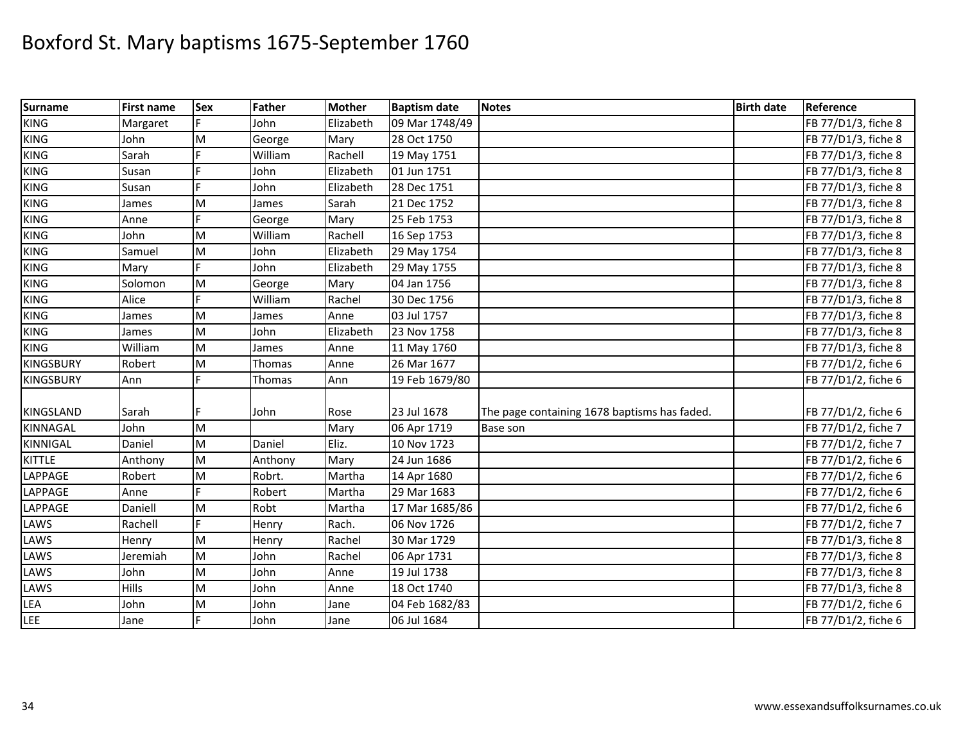| <b>Surname</b>   | <b>First name</b> | <b>Sex</b> | <b>Father</b> | <b>Mother</b> | <b>Baptism date</b> | <b>Notes</b>                                 | <b>Birth date</b> | Reference           |
|------------------|-------------------|------------|---------------|---------------|---------------------|----------------------------------------------|-------------------|---------------------|
| <b>KING</b>      | Margaret          |            | John          | Elizabeth     | 09 Mar 1748/49      |                                              |                   | FB 77/D1/3, fiche 8 |
| <b>KING</b>      | John              | M          | George        | Mary          | 28 Oct 1750         |                                              |                   | FB 77/D1/3, fiche 8 |
| <b>KING</b>      | Sarah             |            | William       | Rachell       | 19 May 1751         |                                              |                   | FB 77/D1/3, fiche 8 |
| <b>KING</b>      | Susan             | E          | John          | Elizabeth     | 01 Jun 1751         |                                              |                   | FB 77/D1/3, fiche 8 |
| <b>KING</b>      | Susan             | F.         | John          | Elizabeth     | 28 Dec 1751         |                                              |                   | FB 77/D1/3, fiche 8 |
| <b>KING</b>      | James             | M          | James         | Sarah         | 21 Dec 1752         |                                              |                   | FB 77/D1/3, fiche 8 |
| <b>KING</b>      | Anne              |            | George        | Mary          | 25 Feb 1753         |                                              |                   | FB 77/D1/3, fiche 8 |
| <b>KING</b>      | John              | M          | William       | Rachell       | 16 Sep 1753         |                                              |                   | FB 77/D1/3, fiche 8 |
| <b>KING</b>      | Samuel            | M          | John          | Elizabeth     | 29 May 1754         |                                              |                   | FB 77/D1/3, fiche 8 |
| <b>KING</b>      | Mary              |            | John          | Elizabeth     | 29 May 1755         |                                              |                   | FB 77/D1/3, fiche 8 |
| <b>KING</b>      | Solomon           | M          | George        | Mary          | 04 Jan 1756         |                                              |                   | FB 77/D1/3, fiche 8 |
| <b>KING</b>      | Alice             | F          | William       | Rachel        | 30 Dec 1756         |                                              |                   | FB 77/D1/3, fiche 8 |
| <b>KING</b>      | James             | M          | James         | Anne          | 03 Jul 1757         |                                              |                   | FB 77/D1/3, fiche 8 |
| <b>KING</b>      | James             | M          | John          | Elizabeth     | 23 Nov 1758         |                                              |                   | FB 77/D1/3, fiche 8 |
| <b>KING</b>      | William           | M          | James         | Anne          | 11 May 1760         |                                              |                   | FB 77/D1/3, fiche 8 |
| <b>KINGSBURY</b> | Robert            | M          | Thomas        | Anne          | 26 Mar 1677         |                                              |                   | FB 77/D1/2, fiche 6 |
| <b>KINGSBURY</b> | Ann               |            | Thomas        | Ann           | 19 Feb 1679/80      |                                              |                   | FB 77/D1/2, fiche 6 |
|                  |                   |            |               |               |                     |                                              |                   |                     |
| KINGSLAND        | Sarah             |            | John          | Rose          | 23 Jul 1678         | The page containing 1678 baptisms has faded. |                   | FB 77/D1/2, fiche 6 |
| <b>KINNAGAL</b>  | John              | M          |               | Mary          | 06 Apr 1719         | <b>Base son</b>                              |                   | FB 77/D1/2, fiche 7 |
| <b>KINNIGAL</b>  | Daniel            | M          | Daniel        | Eliz.         | 10 Nov 1723         |                                              |                   | FB 77/D1/2, fiche 7 |
| <b>KITTLE</b>    | Anthony           | M          | Anthony       | Mary          | 24 Jun 1686         |                                              |                   | FB 77/D1/2, fiche 6 |
| LAPPAGE          | Robert            | M          | Robrt.        | Martha        | 14 Apr 1680         |                                              |                   | FB 77/D1/2, fiche 6 |
| LAPPAGE          | Anne              |            | Robert        | Martha        | 29 Mar 1683         |                                              |                   | FB 77/D1/2, fiche 6 |
| LAPPAGE          | Daniell           | M          | Robt          | Martha        | 17 Mar 1685/86      |                                              |                   | FB 77/D1/2, fiche 6 |
| LAWS             | Rachell           | F          | Henry         | Rach.         | 06 Nov 1726         |                                              |                   | FB 77/D1/2, fiche 7 |
| LAWS             | Henry             | M          | Henry         | Rachel        | 30 Mar 1729         |                                              |                   | FB 77/D1/3, fiche 8 |
| LAWS             | Jeremiah          | M          | John          | Rachel        | 06 Apr 1731         |                                              |                   | FB 77/D1/3, fiche 8 |
| LAWS             | John              | M          | John          | Anne          | 19 Jul 1738         |                                              |                   | FB 77/D1/3, fiche 8 |
| LAWS             | <b>Hills</b>      | M          | John          | Anne          | 18 Oct 1740         |                                              |                   | FB 77/D1/3, fiche 8 |
| <b>LEA</b>       | John              | M          | John          | Jane          | 04 Feb 1682/83      |                                              |                   | FB 77/D1/2, fiche 6 |
| LEE              | Jane              | F          | John          | Jane          | 06 Jul 1684         |                                              |                   | FB 77/D1/2, fiche 6 |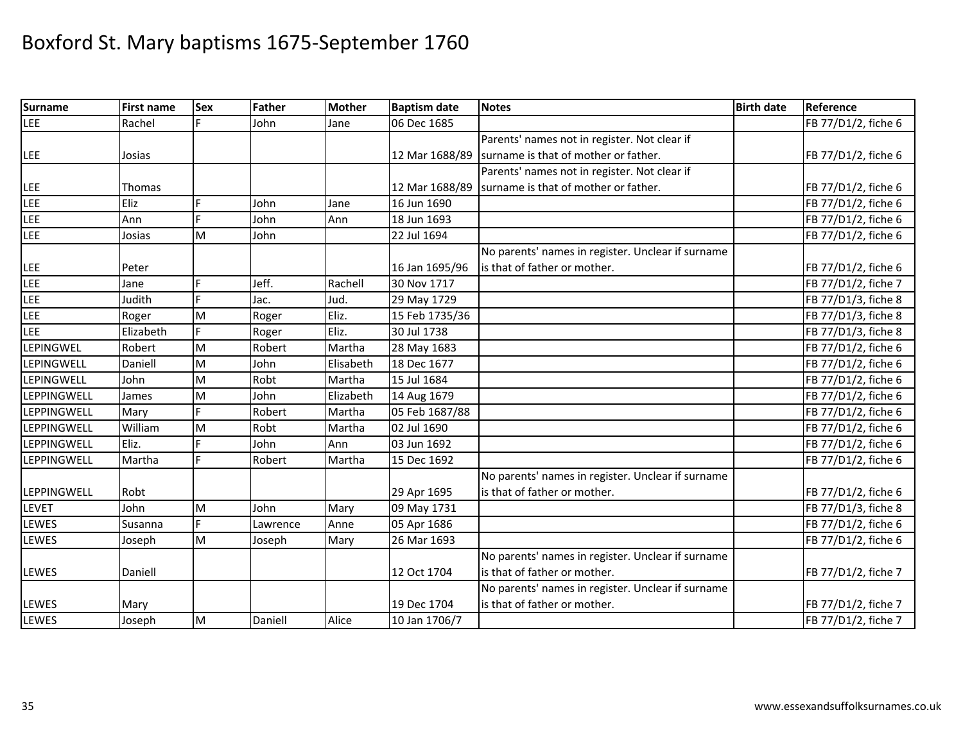| <b>Surname</b> | <b>First name</b> | <b>Sex</b> | Father   | <b>Mother</b> | <b>Baptism date</b> | <b>Notes</b>                                      | <b>Birth date</b> | Reference           |
|----------------|-------------------|------------|----------|---------------|---------------------|---------------------------------------------------|-------------------|---------------------|
| LEE            | Rachel            | E          | John     | Jane          | 06 Dec 1685         |                                                   |                   | FB 77/D1/2, fiche 6 |
|                |                   |            |          |               |                     | Parents' names not in register. Not clear if      |                   |                     |
| LEE            | Josias            |            |          |               | 12 Mar 1688/89      | surname is that of mother or father.              |                   | FB 77/D1/2, fiche 6 |
|                |                   |            |          |               |                     | Parents' names not in register. Not clear if      |                   |                     |
| <b>LEE</b>     | <b>Thomas</b>     |            |          |               | 12 Mar 1688/89      | surname is that of mother or father.              |                   | FB 77/D1/2, fiche 6 |
| LEE            | Eliz              | Ė          | John     | Jane          | 16 Jun 1690         |                                                   |                   | FB 77/D1/2, fiche 6 |
| LEE            | Ann               | F          | John     | Ann           | 18 Jun 1693         |                                                   |                   | FB 77/D1/2, fiche 6 |
| <b>LEE</b>     | Josias            | M          | John     |               | 22 Jul 1694         |                                                   |                   | FB 77/D1/2, fiche 6 |
|                |                   |            |          |               |                     | No parents' names in register. Unclear if surname |                   |                     |
| <b>LEE</b>     | Peter             |            |          |               | 16 Jan 1695/96      | is that of father or mother.                      |                   | FB 77/D1/2, fiche 6 |
| LEE            | Jane              | Ë          | Jeff.    | Rachell       | 30 Nov 1717         |                                                   |                   | FB 77/D1/2, fiche 7 |
| <b>LEE</b>     | Judith            |            | Jac.     | Jud.          | 29 May 1729         |                                                   |                   | FB 77/D1/3, fiche 8 |
| LEE            | Roger             | M          | Roger    | Eliz.         | 15 Feb 1735/36      |                                                   |                   | FB 77/D1/3, fiche 8 |
| <b>LEE</b>     | Elizabeth         | Ė          | Roger    | Eliz.         | 30 Jul 1738         |                                                   |                   | FB 77/D1/3, fiche 8 |
| LEPINGWEL      | Robert            | M          | Robert   | Martha        | 28 May 1683         |                                                   |                   | FB 77/D1/2, fiche 6 |
| LEPINGWELL     | Daniell           | M          | John     | Elisabeth     | 18 Dec 1677         |                                                   |                   | FB 77/D1/2, fiche 6 |
| LEPINGWELL     | John              | M          | Robt     | Martha        | 15 Jul 1684         |                                                   |                   | FB 77/D1/2, fiche 6 |
| LEPPINGWELL    | James             | M          | John     | Elizabeth     | 14 Aug 1679         |                                                   |                   | FB 77/D1/2, fiche 6 |
| LEPPINGWELL    | Mary              |            | Robert   | Martha        | 05 Feb 1687/88      |                                                   |                   | FB 77/D1/2, fiche 6 |
| LEPPINGWELL    | William           | M          | Robt     | Martha        | 02 Jul 1690         |                                                   |                   | FB 77/D1/2, fiche 6 |
| LEPPINGWELL    | Eliz.             |            | John     | Ann           | 03 Jun 1692         |                                                   |                   | FB 77/D1/2, fiche 6 |
| LEPPINGWELL    | Martha            | Ľ.         | Robert   | Martha        | 15 Dec 1692         |                                                   |                   | FB 77/D1/2, fiche 6 |
|                |                   |            |          |               |                     | No parents' names in register. Unclear if surname |                   |                     |
| LEPPINGWELL    | Robt              |            |          |               | 29 Apr 1695         | is that of father or mother.                      |                   | FB 77/D1/2, fiche 6 |
| LEVET          | John              | M          | John     | Mary          | 09 May 1731         |                                                   |                   | FB 77/D1/3, fiche 8 |
| LEWES          | Susanna           | E.         | Lawrence | Anne          | 05 Apr 1686         |                                                   |                   | FB 77/D1/2, fiche 6 |
| <b>LEWES</b>   | Joseph            | M          | Joseph   | Mary          | 26 Mar 1693         |                                                   |                   | FB 77/D1/2, fiche 6 |
|                |                   |            |          |               |                     | No parents' names in register. Unclear if surname |                   |                     |
| <b>LEWES</b>   | Daniell           |            |          |               | 12 Oct 1704         | is that of father or mother.                      |                   | FB 77/D1/2, fiche 7 |
|                |                   |            |          |               |                     | No parents' names in register. Unclear if surname |                   |                     |
| LEWES          | Mary              |            |          |               | 19 Dec 1704         | is that of father or mother.                      |                   | FB 77/D1/2, fiche 7 |
| <b>LEWES</b>   | Joseph            | M          | Daniell  | Alice         | 10 Jan 1706/7       |                                                   |                   | FB 77/D1/2, fiche 7 |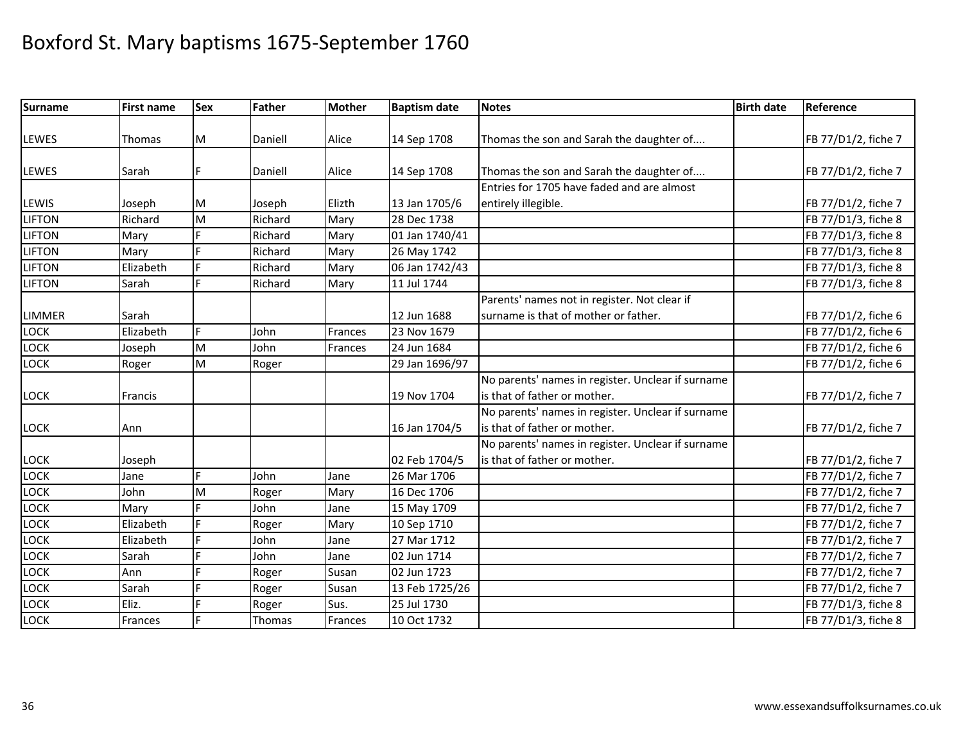| <b>Surname</b>         | <b>First name</b> | <b>Sex</b> | <b>Father</b>     | <b>Mother</b> | <b>Baptism date</b>          | <b>Notes</b>                                      | <b>Birth date</b> | Reference           |
|------------------------|-------------------|------------|-------------------|---------------|------------------------------|---------------------------------------------------|-------------------|---------------------|
|                        |                   |            |                   |               |                              |                                                   |                   |                     |
| LEWES                  | <b>Thomas</b>     | M          | Daniell           | Alice         | 14 Sep 1708                  | Thomas the son and Sarah the daughter of          |                   | FB 77/D1/2, fiche 7 |
|                        |                   | F.         |                   | Alice         |                              | Thomas the son and Sarah the daughter of          |                   |                     |
| <b>LEWES</b>           | Sarah             |            | Daniell           |               | 14 Sep 1708                  | Entries for 1705 have faded and are almost        |                   | FB 77/D1/2, fiche 7 |
|                        |                   |            |                   | Elizth        |                              |                                                   |                   |                     |
| LEWIS<br><b>LIFTON</b> | Joseph<br>Richard | M<br>M     | Joseph<br>Richard |               | 13 Jan 1705/6<br>28 Dec 1738 | entirely illegible.                               |                   | FB 77/D1/2, fiche 7 |
|                        |                   |            |                   | Mary          |                              |                                                   |                   | FB 77/D1/3, fiche 8 |
| <b>LIFTON</b>          | Mary              |            | Richard           | Mary          | 01 Jan 1740/41               |                                                   |                   | FB 77/D1/3, fiche 8 |
| <b>LIFTON</b>          | Mary              |            | Richard           | Mary          | 26 May 1742                  |                                                   |                   | FB 77/D1/3, fiche 8 |
| <b>LIFTON</b>          | Elizabeth         |            | Richard           | Mary          | 06 Jan 1742/43               |                                                   |                   | FB 77/D1/3, fiche 8 |
| <b>LIFTON</b>          | Sarah             | E.         | Richard           | Mary          | 11 Jul 1744                  |                                                   |                   | FB 77/D1/3, fiche 8 |
|                        |                   |            |                   |               |                              | Parents' names not in register. Not clear if      |                   |                     |
| LIMMER                 | Sarah             |            |                   |               | 12 Jun 1688                  | surname is that of mother or father.              |                   | FB 77/D1/2, fiche 6 |
| <b>LOCK</b>            | Elizabeth         | Ė.         | John              | Frances       | 23 Nov 1679                  |                                                   |                   | FB 77/D1/2, fiche 6 |
| LOCK                   | Joseph            | M          | John              | Frances       | 24 Jun 1684                  |                                                   |                   | FB 77/D1/2, fiche 6 |
| <b>LOCK</b>            | Roger             | M          | Roger             |               | 29 Jan 1696/97               |                                                   |                   | FB 77/D1/2, fiche 6 |
|                        |                   |            |                   |               |                              | No parents' names in register. Unclear if surname |                   |                     |
| <b>LOCK</b>            | Francis           |            |                   |               | 19 Nov 1704                  | is that of father or mother.                      |                   | FB 77/D1/2, fiche 7 |
|                        |                   |            |                   |               |                              | No parents' names in register. Unclear if surname |                   |                     |
| <b>LOCK</b>            | Ann               |            |                   |               | 16 Jan 1704/5                | is that of father or mother.                      |                   | FB 77/D1/2, fiche 7 |
|                        |                   |            |                   |               |                              | No parents' names in register. Unclear if surname |                   |                     |
| <b>LOCK</b>            | Joseph            |            |                   |               | 02 Feb 1704/5                | is that of father or mother.                      |                   | FB 77/D1/2, fiche 7 |
| LOCK                   | Jane              | Ė          | John              | Jane          | 26 Mar 1706                  |                                                   |                   | FB 77/D1/2, fiche 7 |
| LOCK                   | John              | M          | Roger             | Mary          | 16 Dec 1706                  |                                                   |                   | FB 77/D1/2, fiche 7 |
| LOCK                   | Mary              |            | John              | Jane          | 15 May 1709                  |                                                   |                   | FB 77/D1/2, fiche 7 |
| <b>LOCK</b>            | Elizabeth         |            | Roger             | Mary          | 10 Sep 1710                  |                                                   |                   | FB 77/D1/2, fiche 7 |
| LOCK                   | Elizabeth         |            | John              | Jane          | 27 Mar 1712                  |                                                   |                   | FB 77/D1/2, fiche 7 |
| LOCK                   | Sarah             | F          | John              | Jane          | 02 Jun 1714                  |                                                   |                   | FB 77/D1/2, fiche 7 |
| LOCK                   | Ann               |            | Roger             | Susan         | 02 Jun 1723                  |                                                   |                   | FB 77/D1/2, fiche 7 |
| LOCK                   | Sarah             | Ė          | Roger             | Susan         | 13 Feb 1725/26               |                                                   |                   | FB 77/D1/2, fiche 7 |
| LOCK                   | Eliz.             |            | Roger             | Sus.          | 25 Jul 1730                  |                                                   |                   | FB 77/D1/3, fiche 8 |
| <b>LOCK</b>            | Frances           | F.         | Thomas            | Frances       | 10 Oct 1732                  |                                                   |                   | FB 77/D1/3, fiche 8 |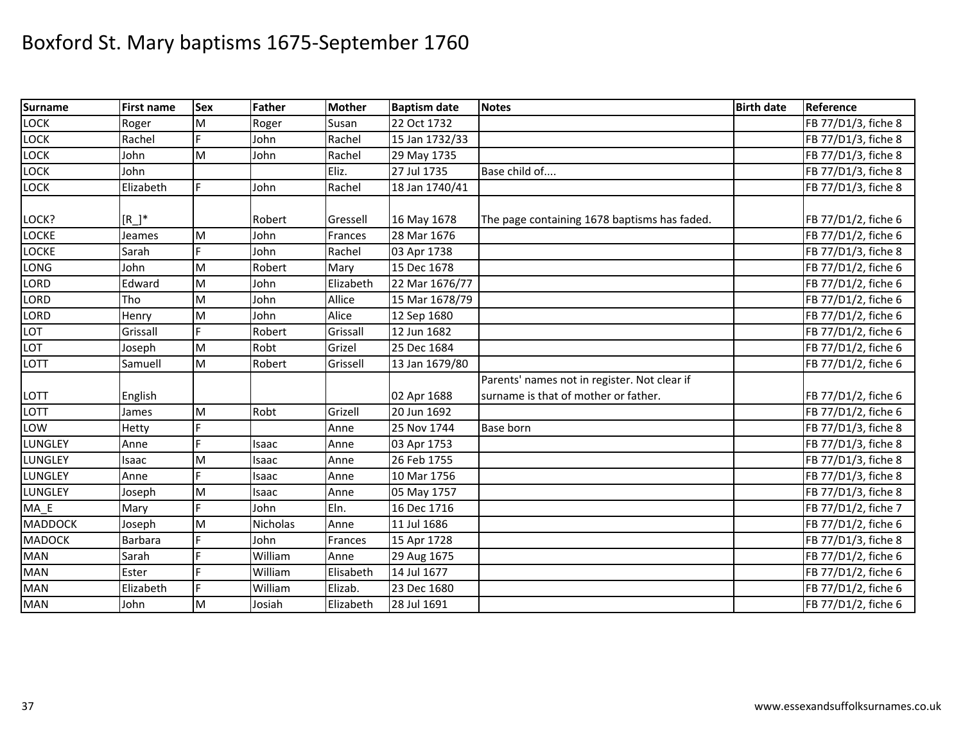| <b>Surname</b>                 | <b>First name</b> | <b>Sex</b> | Father   | <b>Mother</b> | <b>Baptism date</b> | <b>Notes</b>                                 | <b>Birth date</b> | Reference           |
|--------------------------------|-------------------|------------|----------|---------------|---------------------|----------------------------------------------|-------------------|---------------------|
| LOCK                           | Roger             | M          | Roger    | Susan         | 22 Oct 1732         |                                              |                   | FB 77/D1/3, fiche 8 |
| LOCK                           | Rachel            |            | John     | Rachel        | 15 Jan 1732/33      |                                              |                   | FB 77/D1/3, fiche 8 |
| LOCK                           | John              | M          | John     | Rachel        | 29 May 1735         |                                              |                   | FB 77/D1/3, fiche 8 |
| LOCK                           | John              |            |          | Eliz.         | 27 Jul 1735         | Base child of                                |                   | FB 77/D1/3, fiche 8 |
| LOCK                           | Elizabeth         | F          | John     | Rachel        | 18 Jan 1740/41      |                                              |                   | FB 77/D1/3, fiche 8 |
| LOCK?                          | $[R]^{*}$         |            | Robert   | Gressell      | 16 May 1678         | The page containing 1678 baptisms has faded. |                   | FB 77/D1/2, fiche 6 |
| <b>LOCKE</b>                   | Jeames            | M          | John     | Frances       | 28 Mar 1676         |                                              |                   | FB 77/D1/2, fiche 6 |
| <b>LOCKE</b>                   | Sarah             |            | John     | Rachel        | 03 Apr 1738         |                                              |                   | FB 77/D1/3, fiche 8 |
| LONG                           | John              | M          | Robert   | Mary          | 15 Dec 1678         |                                              |                   | FB 77/D1/2, fiche 6 |
| LORD                           | Edward            | M          | John     | Elizabeth     | 22 Mar 1676/77      |                                              |                   | FB 77/D1/2, fiche 6 |
| LORD                           | Tho               | M          | John     | Allice        | 15 Mar 1678/79      |                                              |                   | FB 77/D1/2, fiche 6 |
| LORD                           | Henry             | M          | John     | Alice         | 12 Sep 1680         |                                              |                   | FB 77/D1/2, fiche 6 |
| LOT                            | Grissall          | E          | Robert   | Grissall      | 12 Jun 1682         |                                              |                   | FB 77/D1/2, fiche 6 |
| LOT                            | Joseph            | M          | Robt     | Grizel        | 25 Dec 1684         |                                              |                   | FB 77/D1/2, fiche 6 |
| LOTT                           | Samuell           | M          | Robert   | Grissell      | 13 Jan 1679/80      |                                              |                   | FB 77/D1/2, fiche 6 |
|                                |                   |            |          |               |                     | Parents' names not in register. Not clear if |                   |                     |
| LOTT                           | English           |            |          |               | 02 Apr 1688         | surname is that of mother or father.         |                   | FB 77/D1/2, fiche 6 |
| LOTT                           | James             | M          | Robt     | Grizell       | 20 Jun 1692         |                                              |                   | FB 77/D1/2, fiche 6 |
| LOW                            | Hetty             |            |          | Anne          | 25 Nov 1744         | <b>Base born</b>                             |                   | FB 77/D1/3, fiche 8 |
| LUNGLEY                        | Anne              | Ė          | Isaac    | Anne          | 03 Apr 1753         |                                              |                   | FB 77/D1/3, fiche 8 |
| LUNGLEY                        | Isaac             | M          | Isaac    | Anne          | 26 Feb 1755         |                                              |                   | FB 77/D1/3, fiche 8 |
| LUNGLEY                        | Anne              | Е          | Isaac    | Anne          | 10 Mar 1756         |                                              |                   | FB 77/D1/3, fiche 8 |
| LUNGLEY                        | Joseph            | M          | Isaac    | Anne          | 05 May 1757         |                                              |                   | FB 77/D1/3, fiche 8 |
| $MA$ <sub><math>E</math></sub> | Mary              |            | John     | Eln.          | 16 Dec 1716         |                                              |                   | FB 77/D1/2, fiche 7 |
| <b>MADDOCK</b>                 | Joseph            | M          | Nicholas | Anne          | 11 Jul 1686         |                                              |                   | FB 77/D1/2, fiche 6 |
| <b>MADOCK</b>                  | <b>Barbara</b>    |            | John     | Frances       | 15 Apr 1728         |                                              |                   | FB 77/D1/3, fiche 8 |
| <b>MAN</b>                     | Sarah             | Е          | William  | Anne          | 29 Aug 1675         |                                              |                   | FB 77/D1/2, fiche 6 |
| MAN                            | Ester             |            | William  | Elisabeth     | 14 Jul 1677         |                                              |                   | FB 77/D1/2, fiche 6 |
| <b>MAN</b>                     | Elizabeth         | Ė          | William  | Elizab.       | 23 Dec 1680         |                                              |                   | FB 77/D1/2, fiche 6 |
| <b>MAN</b>                     | John              | M          | Josiah   | Elizabeth     | 28 Jul 1691         |                                              |                   | FB 77/D1/2, fiche 6 |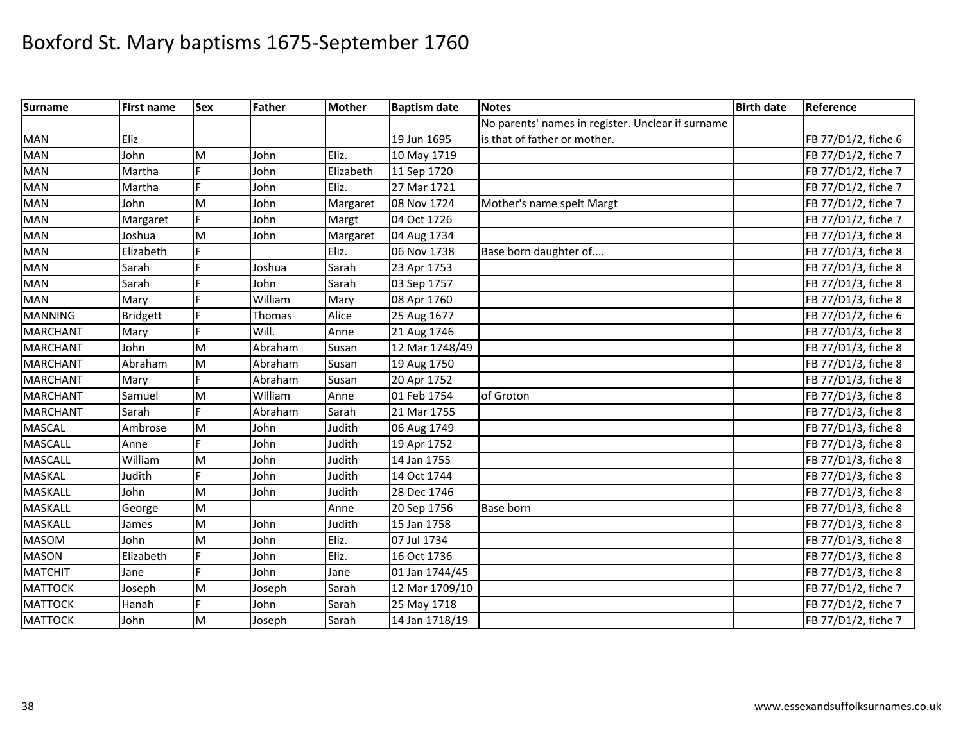| <b>Surname</b>  | <b>First name</b> | Sex | <b>Father</b> | <b>Mother</b> | <b>Baptism date</b> | <b>Notes</b>                                      | <b>Birth date</b> | Reference           |
|-----------------|-------------------|-----|---------------|---------------|---------------------|---------------------------------------------------|-------------------|---------------------|
|                 |                   |     |               |               |                     | No parents' names in register. Unclear if surname |                   |                     |
| <b>MAN</b>      | Eliz              |     |               |               | 19 Jun 1695         | is that of father or mother.                      |                   | FB 77/D1/2, fiche 6 |
| <b>MAN</b>      | John              | M   | John          | Eliz.         | 10 May 1719         |                                                   |                   | FB 77/D1/2, fiche 7 |
| <b>MAN</b>      | Martha            | Е   | John          | Elizabeth     | 11 Sep 1720         |                                                   |                   | FB 77/D1/2, fiche 7 |
| <b>MAN</b>      | Martha            | Ë   | John          | Eliz.         | 27 Mar 1721         |                                                   |                   | FB 77/D1/2, fiche 7 |
| <b>MAN</b>      | John              | M   | John          | Margaret      | 08 Nov 1724         | Mother's name spelt Margt                         |                   | FB 77/D1/2, fiche 7 |
| <b>MAN</b>      | Margaret          |     | John          | Margt         | 04 Oct 1726         |                                                   |                   | FB 77/D1/2, fiche 7 |
| <b>MAN</b>      | Joshua            | M   | John          | Margaret      | 04 Aug 1734         |                                                   |                   | FB 77/D1/3, fiche 8 |
| <b>MAN</b>      | Elizabeth         |     |               | Eliz.         | 06 Nov 1738         | Base born daughter of                             |                   | FB 77/D1/3, fiche 8 |
| <b>MAN</b>      | Sarah             |     | Joshua        | Sarah         | 23 Apr 1753         |                                                   |                   | FB 77/D1/3, fiche 8 |
| <b>MAN</b>      | Sarah             |     | John          | Sarah         | 03 Sep 1757         |                                                   |                   | FB 77/D1/3, fiche 8 |
| MAN             | Mary              |     | William       | Mary          | 08 Apr 1760         |                                                   |                   | FB 77/D1/3, fiche 8 |
| <b>MANNING</b>  | <b>Bridgett</b>   | F   | Thomas        | Alice         | 25 Aug 1677         |                                                   |                   | FB 77/D1/2, fiche 6 |
| <b>MARCHANT</b> | Mary              |     | Will.         | Anne          | 21 Aug 1746         |                                                   |                   | FB 77/D1/3, fiche 8 |
| <b>MARCHANT</b> | John              | M   | Abraham       | Susan         | 12 Mar 1748/49      |                                                   |                   | FB 77/D1/3, fiche 8 |
| <b>MARCHANT</b> | Abraham           | M   | Abraham       | Susan         | 19 Aug 1750         |                                                   |                   | FB 77/D1/3, fiche 8 |
| <b>MARCHANT</b> | Mary              |     | Abraham       | Susan         | 20 Apr 1752         |                                                   |                   | FB 77/D1/3, fiche 8 |
| <b>MARCHANT</b> | Samuel            | M   | William       | Anne          | 01 Feb 1754         | of Groton                                         |                   | FB 77/D1/3, fiche 8 |
| <b>MARCHANT</b> | Sarah             |     | Abraham       | Sarah         | 21 Mar 1755         |                                                   |                   | FB 77/D1/3, fiche 8 |
| <b>MASCAL</b>   | Ambrose           | M   | John          | Judith        | 06 Aug 1749         |                                                   |                   | FB 77/D1/3, fiche 8 |
| <b>MASCALL</b>  | Anne              |     | John          | Judith        | 19 Apr 1752         |                                                   |                   | FB 77/D1/3, fiche 8 |
| <b>MASCALL</b>  | William           | M   | John          | Judith        | 14 Jan 1755         |                                                   |                   | FB 77/D1/3, fiche 8 |
| <b>MASKAL</b>   | Judith            | Ė   | John          | Judith        | 14 Oct 1744         |                                                   |                   | FB 77/D1/3, fiche 8 |
| MASKALL         | John              | M   | John          | Judith        | 28 Dec 1746         |                                                   |                   | FB 77/D1/3, fiche 8 |
| MASKALL         | George            | M   |               | Anne          | 20 Sep 1756         | Base born                                         |                   | FB 77/D1/3, fiche 8 |
| <b>MASKALL</b>  | James             | M   | John          | Judith        | 15 Jan 1758         |                                                   |                   | FB 77/D1/3, fiche 8 |
| <b>MASOM</b>    | John              | M   | John          | Eliz.         | 07 Jul 1734         |                                                   |                   | FB 77/D1/3, fiche 8 |
| <b>MASON</b>    | Elizabeth         | E   | John          | Eliz.         | 16 Oct 1736         |                                                   |                   | FB 77/D1/3, fiche 8 |
| <b>MATCHIT</b>  | Jane              |     | John          | Jane          | 01 Jan 1744/45      |                                                   |                   | FB 77/D1/3, fiche 8 |
| <b>MATTOCK</b>  | Joseph            | M   | Joseph        | Sarah         | 12 Mar 1709/10      |                                                   |                   | FB 77/D1/2, fiche 7 |
| <b>MATTOCK</b>  | Hanah             | É   | John          | Sarah         | 25 May 1718         |                                                   |                   | FB 77/D1/2, fiche 7 |
| <b>MATTOCK</b>  | John              | M   | Joseph        | Sarah         | 14 Jan 1718/19      |                                                   |                   | FB 77/D1/2, fiche 7 |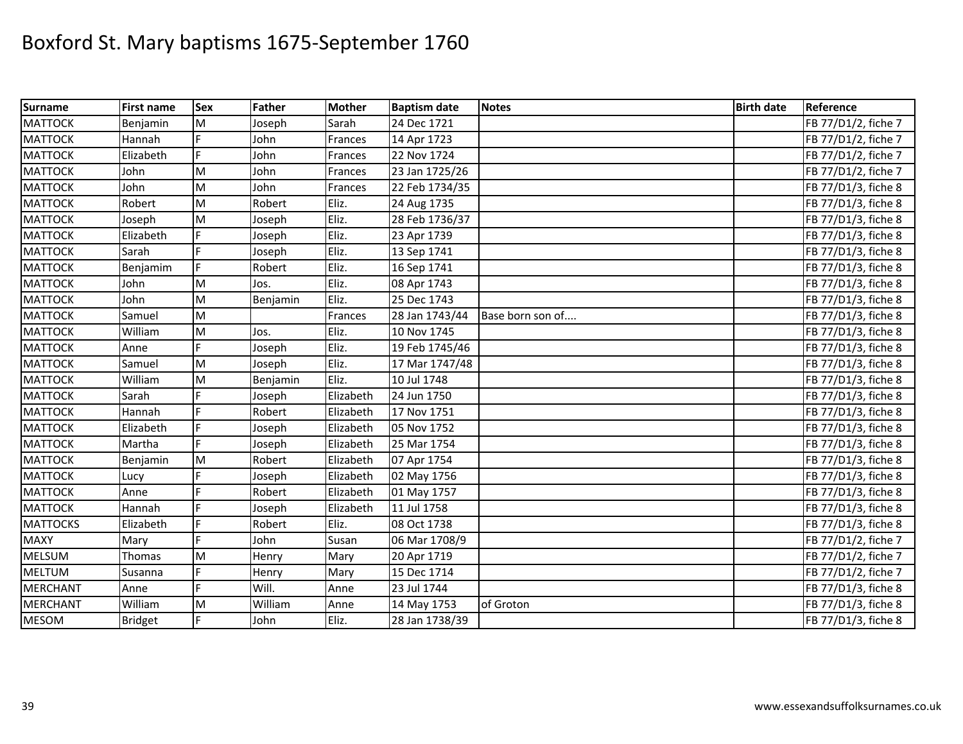| <b>Surname</b>  | <b>First name</b> | <b>Sex</b> | Father   | <b>Mother</b> | <b>Baptism date</b> | <b>Notes</b>     | <b>Birth date</b> | Reference           |
|-----------------|-------------------|------------|----------|---------------|---------------------|------------------|-------------------|---------------------|
| <b>MATTOCK</b>  | Benjamin          | M          | Joseph   | Sarah         | 24 Dec 1721         |                  |                   | FB 77/D1/2, fiche 7 |
| <b>MATTOCK</b>  | Hannah            |            | John     | Frances       | 14 Apr 1723         |                  |                   | FB 77/D1/2, fiche 7 |
| <b>MATTOCK</b>  | Elizabeth         |            | John     | Frances       | 22 Nov 1724         |                  |                   | FB 77/D1/2, fiche 7 |
| <b>MATTOCK</b>  | John              | M          | John     | Frances       | 23 Jan 1725/26      |                  |                   | FB 77/D1/2, fiche 7 |
| <b>MATTOCK</b>  | John              | M          | John     | Frances       | 22 Feb 1734/35      |                  |                   | FB 77/D1/3, fiche 8 |
| <b>MATTOCK</b>  | Robert            | M          | Robert   | Eliz.         | 24 Aug 1735         |                  |                   | FB 77/D1/3, fiche 8 |
| <b>MATTOCK</b>  | Joseph            | M          | Joseph   | Eliz.         | 28 Feb 1736/37      |                  |                   | FB 77/D1/3, fiche 8 |
| <b>MATTOCK</b>  | Elizabeth         |            | Joseph   | Eliz.         | 23 Apr 1739         |                  |                   | FB 77/D1/3, fiche 8 |
| <b>MATTOCK</b>  | Sarah             |            | Joseph   | Eliz.         | 13 Sep 1741         |                  |                   | FB 77/D1/3, fiche 8 |
| <b>MATTOCK</b>  | Benjamim          |            | Robert   | Eliz.         | 16 Sep 1741         |                  |                   | FB 77/D1/3, fiche 8 |
| <b>MATTOCK</b>  | John              | M          | Jos.     | Eliz.         | 08 Apr 1743         |                  |                   | FB 77/D1/3, fiche 8 |
| <b>MATTOCK</b>  | John              | M          | Benjamin | Eliz.         | 25 Dec 1743         |                  |                   | FB 77/D1/3, fiche 8 |
| <b>MATTOCK</b>  | Samuel            | M          |          | Frances       | 28 Jan 1743/44      | Base born son of |                   | FB 77/D1/3, fiche 8 |
| <b>MATTOCK</b>  | William           | M          | Jos.     | Eliz.         | 10 Nov 1745         |                  |                   | FB 77/D1/3, fiche 8 |
| <b>MATTOCK</b>  | Anne              |            | Joseph   | Eliz.         | 19 Feb 1745/46      |                  |                   | FB 77/D1/3, fiche 8 |
| <b>MATTOCK</b>  | Samuel            | M          | Joseph   | Eliz.         | 17 Mar 1747/48      |                  |                   | FB 77/D1/3, fiche 8 |
| <b>MATTOCK</b>  | William           | M          | Benjamin | Eliz.         | 10 Jul 1748         |                  |                   | FB 77/D1/3, fiche 8 |
| <b>MATTOCK</b>  | Sarah             |            | Joseph   | Elizabeth     | 24 Jun 1750         |                  |                   | FB 77/D1/3, fiche 8 |
| <b>MATTOCK</b>  | Hannah            |            | Robert   | Elizabeth     | 17 Nov 1751         |                  |                   | FB 77/D1/3, fiche 8 |
| <b>MATTOCK</b>  | Elizabeth         |            | Joseph   | Elizabeth     | 05 Nov 1752         |                  |                   | FB 77/D1/3, fiche 8 |
| <b>MATTOCK</b>  | Martha            |            | Joseph   | Elizabeth     | 25 Mar 1754         |                  |                   | FB 77/D1/3, fiche 8 |
| <b>MATTOCK</b>  | Benjamin          | M          | Robert   | Elizabeth     | 07 Apr 1754         |                  |                   | FB 77/D1/3, fiche 8 |
| <b>MATTOCK</b>  | Lucy              |            | Joseph   | Elizabeth     | 02 May 1756         |                  |                   | FB 77/D1/3, fiche 8 |
| <b>MATTOCK</b>  | Anne              |            | Robert   | Elizabeth     | 01 May 1757         |                  |                   | FB 77/D1/3, fiche 8 |
| <b>MATTOCK</b>  | Hannah            |            | Joseph   | Elizabeth     | 11 Jul 1758         |                  |                   | FB 77/D1/3, fiche 8 |
| <b>MATTOCKS</b> | Elizabeth         | E          | Robert   | Eliz.         | 08 Oct 1738         |                  |                   | FB 77/D1/3, fiche 8 |
| <b>MAXY</b>     | Mary              |            | John     | Susan         | 06 Mar 1708/9       |                  |                   | FB 77/D1/2, fiche 7 |
| <b>MELSUM</b>   | Thomas            | M          | Henry    | Mary          | 20 Apr 1719         |                  |                   | FB 77/D1/2, fiche 7 |
| <b>MELTUM</b>   | Susanna           |            | Henry    | Mary          | 15 Dec 1714         |                  |                   | FB 77/D1/2, fiche 7 |
| <b>MERCHANT</b> | Anne              | F          | Will.    | Anne          | 23 Jul 1744         |                  |                   | FB 77/D1/3, fiche 8 |
| <b>MERCHANT</b> | William           | M          | William  | Anne          | 14 May 1753         | of Groton        |                   | FB 77/D1/3, fiche 8 |
| <b>MESOM</b>    | <b>Bridget</b>    |            | John     | Eliz.         | 28 Jan 1738/39      |                  |                   | FB 77/D1/3, fiche 8 |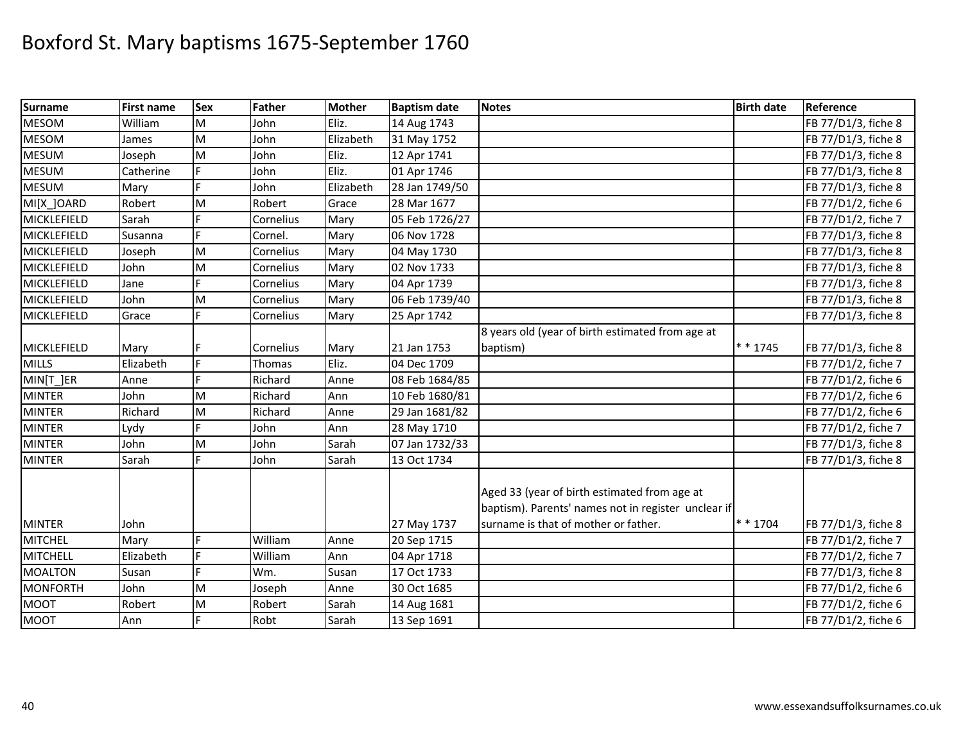| <b>Surname</b>  | <b>First name</b> | <b>Sex</b> | Father    | <b>Mother</b> | <b>Baptism date</b> | <b>Notes</b>                                                                                        | <b>Birth date</b> | Reference           |
|-----------------|-------------------|------------|-----------|---------------|---------------------|-----------------------------------------------------------------------------------------------------|-------------------|---------------------|
| <b>MESOM</b>    | William           | M          | John      | Eliz.         | 14 Aug 1743         |                                                                                                     |                   | FB 77/D1/3, fiche 8 |
| <b>MESOM</b>    | James             | M          | John      | Elizabeth     | 31 May 1752         |                                                                                                     |                   | FB 77/D1/3, fiche 8 |
| <b>MESUM</b>    | Joseph            | M          | John      | Eliz.         | 12 Apr 1741         |                                                                                                     |                   | FB 77/D1/3, fiche 8 |
| <b>MESUM</b>    | Catherine         | Ė          | John      | Eliz.         | 01 Apr 1746         |                                                                                                     |                   | FB 77/D1/3, fiche 8 |
| <b>MESUM</b>    | Mary              | Ë          | John      | Elizabeth     | 28 Jan 1749/50      |                                                                                                     |                   | FB 77/D1/3, fiche 8 |
| MI[X_]OARD      | Robert            | M          | Robert    | Grace         | 28 Mar 1677         |                                                                                                     |                   | FB 77/D1/2, fiche 6 |
| MICKLEFIELD     | Sarah             |            | Cornelius | Mary          | 05 Feb 1726/27      |                                                                                                     |                   | FB 77/D1/2, fiche 7 |
| MICKLEFIELD     | Susanna           | F.         | Cornel.   | Mary          | 06 Nov 1728         |                                                                                                     |                   | FB 77/D1/3, fiche 8 |
| MICKLEFIELD     | Joseph            | M          | Cornelius | Mary          | 04 May 1730         |                                                                                                     |                   | FB 77/D1/3, fiche 8 |
| MICKLEFIELD     | John              | M          | Cornelius | Mary          | 02 Nov 1733         |                                                                                                     |                   | FB 77/D1/3, fiche 8 |
| MICKLEFIELD     | Jane              |            | Cornelius | Mary          | 04 Apr 1739         |                                                                                                     |                   | FB 77/D1/3, fiche 8 |
| MICKLEFIELD     | John              | M          | Cornelius | Mary          | 06 Feb 1739/40      |                                                                                                     |                   | FB 77/D1/3, fiche 8 |
| MICKLEFIELD     | Grace             | E.         | Cornelius | Mary          | 25 Apr 1742         |                                                                                                     |                   | FB 77/D1/3, fiche 8 |
|                 |                   |            |           |               |                     | 8 years old (year of birth estimated from age at                                                    |                   |                     |
| MICKLEFIELD     | Mary              |            | Cornelius | Mary          | 21 Jan 1753         | baptism)                                                                                            | * * 1745          | FB 77/D1/3, fiche 8 |
| <b>MILLS</b>    | Elizabeth         | F.         | Thomas    | Eliz.         | 04 Dec 1709         |                                                                                                     |                   | FB 77/D1/2, fiche 7 |
| MIN[T]ER        | Anne              | E          | Richard   | Anne          | 08 Feb 1684/85      |                                                                                                     |                   | FB 77/D1/2, fiche 6 |
| <b>MINTER</b>   | John              | M          | Richard   | Ann           | 10 Feb 1680/81      |                                                                                                     |                   | FB 77/D1/2, fiche 6 |
| <b>MINTER</b>   | Richard           | M          | Richard   | Anne          | 29 Jan 1681/82      |                                                                                                     |                   | FB 77/D1/2, fiche 6 |
| <b>MINTER</b>   | Lydy              | F          | John      | Ann           | 28 May 1710         |                                                                                                     |                   | FB 77/D1/2, fiche 7 |
| <b>MINTER</b>   | John              | M          | John      | Sarah         | 07 Jan 1732/33      |                                                                                                     |                   | FB 77/D1/3, fiche 8 |
| <b>MINTER</b>   | Sarah             | Ē          | John      | Sarah         | 13 Oct 1734         |                                                                                                     |                   | FB 77/D1/3, fiche 8 |
|                 |                   |            |           |               |                     | Aged 33 (year of birth estimated from age at<br>baptism). Parents' names not in register unclear if |                   |                     |
| <b>MINTER</b>   | John              |            |           |               | 27 May 1737         | surname is that of mother or father.                                                                | $* * 1704$        | FB 77/D1/3, fiche 8 |
| <b>MITCHEL</b>  | Mary              | F          | William   | Anne          | 20 Sep 1715         |                                                                                                     |                   | FB 77/D1/2, fiche 7 |
| <b>MITCHELL</b> | Elizabeth         | F.         | William   | Ann           | 04 Apr 1718         |                                                                                                     |                   | FB 77/D1/2, fiche 7 |
| MOALTON         | Susan             | E.         | Wm.       | Susan         | 17 Oct 1733         |                                                                                                     |                   | FB 77/D1/3, fiche 8 |
| MONFORTH        | John              | M          | Joseph    | Anne          | 30 Oct 1685         |                                                                                                     |                   | FB 77/D1/2, fiche 6 |
| <b>MOOT</b>     | Robert            | M          | Robert    | Sarah         | 14 Aug 1681         |                                                                                                     |                   | FB 77/D1/2, fiche 6 |
| <b>MOOT</b>     | Ann               | F.         | Robt      | Sarah         | 13 Sep 1691         |                                                                                                     |                   | FB 77/D1/2, fiche 6 |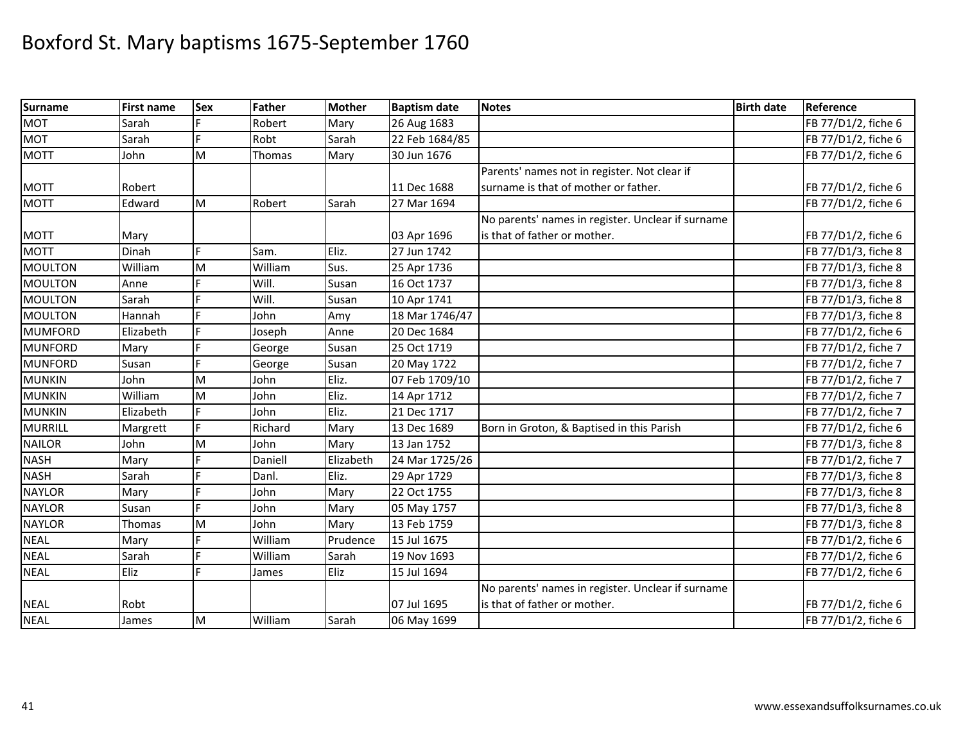| <b>Surname</b> | <b>First name</b> | <b>Sex</b> | Father  | <b>Mother</b> | <b>Baptism date</b> | <b>Notes</b>                                      | <b>Birth date</b> | Reference           |
|----------------|-------------------|------------|---------|---------------|---------------------|---------------------------------------------------|-------------------|---------------------|
| <b>MOT</b>     | Sarah             |            | Robert  | Mary          | 26 Aug 1683         |                                                   |                   | FB 77/D1/2, fiche 6 |
| <b>MOT</b>     | Sarah             | E          | Robt    | Sarah         | 22 Feb 1684/85      |                                                   |                   | FB 77/D1/2, fiche 6 |
| <b>MOTT</b>    | John              | M          | Thomas  | Mary          | 30 Jun 1676         |                                                   |                   | FB 77/D1/2, fiche 6 |
|                |                   |            |         |               |                     | Parents' names not in register. Not clear if      |                   |                     |
| <b>MOTT</b>    | Robert            |            |         |               | 11 Dec 1688         | surname is that of mother or father.              |                   | FB 77/D1/2, fiche 6 |
| <b>MOTT</b>    | Edward            | M          | Robert  | Sarah         | 27 Mar 1694         |                                                   |                   | FB 77/D1/2, fiche 6 |
|                |                   |            |         |               |                     | No parents' names in register. Unclear if surname |                   |                     |
| <b>MOTT</b>    | Mary              |            |         |               | 03 Apr 1696         | is that of father or mother.                      |                   | FB 77/D1/2, fiche 6 |
| <b>MOTT</b>    | Dinah             | F          | Sam.    | Eliz.         | 27 Jun 1742         |                                                   |                   | FB 77/D1/3, fiche 8 |
| MOULTON        | William           | M          | William | Sus.          | 25 Apr 1736         |                                                   |                   | FB 77/D1/3, fiche 8 |
| <b>MOULTON</b> | Anne              |            | Will.   | Susan         | 16 Oct 1737         |                                                   |                   | FB 77/D1/3, fiche 8 |
| <b>MOULTON</b> | Sarah             |            | Will.   | Susan         | 10 Apr 1741         |                                                   |                   | FB 77/D1/3, fiche 8 |
| <b>MOULTON</b> | Hannah            | F          | John    | Amy           | 18 Mar 1746/47      |                                                   |                   | FB 77/D1/3, fiche 8 |
| <b>MUMFORD</b> | Elizabeth         | Ė.         | Joseph  | Anne          | 20 Dec 1684         |                                                   |                   | FB 77/D1/2, fiche 6 |
| <b>MUNFORD</b> | Mary              |            | George  | Susan         | 25 Oct 1719         |                                                   |                   | FB 77/D1/2, fiche 7 |
| <b>MUNFORD</b> | Susan             |            | George  | Susan         | 20 May 1722         |                                                   |                   | FB 77/D1/2, fiche 7 |
| <b>MUNKIN</b>  | John              | M          | John    | Eliz.         | 07 Feb 1709/10      |                                                   |                   | FB 77/D1/2, fiche 7 |
| <b>MUNKIN</b>  | William           | M          | John    | Eliz.         | 14 Apr 1712         |                                                   |                   | FB 77/D1/2, fiche 7 |
| <b>MUNKIN</b>  | Elizabeth         |            | John    | Eliz.         | 21 Dec 1717         |                                                   |                   | FB 77/D1/2, fiche 7 |
| MURRILL        | Margrett          |            | Richard | Mary          | 13 Dec 1689         | Born in Groton, & Baptised in this Parish         |                   | FB 77/D1/2, fiche 6 |
| <b>NAILOR</b>  | John              | M          | John    | Mary          | 13 Jan 1752         |                                                   |                   | FB 77/D1/3, fiche 8 |
| <b>NASH</b>    | Mary              |            | Daniell | Elizabeth     | 24 Mar 1725/26      |                                                   |                   | FB 77/D1/2, fiche 7 |
| <b>NASH</b>    | Sarah             | E          | Danl.   | Eliz.         | 29 Apr 1729         |                                                   |                   | FB 77/D1/3, fiche 8 |
| <b>NAYLOR</b>  | Mary              | E          | John    | Mary          | 22 Oct 1755         |                                                   |                   | FB 77/D1/3, fiche 8 |
| <b>NAYLOR</b>  | Susan             |            | John    | Mary          | 05 May 1757         |                                                   |                   | FB 77/D1/3, fiche 8 |
| <b>NAYLOR</b>  | Thomas            | M          | John    | Mary          | 13 Feb 1759         |                                                   |                   | FB 77/D1/3, fiche 8 |
| <b>NEAL</b>    | Mary              | Ė          | William | Prudence      | 15 Jul 1675         |                                                   |                   | FB 77/D1/2, fiche 6 |
| <b>NEAL</b>    | Sarah             | Ē          | William | Sarah         | 19 Nov 1693         |                                                   |                   | FB 77/D1/2, fiche 6 |
| <b>NEAL</b>    | Eliz              | F          | James   | Eliz          | 15 Jul 1694         |                                                   |                   | FB 77/D1/2, fiche 6 |
|                |                   |            |         |               |                     | No parents' names in register. Unclear if surname |                   |                     |
| <b>NEAL</b>    | Robt              |            |         |               | 07 Jul 1695         | is that of father or mother.                      |                   | FB 77/D1/2, fiche 6 |
| <b>NEAL</b>    | James             | M          | William | Sarah         | 06 May 1699         |                                                   |                   | FB 77/D1/2, fiche 6 |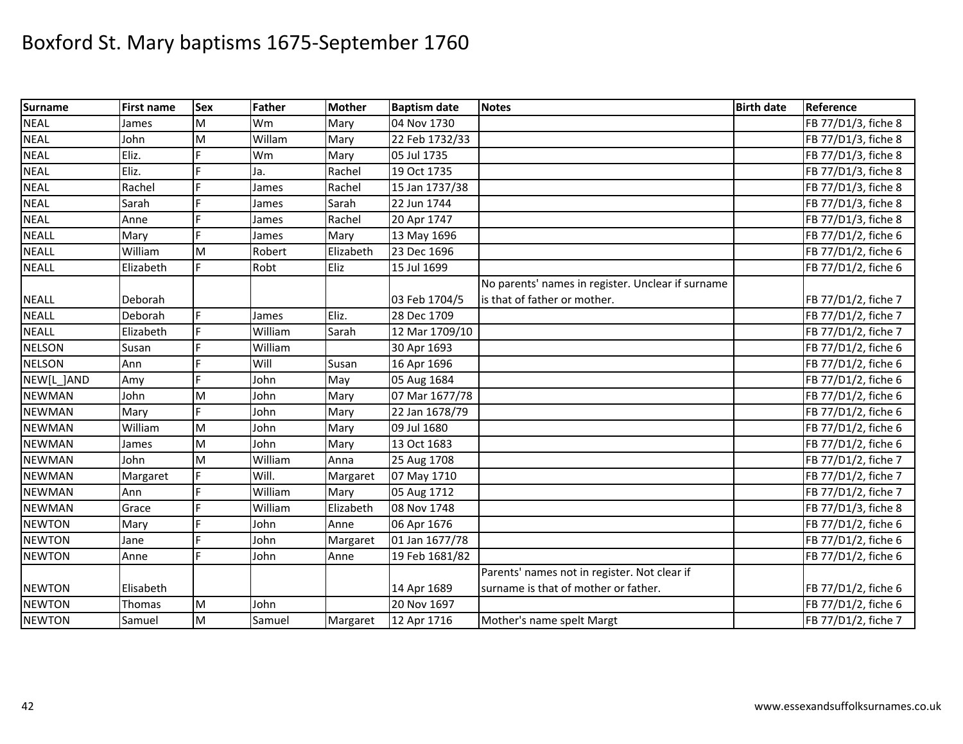| <b>Surname</b> | <b>First name</b> | <b>Sex</b> | Father  | <b>Mother</b> | <b>Baptism date</b> | <b>Notes</b>                                      | <b>Birth date</b> | Reference           |
|----------------|-------------------|------------|---------|---------------|---------------------|---------------------------------------------------|-------------------|---------------------|
| <b>NEAL</b>    | James             | M          | Wm      | Mary          | 04 Nov 1730         |                                                   |                   | FB 77/D1/3, fiche 8 |
| <b>NEAL</b>    | John              | M          | Willam  | Mary          | 22 Feb 1732/33      |                                                   |                   | FB 77/D1/3, fiche 8 |
| <b>NEAL</b>    | Eliz.             |            | Wm      | Mary          | 05 Jul 1735         |                                                   |                   | FB 77/D1/3, fiche 8 |
| <b>NEAL</b>    | Eliz.             |            | Ja.     | Rachel        | 19 Oct 1735         |                                                   |                   | FB 77/D1/3, fiche 8 |
| <b>NEAL</b>    | Rachel            | E          | James   | Rachel        | 15 Jan 1737/38      |                                                   |                   | FB 77/D1/3, fiche 8 |
| <b>NEAL</b>    | Sarah             | E          | James   | Sarah         | 22 Jun 1744         |                                                   |                   | FB 77/D1/3, fiche 8 |
| <b>NEAL</b>    | Anne              | F          | James   | Rachel        | 20 Apr 1747         |                                                   |                   | FB 77/D1/3, fiche 8 |
| <b>NEALL</b>   | Mary              |            | James   | Mary          | 13 May 1696         |                                                   |                   | FB 77/D1/2, fiche 6 |
| <b>NEALL</b>   | William           | M          | Robert  | Elizabeth     | 23 Dec 1696         |                                                   |                   | FB 77/D1/2, fiche 6 |
| <b>NEALL</b>   | Elizabeth         |            | Robt    | Eliz          | 15 Jul 1699         |                                                   |                   | FB 77/D1/2, fiche 6 |
|                |                   |            |         |               |                     | No parents' names in register. Unclear if surname |                   |                     |
| <b>NEALL</b>   | Deborah           |            |         |               | 03 Feb 1704/5       | is that of father or mother.                      |                   | FB 77/D1/2, fiche 7 |
| <b>NEALL</b>   | Deborah           | F          | James   | Eliz.         | 28 Dec 1709         |                                                   |                   | FB 77/D1/2, fiche 7 |
| <b>NEALL</b>   | Elizabeth         | F          | William | Sarah         | 12 Mar 1709/10      |                                                   |                   | FB 77/D1/2, fiche 7 |
| <b>NELSON</b>  | Susan             | Þ          | William |               | 30 Apr 1693         |                                                   |                   | FB 77/D1/2, fiche 6 |
| <b>NELSON</b>  | Ann               |            | Will    | Susan         | 16 Apr 1696         |                                                   |                   | FB 77/D1/2, fiche 6 |
| NEW[L_]AND     | Amy               | F          | John    | May           | 05 Aug 1684         |                                                   |                   | FB 77/D1/2, fiche 6 |
| <b>NEWMAN</b>  | John              | M          | John    | Mary          | 07 Mar 1677/78      |                                                   |                   | FB 77/D1/2, fiche 6 |
| <b>NEWMAN</b>  | Mary              | E          | John    | Mary          | 22 Jan 1678/79      |                                                   |                   | FB 77/D1/2, fiche 6 |
| <b>NEWMAN</b>  | William           | M          | John    | Mary          | 09 Jul 1680         |                                                   |                   | FB 77/D1/2, fiche 6 |
| <b>NEWMAN</b>  | James             | M          | John    | Mary          | 13 Oct 1683         |                                                   |                   | FB 77/D1/2, fiche 6 |
| <b>NEWMAN</b>  | John              | M          | William | Anna          | 25 Aug 1708         |                                                   |                   | FB 77/D1/2, fiche 7 |
| <b>NEWMAN</b>  | Margaret          | Ė          | Will.   | Margaret      | 07 May 1710         |                                                   |                   | FB 77/D1/2, fiche 7 |
| <b>NEWMAN</b>  | Ann               |            | William | Mary          | 05 Aug 1712         |                                                   |                   | FB 77/D1/2, fiche 7 |
| <b>NEWMAN</b>  | Grace             |            | William | Elizabeth     | 08 Nov 1748         |                                                   |                   | FB 77/D1/3, fiche 8 |
| <b>NEWTON</b>  | Mary              |            | John    | Anne          | 06 Apr 1676         |                                                   |                   | FB 77/D1/2, fiche 6 |
| <b>NEWTON</b>  | Jane              | É          | John    | Margaret      | 01 Jan 1677/78      |                                                   |                   | FB 77/D1/2, fiche 6 |
| <b>NEWTON</b>  | Anne              | Ē          | John    | Anne          | 19 Feb 1681/82      |                                                   |                   | FB 77/D1/2, fiche 6 |
|                |                   |            |         |               |                     | Parents' names not in register. Not clear if      |                   |                     |
| <b>NEWTON</b>  | Elisabeth         |            |         |               | 14 Apr 1689         | surname is that of mother or father.              |                   | FB 77/D1/2, fiche 6 |
| <b>NEWTON</b>  | Thomas            | M          | John    |               | 20 Nov 1697         |                                                   |                   | FB 77/D1/2, fiche 6 |
| <b>NEWTON</b>  | Samuel            | M          | Samuel  | Margaret      | 12 Apr 1716         | Mother's name spelt Margt                         |                   | FB 77/D1/2, fiche 7 |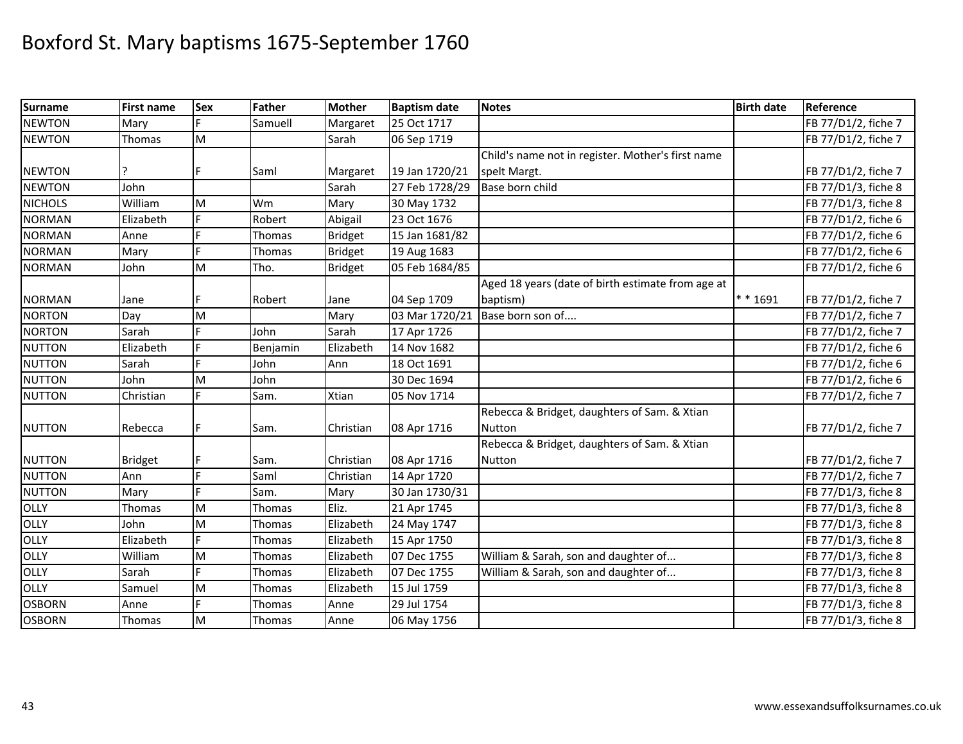| <b>Surname</b> | <b>First name</b> | Sex       | Father        | <b>Mother</b>  | <b>Baptism date</b> | <b>Notes</b>                                      | <b>Birth date</b> | Reference           |
|----------------|-------------------|-----------|---------------|----------------|---------------------|---------------------------------------------------|-------------------|---------------------|
| <b>NEWTON</b>  | Mary              |           | Samuell       | Margaret       | 25 Oct 1717         |                                                   |                   | FB 77/D1/2, fiche 7 |
| <b>NEWTON</b>  | Thomas            | M         |               | Sarah          | 06 Sep 1719         |                                                   |                   | FB 77/D1/2, fiche 7 |
|                |                   |           |               |                |                     | Child's name not in register. Mother's first name |                   |                     |
| <b>NEWTON</b>  |                   |           | Saml          | Margaret       | 19 Jan 1720/21      | spelt Margt.                                      |                   | FB 77/D1/2, fiche 7 |
| <b>NEWTON</b>  | John              |           |               | Sarah          | 27 Feb 1728/29      | Base born child                                   |                   | FB 77/D1/3, fiche 8 |
| <b>NICHOLS</b> | William           | M         | Wm            | Mary           | 30 May 1732         |                                                   |                   | FB 77/D1/3, fiche 8 |
| <b>NORMAN</b>  | Elizabeth         |           | Robert        | Abigail        | 23 Oct 1676         |                                                   |                   | FB 77/D1/2, fiche 6 |
| <b>NORMAN</b>  | Anne              |           | Thomas        | <b>Bridget</b> | 15 Jan 1681/82      |                                                   |                   | FB 77/D1/2, fiche 6 |
| <b>NORMAN</b>  | Mary              | E         | Thomas        | <b>Bridget</b> | 19 Aug 1683         |                                                   |                   | FB 77/D1/2, fiche 6 |
| <b>NORMAN</b>  | John              | M         | Tho.          | <b>Bridget</b> | 05 Feb 1684/85      |                                                   |                   | FB 77/D1/2, fiche 6 |
|                |                   |           |               |                |                     | Aged 18 years (date of birth estimate from age at |                   |                     |
| <b>NORMAN</b>  | Jane              |           | Robert        | Jane           | 04 Sep 1709         | baptism)                                          | ** 1691           | FB 77/D1/2, fiche 7 |
| <b>NORTON</b>  | Day               | M         |               | Mary           | 03 Mar 1720/21      | Base born son of                                  |                   | FB 77/D1/2, fiche 7 |
| <b>NORTON</b>  | Sarah             |           | John          | Sarah          | 17 Apr 1726         |                                                   |                   | FB 77/D1/2, fiche 7 |
| <b>NUTTON</b>  | Elizabeth         | Ė         | Benjamin      | Elizabeth      | 14 Nov 1682         |                                                   |                   | FB 77/D1/2, fiche 6 |
| <b>NUTTON</b>  | Sarah             |           | John          | Ann            | 18 Oct 1691         |                                                   |                   | FB 77/D1/2, fiche 6 |
| <b>NUTTON</b>  | John              | M         | John          |                | 30 Dec 1694         |                                                   |                   | FB 77/D1/2, fiche 6 |
| <b>NUTTON</b>  | Christian         | c.        | Sam.          | Xtian          | 05 Nov 1714         |                                                   |                   | FB 77/D1/2, fiche 7 |
|                |                   |           |               |                |                     | Rebecca & Bridget, daughters of Sam. & Xtian      |                   |                     |
| <b>NUTTON</b>  | Rebecca           |           | Sam.          | Christian      | 08 Apr 1716         | Nutton                                            |                   | FB 77/D1/2, fiche 7 |
|                |                   |           |               |                |                     | Rebecca & Bridget, daughters of Sam. & Xtian      |                   |                     |
| <b>NUTTON</b>  | <b>Bridget</b>    | F         | Sam.          | Christian      | 08 Apr 1716         | Nutton                                            |                   | FB 77/D1/2, fiche 7 |
| <b>NUTTON</b>  | Ann               | É         | Saml          | Christian      | 14 Apr 1720         |                                                   |                   | FB 77/D1/2, fiche 7 |
| <b>NUTTON</b>  | Mary              |           | Sam.          | Mary           | 30 Jan 1730/31      |                                                   |                   | FB 77/D1/3, fiche 8 |
| OLLY           | Thomas            | ${\sf M}$ | Thomas        | Eliz.          | 21 Apr 1745         |                                                   |                   | FB 77/D1/3, fiche 8 |
| OLLY           | John              | M         | Thomas        | Elizabeth      | 24 May 1747         |                                                   |                   | FB 77/D1/3, fiche 8 |
| OLLY           | Elizabeth         |           | Thomas        | Elizabeth      | 15 Apr 1750         |                                                   |                   | FB 77/D1/3, fiche 8 |
| OLLY           | William           | M         | Thomas        | Elizabeth      | 07 Dec 1755         | William & Sarah, son and daughter of              |                   | FB 77/D1/3, fiche 8 |
| OLLY           | Sarah             |           | <b>Thomas</b> | Elizabeth      | 07 Dec 1755         | William & Sarah, son and daughter of              |                   | FB 77/D1/3, fiche 8 |
| OLLY           | Samuel            | M         | Thomas        | Elizabeth      | 15 Jul 1759         |                                                   |                   | FB 77/D1/3, fiche 8 |
| <b>OSBORN</b>  | Anne              |           | Thomas        | Anne           | 29 Jul 1754         |                                                   |                   | FB 77/D1/3, fiche 8 |
| <b>OSBORN</b>  | Thomas            | M         | Thomas        | Anne           | 06 May 1756         |                                                   |                   | FB 77/D1/3, fiche 8 |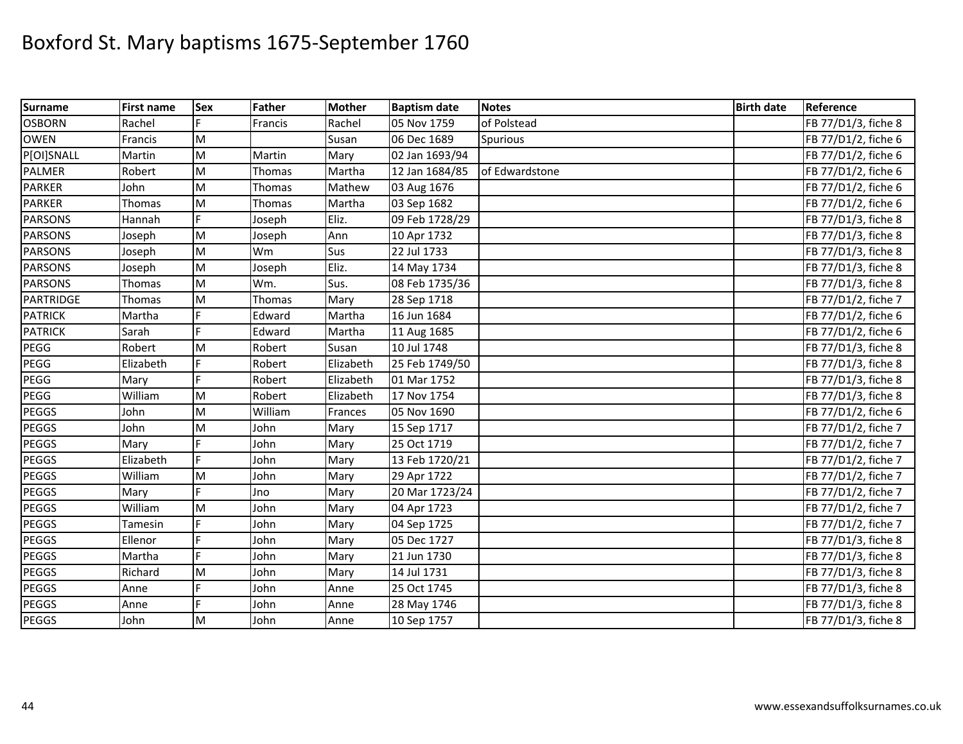| <b>Surname</b>   | <b>First name</b> | <b>Sex</b>                                                                            | Father  | <b>Mother</b> | <b>Baptism date</b> | <b>Notes</b>   | <b>Birth date</b> | Reference           |
|------------------|-------------------|---------------------------------------------------------------------------------------|---------|---------------|---------------------|----------------|-------------------|---------------------|
| <b>OSBORN</b>    | Rachel            |                                                                                       | Francis | Rachel        | 05 Nov 1759         | of Polstead    |                   | FB 77/D1/3, fiche 8 |
| <b>OWEN</b>      | Francis           | M                                                                                     |         | Susan         | 06 Dec 1689         | Spurious       |                   | FB 77/D1/2, fiche 6 |
| P[OI]SNALL       | Martin            | M                                                                                     | Martin  | Mary          | 02 Jan 1693/94      |                |                   | FB 77/D1/2, fiche 6 |
| <b>PALMER</b>    | Robert            | M                                                                                     | Thomas  | Martha        | 12 Jan 1684/85      | of Edwardstone |                   | FB 77/D1/2, fiche 6 |
| <b>PARKER</b>    | John              | M                                                                                     | Thomas  | Mathew        | 03 Aug 1676         |                |                   | FB 77/D1/2, fiche 6 |
| <b>PARKER</b>    | Thomas            | $\mathsf{M}% _{T}=\mathsf{M}_{T}\!\left( a,b\right) ,\ \mathsf{M}_{T}=\mathsf{M}_{T}$ | Thomas  | Martha        | 03 Sep 1682         |                |                   | FB 77/D1/2, fiche 6 |
| <b>PARSONS</b>   | Hannah            |                                                                                       | Joseph  | Eliz.         | 09 Feb 1728/29      |                |                   | FB 77/D1/3, fiche 8 |
| <b>PARSONS</b>   | Joseph            | M                                                                                     | Joseph  | Ann           | 10 Apr 1732         |                |                   | FB 77/D1/3, fiche 8 |
| <b>PARSONS</b>   | Joseph            | M                                                                                     | Wm      | Sus           | 22 Jul 1733         |                |                   | FB 77/D1/3, fiche 8 |
| <b>PARSONS</b>   | Joseph            | M                                                                                     | Joseph  | Eliz.         | 14 May 1734         |                |                   | FB 77/D1/3, fiche 8 |
| <b>PARSONS</b>   | Thomas            | M                                                                                     | Wm.     | Sus.          | 08 Feb 1735/36      |                |                   | FB 77/D1/3, fiche 8 |
| <b>PARTRIDGE</b> | Thomas            | M                                                                                     | Thomas  | Mary          | 28 Sep 1718         |                |                   | FB 77/D1/2, fiche 7 |
| <b>PATRICK</b>   | Martha            | F                                                                                     | Edward  | Martha        | 16 Jun 1684         |                |                   | FB 77/D1/2, fiche 6 |
| <b>PATRICK</b>   | Sarah             | È,                                                                                    | Edward  | Martha        | 11 Aug 1685         |                |                   | FB 77/D1/2, fiche 6 |
| PEGG             | Robert            | M                                                                                     | Robert  | Susan         | 10 Jul 1748         |                |                   | FB 77/D1/3, fiche 8 |
| PEGG             | Elizabeth         |                                                                                       | Robert  | Elizabeth     | 25 Feb 1749/50      |                |                   | FB 77/D1/3, fiche 8 |
| PEGG             | Mary              |                                                                                       | Robert  | Elizabeth     | 01 Mar 1752         |                |                   | FB 77/D1/3, fiche 8 |
| PEGG             | William           | M                                                                                     | Robert  | Elizabeth     | 17 Nov 1754         |                |                   | FB 77/D1/3, fiche 8 |
| <b>PEGGS</b>     | John              | M                                                                                     | William | Frances       | 05 Nov 1690         |                |                   | FB 77/D1/2, fiche 6 |
| <b>PEGGS</b>     | John              | M                                                                                     | John    | Mary          | 15 Sep 1717         |                |                   | FB 77/D1/2, fiche 7 |
| <b>PEGGS</b>     | Mary              |                                                                                       | John    | Mary          | 25 Oct 1719         |                |                   | FB 77/D1/2, fiche 7 |
| PEGGS            | Elizabeth         | Ė                                                                                     | John    | Mary          | 13 Feb 1720/21      |                |                   | FB 77/D1/2, fiche 7 |
| <b>PEGGS</b>     | William           | M                                                                                     | John    | Mary          | 29 Apr 1722         |                |                   | FB 77/D1/2, fiche 7 |
| PEGGS            | Mary              |                                                                                       | Jno     | Mary          | 20 Mar 1723/24      |                |                   | FB 77/D1/2, fiche 7 |
| <b>PEGGS</b>     | William           | M                                                                                     | John    | Mary          | 04 Apr 1723         |                |                   | FB 77/D1/2, fiche 7 |
| <b>PEGGS</b>     | Tamesin           |                                                                                       | John    | Mary          | 04 Sep 1725         |                |                   | FB 77/D1/2, fiche 7 |
| <b>PEGGS</b>     | Ellenor           |                                                                                       | John    | Mary          | 05 Dec 1727         |                |                   | FB 77/D1/3, fiche 8 |
| <b>PEGGS</b>     | Martha            | F                                                                                     | John    | Mary          | 21 Jun 1730         |                |                   | FB 77/D1/3, fiche 8 |
| <b>PEGGS</b>     | Richard           | M                                                                                     | John    | Mary          | 14 Jul 1731         |                |                   | FB 77/D1/3, fiche 8 |
| <b>PEGGS</b>     | Anne              | F.                                                                                    | John    | Anne          | 25 Oct 1745         |                |                   | FB 77/D1/3, fiche 8 |
| <b>PEGGS</b>     | Anne              | E                                                                                     | John    | Anne          | 28 May 1746         |                |                   | FB 77/D1/3, fiche 8 |
| PEGGS            | John              | M                                                                                     | John    | Anne          | 10 Sep 1757         |                |                   | FB 77/D1/3, fiche 8 |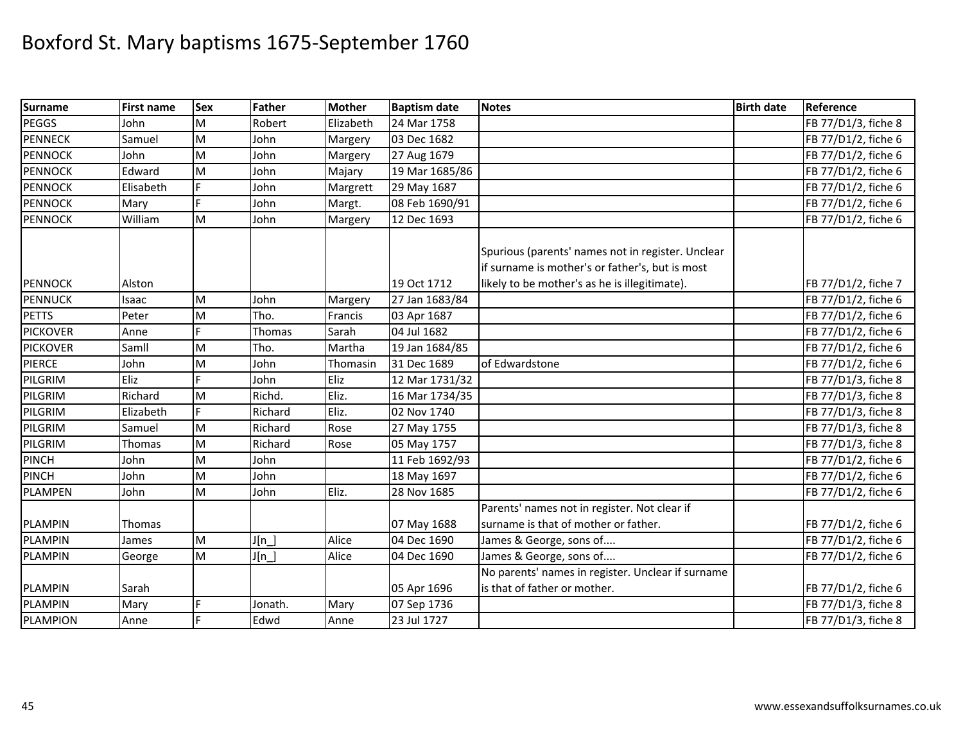| <b>Surname</b>  | <b>First name</b> | <b>Sex</b> | Father  | <b>Mother</b> | <b>Baptism date</b> | <b>Notes</b>                                                                                         | <b>Birth date</b> | Reference           |
|-----------------|-------------------|------------|---------|---------------|---------------------|------------------------------------------------------------------------------------------------------|-------------------|---------------------|
| PEGGS           | John              | М          | Robert  | Elizabeth     | 24 Mar 1758         |                                                                                                      |                   | FB 77/D1/3, fiche 8 |
| <b>PENNECK</b>  | Samuel            | M          | John    | Margery       | 03 Dec 1682         |                                                                                                      |                   | FB 77/D1/2, fiche 6 |
| <b>PENNOCK</b>  | John              | M          | John    | Margery       | 27 Aug 1679         |                                                                                                      |                   | FB 77/D1/2, fiche 6 |
| <b>PENNOCK</b>  | Edward            | M          | John    | Majary        | 19 Mar 1685/86      |                                                                                                      |                   | FB 77/D1/2, fiche 6 |
| <b>PENNOCK</b>  | Elisabeth         | E.         | John    | Margrett      | 29 May 1687         |                                                                                                      |                   | FB 77/D1/2, fiche 6 |
| <b>PENNOCK</b>  | Mary              |            | John    | Margt.        | 08 Feb 1690/91      |                                                                                                      |                   | FB 77/D1/2, fiche 6 |
| <b>PENNOCK</b>  | William           | M          | John    | Margery       | 12 Dec 1693         |                                                                                                      |                   | FB 77/D1/2, fiche 6 |
|                 |                   |            |         |               |                     | Spurious (parents' names not in register. Unclear<br>if surname is mother's or father's, but is most |                   |                     |
| <b>PENNOCK</b>  | Alston            |            |         |               | 19 Oct 1712         | likely to be mother's as he is illegitimate).                                                        |                   | FB 77/D1/2, fiche 7 |
| <b>PENNUCK</b>  | Isaac             | M          | John    | Margery       | 27 Jan 1683/84      |                                                                                                      |                   | FB 77/D1/2, fiche 6 |
| <b>PETTS</b>    | Peter             | M          | Tho.    | Francis       | 03 Apr 1687         |                                                                                                      |                   | FB 77/D1/2, fiche 6 |
| <b>PICKOVER</b> | Anne              | Ė          | Thomas  | Sarah         | 04 Jul 1682         |                                                                                                      |                   | FB 77/D1/2, fiche 6 |
| <b>PICKOVER</b> | Samll             | M          | Tho.    | Martha        | 19 Jan 1684/85      |                                                                                                      |                   | FB 77/D1/2, fiche 6 |
| <b>PIERCE</b>   | John              | M          | John    | Thomasin      | 31 Dec 1689         | of Edwardstone                                                                                       |                   | FB 77/D1/2, fiche 6 |
| PILGRIM         | Eliz              |            | John    | Eliz          | 12 Mar 1731/32      |                                                                                                      |                   | FB 77/D1/3, fiche 8 |
| PILGRIM         | Richard           | M          | Richd.  | Eliz.         | 16 Mar 1734/35      |                                                                                                      |                   | FB 77/D1/3, fiche 8 |
| PILGRIM         | Elizabeth         | Ė          | Richard | Eliz.         | 02 Nov 1740         |                                                                                                      |                   | FB 77/D1/3, fiche 8 |
| PILGRIM         | Samuel            | M          | Richard | Rose          | 27 May 1755         |                                                                                                      |                   | FB 77/D1/3, fiche 8 |
| PILGRIM         | Thomas            | M          | Richard | Rose          | 05 May 1757         |                                                                                                      |                   | FB 77/D1/3, fiche 8 |
| <b>PINCH</b>    | John              | M          | John    |               | 11 Feb 1692/93      |                                                                                                      |                   | FB 77/D1/2, fiche 6 |
| <b>PINCH</b>    | John              | M          | John    |               | 18 May 1697         |                                                                                                      |                   | FB 77/D1/2, fiche 6 |
| <b>PLAMPEN</b>  | John              | M          | John    | Eliz.         | 28 Nov 1685         |                                                                                                      |                   | FB 77/D1/2, fiche 6 |
|                 |                   |            |         |               |                     | Parents' names not in register. Not clear if<br>surname is that of mother or father.                 |                   |                     |
| <b>PLAMPIN</b>  | Thomas            |            |         | Alice         | 07 May 1688         |                                                                                                      |                   | FB 77/D1/2, fiche 6 |
| <b>PLAMPIN</b>  | James             | M          | J[n]    |               | 04 Dec 1690         | James & George, sons of                                                                              |                   | FB 77/D1/2, fiche 6 |
| <b>PLAMPIN</b>  | George            | M          | $J[n_$  | Alice         | 04 Dec 1690         | James & George, sons of                                                                              |                   | FB 77/D1/2, fiche 6 |
| <b>PLAMPIN</b>  | Sarah             |            |         |               | 05 Apr 1696         | No parents' names in register. Unclear if surname<br>is that of father or mother.                    |                   | FB 77/D1/2, fiche 6 |
| <b>PLAMPIN</b>  | Mary              | F.         | Jonath. | Mary          | 07 Sep 1736         |                                                                                                      |                   | FB 77/D1/3, fiche 8 |
| PLAMPION        | Anne              | E          | Edwd    | Anne          | 23 Jul 1727         |                                                                                                      |                   | FB 77/D1/3, fiche 8 |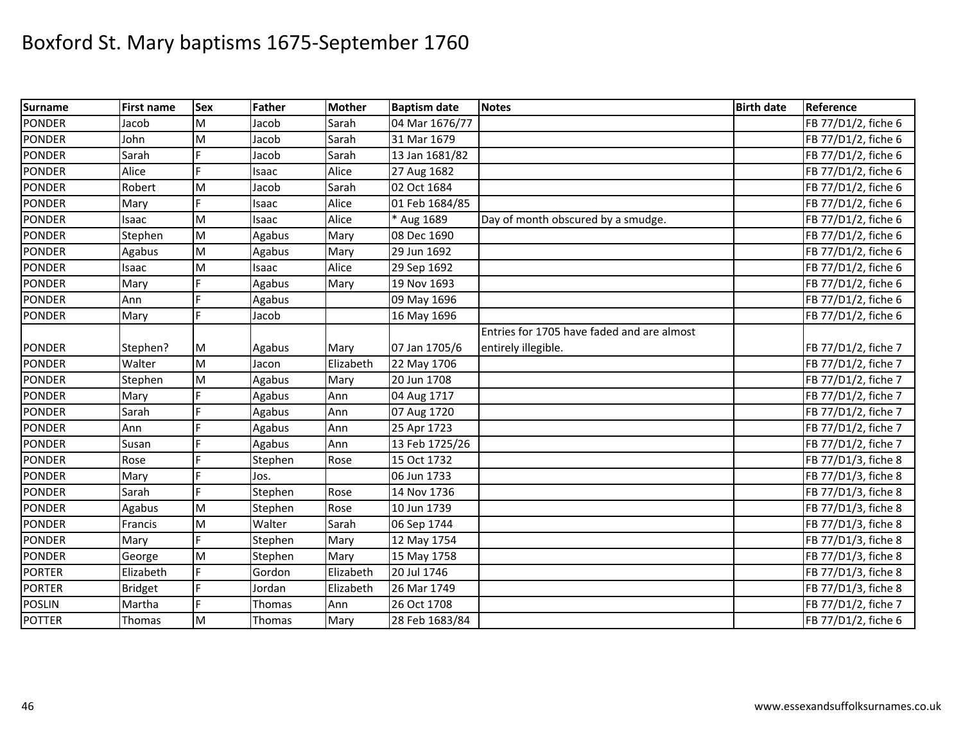| <b>Surname</b> | <b>First name</b> | <b>Sex</b> | Father  | <b>Mother</b> | <b>Baptism date</b> | <b>Notes</b>                               | <b>Birth date</b> | Reference           |
|----------------|-------------------|------------|---------|---------------|---------------------|--------------------------------------------|-------------------|---------------------|
| <b>PONDER</b>  | Jacob             | M          | Jacob   | Sarah         | 04 Mar 1676/77      |                                            |                   | FB 77/D1/2, fiche 6 |
| <b>PONDER</b>  | John              | M          | Jacob   | Sarah         | 31 Mar 1679         |                                            |                   | FB 77/D1/2, fiche 6 |
| <b>PONDER</b>  | Sarah             |            | Jacob   | Sarah         | 13 Jan 1681/82      |                                            |                   | FB 77/D1/2, fiche 6 |
| <b>PONDER</b>  | Alice             |            | Isaac   | Alice         | 27 Aug 1682         |                                            |                   | FB 77/D1/2, fiche 6 |
| <b>PONDER</b>  | Robert            | M          | Jacob   | Sarah         | 02 Oct 1684         |                                            |                   | FB 77/D1/2, fiche 6 |
| <b>PONDER</b>  | Mary              | E          | Isaac   | Alice         | 01 Feb 1684/85      |                                            |                   | FB 77/D1/2, fiche 6 |
| <b>PONDER</b>  | Isaac             | M          | Isaac   | Alice         | * Aug 1689          | Day of month obscured by a smudge.         |                   | FB 77/D1/2, fiche 6 |
| <b>PONDER</b>  | Stephen           | M          | Agabus  | Mary          | 08 Dec 1690         |                                            |                   | FB 77/D1/2, fiche 6 |
| <b>PONDER</b>  | Agabus            | M          | Agabus  | Mary          | 29 Jun 1692         |                                            |                   | FB 77/D1/2, fiche 6 |
| <b>PONDER</b>  | Isaac             | M          | Isaac   | Alice         | 29 Sep 1692         |                                            |                   | FB 77/D1/2, fiche 6 |
| <b>PONDER</b>  | Mary              |            | Agabus  | Mary          | 19 Nov 1693         |                                            |                   | FB 77/D1/2, fiche 6 |
| <b>PONDER</b>  | Ann               |            | Agabus  |               | 09 May 1696         |                                            |                   | FB 77/D1/2, fiche 6 |
| <b>PONDER</b>  | Mary              | F.         | Jacob   |               | 16 May 1696         |                                            |                   | FB 77/D1/2, fiche 6 |
|                |                   |            |         |               |                     | Entries for 1705 have faded and are almost |                   |                     |
| <b>PONDER</b>  | Stephen?          | M          | Agabus  | Mary          | 07 Jan 1705/6       | entirely illegible.                        |                   | FB 77/D1/2, fiche 7 |
| <b>PONDER</b>  | Walter            | M          | Jacon   | Elizabeth     | 22 May 1706         |                                            |                   | FB 77/D1/2, fiche 7 |
| <b>PONDER</b>  | Stephen           | M          | Agabus  | Mary          | 20 Jun 1708         |                                            |                   | FB 77/D1/2, fiche 7 |
| <b>PONDER</b>  | Mary              |            | Agabus  | Ann           | 04 Aug 1717         |                                            |                   | FB 77/D1/2, fiche 7 |
| <b>PONDER</b>  | Sarah             |            | Agabus  | Ann           | 07 Aug 1720         |                                            |                   | FB 77/D1/2, fiche 7 |
| <b>PONDER</b>  | Ann               |            | Agabus  | Ann           | 25 Apr 1723         |                                            |                   | FB 77/D1/2, fiche 7 |
| <b>PONDER</b>  | Susan             |            | Agabus  | Ann           | 13 Feb 1725/26      |                                            |                   | FB 77/D1/2, fiche 7 |
| <b>PONDER</b>  | Rose              | Ë          | Stephen | Rose          | 15 Oct 1732         |                                            |                   | FB 77/D1/3, fiche 8 |
| <b>PONDER</b>  | Mary              | E          | Jos.    |               | 06 Jun 1733         |                                            |                   | FB 77/D1/3, fiche 8 |
| <b>PONDER</b>  | Sarah             |            | Stephen | Rose          | 14 Nov 1736         |                                            |                   | FB 77/D1/3, fiche 8 |
| <b>PONDER</b>  | Agabus            | M          | Stephen | Rose          | 10 Jun 1739         |                                            |                   | FB 77/D1/3, fiche 8 |
| <b>PONDER</b>  | Francis           | M          | Walter  | Sarah         | 06 Sep 1744         |                                            |                   | FB 77/D1/3, fiche 8 |
| <b>PONDER</b>  | Mary              |            | Stephen | Mary          | 12 May 1754         |                                            |                   | FB 77/D1/3, fiche 8 |
| <b>PONDER</b>  | George            | M          | Stephen | Mary          | 15 May 1758         |                                            |                   | FB 77/D1/3, fiche 8 |
| <b>PORTER</b>  | Elizabeth         | Ė          | Gordon  | Elizabeth     | 20 Jul 1746         |                                            |                   | FB 77/D1/3, fiche 8 |
| <b>PORTER</b>  | <b>Bridget</b>    | F.         | Jordan  | Elizabeth     | 26 Mar 1749         |                                            |                   | FB 77/D1/3, fiche 8 |
| <b>POSLIN</b>  | Martha            | Ė          | Thomas  | Ann           | 26 Oct 1708         |                                            |                   | FB 77/D1/2, fiche 7 |
| <b>POTTER</b>  | Thomas            | M          | Thomas  | Mary          | 28 Feb 1683/84      |                                            |                   | FB 77/D1/2, fiche 6 |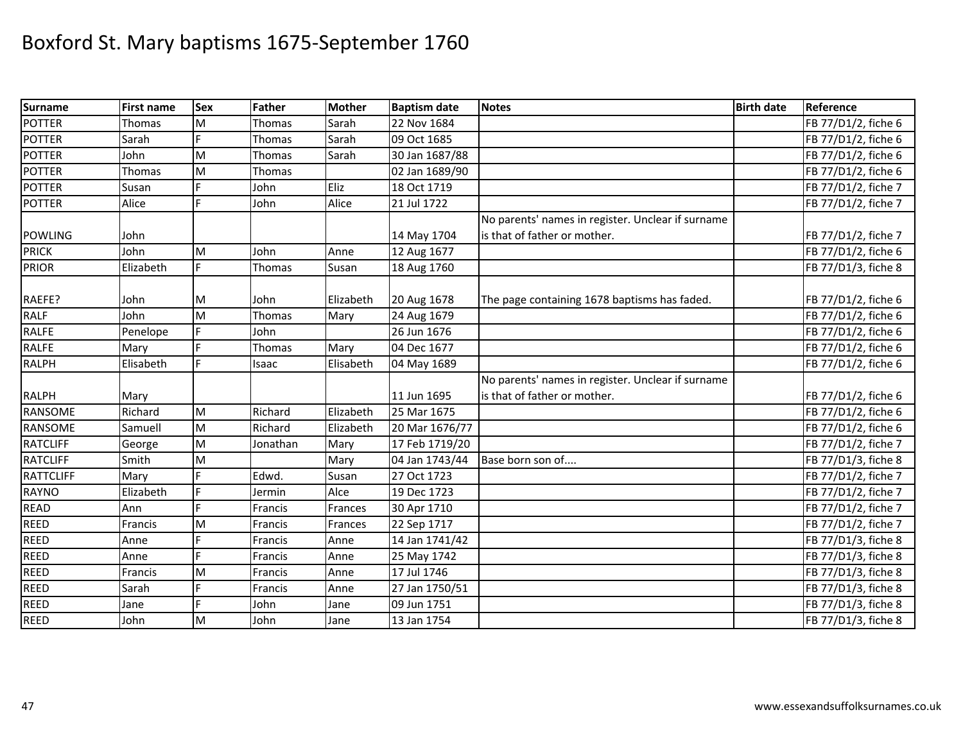| <b>Surname</b>   | <b>First name</b> | Sex | <b>Father</b> | <b>Mother</b> | <b>Baptism date</b> | <b>Notes</b>                                      | <b>Birth date</b> | Reference           |
|------------------|-------------------|-----|---------------|---------------|---------------------|---------------------------------------------------|-------------------|---------------------|
| <b>POTTER</b>    | Thomas            | M   | Thomas        | Sarah         | 22 Nov 1684         |                                                   |                   | FB 77/D1/2, fiche 6 |
| <b>POTTER</b>    | Sarah             |     | Thomas        | Sarah         | 09 Oct 1685         |                                                   |                   | FB 77/D1/2, fiche 6 |
| <b>POTTER</b>    | John              | M   | Thomas        | Sarah         | 30 Jan 1687/88      |                                                   |                   | FB 77/D1/2, fiche 6 |
| <b>POTTER</b>    | Thomas            | M   | Thomas        |               | 02 Jan 1689/90      |                                                   |                   | FB 77/D1/2, fiche 6 |
| <b>POTTER</b>    | Susan             |     | John          | Eliz          | 18 Oct 1719         |                                                   |                   | FB 77/D1/2, fiche 7 |
| <b>POTTER</b>    | Alice             | Ė   | John          | Alice         | 21 Jul 1722         |                                                   |                   | FB 77/D1/2, fiche 7 |
|                  |                   |     |               |               |                     | No parents' names in register. Unclear if surname |                   |                     |
| <b>POWLING</b>   | John              |     |               |               | 14 May 1704         | is that of father or mother.                      |                   | FB 77/D1/2, fiche 7 |
| <b>PRICK</b>     | John              | M   | John          | Anne          | 12 Aug 1677         |                                                   |                   | FB 77/D1/2, fiche 6 |
| <b>PRIOR</b>     | Elizabeth         | F.  | Thomas        | Susan         | 18 Aug 1760         |                                                   |                   | FB 77/D1/3, fiche 8 |
| RAEFE?           | John              | M   | John          | Elizabeth     | 20 Aug 1678         | The page containing 1678 baptisms has faded.      |                   | FB 77/D1/2, fiche 6 |
| <b>RALF</b>      | John              | M   | Thomas        | Mary          | 24 Aug 1679         |                                                   |                   | FB 77/D1/2, fiche 6 |
| <b>RALFE</b>     | Penelope          |     | John          |               | 26 Jun 1676         |                                                   |                   | FB 77/D1/2, fiche 6 |
| <b>RALFE</b>     | Mary              |     | Thomas        | Mary          | 04 Dec 1677         |                                                   |                   | FB 77/D1/2, fiche 6 |
| <b>RALPH</b>     | Elisabeth         |     | Isaac         | Elisabeth     | 04 May 1689         |                                                   |                   | FB 77/D1/2, fiche 6 |
|                  |                   |     |               |               |                     | No parents' names in register. Unclear if surname |                   |                     |
| <b>RALPH</b>     | Mary              |     |               |               | 11 Jun 1695         | is that of father or mother.                      |                   | FB 77/D1/2, fiche 6 |
| RANSOME          | Richard           | M   | Richard       | Elizabeth     | 25 Mar 1675         |                                                   |                   | FB 77/D1/2, fiche 6 |
| <b>RANSOME</b>   | Samuell           | M   | Richard       | Elizabeth     | 20 Mar 1676/77      |                                                   |                   | FB 77/D1/2, fiche 6 |
| <b>RATCLIFF</b>  | George            | M   | Jonathan      | Mary          | 17 Feb 1719/20      |                                                   |                   | FB 77/D1/2, fiche 7 |
| <b>RATCLIFF</b>  | Smith             | M   |               | Mary          | 04 Jan 1743/44      | Base born son of                                  |                   | FB 77/D1/3, fiche 8 |
| <b>RATTCLIFF</b> | Mary              |     | Edwd.         | Susan         | 27 Oct 1723         |                                                   |                   | FB 77/D1/2, fiche 7 |
| <b>RAYNO</b>     | Elizabeth         |     | Jermin        | Alce          | 19 Dec 1723         |                                                   |                   | FB 77/D1/2, fiche 7 |
| <b>READ</b>      | Ann               |     | Francis       | Frances       | 30 Apr 1710         |                                                   |                   | FB 77/D1/2, fiche 7 |
| <b>REED</b>      | Francis           | M   | Francis       | Frances       | 22 Sep 1717         |                                                   |                   | FB 77/D1/2, fiche 7 |
| <b>REED</b>      | Anne              |     | Francis       | Anne          | 14 Jan 1741/42      |                                                   |                   | FB 77/D1/3, fiche 8 |
| <b>REED</b>      | Anne              | E.  | Francis       | Anne          | 25 May 1742         |                                                   |                   | FB 77/D1/3, fiche 8 |
| REED             | Francis           | M   | Francis       | Anne          | 17 Jul 1746         |                                                   |                   | FB 77/D1/3, fiche 8 |
| <b>REED</b>      | Sarah             | F   | Francis       | Anne          | 27 Jan 1750/51      |                                                   |                   | FB 77/D1/3, fiche 8 |
| <b>REED</b>      | Jane              | E   | John          | Jane          | 09 Jun 1751         |                                                   |                   | FB 77/D1/3, fiche 8 |
| <b>REED</b>      | John              | M   | John          | Jane          | 13 Jan 1754         |                                                   |                   | FB 77/D1/3, fiche 8 |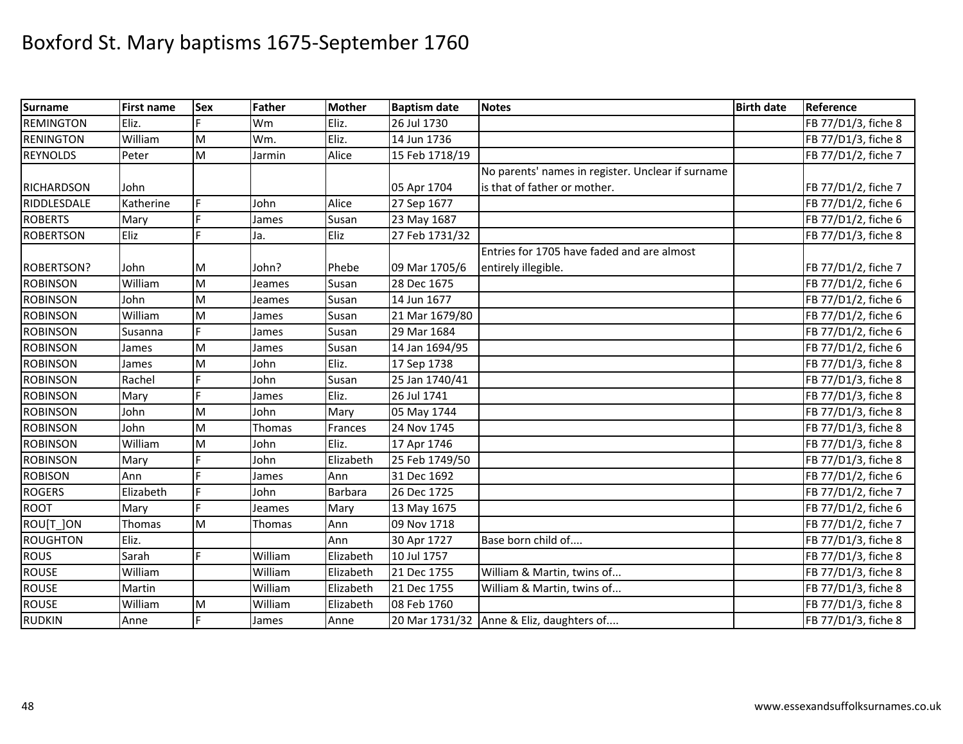| <b>Surname</b>    | <b>First name</b> | <b>Sex</b> | <b>Father</b> | <b>Mother</b> | <b>Baptism date</b> | <b>Notes</b>                                      | <b>Birth date</b> | Reference           |
|-------------------|-------------------|------------|---------------|---------------|---------------------|---------------------------------------------------|-------------------|---------------------|
| <b>REMINGTON</b>  | Eliz.             |            | Wm            | Eliz.         | 26 Jul 1730         |                                                   |                   | FB 77/D1/3, fiche 8 |
| <b>RENINGTON</b>  | William           | M          | Wm.           | Eliz.         | 14 Jun 1736         |                                                   |                   | FB 77/D1/3, fiche 8 |
| <b>REYNOLDS</b>   | Peter             | M          | Jarmin        | Alice         | 15 Feb 1718/19      |                                                   |                   | FB 77/D1/2, fiche 7 |
|                   |                   |            |               |               |                     | No parents' names in register. Unclear if surname |                   |                     |
| <b>RICHARDSON</b> | John              |            |               |               | 05 Apr 1704         | is that of father or mother.                      |                   | FB 77/D1/2, fiche 7 |
| RIDDLESDALE       | Katherine         | Ė          | John          | Alice         | 27 Sep 1677         |                                                   |                   | FB 77/D1/2, fiche 6 |
| <b>ROBERTS</b>    | Mary              |            | James         | Susan         | 23 May 1687         |                                                   |                   | FB 77/D1/2, fiche 6 |
| <b>ROBERTSON</b>  | Eliz              |            | Ja.           | Eliz          | 27 Feb 1731/32      |                                                   |                   | FB 77/D1/3, fiche 8 |
|                   |                   |            |               |               |                     | Entries for 1705 have faded and are almost        |                   |                     |
| <b>ROBERTSON?</b> | John              | M          | John?         | Phebe         | 09 Mar 1705/6       | entirely illegible.                               |                   | FB 77/D1/2, fiche 7 |
| <b>ROBINSON</b>   | William           | M          | Jeames        | Susan         | 28 Dec 1675         |                                                   |                   | FB 77/D1/2, fiche 6 |
| <b>ROBINSON</b>   | John              | M          | Jeames        | Susan         | 14 Jun 1677         |                                                   |                   | FB 77/D1/2, fiche 6 |
| <b>ROBINSON</b>   | William           | M          | James         | Susan         | 21 Mar 1679/80      |                                                   |                   | FB 77/D1/2, fiche 6 |
| <b>ROBINSON</b>   | Susanna           | Ė.         | James         | Susan         | 29 Mar 1684         |                                                   |                   | FB 77/D1/2, fiche 6 |
| <b>ROBINSON</b>   | James             | M          | James         | Susan         | 14 Jan 1694/95      |                                                   |                   | FB 77/D1/2, fiche 6 |
| <b>ROBINSON</b>   | James             | M          | John          | Eliz.         | 17 Sep 1738         |                                                   |                   | FB 77/D1/3, fiche 8 |
| <b>ROBINSON</b>   | Rachel            | Ė          | John          | Susan         | 25 Jan 1740/41      |                                                   |                   | FB 77/D1/3, fiche 8 |
| <b>ROBINSON</b>   | Mary              | Ė          | James         | Eliz.         | 26 Jul 1741         |                                                   |                   | FB 77/D1/3, fiche 8 |
| <b>ROBINSON</b>   | John              | M          | John          | Mary          | 05 May 1744         |                                                   |                   | FB 77/D1/3, fiche 8 |
| <b>ROBINSON</b>   | John              | M          | Thomas        | Frances       | 24 Nov 1745         |                                                   |                   | FB 77/D1/3, fiche 8 |
| <b>ROBINSON</b>   | William           | M          | John          | Eliz.         | 17 Apr 1746         |                                                   |                   | FB 77/D1/3, fiche 8 |
| <b>ROBINSON</b>   | Mary              | Ė          | John          | Elizabeth     | 25 Feb 1749/50      |                                                   |                   | FB 77/D1/3, fiche 8 |
| <b>ROBISON</b>    | Ann               |            | James         | Ann           | 31 Dec 1692         |                                                   |                   | FB 77/D1/2, fiche 6 |
| <b>ROGERS</b>     | Elizabeth         |            | John          | Barbara       | 26 Dec 1725         |                                                   |                   | FB 77/D1/2, fiche 7 |
| <b>ROOT</b>       | Mary              |            | Jeames        | Mary          | 13 May 1675         |                                                   |                   | FB 77/D1/2, fiche 6 |
| ROU[T ]ON         | Thomas            | M          | <b>Thomas</b> | Ann           | 09 Nov 1718         |                                                   |                   | FB 77/D1/2, fiche 7 |
| <b>ROUGHTON</b>   | Eliz.             |            |               | Ann           | 30 Apr 1727         | Base born child of                                |                   | FB 77/D1/3, fiche 8 |
| <b>ROUS</b>       | Sarah             | F.         | William       | Elizabeth     | 10 Jul 1757         |                                                   |                   | FB 77/D1/3, fiche 8 |
| <b>ROUSE</b>      | William           |            | William       | Elizabeth     | 21 Dec 1755         | William & Martin, twins of                        |                   | FB 77/D1/3, fiche 8 |
| <b>ROUSE</b>      | Martin            |            | William       | Elizabeth     | 21 Dec 1755         | William & Martin, twins of                        |                   | FB 77/D1/3, fiche 8 |
| <b>ROUSE</b>      | William           | M          | William       | Elizabeth     | 08 Feb 1760         |                                                   |                   | FB 77/D1/3, fiche 8 |
| <b>RUDKIN</b>     | Anne              | F.         | James         | Anne          |                     | 20 Mar 1731/32 Anne & Eliz, daughters of          |                   | FB 77/D1/3, fiche 8 |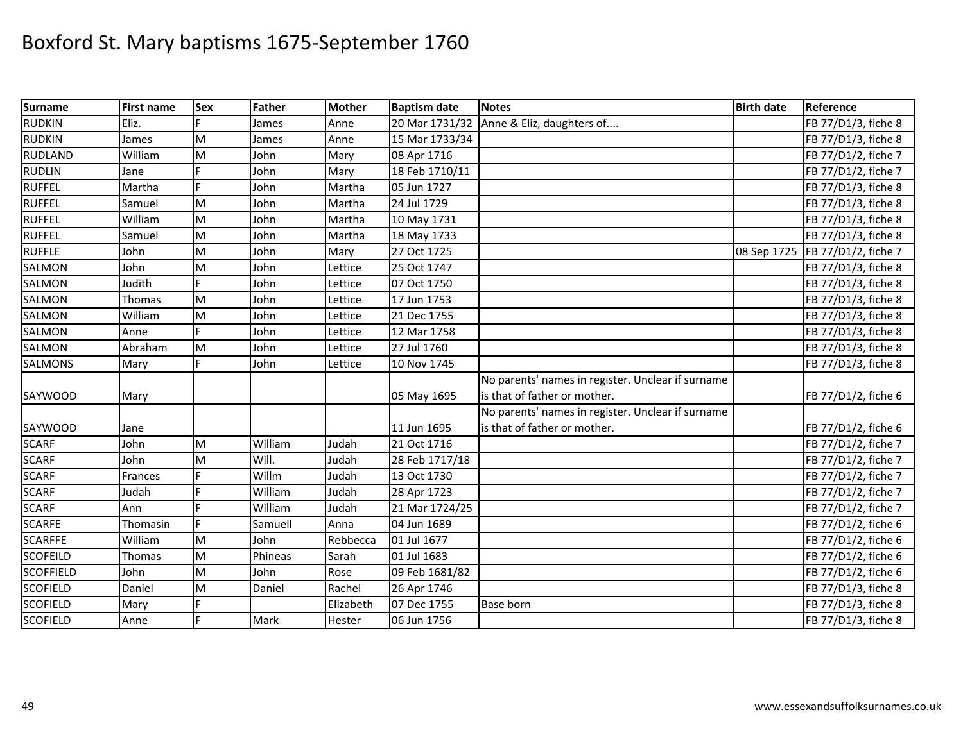| <b>Surname</b>   | <b>First name</b> | Sex | <b>Father</b> | <b>Mother</b> | <b>Baptism date</b> | <b>Notes</b>                                      | <b>Birth date</b> | Reference           |
|------------------|-------------------|-----|---------------|---------------|---------------------|---------------------------------------------------|-------------------|---------------------|
| <b>RUDKIN</b>    | Eliz.             |     | James         | Anne          | 20 Mar 1731/32      | Anne & Eliz, daughters of                         |                   | FB 77/D1/3, fiche 8 |
| <b>RUDKIN</b>    | James             | M   | James         | Anne          | 15 Mar 1733/34      |                                                   |                   | FB 77/D1/3, fiche 8 |
| <b>RUDLAND</b>   | William           | M   | John          | Mary          | 08 Apr 1716         |                                                   |                   | FB 77/D1/2, fiche 7 |
| <b>RUDLIN</b>    | Jane              | Е   | John          | Mary          | 18 Feb 1710/11      |                                                   |                   | FB 77/D1/2, fiche 7 |
| <b>RUFFEL</b>    | Martha            | E   | John          | Martha        | 05 Jun 1727         |                                                   |                   | FB 77/D1/3, fiche 8 |
| <b>RUFFEL</b>    | Samuel            | M   | John          | Martha        | 24 Jul 1729         |                                                   |                   | FB 77/D1/3, fiche 8 |
| <b>RUFFEL</b>    | William           | M   | John          | Martha        | 10 May 1731         |                                                   |                   | FB 77/D1/3, fiche 8 |
| <b>RUFFEL</b>    | Samuel            | M   | John          | Martha        | 18 May 1733         |                                                   |                   | FB 77/D1/3, fiche 8 |
| <b>RUFFLE</b>    | John              | M   | John          | Mary          | 27 Oct 1725         |                                                   | 08 Sep 1725       | FB 77/D1/2, fiche 7 |
| SALMON           | John              | M   | John          | Lettice       | 25 Oct 1747         |                                                   |                   | FB 77/D1/3, fiche 8 |
| <b>SALMON</b>    | Judith            |     | John          | Lettice       | 07 Oct 1750         |                                                   |                   | FB 77/D1/3, fiche 8 |
| SALMON           | Thomas            | M   | John          | Lettice       | 17 Jun 1753         |                                                   |                   | FB 77/D1/3, fiche 8 |
| <b>SALMON</b>    | William           | M   | John          | Lettice       | 21 Dec 1755         |                                                   |                   | FB 77/D1/3, fiche 8 |
| SALMON           | Anne              |     | John          | Lettice       | 12 Mar 1758         |                                                   |                   | FB 77/D1/3, fiche 8 |
| <b>SALMON</b>    | Abraham           | M   | John          | Lettice       | 27 Jul 1760         |                                                   |                   | FB 77/D1/3, fiche 8 |
| <b>SALMONS</b>   | Mary              |     | John          | Lettice       | 10 Nov 1745         |                                                   |                   | FB 77/D1/3, fiche 8 |
|                  |                   |     |               |               |                     | No parents' names in register. Unclear if surname |                   |                     |
| SAYWOOD          | Mary              |     |               |               | 05 May 1695         | is that of father or mother.                      |                   | FB 77/D1/2, fiche 6 |
|                  |                   |     |               |               |                     | No parents' names in register. Unclear if surname |                   |                     |
| SAYWOOD          | Jane              |     |               |               | 11 Jun 1695         | is that of father or mother.                      |                   | FB 77/D1/2, fiche 6 |
| <b>SCARF</b>     | John              | M   | William       | Judah         | 21 Oct 1716         |                                                   |                   | FB 77/D1/2, fiche 7 |
| <b>SCARF</b>     | John              | M   | Will.         | Judah         | 28 Feb 1717/18      |                                                   |                   | FB 77/D1/2, fiche 7 |
| <b>SCARF</b>     | Frances           |     | Willm         | Judah         | 13 Oct 1730         |                                                   |                   | FB 77/D1/2, fiche 7 |
| <b>SCARF</b>     | Judah             |     | William       | Judah         | 28 Apr 1723         |                                                   |                   | FB 77/D1/2, fiche 7 |
| <b>SCARF</b>     | Ann               |     | William       | Judah         | 21 Mar 1724/25      |                                                   |                   | FB 77/D1/2, fiche 7 |
| <b>SCARFE</b>    | Thomasin          |     | Samuell       | Anna          | 04 Jun 1689         |                                                   |                   | FB 77/D1/2, fiche 6 |
| <b>SCARFFE</b>   | William           | M   | John          | Rebbecca      | 01 Jul 1677         |                                                   |                   | FB 77/D1/2, fiche 6 |
| <b>SCOFEILD</b>  | Thomas            | M   | Phineas       | Sarah         | 01 Jul 1683         |                                                   |                   | FB 77/D1/2, fiche 6 |
| <b>SCOFFIELD</b> | John              | M   | John          | Rose          | 09 Feb 1681/82      |                                                   |                   | FB 77/D1/2, fiche 6 |
| <b>SCOFIELD</b>  | Daniel            | M   | Daniel        | Rachel        | 26 Apr 1746         |                                                   |                   | FB 77/D1/3, fiche 8 |
| <b>SCOFIELD</b>  | Mary              |     |               | Elizabeth     | 07 Dec 1755         | Base born                                         |                   | FB 77/D1/3, fiche 8 |
| <b>SCOFIELD</b>  | Anne              |     | Mark          | Hester        | 06 Jun 1756         |                                                   |                   | FB 77/D1/3, fiche 8 |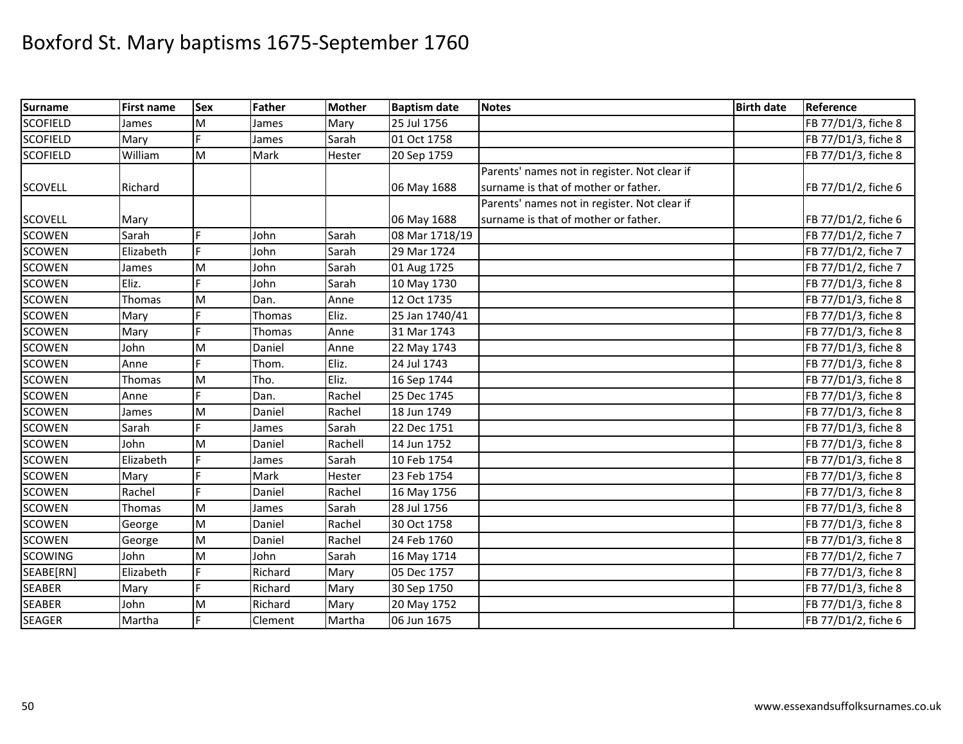| <b>Surname</b>  | <b>First name</b> | <b>Sex</b>                                                                                                 | <b>Father</b> | <b>Mother</b> | <b>Baptism date</b> | <b>Notes</b>                                 | <b>Birth date</b> | Reference           |
|-----------------|-------------------|------------------------------------------------------------------------------------------------------------|---------------|---------------|---------------------|----------------------------------------------|-------------------|---------------------|
| <b>SCOFIELD</b> | James             | M                                                                                                          | James         | Mary          | 25 Jul 1756         |                                              |                   | FB 77/D1/3, fiche 8 |
| <b>SCOFIELD</b> | Mary              |                                                                                                            | James         | Sarah         | 01 Oct 1758         |                                              |                   | FB 77/D1/3, fiche 8 |
| <b>SCOFIELD</b> | William           | M                                                                                                          | Mark          | Hester        | 20 Sep 1759         |                                              |                   | FB 77/D1/3, fiche 8 |
|                 |                   |                                                                                                            |               |               |                     | Parents' names not in register. Not clear if |                   |                     |
| <b>SCOVELL</b>  | Richard           |                                                                                                            |               |               | 06 May 1688         | surname is that of mother or father.         |                   | FB 77/D1/2, fiche 6 |
|                 |                   |                                                                                                            |               |               |                     | Parents' names not in register. Not clear if |                   |                     |
| <b>SCOVELL</b>  | Mary              |                                                                                                            |               |               | 06 May 1688         | surname is that of mother or father.         |                   | FB 77/D1/2, fiche 6 |
| <b>SCOWEN</b>   | Sarah             |                                                                                                            | John          | Sarah         | 08 Mar 1718/19      |                                              |                   | FB 77/D1/2, fiche 7 |
| <b>SCOWEN</b>   | Elizabeth         | F.                                                                                                         | John          | Sarah         | 29 Mar 1724         |                                              |                   | FB 77/D1/2, fiche 7 |
| <b>SCOWEN</b>   | James             | M                                                                                                          | John          | Sarah         | 01 Aug 1725         |                                              |                   | FB 77/D1/2, fiche 7 |
| <b>SCOWEN</b>   | Eliz.             |                                                                                                            | John          | Sarah         | 10 May 1730         |                                              |                   | FB 77/D1/3, fiche 8 |
| <b>SCOWEN</b>   | Thomas            | M                                                                                                          | Dan.          | Anne          | 12 Oct 1735         |                                              |                   | FB 77/D1/3, fiche 8 |
| <b>SCOWEN</b>   | Mary              |                                                                                                            | Thomas        | Eliz.         | 25 Jan 1740/41      |                                              |                   | FB 77/D1/3, fiche 8 |
| <b>SCOWEN</b>   | Mary              | F                                                                                                          | Thomas        | Anne          | 31 Mar 1743         |                                              |                   | FB 77/D1/3, fiche 8 |
| <b>SCOWEN</b>   | John              | M                                                                                                          | Daniel        | Anne          | 22 May 1743         |                                              |                   | FB 77/D1/3, fiche 8 |
| <b>SCOWEN</b>   | Anne              |                                                                                                            | Thom.         | Eliz.         | 24 Jul 1743         |                                              |                   | FB 77/D1/3, fiche 8 |
| <b>SCOWEN</b>   | Thomas            | M                                                                                                          | Tho.          | Eliz.         | 16 Sep 1744         |                                              |                   | FB 77/D1/3, fiche 8 |
| <b>SCOWEN</b>   | Anne              |                                                                                                            | Dan.          | Rachel        | 25 Dec 1745         |                                              |                   | FB 77/D1/3, fiche 8 |
| <b>SCOWEN</b>   | James             | M                                                                                                          | Daniel        | Rachel        | 18 Jun 1749         |                                              |                   | FB 77/D1/3, fiche 8 |
| <b>SCOWEN</b>   | Sarah             | Ľ.                                                                                                         | James         | Sarah         | 22 Dec 1751         |                                              |                   | FB 77/D1/3, fiche 8 |
| <b>SCOWEN</b>   | John              | ${\sf M}$                                                                                                  | Daniel        | Rachell       | 14 Jun 1752         |                                              |                   | FB 77/D1/3, fiche 8 |
| <b>SCOWEN</b>   | Elizabeth         |                                                                                                            | James         | Sarah         | 10 Feb 1754         |                                              |                   | FB 77/D1/3, fiche 8 |
| <b>SCOWEN</b>   | Mary              |                                                                                                            | Mark          | Hester        | 23 Feb 1754         |                                              |                   | FB 77/D1/3, fiche 8 |
| <b>SCOWEN</b>   | Rachel            | F.                                                                                                         | Daniel        | Rachel        | 16 May 1756         |                                              |                   | FB 77/D1/3, fiche 8 |
| <b>SCOWEN</b>   | Thomas            | M                                                                                                          | James         | Sarah         | 28 Jul 1756         |                                              |                   | FB 77/D1/3, fiche 8 |
| <b>SCOWEN</b>   | George            | M                                                                                                          | Daniel        | Rachel        | 30 Oct 1758         |                                              |                   | FB 77/D1/3, fiche 8 |
| <b>SCOWEN</b>   | George            | $\mathsf{M}% _{T}=\mathsf{M}_{T}\!\left( a,b\right) ,\ \mathsf{M}_{T}=\mathsf{M}_{T}\!\left( a,b\right) ,$ | Daniel        | Rachel        | 24 Feb 1760         |                                              |                   | FB 77/D1/3, fiche 8 |
| <b>SCOWING</b>  | John              | M                                                                                                          | John          | Sarah         | 16 May 1714         |                                              |                   | FB 77/D1/2, fiche 7 |
| SEABE[RN]       | Elizabeth         | Ė                                                                                                          | Richard       | Mary          | 05 Dec 1757         |                                              |                   | FB 77/D1/3, fiche 8 |
| <b>SEABER</b>   | Mary              | Ė                                                                                                          | Richard       | Mary          | 30 Sep 1750         |                                              |                   | FB 77/D1/3, fiche 8 |
| <b>SEABER</b>   | John              | $\mathsf{M}% _{T}=\mathsf{M}_{T}\!\left( a,b\right) ,\ \mathsf{M}_{T}=\mathsf{M}_{T}\!\left( a,b\right) ,$ | Richard       | Mary          | 20 May 1752         |                                              |                   | FB 77/D1/3, fiche 8 |
| <b>SEAGER</b>   | Martha            |                                                                                                            | Clement       | Martha        | 06 Jun 1675         |                                              |                   | FB 77/D1/2, fiche 6 |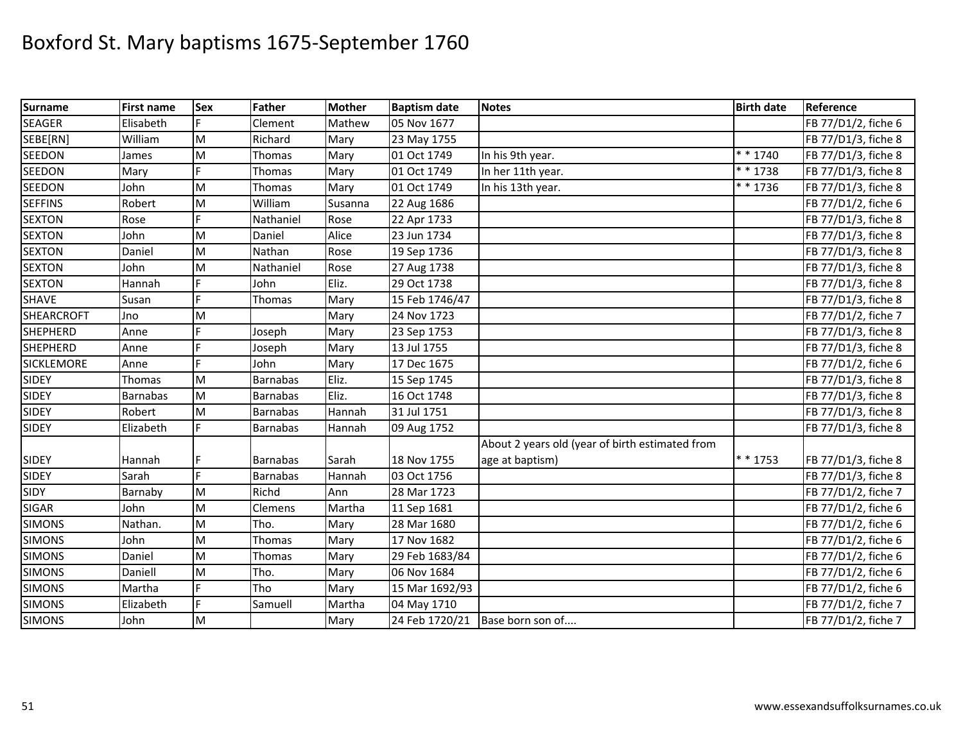| <b>Surname</b>    | <b>First name</b> | <b>Sex</b> | Father          | <b>Mother</b> | <b>Baptism date</b> | <b>Notes</b>                                    | <b>Birth date</b> | Reference           |
|-------------------|-------------------|------------|-----------------|---------------|---------------------|-------------------------------------------------|-------------------|---------------------|
| <b>SEAGER</b>     | Elisabeth         |            | Clement         | Mathew        | 05 Nov 1677         |                                                 |                   | FB 77/D1/2, fiche 6 |
| SEBE[RN]          | William           | M          | Richard         | Mary          | 23 May 1755         |                                                 |                   | FB 77/D1/3, fiche 8 |
| <b>SEEDON</b>     | James             | M          | <b>Thomas</b>   | Mary          | 01 Oct 1749         | In his 9th year.                                | $* * 1740$        | FB 77/D1/3, fiche 8 |
| <b>SEEDON</b>     | Mary              |            | Thomas          | Mary          | 01 Oct 1749         | In her 11th year.                               | $* * 1738$        | FB 77/D1/3, fiche 8 |
| <b>SEEDON</b>     | John              | M          | Thomas          | Mary          | 01 Oct 1749         | In his 13th year.                               | * * 1736          | FB 77/D1/3, fiche 8 |
| <b>SEFFINS</b>    | Robert            | M          | William         | Susanna       | 22 Aug 1686         |                                                 |                   | FB 77/D1/2, fiche 6 |
| <b>SEXTON</b>     | Rose              | F          | Nathaniel       | Rose          | 22 Apr 1733         |                                                 |                   | FB 77/D1/3, fiche 8 |
| <b>SEXTON</b>     | John              | M          | Daniel          | Alice         | 23 Jun 1734         |                                                 |                   | FB 77/D1/3, fiche 8 |
| <b>SEXTON</b>     | Daniel            | M          | Nathan          | Rose          | 19 Sep 1736         |                                                 |                   | FB 77/D1/3, fiche 8 |
| <b>SEXTON</b>     | John              | M          | Nathaniel       | Rose          | 27 Aug 1738         |                                                 |                   | FB 77/D1/3, fiche 8 |
| <b>SEXTON</b>     | Hannah            | Ē          | John            | Eliz.         | 29 Oct 1738         |                                                 |                   | FB 77/D1/3, fiche 8 |
| <b>SHAVE</b>      | Susan             | F          | Thomas          | Mary          | 15 Feb 1746/47      |                                                 |                   | FB 77/D1/3, fiche 8 |
| <b>SHEARCROFT</b> | Jno               | M          |                 | Mary          | 24 Nov 1723         |                                                 |                   | FB 77/D1/2, fiche 7 |
| <b>SHEPHERD</b>   | Anne              | E          | Joseph          | Mary          | 23 Sep 1753         |                                                 |                   | FB 77/D1/3, fiche 8 |
| <b>SHEPHERD</b>   | Anne              | E          | Joseph          | Mary          | 13 Jul 1755         |                                                 |                   | FB 77/D1/3, fiche 8 |
| <b>SICKLEMORE</b> | Anne              |            | John            | Mary          | 17 Dec 1675         |                                                 |                   | FB 77/D1/2, fiche 6 |
| <b>SIDEY</b>      | Thomas            | M          | <b>Barnabas</b> | Eliz.         | 15 Sep 1745         |                                                 |                   | FB 77/D1/3, fiche 8 |
| <b>SIDEY</b>      | Barnabas          | M          | <b>Barnabas</b> | Eliz.         | 16 Oct 1748         |                                                 |                   | FB 77/D1/3, fiche 8 |
| <b>SIDEY</b>      | Robert            | M          | <b>Barnabas</b> | Hannah        | 31 Jul 1751         |                                                 |                   | FB 77/D1/3, fiche 8 |
| <b>SIDEY</b>      | Elizabeth         |            | <b>Barnabas</b> | Hannah        | 09 Aug 1752         |                                                 |                   | FB 77/D1/3, fiche 8 |
|                   |                   |            |                 |               |                     | About 2 years old (year of birth estimated from |                   |                     |
| <b>SIDEY</b>      | Hannah            | F          | <b>Barnabas</b> | Sarah         | 18 Nov 1755         | age at baptism)                                 | $* * 1753$        | FB 77/D1/3, fiche 8 |
| <b>SIDEY</b>      | Sarah             | F.         | <b>Barnabas</b> | Hannah        | 03 Oct 1756         |                                                 |                   | FB 77/D1/3, fiche 8 |
| <b>SIDY</b>       | Barnaby           | M          | Richd           | Ann           | 28 Mar 1723         |                                                 |                   | FB 77/D1/2, fiche 7 |
| <b>SIGAR</b>      | John              | M          | Clemens         | Martha        | 11 Sep 1681         |                                                 |                   | FB 77/D1/2, fiche 6 |
| <b>SIMONS</b>     | Nathan.           | M          | Tho.            | Mary          | 28 Mar 1680         |                                                 |                   | FB 77/D1/2, fiche 6 |
| <b>SIMONS</b>     | John              | M          | Thomas          | Mary          | 17 Nov 1682         |                                                 |                   | FB 77/D1/2, fiche 6 |
| <b>SIMONS</b>     | Daniel            | M          | Thomas          | Mary          | 29 Feb 1683/84      |                                                 |                   | FB 77/D1/2, fiche 6 |
| <b>SIMONS</b>     | Daniell           | M          | Tho.            | Mary          | 06 Nov 1684         |                                                 |                   | FB 77/D1/2, fiche 6 |
| <b>SIMONS</b>     | Martha            | F          | Tho             | Mary          | 15 Mar 1692/93      |                                                 |                   | FB 77/D1/2, fiche 6 |
| <b>SIMONS</b>     | Elizabeth         | F.         | Samuell         | Martha        | 04 May 1710         |                                                 |                   | FB 77/D1/2, fiche 7 |
| <b>SIMONS</b>     | John              | M          |                 | Mary          | 24 Feb 1720/21      | Base born son of                                |                   | FB 77/D1/2, fiche 7 |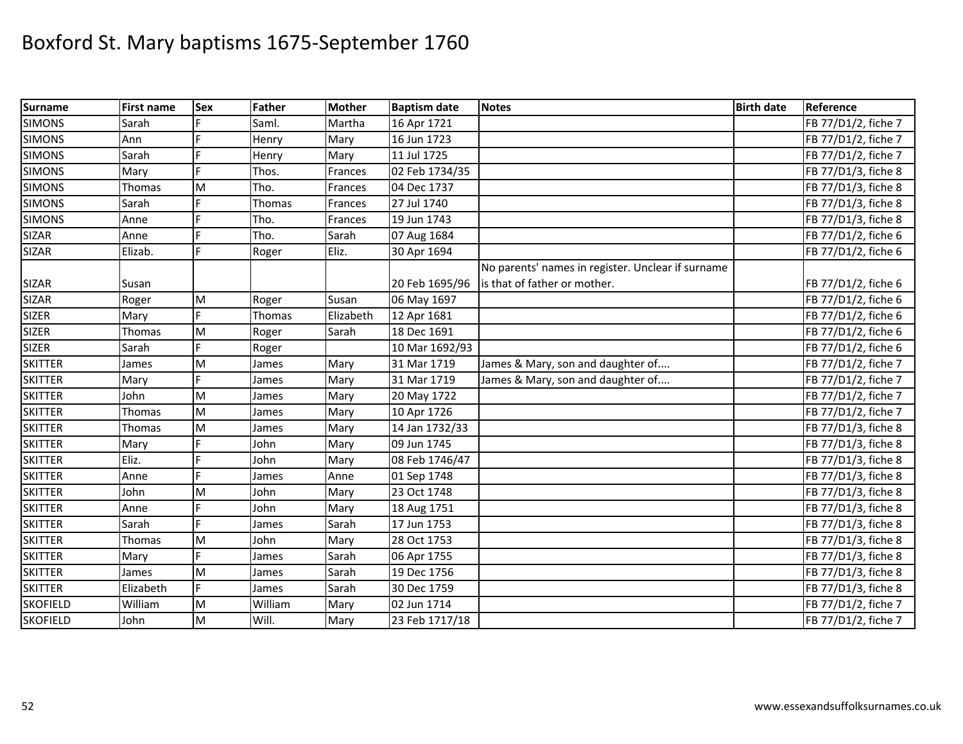| <b>Surname</b>  | <b>First name</b> | <b>Sex</b> | Father  | <b>Mother</b> | <b>Baptism date</b> | <b>Notes</b>                                      | <b>Birth date</b> | Reference           |
|-----------------|-------------------|------------|---------|---------------|---------------------|---------------------------------------------------|-------------------|---------------------|
| <b>SIMONS</b>   | Sarah             |            | Saml.   | Martha        | 16 Apr 1721         |                                                   |                   | FB 77/D1/2, fiche 7 |
| <b>SIMONS</b>   | Ann               |            | Henry   | Mary          | 16 Jun 1723         |                                                   |                   | FB 77/D1/2, fiche 7 |
| <b>SIMONS</b>   | Sarah             |            | Henry   | Mary          | 11 Jul 1725         |                                                   |                   | FB 77/D1/2, fiche 7 |
| <b>SIMONS</b>   | Mary              |            | Thos.   | Frances       | 02 Feb 1734/35      |                                                   |                   | FB 77/D1/3, fiche 8 |
| <b>SIMONS</b>   | Thomas            | M          | Tho.    | Frances       | 04 Dec 1737         |                                                   |                   | FB 77/D1/3, fiche 8 |
| <b>SIMONS</b>   | Sarah             |            | Thomas  | Frances       | 27 Jul 1740         |                                                   |                   | FB 77/D1/3, fiche 8 |
| <b>SIMONS</b>   | Anne              |            | Tho.    | Frances       | 19 Jun 1743         |                                                   |                   | FB 77/D1/3, fiche 8 |
| <b>SIZAR</b>    | Anne              | E          | Tho.    | Sarah         | 07 Aug 1684         |                                                   |                   | FB 77/D1/2, fiche 6 |
| <b>SIZAR</b>    | Elizab.           | Ė          | Roger   | Eliz.         | 30 Apr 1694         |                                                   |                   | FB 77/D1/2, fiche 6 |
|                 |                   |            |         |               |                     | No parents' names in register. Unclear if surname |                   |                     |
| <b>SIZAR</b>    | Susan             |            |         |               | 20 Feb 1695/96      | is that of father or mother.                      |                   | FB 77/D1/2, fiche 6 |
| <b>SIZAR</b>    | Roger             | M          | Roger   | Susan         | 06 May 1697         |                                                   |                   | FB 77/D1/2, fiche 6 |
| <b>SIZER</b>    | Mary              | F          | Thomas  | Elizabeth     | 12 Apr 1681         |                                                   |                   | FB 77/D1/2, fiche 6 |
| <b>SIZER</b>    | Thomas            | M          | Roger   | Sarah         | 18 Dec 1691         |                                                   |                   | FB 77/D1/2, fiche 6 |
| <b>SIZER</b>    | Sarah             | F.         | Roger   |               | 10 Mar 1692/93      |                                                   |                   | FB 77/D1/2, fiche 6 |
| <b>SKITTER</b>  | James             | M          | James   | Mary          | 31 Mar 1719         | James & Mary, son and daughter of                 |                   | FB 77/D1/2, fiche 7 |
| <b>SKITTER</b>  | Mary              |            | James   | Mary          | 31 Mar 1719         | James & Mary, son and daughter of                 |                   | FB 77/D1/2, fiche 7 |
| <b>SKITTER</b>  | John              | M          | James   | Mary          | 20 May 1722         |                                                   |                   | FB 77/D1/2, fiche 7 |
| <b>SKITTER</b>  | Thomas            | M          | James   | Mary          | 10 Apr 1726         |                                                   |                   | FB 77/D1/2, fiche 7 |
| <b>SKITTER</b>  | Thomas            | M          | James   | Mary          | 14 Jan 1732/33      |                                                   |                   | FB 77/D1/3, fiche 8 |
| <b>SKITTER</b>  | Mary              |            | John    | Mary          | 09 Jun 1745         |                                                   |                   | FB 77/D1/3, fiche 8 |
| <b>SKITTER</b>  | Eliz.             | E          | John    | Mary          | 08 Feb 1746/47      |                                                   |                   | FB 77/D1/3, fiche 8 |
| <b>SKITTER</b>  | Anne              | Ė          | James   | Anne          | 01 Sep 1748         |                                                   |                   | FB 77/D1/3, fiche 8 |
| <b>SKITTER</b>  | John              | M          | John    | Mary          | 23 Oct 1748         |                                                   |                   | FB 77/D1/3, fiche 8 |
| <b>SKITTER</b>  | Anne              |            | John    | Mary          | 18 Aug 1751         |                                                   |                   | FB 77/D1/3, fiche 8 |
| <b>SKITTER</b>  | Sarah             |            | James   | Sarah         | 17 Jun 1753         |                                                   |                   | FB 77/D1/3, fiche 8 |
| <b>SKITTER</b>  | Thomas            | M          | John    | Mary          | 28 Oct 1753         |                                                   |                   | FB 77/D1/3, fiche 8 |
| <b>SKITTER</b>  | Mary              | Ė          | James   | Sarah         | 06 Apr 1755         |                                                   |                   | FB 77/D1/3, fiche 8 |
| <b>SKITTER</b>  | James             | M          | James   | Sarah         | 19 Dec 1756         |                                                   |                   | FB 77/D1/3, fiche 8 |
| <b>SKITTER</b>  | Elizabeth         | F.         | James   | Sarah         | 30 Dec 1759         |                                                   |                   | FB 77/D1/3, fiche 8 |
| <b>SKOFIELD</b> | William           | M          | William | Mary          | 02 Jun 1714         |                                                   |                   | FB 77/D1/2, fiche 7 |
| <b>SKOFIELD</b> | John              | M          | Will.   | Mary          | 23 Feb 1717/18      |                                                   |                   | FB 77/D1/2, fiche 7 |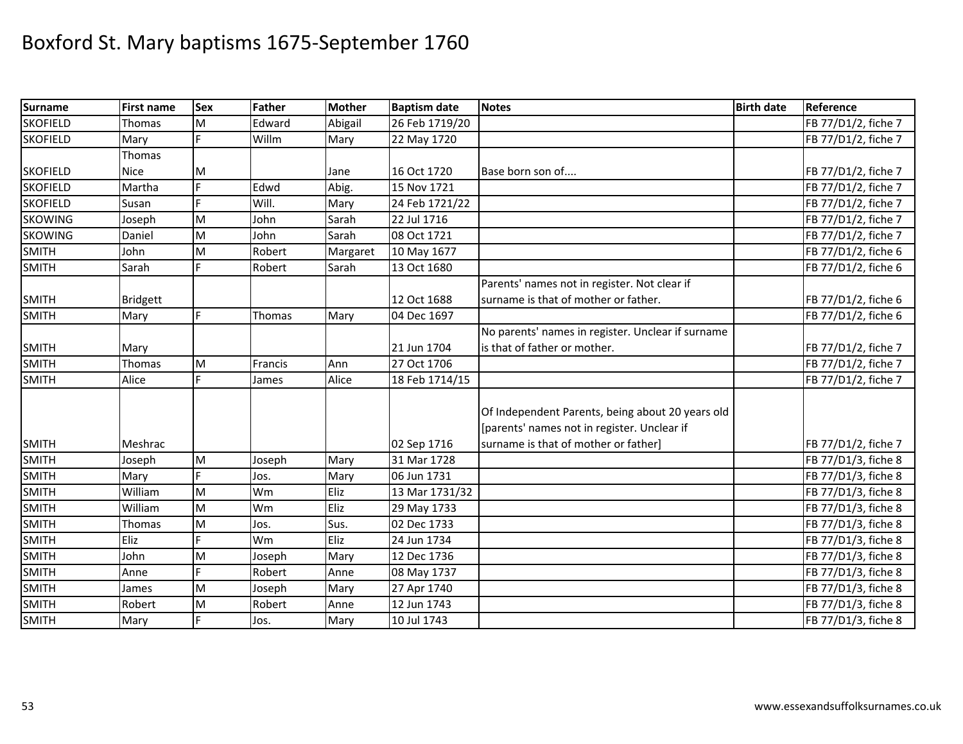| <b>Surname</b>  | First name      | <b>Sex</b> | Father  | <b>Mother</b> | <b>Baptism date</b> | <b>Notes</b>                                      | <b>Birth date</b> | Reference           |
|-----------------|-----------------|------------|---------|---------------|---------------------|---------------------------------------------------|-------------------|---------------------|
| <b>SKOFIELD</b> | Thomas          | M          | Edward  | Abigail       | 26 Feb 1719/20      |                                                   |                   | FB 77/D1/2, fiche 7 |
| <b>SKOFIELD</b> | Mary            |            | Willm   | Mary          | 22 May 1720         |                                                   |                   | FB 77/D1/2, fiche 7 |
|                 | Thomas          |            |         |               |                     |                                                   |                   |                     |
| <b>SKOFIELD</b> | <b>Nice</b>     | M          |         | Jane          | 16 Oct 1720         | Base born son of                                  |                   | FB 77/D1/2, fiche 7 |
| <b>SKOFIELD</b> | Martha          | E.         | Edwd    | Abig.         | 15 Nov 1721         |                                                   |                   | FB 77/D1/2, fiche 7 |
| <b>SKOFIELD</b> | Susan           |            | Will.   | Mary          | 24 Feb 1721/22      |                                                   |                   | FB 77/D1/2, fiche 7 |
| <b>SKOWING</b>  | Joseph          | M          | John    | Sarah         | 22 Jul 1716         |                                                   |                   | FB 77/D1/2, fiche 7 |
| <b>SKOWING</b>  | Daniel          | M          | John    | Sarah         | 08 Oct 1721         |                                                   |                   | FB 77/D1/2, fiche 7 |
| <b>SMITH</b>    | John            | M          | Robert  | Margaret      | 10 May 1677         |                                                   |                   | FB 77/D1/2, fiche 6 |
| <b>SMITH</b>    | Sarah           |            | Robert  | Sarah         | 13 Oct 1680         |                                                   |                   | FB 77/D1/2, fiche 6 |
|                 |                 |            |         |               |                     | Parents' names not in register. Not clear if      |                   |                     |
| <b>SMITH</b>    | <b>Bridgett</b> |            |         |               | 12 Oct 1688         | surname is that of mother or father.              |                   | FB 77/D1/2, fiche 6 |
| <b>SMITH</b>    | Mary            | F.         | Thomas  | Mary          | 04 Dec 1697         |                                                   |                   | FB 77/D1/2, fiche 6 |
|                 |                 |            |         |               |                     | No parents' names in register. Unclear if surname |                   |                     |
| <b>SMITH</b>    | Mary            |            |         |               | 21 Jun 1704         | is that of father or mother.                      |                   | FB 77/D1/2, fiche 7 |
| <b>SMITH</b>    | Thomas          | M          | Francis | Ann           | 27 Oct 1706         |                                                   |                   | FB 77/D1/2, fiche 7 |
| <b>SMITH</b>    | Alice           | E.         | James   | Alice         | 18 Feb 1714/15      |                                                   |                   | FB 77/D1/2, fiche 7 |
|                 |                 |            |         |               |                     |                                                   |                   |                     |
|                 |                 |            |         |               |                     | Of Independent Parents, being about 20 years old  |                   |                     |
|                 |                 |            |         |               |                     | [parents' names not in register. Unclear if       |                   |                     |
| <b>SMITH</b>    | Meshrac         |            |         |               | 02 Sep 1716         | surname is that of mother or father]              |                   | FB 77/D1/2, fiche 7 |
| <b>SMITH</b>    | Joseph          | M          | Joseph  | Mary          | 31 Mar 1728         |                                                   |                   | FB 77/D1/3, fiche 8 |
| <b>SMITH</b>    | Mary            |            | Jos.    | Mary          | 06 Jun 1731         |                                                   |                   | FB 77/D1/3, fiche 8 |
| <b>SMITH</b>    | William         | M          | Wm      | Eliz          | 13 Mar 1731/32      |                                                   |                   | FB 77/D1/3, fiche 8 |
| <b>SMITH</b>    | William         | M          | Wm      | Eliz          | 29 May 1733         |                                                   |                   | FB 77/D1/3, fiche 8 |
| <b>SMITH</b>    | Thomas          | M          | Jos.    | Sus.          | 02 Dec 1733         |                                                   |                   | FB 77/D1/3, fiche 8 |
| <b>SMITH</b>    | Eliz            |            | Wm      | Eliz          | 24 Jun 1734         |                                                   |                   | FB 77/D1/3, fiche 8 |
| <b>SMITH</b>    | John            | M          | Joseph  | Mary          | 12 Dec 1736         |                                                   |                   | FB 77/D1/3, fiche 8 |
| <b>SMITH</b>    | Anne            | E.         | Robert  | Anne          | 08 May 1737         |                                                   |                   | FB 77/D1/3, fiche 8 |
| <b>SMITH</b>    | James           | M          | Joseph  | Mary          | 27 Apr 1740         |                                                   |                   | FB 77/D1/3, fiche 8 |
| <b>SMITH</b>    | Robert          | M          | Robert  | Anne          | 12 Jun 1743         |                                                   |                   | FB 77/D1/3, fiche 8 |
| <b>SMITH</b>    | Mary            |            | Jos.    | Mary          | 10 Jul 1743         |                                                   |                   | FB 77/D1/3, fiche 8 |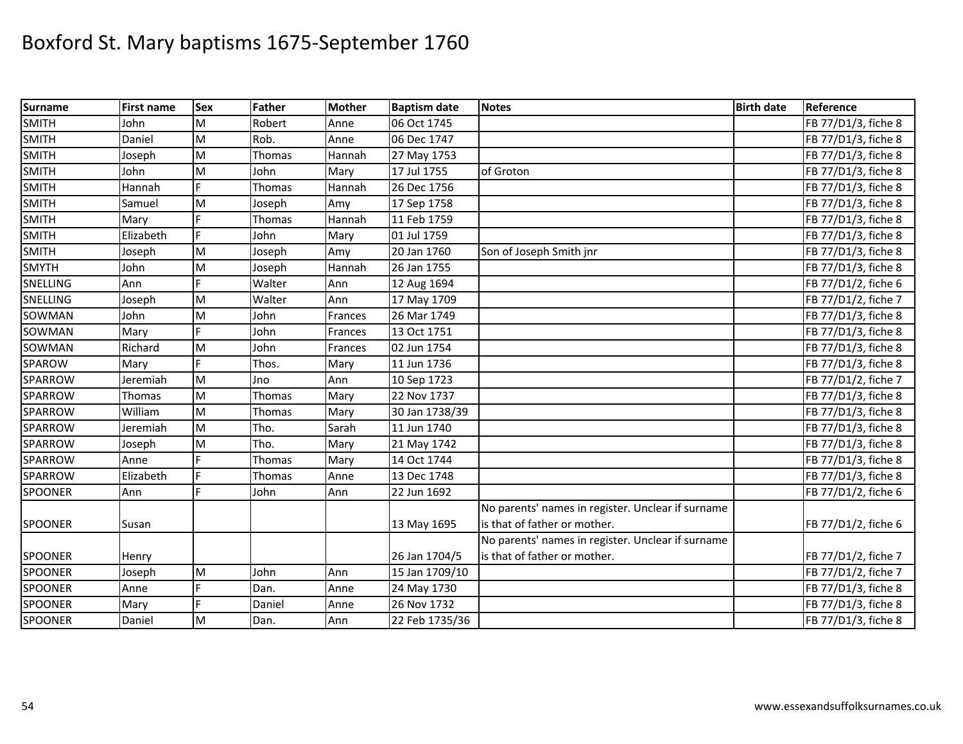| <b>Surname</b> | <b>First name</b> | Sex       | <b>Father</b> | <b>Mother</b> | <b>Baptism date</b> | <b>Notes</b>                                      | <b>Birth date</b> | Reference           |
|----------------|-------------------|-----------|---------------|---------------|---------------------|---------------------------------------------------|-------------------|---------------------|
| <b>SMITH</b>   | John              | M         | Robert        | Anne          | 06 Oct 1745         |                                                   |                   | FB 77/D1/3, fiche 8 |
| <b>SMITH</b>   | Daniel            | M         | Rob.          | Anne          | 06 Dec 1747         |                                                   |                   | FB 77/D1/3, fiche 8 |
| <b>SMITH</b>   | Joseph            | M         | Thomas        | Hannah        | 27 May 1753         |                                                   |                   | FB 77/D1/3, fiche 8 |
| <b>SMITH</b>   | John              | M         | John          | Mary          | 17 Jul 1755         | of Groton                                         |                   | FB 77/D1/3, fiche 8 |
| <b>SMITH</b>   | Hannah            | Ë         | Thomas        | Hannah        | 26 Dec 1756         |                                                   |                   | FB 77/D1/3, fiche 8 |
| <b>SMITH</b>   | Samuel            | M         | Joseph        | Amy           | 17 Sep 1758         |                                                   |                   | FB 77/D1/3, fiche 8 |
| <b>SMITH</b>   | Mary              |           | Thomas        | Hannah        | 11 Feb 1759         |                                                   |                   | FB 77/D1/3, fiche 8 |
| <b>SMITH</b>   | Elizabeth         |           | John          | Mary          | 01 Jul 1759         |                                                   |                   | FB 77/D1/3, fiche 8 |
| <b>SMITH</b>   | Joseph            | M         | Joseph        | Amy           | 20 Jan 1760         | Son of Joseph Smith jnr                           |                   | FB 77/D1/3, fiche 8 |
| <b>SMYTH</b>   | John              | M         | Joseph        | Hannah        | 26 Jan 1755         |                                                   |                   | FB 77/D1/3, fiche 8 |
| SNELLING       | Ann               |           | Walter        | Ann           | 12 Aug 1694         |                                                   |                   | FB 77/D1/2, fiche 6 |
| SNELLING       | Joseph            | M         | Walter        | Ann           | 17 May 1709         |                                                   |                   | FB 77/D1/2, fiche 7 |
| SOWMAN         | John              | M         | John          | Frances       | 26 Mar 1749         |                                                   |                   | FB 77/D1/3, fiche 8 |
| SOWMAN         | Mary              |           | John          | Frances       | 13 Oct 1751         |                                                   |                   | FB 77/D1/3, fiche 8 |
| SOWMAN         | Richard           | M         | John          | Frances       | 02 Jun 1754         |                                                   |                   | FB 77/D1/3, fiche 8 |
| SPAROW         | Mary              |           | Thos.         | Mary          | 11 Jun 1736         |                                                   |                   | FB 77/D1/3, fiche 8 |
| SPARROW        | Jeremiah          | M         | Jno           | Ann           | 10 Sep 1723         |                                                   |                   | FB 77/D1/2, fiche 7 |
| SPARROW        | Thomas            | M         | Thomas        | Mary          | 22 Nov 1737         |                                                   |                   | FB 77/D1/3, fiche 8 |
| SPARROW        | William           | M         | Thomas        | Mary          | 30 Jan 1738/39      |                                                   |                   | FB 77/D1/3, fiche 8 |
| SPARROW        | Jeremiah          | M         | Tho.          | Sarah         | 11 Jun 1740         |                                                   |                   | FB 77/D1/3, fiche 8 |
| SPARROW        | Joseph            | M         | Tho.          | Mary          | 21 May 1742         |                                                   |                   | FB 77/D1/3, fiche 8 |
| SPARROW        | Anne              |           | Thomas        | Mary          | 14 Oct 1744         |                                                   |                   | FB 77/D1/3, fiche 8 |
| <b>SPARROW</b> | Elizabeth         |           | Thomas        | Anne          | 13 Dec 1748         |                                                   |                   | FB 77/D1/3, fiche 8 |
| <b>SPOONER</b> | Ann               |           | John          | Ann           | 22 Jun 1692         |                                                   |                   | FB 77/D1/2, fiche 6 |
|                |                   |           |               |               |                     | No parents' names in register. Unclear if surname |                   |                     |
| <b>SPOONER</b> | Susan             |           |               |               | 13 May 1695         | is that of father or mother.                      |                   | FB 77/D1/2, fiche 6 |
|                |                   |           |               |               |                     | No parents' names in register. Unclear if surname |                   |                     |
| SPOONER        | Henry             |           |               |               | 26 Jan 1704/5       | is that of father or mother.                      |                   | FB 77/D1/2, fiche 7 |
| <b>SPOONER</b> | Joseph            | ${\sf M}$ | John          | Ann           | 15 Jan 1709/10      |                                                   |                   | FB 77/D1/2, fiche 7 |
| SPOONER        | Anne              | F.        | Dan.          | Anne          | 24 May 1730         |                                                   |                   | FB 77/D1/3, fiche 8 |
| <b>SPOONER</b> | Mary              | E         | Daniel        | Anne          | 26 Nov 1732         |                                                   |                   | FB 77/D1/3, fiche 8 |
| <b>SPOONER</b> | Daniel            | M         | Dan.          | Ann           | 22 Feb 1735/36      |                                                   |                   | FB 77/D1/3, fiche 8 |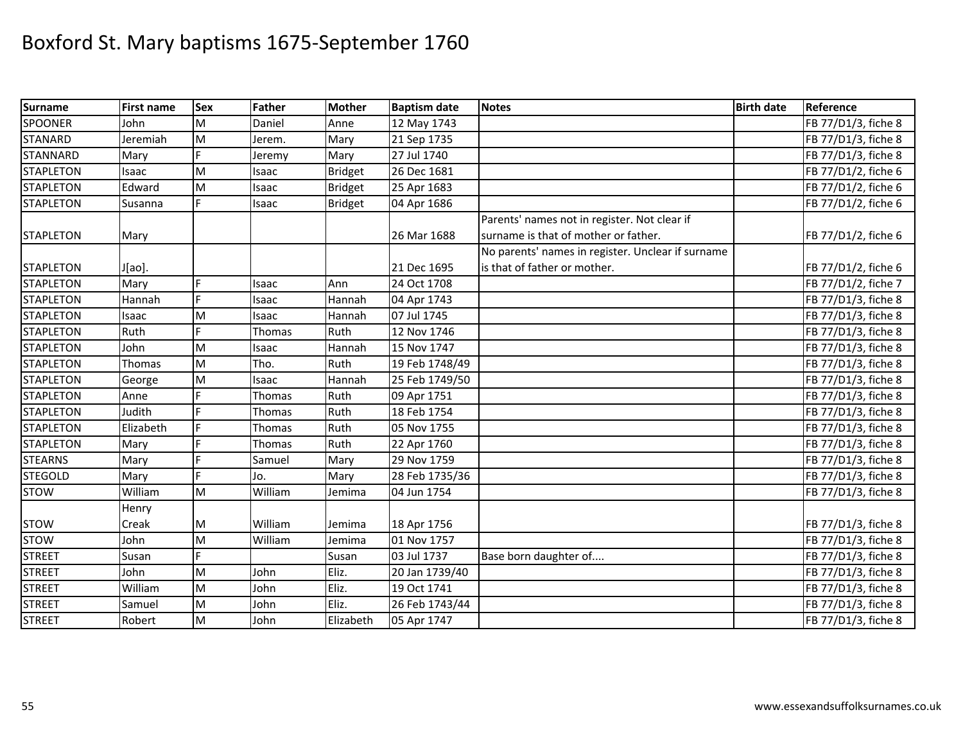| <b>Surname</b>   | <b>First name</b> | <b>Sex</b> | Father       | <b>Mother</b>  | <b>Baptism date</b> | <b>Notes</b>                                      | <b>Birth date</b> | Reference           |
|------------------|-------------------|------------|--------------|----------------|---------------------|---------------------------------------------------|-------------------|---------------------|
| <b>SPOONER</b>   | John              | M          | Daniel       | Anne           | 12 May 1743         |                                                   |                   | FB 77/D1/3, fiche 8 |
| <b>STANARD</b>   | Jeremiah          | M          | Jerem.       | Mary           | 21 Sep 1735         |                                                   |                   | FB 77/D1/3, fiche 8 |
| <b>STANNARD</b>  | Mary              |            | Jeremy       | Mary           | 27 Jul 1740         |                                                   |                   | FB 77/D1/3, fiche 8 |
| <b>STAPLETON</b> | Isaac             | M          | Isaac        | <b>Bridget</b> | 26 Dec 1681         |                                                   |                   | FB 77/D1/2, fiche 6 |
| <b>STAPLETON</b> | Edward            | M          | Isaac        | <b>Bridget</b> | 25 Apr 1683         |                                                   |                   | FB 77/D1/2, fiche 6 |
| <b>STAPLETON</b> | Susanna           | E.         | Isaac        | <b>Bridget</b> | 04 Apr 1686         |                                                   |                   | FB 77/D1/2, fiche 6 |
|                  |                   |            |              |                |                     | Parents' names not in register. Not clear if      |                   |                     |
| <b>STAPLETON</b> | Mary              |            |              |                | 26 Mar 1688         | surname is that of mother or father.              |                   | FB 77/D1/2, fiche 6 |
|                  |                   |            |              |                |                     | No parents' names in register. Unclear if surname |                   |                     |
| <b>STAPLETON</b> | J[ao].            |            |              |                | 21 Dec 1695         | is that of father or mother.                      |                   | FB 77/D1/2, fiche 6 |
| <b>STAPLETON</b> | Mary              | F.         | Isaac        | Ann            | 24 Oct 1708         |                                                   |                   | FB 77/D1/2, fiche 7 |
| <b>STAPLETON</b> | Hannah            | F          | Isaac        | Hannah         | 04 Apr 1743         |                                                   |                   | FB 77/D1/3, fiche 8 |
| <b>STAPLETON</b> | Isaac             | M          | Isaac        | Hannah         | 07 Jul 1745         |                                                   |                   | FB 77/D1/3, fiche 8 |
| <b>STAPLETON</b> | Ruth              | Ė          | Thomas       | Ruth           | 12 Nov 1746         |                                                   |                   | FB 77/D1/3, fiche 8 |
| <b>STAPLETON</b> | John              | M          | Isaac        | Hannah         | 15 Nov 1747         |                                                   |                   | FB 77/D1/3, fiche 8 |
| <b>STAPLETON</b> | Thomas            | M          | Tho.         | Ruth           | 19 Feb 1748/49      |                                                   |                   | FB 77/D1/3, fiche 8 |
| <b>STAPLETON</b> | George            | M          | <b>Isaac</b> | Hannah         | 25 Feb 1749/50      |                                                   |                   | FB 77/D1/3, fiche 8 |
| <b>STAPLETON</b> | Anne              |            | Thomas       | Ruth           | 09 Apr 1751         |                                                   |                   | FB 77/D1/3, fiche 8 |
| <b>STAPLETON</b> | Judith            |            | Thomas       | Ruth           | 18 Feb 1754         |                                                   |                   | FB 77/D1/3, fiche 8 |
| <b>STAPLETON</b> | Elizabeth         |            | Thomas       | Ruth           | 05 Nov 1755         |                                                   |                   | FB 77/D1/3, fiche 8 |
| <b>STAPLETON</b> | Mary              | Ė          | Thomas       | Ruth           | 22 Apr 1760         |                                                   |                   | FB 77/D1/3, fiche 8 |
| <b>STEARNS</b>   | Mary              | Ė          | Samuel       | Mary           | 29 Nov 1759         |                                                   |                   | FB 77/D1/3, fiche 8 |
| <b>STEGOLD</b>   | Mary              | E          | Jo.          | Mary           | 28 Feb 1735/36      |                                                   |                   | FB 77/D1/3, fiche 8 |
| <b>STOW</b>      | William           | M          | William      | Jemima         | 04 Jun 1754         |                                                   |                   | FB 77/D1/3, fiche 8 |
|                  | Henry             |            |              |                |                     |                                                   |                   |                     |
| <b>STOW</b>      | Creak             | M          | William      | Jemima         | 18 Apr 1756         |                                                   |                   | FB 77/D1/3, fiche 8 |
| <b>STOW</b>      | John              | M          | William      | Jemima         | 01 Nov 1757         |                                                   |                   | FB 77/D1/3, fiche 8 |
| <b>STREET</b>    | Susan             | Ē          |              | Susan          | 03 Jul 1737         | Base born daughter of                             |                   | FB 77/D1/3, fiche 8 |
| <b>STREET</b>    | John              | M          | John         | Eliz.          | 20 Jan 1739/40      |                                                   |                   | FB 77/D1/3, fiche 8 |
| <b>STREET</b>    | William           | M          | John         | Eliz.          | 19 Oct 1741         |                                                   |                   | FB 77/D1/3, fiche 8 |
| <b>STREET</b>    | Samuel            | M          | John         | Eliz.          | 26 Feb 1743/44      |                                                   |                   | FB 77/D1/3, fiche 8 |
| <b>STREET</b>    | Robert            | M          | John         | Elizabeth      | 05 Apr 1747         |                                                   |                   | FB 77/D1/3, fiche 8 |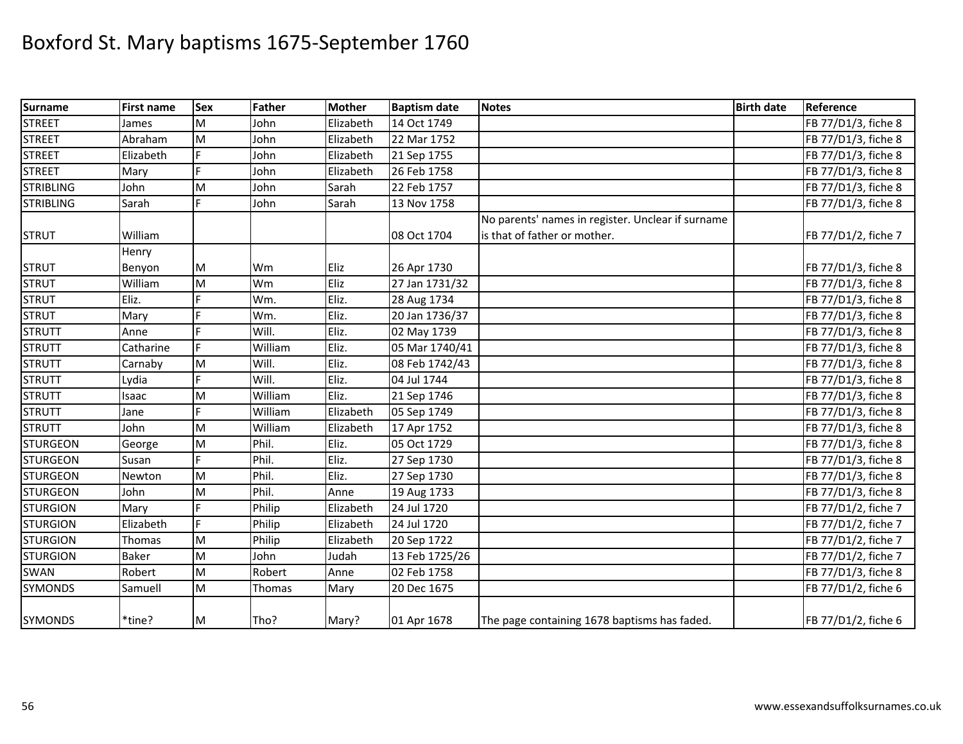| <b>Surname</b>   | <b>First name</b> | <b>Sex</b> | <b>Father</b> | <b>Mother</b> | <b>Baptism date</b> | <b>Notes</b>                                      | <b>Birth date</b> | Reference           |
|------------------|-------------------|------------|---------------|---------------|---------------------|---------------------------------------------------|-------------------|---------------------|
| <b>STREET</b>    | James             | M          | John          | Elizabeth     | 14 Oct 1749         |                                                   |                   | FB 77/D1/3, fiche 8 |
| <b>STREET</b>    | Abraham           | M          | John          | Elizabeth     | 22 Mar 1752         |                                                   |                   | FB 77/D1/3, fiche 8 |
| <b>STREET</b>    | Elizabeth         |            | John          | Elizabeth     | 21 Sep 1755         |                                                   |                   | FB 77/D1/3, fiche 8 |
| <b>STREET</b>    | Mary              | F          | John          | Elizabeth     | 26 Feb 1758         |                                                   |                   | FB 77/D1/3, fiche 8 |
| <b>STRIBLING</b> | John              | M          | John          | Sarah         | 22 Feb 1757         |                                                   |                   | FB 77/D1/3, fiche 8 |
| <b>STRIBLING</b> | Sarah             | F          | John          | Sarah         | 13 Nov 1758         |                                                   |                   | FB 77/D1/3, fiche 8 |
|                  |                   |            |               |               |                     | No parents' names in register. Unclear if surname |                   |                     |
| <b>STRUT</b>     | William           |            |               |               | 08 Oct 1704         | is that of father or mother.                      |                   | FB 77/D1/2, fiche 7 |
|                  | Henry             |            |               |               |                     |                                                   |                   |                     |
| <b>STRUT</b>     | Benyon            | M          | Wm            | Eliz          | 26 Apr 1730         |                                                   |                   | FB 77/D1/3, fiche 8 |
| <b>STRUT</b>     | William           | M          | Wm            | Eliz          | 27 Jan 1731/32      |                                                   |                   | FB 77/D1/3, fiche 8 |
| <b>STRUT</b>     | Eliz.             | E          | Wm.           | Eliz.         | 28 Aug 1734         |                                                   |                   | FB 77/D1/3, fiche 8 |
| <b>STRUT</b>     | Mary              | Þ          | Wm.           | Eliz.         | 20 Jan 1736/37      |                                                   |                   | FB 77/D1/3, fiche 8 |
| <b>STRUTT</b>    | Anne              | E          | Will.         | Eliz.         | 02 May 1739         |                                                   |                   | FB 77/D1/3, fiche 8 |
| <b>STRUTT</b>    | Catharine         | F          | William       | Eliz.         | 05 Mar 1740/41      |                                                   |                   | FB 77/D1/3, fiche 8 |
| <b>STRUTT</b>    | Carnaby           | M          | Will.         | Eliz.         | 08 Feb 1742/43      |                                                   |                   | FB 77/D1/3, fiche 8 |
| <b>STRUTT</b>    | Lydia             | F          | Will.         | Eliz.         | 04 Jul 1744         |                                                   |                   | FB 77/D1/3, fiche 8 |
| <b>STRUTT</b>    | Isaac             | M          | William       | Eliz.         | 21 Sep 1746         |                                                   |                   | FB 77/D1/3, fiche 8 |
| <b>STRUTT</b>    | Jane              | E          | William       | Elizabeth     | 05 Sep 1749         |                                                   |                   | FB 77/D1/3, fiche 8 |
| <b>STRUTT</b>    | John              | M          | William       | Elizabeth     | 17 Apr 1752         |                                                   |                   | FB 77/D1/3, fiche 8 |
| <b>STURGEON</b>  | George            | M          | Phil.         | Eliz.         | 05 Oct 1729         |                                                   |                   | FB 77/D1/3, fiche 8 |
| <b>STURGEON</b>  | Susan             | F.         | Phil.         | Eliz.         | 27 Sep 1730         |                                                   |                   | FB 77/D1/3, fiche 8 |
| <b>STURGEON</b>  | Newton            | M          | Phil.         | Eliz.         | 27 Sep 1730         |                                                   |                   | FB 77/D1/3, fiche 8 |
| <b>STURGEON</b>  | John              | M          | Phil.         | Anne          | 19 Aug 1733         |                                                   |                   | FB 77/D1/3, fiche 8 |
| <b>STURGION</b>  | Mary              |            | Philip        | Elizabeth     | 24 Jul 1720         |                                                   |                   | FB 77/D1/2, fiche 7 |
| <b>STURGION</b>  | Elizabeth         | F          | Philip        | Elizabeth     | 24 Jul 1720         |                                                   |                   | FB 77/D1/2, fiche 7 |
| <b>STURGION</b>  | Thomas            | M          | Philip        | Elizabeth     | 20 Sep 1722         |                                                   |                   | FB 77/D1/2, fiche 7 |
| <b>STURGION</b>  | <b>Baker</b>      | M          | John          | Judah         | 13 Feb 1725/26      |                                                   |                   | FB 77/D1/2, fiche 7 |
| <b>SWAN</b>      | Robert            | M          | Robert        | Anne          | 02 Feb 1758         |                                                   |                   | FB 77/D1/3, fiche 8 |
| <b>SYMONDS</b>   | Samuell           | M          | Thomas        | Mary          | 20 Dec 1675         |                                                   |                   | FB 77/D1/2, fiche 6 |
| <b>SYMONDS</b>   | *tine?            | M          | Tho?          | Mary?         | 01 Apr 1678         | The page containing 1678 baptisms has faded.      |                   | FB 77/D1/2, fiche 6 |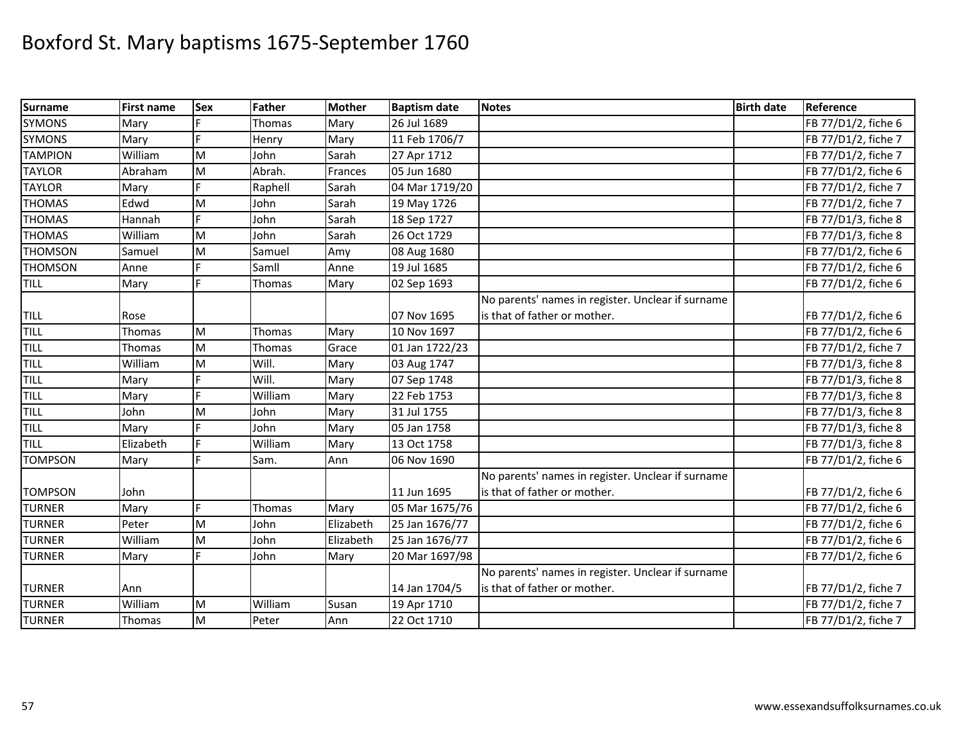| <b>Surname</b> | <b>First name</b> | Sex | Father  | <b>Mother</b> | <b>Baptism date</b> | <b>Notes</b>                                      | <b>Birth date</b> | Reference           |
|----------------|-------------------|-----|---------|---------------|---------------------|---------------------------------------------------|-------------------|---------------------|
| <b>SYMONS</b>  | Mary              |     | Thomas  | Mary          | 26 Jul 1689         |                                                   |                   | FB 77/D1/2, fiche 6 |
| <b>SYMONS</b>  | Mary              |     | Henry   | Mary          | 11 Feb 1706/7       |                                                   |                   | FB 77/D1/2, fiche 7 |
| <b>TAMPION</b> | William           | M   | John    | Sarah         | 27 Apr 1712         |                                                   |                   | FB 77/D1/2, fiche 7 |
| <b>TAYLOR</b>  | Abraham           | M   | Abrah.  | Frances       | 05 Jun 1680         |                                                   |                   | FB 77/D1/2, fiche 6 |
| <b>TAYLOR</b>  | Mary              |     | Raphell | Sarah         | 04 Mar 1719/20      |                                                   |                   | FB 77/D1/2, fiche 7 |
| <b>THOMAS</b>  | Edwd              | M   | John    | Sarah         | 19 May 1726         |                                                   |                   | FB 77/D1/2, fiche 7 |
| <b>THOMAS</b>  | Hannah            |     | John    | Sarah         | 18 Sep 1727         |                                                   |                   | FB 77/D1/3, fiche 8 |
| <b>THOMAS</b>  | William           | M   | John    | Sarah         | 26 Oct 1729         |                                                   |                   | FB 77/D1/3, fiche 8 |
| <b>THOMSON</b> | Samuel            | M   | Samuel  | Amy           | 08 Aug 1680         |                                                   |                   | FB 77/D1/2, fiche 6 |
| <b>THOMSON</b> | Anne              |     | Samll   | Anne          | 19 Jul 1685         |                                                   |                   | FB 77/D1/2, fiche 6 |
| <b>TILL</b>    | Mary              | F   | Thomas  | Mary          | 02 Sep 1693         |                                                   |                   | FB 77/D1/2, fiche 6 |
|                |                   |     |         |               |                     | No parents' names in register. Unclear if surname |                   |                     |
| <b>TILL</b>    | Rose              |     |         |               | 07 Nov 1695         | is that of father or mother.                      |                   | FB 77/D1/2, fiche 6 |
| TILL           | Thomas            | M   | Thomas  | Mary          | 10 Nov 1697         |                                                   |                   | FB 77/D1/2, fiche 6 |
| <b>TILL</b>    | Thomas            | M   | Thomas  | Grace         | 01 Jan 1722/23      |                                                   |                   | FB 77/D1/2, fiche 7 |
| TILL           | William           | M   | Will.   | Mary          | 03 Aug 1747         |                                                   |                   | FB 77/D1/3, fiche 8 |
| <b>TILL</b>    | Mary              |     | Will.   | Mary          | 07 Sep 1748         |                                                   |                   | FB 77/D1/3, fiche 8 |
| TILL           | Mary              |     | William | Mary          | 22 Feb 1753         |                                                   |                   | FB 77/D1/3, fiche 8 |
| TILL           | John              | M   | John    | Mary          | 31 Jul 1755         |                                                   |                   | FB 77/D1/3, fiche 8 |
| TILL           | Mary              |     | John    | Mary          | 05 Jan 1758         |                                                   |                   | FB 77/D1/3, fiche 8 |
| <b>TILL</b>    | Elizabeth         |     | William | Mary          | 13 Oct 1758         |                                                   |                   | FB 77/D1/3, fiche 8 |
| <b>TOMPSON</b> | Mary              | F.  | Sam.    | Ann           | 06 Nov 1690         |                                                   |                   | FB 77/D1/2, fiche 6 |
|                |                   |     |         |               |                     | No parents' names in register. Unclear if surname |                   |                     |
| <b>TOMPSON</b> | John              |     |         |               | 11 Jun 1695         | is that of father or mother.                      |                   | FB 77/D1/2, fiche 6 |
| <b>TURNER</b>  | Mary              | Ė   | Thomas  | Mary          | 05 Mar 1675/76      |                                                   |                   | FB 77/D1/2, fiche 6 |
| <b>TURNER</b>  | Peter             | M   | John    | Elizabeth     | 25 Jan 1676/77      |                                                   |                   | FB 77/D1/2, fiche 6 |
| <b>TURNER</b>  | William           | M   | John    | Elizabeth     | 25 Jan 1676/77      |                                                   |                   | FB 77/D1/2, fiche 6 |
| <b>TURNER</b>  | Mary              | F   | John    | Mary          | 20 Mar 1697/98      |                                                   |                   | FB 77/D1/2, fiche 6 |
|                |                   |     |         |               |                     | No parents' names in register. Unclear if surname |                   |                     |
| <b>TURNER</b>  | Ann               |     |         |               | 14 Jan 1704/5       | is that of father or mother.                      |                   | FB 77/D1/2, fiche 7 |
| <b>TURNER</b>  | William           | M   | William | Susan         | 19 Apr 1710         |                                                   |                   | FB 77/D1/2, fiche 7 |
| <b>TURNER</b>  | Thomas            | M   | Peter   | Ann           | 22 Oct 1710         |                                                   |                   | FB 77/D1/2, fiche 7 |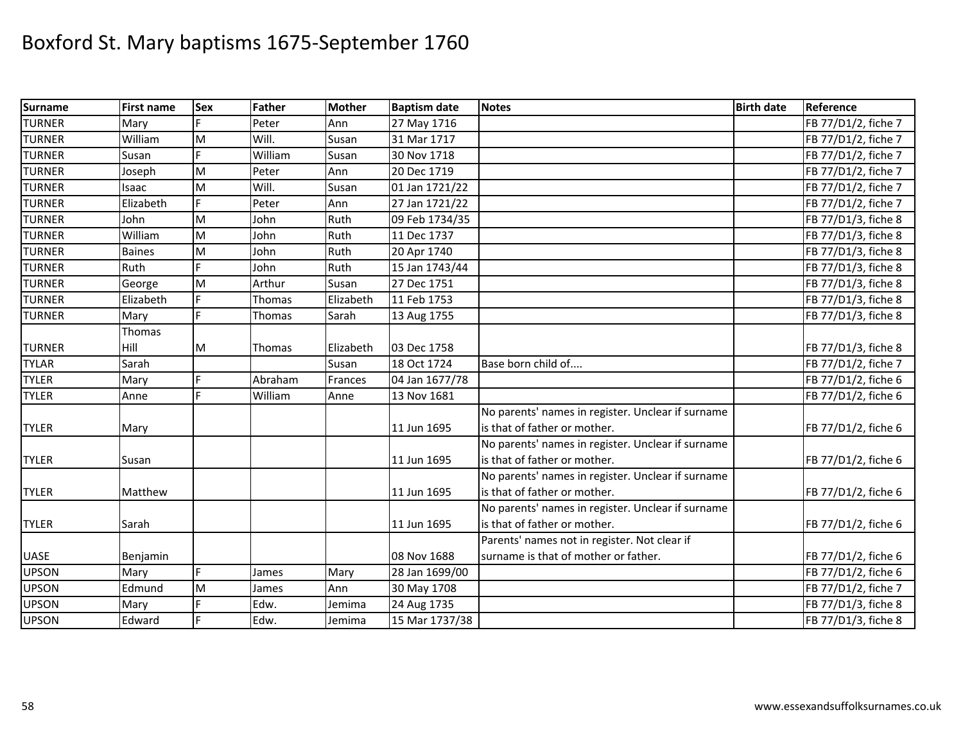| <b>Surname</b> | <b>First name</b> | <b>Sex</b> | Father  | <b>Mother</b> | <b>Baptism date</b> | <b>Notes</b>                                      | <b>Birth date</b> | Reference           |
|----------------|-------------------|------------|---------|---------------|---------------------|---------------------------------------------------|-------------------|---------------------|
| <b>TURNER</b>  | Mary              |            | Peter   | Ann           | 27 May 1716         |                                                   |                   | FB 77/D1/2, fiche 7 |
| <b>TURNER</b>  | William           | M          | Will.   | Susan         | 31 Mar 1717         |                                                   |                   | FB 77/D1/2, fiche 7 |
| <b>TURNER</b>  | Susan             |            | William | Susan         | 30 Nov 1718         |                                                   |                   | FB 77/D1/2, fiche 7 |
| <b>TURNER</b>  | Joseph            | M          | Peter   | Ann           | 20 Dec 1719         |                                                   |                   | FB 77/D1/2, fiche 7 |
| <b>TURNER</b>  | Isaac             | M          | Will.   | Susan         | 01 Jan 1721/22      |                                                   |                   | FB 77/D1/2, fiche 7 |
| <b>TURNER</b>  | Elizabeth         | F.         | Peter   | Ann           | 27 Jan 1721/22      |                                                   |                   | FB 77/D1/2, fiche 7 |
| <b>TURNER</b>  | John              | M          | John    | Ruth          | 09 Feb 1734/35      |                                                   |                   | FB 77/D1/3, fiche 8 |
| <b>TURNER</b>  | William           | M          | John    | Ruth          | 11 Dec 1737         |                                                   |                   | FB 77/D1/3, fiche 8 |
| <b>TURNER</b>  | <b>Baines</b>     | M          | John    | Ruth          | 20 Apr 1740         |                                                   |                   | FB 77/D1/3, fiche 8 |
| <b>TURNER</b>  | Ruth              |            | John    | Ruth          | 15 Jan 1743/44      |                                                   |                   | FB 77/D1/3, fiche 8 |
| <b>TURNER</b>  | George            | M          | Arthur  | Susan         | 27 Dec 1751         |                                                   |                   | FB 77/D1/3, fiche 8 |
| <b>TURNER</b>  | Elizabeth         |            | Thomas  | Elizabeth     | 11 Feb 1753         |                                                   |                   | FB 77/D1/3, fiche 8 |
| <b>TURNER</b>  | Mary              | F.         | Thomas  | Sarah         | 13 Aug 1755         |                                                   |                   | FB 77/D1/3, fiche 8 |
|                | Thomas            |            |         |               |                     |                                                   |                   |                     |
| <b>TURNER</b>  | Hill              | M          | Thomas  | Elizabeth     | 03 Dec 1758         |                                                   |                   | FB 77/D1/3, fiche 8 |
| <b>TYLAR</b>   | Sarah             |            |         | Susan         | 18 Oct 1724         | Base born child of                                |                   | FB 77/D1/2, fiche 7 |
| <b>TYLER</b>   | Mary              | Ė          | Abraham | Frances       | 04 Jan 1677/78      |                                                   |                   | FB 77/D1/2, fiche 6 |
| <b>TYLER</b>   | Anne              | Ė.         | William | Anne          | 13 Nov 1681         |                                                   |                   | FB 77/D1/2, fiche 6 |
|                |                   |            |         |               |                     | No parents' names in register. Unclear if surname |                   |                     |
| <b>TYLER</b>   | Mary              |            |         |               | 11 Jun 1695         | is that of father or mother.                      |                   | FB 77/D1/2, fiche 6 |
|                |                   |            |         |               |                     | No parents' names in register. Unclear if surname |                   |                     |
| <b>TYLER</b>   | Susan             |            |         |               | 11 Jun 1695         | is that of father or mother.                      |                   | FB 77/D1/2, fiche 6 |
|                |                   |            |         |               |                     | No parents' names in register. Unclear if surname |                   |                     |
| <b>TYLER</b>   | Matthew           |            |         |               | 11 Jun 1695         | is that of father or mother.                      |                   | FB 77/D1/2, fiche 6 |
|                |                   |            |         |               |                     | No parents' names in register. Unclear if surname |                   |                     |
| <b>TYLER</b>   | Sarah             |            |         |               | 11 Jun 1695         | is that of father or mother.                      |                   | FB 77/D1/2, fiche 6 |
|                |                   |            |         |               |                     | Parents' names not in register. Not clear if      |                   |                     |
| <b>UASE</b>    | Benjamin          |            |         |               | 08 Nov 1688         | surname is that of mother or father.              |                   | FB 77/D1/2, fiche 6 |
| <b>UPSON</b>   | Mary              | F.         | James   | Mary          | 28 Jan 1699/00      |                                                   |                   | FB 77/D1/2, fiche 6 |
| <b>UPSON</b>   | Edmund            | M          | James   | Ann           | 30 May 1708         |                                                   |                   | FB 77/D1/2, fiche 7 |
| <b>UPSON</b>   | Mary              |            | Edw.    | Jemima        | 24 Aug 1735         |                                                   |                   | FB 77/D1/3, fiche 8 |
| <b>UPSON</b>   | Edward            | F          | Edw.    | Jemima        | 15 Mar 1737/38      |                                                   |                   | FB 77/D1/3, fiche 8 |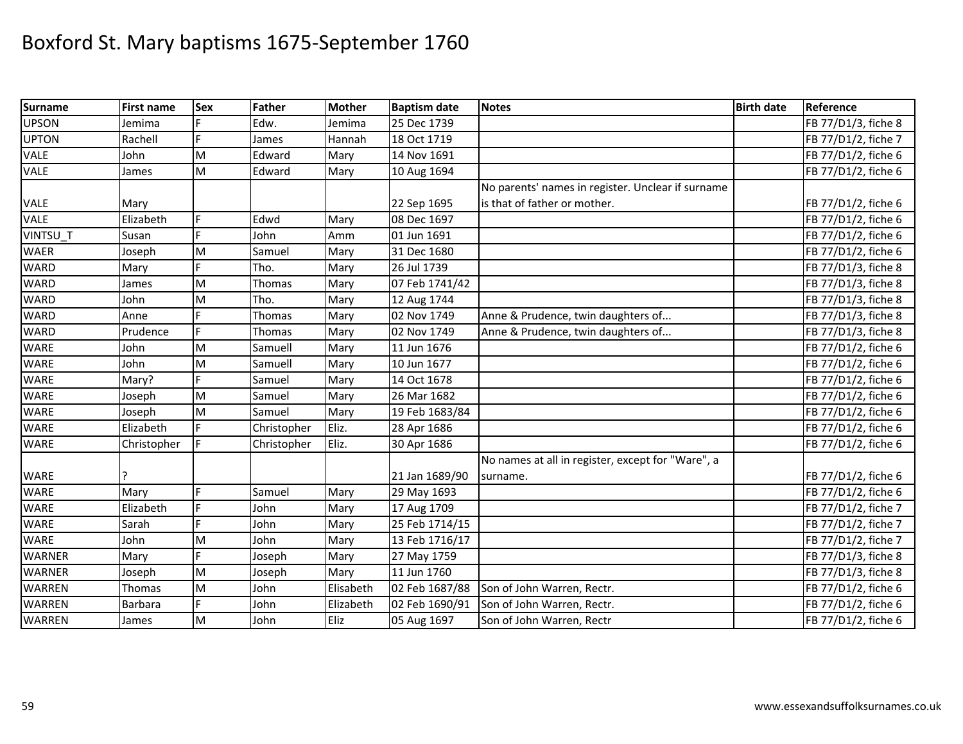| <b>Surname</b> | <b>First name</b> | Sex | <b>Father</b> | <b>Mother</b> | <b>Baptism date</b> | <b>Notes</b>                                      | <b>Birth date</b> | Reference           |
|----------------|-------------------|-----|---------------|---------------|---------------------|---------------------------------------------------|-------------------|---------------------|
| <b>UPSON</b>   | Jemima            |     | Edw.          | Jemima        | 25 Dec 1739         |                                                   |                   | FB 77/D1/3, fiche 8 |
| <b>UPTON</b>   | Rachell           | Ė   | James         | Hannah        | 18 Oct 1719         |                                                   |                   | FB 77/D1/2, fiche 7 |
| <b>VALE</b>    | John              | M   | Edward        | Mary          | 14 Nov 1691         |                                                   |                   | FB 77/D1/2, fiche 6 |
| <b>VALE</b>    | James             | M   | Edward        | Mary          | 10 Aug 1694         |                                                   |                   | FB 77/D1/2, fiche 6 |
|                |                   |     |               |               |                     | No parents' names in register. Unclear if surname |                   |                     |
| VALE           | Mary              |     |               |               | 22 Sep 1695         | is that of father or mother.                      |                   | FB 77/D1/2, fiche 6 |
| <b>VALE</b>    | Elizabeth         | Ė   | Edwd          | Mary          | 08 Dec 1697         |                                                   |                   | FB 77/D1/2, fiche 6 |
| VINTSU_T       | Susan             |     | John          | Amm           | 01 Jun 1691         |                                                   |                   | FB 77/D1/2, fiche 6 |
| <b>WAER</b>    | Joseph            | M   | Samuel        | Mary          | 31 Dec 1680         |                                                   |                   | FB 77/D1/2, fiche 6 |
| <b>WARD</b>    | Mary              |     | Tho.          | Mary          | 26 Jul 1739         |                                                   |                   | FB 77/D1/3, fiche 8 |
| <b>WARD</b>    | James             | M   | Thomas        | Mary          | 07 Feb 1741/42      |                                                   |                   | FB 77/D1/3, fiche 8 |
| <b>WARD</b>    | John              | M   | Tho.          | Mary          | 12 Aug 1744         |                                                   |                   | FB 77/D1/3, fiche 8 |
| <b>WARD</b>    | Anne              | E   | Thomas        | Mary          | 02 Nov 1749         | Anne & Prudence, twin daughters of                |                   | FB 77/D1/3, fiche 8 |
| <b>WARD</b>    | Prudence          | E   | Thomas        | Mary          | 02 Nov 1749         | Anne & Prudence, twin daughters of                |                   | FB 77/D1/3, fiche 8 |
| <b>WARE</b>    | John              | M   | Samuell       | Mary          | 11 Jun 1676         |                                                   |                   | FB 77/D1/2, fiche 6 |
| <b>WARE</b>    | John              | M   | Samuell       | Mary          | 10 Jun 1677         |                                                   |                   | FB 77/D1/2, fiche 6 |
| <b>WARE</b>    | Mary?             |     | Samuel        | Mary          | 14 Oct 1678         |                                                   |                   | FB 77/D1/2, fiche 6 |
| <b>WARE</b>    | Joseph            | M   | Samuel        | Mary          | 26 Mar 1682         |                                                   |                   | FB 77/D1/2, fiche 6 |
| <b>WARE</b>    | Joseph            | M   | Samuel        | Mary          | 19 Feb 1683/84      |                                                   |                   | FB 77/D1/2, fiche 6 |
| <b>WARE</b>    | Elizabeth         |     | Christopher   | Eliz.         | 28 Apr 1686         |                                                   |                   | FB 77/D1/2, fiche 6 |
| <b>WARE</b>    | Christopher       |     | Christopher   | Eliz.         | 30 Apr 1686         |                                                   |                   | FB 77/D1/2, fiche 6 |
|                |                   |     |               |               |                     | No names at all in register, except for "Ware", a |                   |                     |
| <b>WARE</b>    |                   |     |               |               | 21 Jan 1689/90      | surname.                                          |                   | FB 77/D1/2, fiche 6 |
| <b>WARE</b>    | Mary              | Ė   | Samuel        | Mary          | 29 May 1693         |                                                   |                   | FB 77/D1/2, fiche 6 |
| WARE           | Elizabeth         |     | John          | Mary          | 17 Aug 1709         |                                                   |                   | FB 77/D1/2, fiche 7 |
| <b>WARE</b>    | Sarah             |     | John          | Mary          | 25 Feb 1714/15      |                                                   |                   | FB 77/D1/2, fiche 7 |
| <b>WARE</b>    | John              | M   | John          | Mary          | 13 Feb 1716/17      |                                                   |                   | FB 77/D1/2, fiche 7 |
| <b>WARNER</b>  | Mary              | Þ   | Joseph        | Mary          | 27 May 1759         |                                                   |                   | FB 77/D1/3, fiche 8 |
| <b>WARNER</b>  | Joseph            | M   | Joseph        | Mary          | 11 Jun 1760         |                                                   |                   | FB 77/D1/3, fiche 8 |
| <b>WARREN</b>  | Thomas            | M   | John          | Elisabeth     | 02 Feb 1687/88      | Son of John Warren, Rectr.                        |                   | FB 77/D1/2, fiche 6 |
| <b>WARREN</b>  | Barbara           | E.  | John          | Elizabeth     | 02 Feb 1690/91      | Son of John Warren, Rectr.                        |                   | FB 77/D1/2, fiche 6 |
| <b>WARREN</b>  | James             | M   | John          | Eliz          | 05 Aug 1697         | Son of John Warren, Rectr                         |                   | FB 77/D1/2, fiche 6 |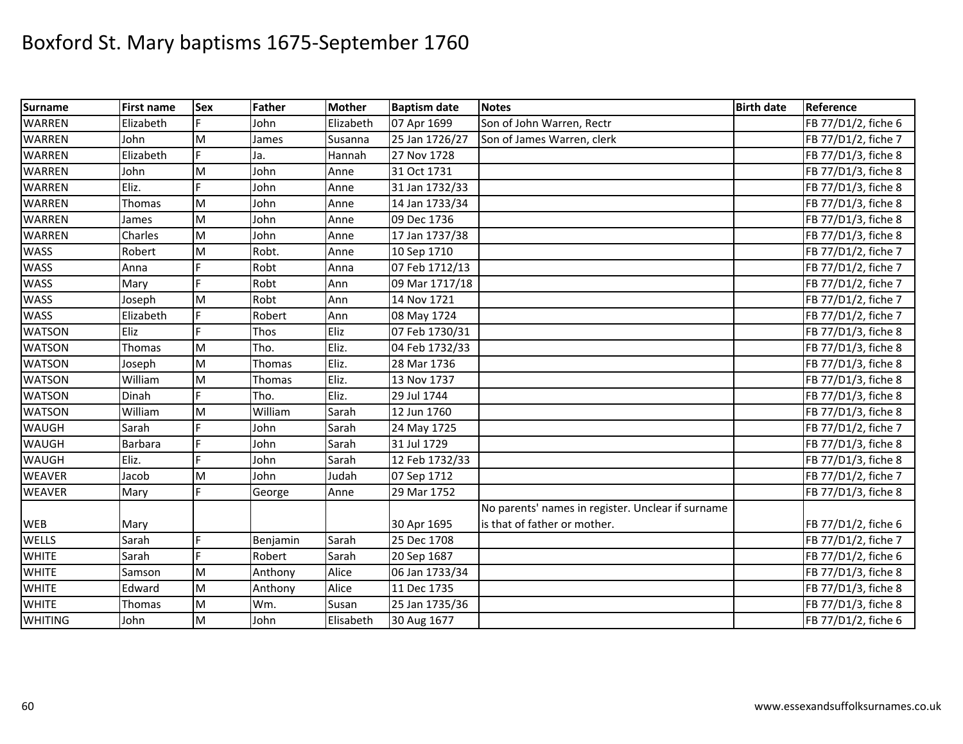| <b>Surname</b> | <b>First name</b> | <b>Sex</b> | Father   | <b>Mother</b> | <b>Baptism date</b> | <b>Notes</b>                                      | <b>Birth date</b> | Reference           |
|----------------|-------------------|------------|----------|---------------|---------------------|---------------------------------------------------|-------------------|---------------------|
| <b>WARREN</b>  | Elizabeth         |            | John     | Elizabeth     | 07 Apr 1699         | Son of John Warren, Rectr                         |                   | FB 77/D1/2, fiche 6 |
| <b>WARREN</b>  | John              | M          | James    | Susanna       | 25 Jan 1726/27      | Son of James Warren, clerk                        |                   | FB 77/D1/2, fiche 7 |
| <b>WARREN</b>  | Elizabeth         |            | Ja.      | Hannah        | 27 Nov 1728         |                                                   |                   | FB 77/D1/3, fiche 8 |
| <b>WARREN</b>  | John              | M          | John     | Anne          | 31 Oct 1731         |                                                   |                   | FB 77/D1/3, fiche 8 |
| <b>WARREN</b>  | Eliz.             |            | John     | Anne          | 31 Jan 1732/33      |                                                   |                   | FB 77/D1/3, fiche 8 |
| <b>WARREN</b>  | Thomas            | M          | John     | Anne          | 14 Jan 1733/34      |                                                   |                   | FB 77/D1/3, fiche 8 |
| <b>WARREN</b>  | James             | M          | John     | Anne          | 09 Dec 1736         |                                                   |                   | FB 77/D1/3, fiche 8 |
| <b>WARREN</b>  | Charles           | M          | John     | Anne          | 17 Jan 1737/38      |                                                   |                   | FB 77/D1/3, fiche 8 |
| <b>WASS</b>    | Robert            | M          | Robt.    | Anne          | 10 Sep 1710         |                                                   |                   | FB 77/D1/2, fiche 7 |
| <b>WASS</b>    | Anna              |            | Robt     | Anna          | 07 Feb 1712/13      |                                                   |                   | FB 77/D1/2, fiche 7 |
| <b>WASS</b>    | Mary              |            | Robt     | Ann           | 09 Mar 1717/18      |                                                   |                   | FB 77/D1/2, fiche 7 |
| <b>WASS</b>    | Joseph            | M          | Robt     | Ann           | 14 Nov 1721         |                                                   |                   | FB 77/D1/2, fiche 7 |
| <b>WASS</b>    | Elizabeth         | F.         | Robert   | Ann           | 08 May 1724         |                                                   |                   | FB 77/D1/2, fiche 7 |
| <b>WATSON</b>  | Eliz              | E          | Thos     | Eliz          | 07 Feb 1730/31      |                                                   |                   | FB 77/D1/3, fiche 8 |
| <b>WATSON</b>  | Thomas            | M          | Tho.     | Eliz.         | 04 Feb 1732/33      |                                                   |                   | FB 77/D1/3, fiche 8 |
| <b>WATSON</b>  | Joseph            | M          | Thomas   | Eliz.         | 28 Mar 1736         |                                                   |                   | FB 77/D1/3, fiche 8 |
| <b>WATSON</b>  | William           | M          | Thomas   | Eliz.         | 13 Nov 1737         |                                                   |                   | FB 77/D1/3, fiche 8 |
| <b>WATSON</b>  | Dinah             |            | Tho.     | Eliz.         | 29 Jul 1744         |                                                   |                   | FB 77/D1/3, fiche 8 |
| <b>WATSON</b>  | William           | M          | William  | Sarah         | 12 Jun 1760         |                                                   |                   | FB 77/D1/3, fiche 8 |
| <b>WAUGH</b>   | Sarah             |            | John     | Sarah         | 24 May 1725         |                                                   |                   | FB 77/D1/2, fiche 7 |
| <b>WAUGH</b>   | Barbara           | F          | John     | Sarah         | 31 Jul 1729         |                                                   |                   | FB 77/D1/3, fiche 8 |
| <b>WAUGH</b>   | Eliz.             | F.         | John     | Sarah         | 12 Feb 1732/33      |                                                   |                   | FB 77/D1/3, fiche 8 |
| <b>WEAVER</b>  | Jacob             | M          | John     | Judah         | 07 Sep 1712         |                                                   |                   | FB 77/D1/2, fiche 7 |
| <b>WEAVER</b>  | Mary              |            | George   | Anne          | 29 Mar 1752         |                                                   |                   | FB 77/D1/3, fiche 8 |
|                |                   |            |          |               |                     | No parents' names in register. Unclear if surname |                   |                     |
| <b>WEB</b>     | Mary              |            |          |               | 30 Apr 1695         | is that of father or mother.                      |                   | FB 77/D1/2, fiche 6 |
| <b>WELLS</b>   | Sarah             | F.         | Benjamin | Sarah         | 25 Dec 1708         |                                                   |                   | FB 77/D1/2, fiche 7 |
| <b>WHITE</b>   | Sarah             | F.         | Robert   | Sarah         | 20 Sep 1687         |                                                   |                   | FB 77/D1/2, fiche 6 |
| <b>WHITE</b>   | Samson            | M          | Anthony  | Alice         | 06 Jan 1733/34      |                                                   |                   | FB 77/D1/3, fiche 8 |
| <b>WHITE</b>   | Edward            | M          | Anthony  | Alice         | 11 Dec 1735         |                                                   |                   | FB 77/D1/3, fiche 8 |
| <b>WHITE</b>   | Thomas            | M          | Wm.      | Susan         | 25 Jan 1735/36      |                                                   |                   | FB 77/D1/3, fiche 8 |
| <b>WHITING</b> | John              | M          | John     | Elisabeth     | 30 Aug 1677         |                                                   |                   | FB 77/D1/2, fiche 6 |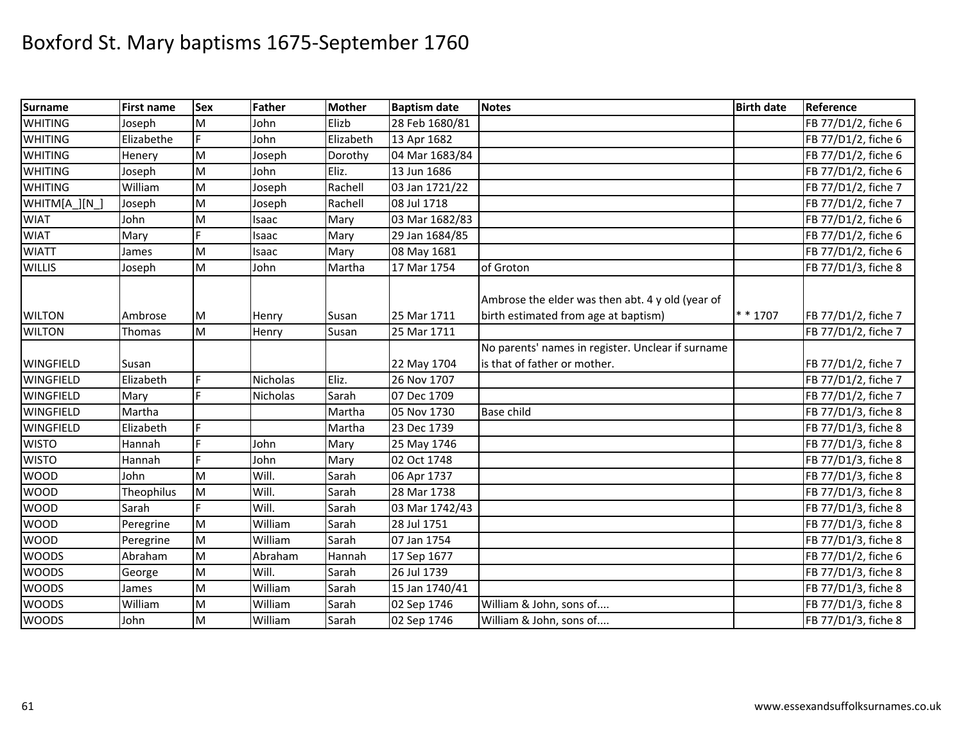| <b>Surname</b>   | <b>First name</b> | <b>Sex</b> | Father          | <b>Mother</b> | <b>Baptism date</b> | <b>Notes</b>                                                                             | <b>Birth date</b> | Reference           |
|------------------|-------------------|------------|-----------------|---------------|---------------------|------------------------------------------------------------------------------------------|-------------------|---------------------|
| <b>WHITING</b>   | Joseph            | M          | John            | Elizb         | 28 Feb 1680/81      |                                                                                          |                   | FB 77/D1/2, fiche 6 |
| <b>WHITING</b>   | Elizabethe        |            | John            | Elizabeth     | 13 Apr 1682         |                                                                                          |                   | FB 77/D1/2, fiche 6 |
| <b>WHITING</b>   | Henery            | M          | Joseph          | Dorothy       | 04 Mar 1683/84      |                                                                                          |                   | FB 77/D1/2, fiche 6 |
| <b>WHITING</b>   | Joseph            | M          | John            | Eliz.         | 13 Jun 1686         |                                                                                          |                   | FB 77/D1/2, fiche 6 |
| <b>WHITING</b>   | William           | M          | Joseph          | Rachell       | 03 Jan 1721/22      |                                                                                          |                   | FB 77/D1/2, fiche 7 |
| WHITM[A_][N_]    | Joseph            | M          | Joseph          | Rachell       | 08 Jul 1718         |                                                                                          |                   | FB 77/D1/2, fiche 7 |
| <b>WIAT</b>      | John              | M          | Isaac           | Mary          | 03 Mar 1682/83      |                                                                                          |                   | FB 77/D1/2, fiche 6 |
| <b>WIAT</b>      | Mary              | Ė          | Isaac           | Mary          | 29 Jan 1684/85      |                                                                                          |                   | FB 77/D1/2, fiche 6 |
| <b>WIATT</b>     | James             | M          | Isaac           | Mary          | 08 May 1681         |                                                                                          |                   | FB 77/D1/2, fiche 6 |
| <b>WILLIS</b>    | Joseph            | M          | John            | Martha        | 17 Mar 1754         | of Groton                                                                                |                   | FB 77/D1/3, fiche 8 |
| <b>WILTON</b>    | Ambrose           | M          | Henry           | Susan         | 25 Mar 1711         | Ambrose the elder was then abt. 4 y old (year of<br>birth estimated from age at baptism) | * * 1707          | FB 77/D1/2, fiche 7 |
| <b>WILTON</b>    | Thomas            | M          | Henry           | Susan         | 25 Mar 1711         |                                                                                          |                   | FB 77/D1/2, fiche 7 |
|                  |                   |            |                 |               |                     | No parents' names in register. Unclear if surname                                        |                   |                     |
| <b>WINGFIELD</b> | Susan             |            |                 |               | 22 May 1704         | is that of father or mother.                                                             |                   | FB 77/D1/2, fiche 7 |
| <b>WINGFIELD</b> | Elizabeth         | F.         | <b>Nicholas</b> | Eliz.         | 26 Nov 1707         |                                                                                          |                   | FB 77/D1/2, fiche 7 |
| <b>WINGFIELD</b> | Mary              |            | Nicholas        | Sarah         | 07 Dec 1709         |                                                                                          |                   | FB 77/D1/2, fiche 7 |
| <b>WINGFIELD</b> | Martha            |            |                 | Martha        | 05 Nov 1730         | <b>Base child</b>                                                                        |                   | FB 77/D1/3, fiche 8 |
| <b>WINGFIELD</b> | Elizabeth         | F          |                 | Martha        | 23 Dec 1739         |                                                                                          |                   | FB 77/D1/3, fiche 8 |
| <b>WISTO</b>     | Hannah            |            | John            | Mary          | 25 May 1746         |                                                                                          |                   | FB 77/D1/3, fiche 8 |
| <b>WISTO</b>     | Hannah            | Ė.         | John            | Mary          | 02 Oct 1748         |                                                                                          |                   | FB 77/D1/3, fiche 8 |
| <b>WOOD</b>      | John              | M          | Will.           | Sarah         | 06 Apr 1737         |                                                                                          |                   | FB 77/D1/3, fiche 8 |
| <b>WOOD</b>      | Theophilus        | M          | Will.           | Sarah         | 28 Mar 1738         |                                                                                          |                   | FB 77/D1/3, fiche 8 |
| <b>WOOD</b>      | Sarah             |            | Will.           | Sarah         | 03 Mar 1742/43      |                                                                                          |                   | FB 77/D1/3, fiche 8 |
| <b>WOOD</b>      | Peregrine         | M          | William         | Sarah         | 28 Jul 1751         |                                                                                          |                   | FB 77/D1/3, fiche 8 |
| <b>WOOD</b>      | Peregrine         | M          | William         | Sarah         | 07 Jan 1754         |                                                                                          |                   | FB 77/D1/3, fiche 8 |
| <b>WOODS</b>     | Abraham           | M          | Abraham         | Hannah        | 17 Sep 1677         |                                                                                          |                   | FB 77/D1/2, fiche 6 |
| <b>WOODS</b>     | George            | M          | Will.           | Sarah         | 26 Jul 1739         |                                                                                          |                   | FB 77/D1/3, fiche 8 |
| <b>WOODS</b>     | James             | M          | William         | Sarah         | 15 Jan 1740/41      |                                                                                          |                   | FB 77/D1/3, fiche 8 |
| <b>WOODS</b>     | William           | M          | William         | Sarah         | 02 Sep 1746         | William & John, sons of                                                                  |                   | FB 77/D1/3, fiche 8 |
| <b>WOODS</b>     | John              | M          | William         | Sarah         | 02 Sep 1746         | William & John, sons of                                                                  |                   | FB 77/D1/3, fiche 8 |